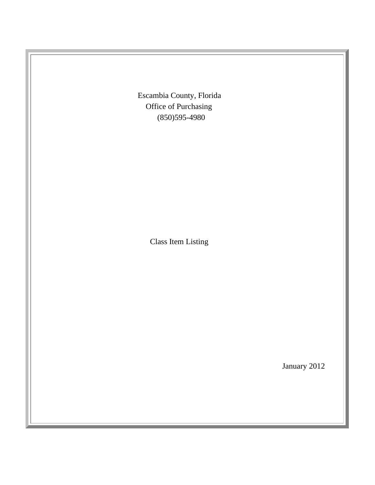Escambia County, Florida Office of Purchasing (850)595-4980

Class Item Listing

January 2012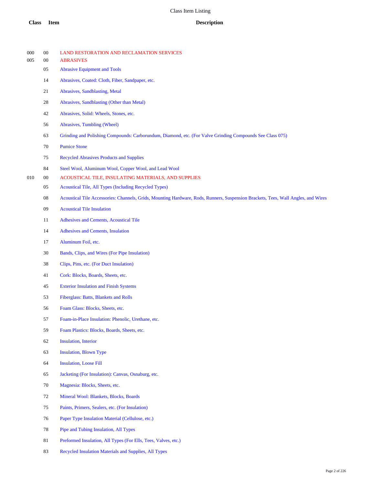| 000<br>005 | $00\,$<br>$00\,$ | LAND RESTORATION AND RECLAMATION SERVICES<br><b>ABRASIVES</b>                                                                     |
|------------|------------------|-----------------------------------------------------------------------------------------------------------------------------------|
|            | 05               | <b>Abrasive Equipment and Tools</b>                                                                                               |
|            | 14               | Abrasives, Coated: Cloth, Fiber, Sandpaper, etc.                                                                                  |
|            | 21               | Abrasives, Sandblasting, Metal                                                                                                    |
|            | 28               | Abrasives, Sandblasting (Other than Metal)                                                                                        |
|            | 42               | Abrasives, Solid: Wheels, Stones, etc.                                                                                            |
|            | 56               | Abrasives, Tumbling (Wheel)                                                                                                       |
|            | 63               | Grinding and Polishing Compounds: Carborundum, Diamond, etc. (For Valve Grinding Compounds See Class 075)                         |
|            | 70               | <b>Pumice Stone</b>                                                                                                               |
|            | 75               | <b>Recycled Abrasives Products and Supplies</b>                                                                                   |
|            | 84               | Steel Wool, Aluminum Wool, Copper Wool, and Lead Wool                                                                             |
| 010        | $00\,$           | ACOUSTICAL TILE, INSULATING MATERIALS, AND SUPPLIES                                                                               |
|            | 05               | Acoustical Tile, All Types (Including Recycled Types)                                                                             |
|            | 08               | Acoustical Tile Accessories: Channels, Grids, Mounting Hardware, Rods, Runners, Suspension Brackets, Tees, Wall Angles, and Wires |
|            | 09               | <b>Acoustical Tile Insulation</b>                                                                                                 |
|            | 11               | Adhesives and Cements, Acoustical Tile                                                                                            |
|            | 14               | Adhesives and Cements, Insulation                                                                                                 |
|            | 17               | Aluminum Foil, etc.                                                                                                               |
|            | $30\,$           | Bands, Clips, and Wires (For Pipe Insulation)                                                                                     |
|            | 38               | Clips, Pins, etc. (For Duct Insulation)                                                                                           |
|            | 41               | Cork: Blocks, Boards, Sheets, etc.                                                                                                |
|            | 45               | <b>Exterior Insulation and Finish Systems</b>                                                                                     |
|            | 53               | Fiberglass: Batts, Blankets and Rolls                                                                                             |
|            | 56               | Foam Glass: Blocks, Sheets, etc.                                                                                                  |
|            | 57               | Foam-in-Place Insulation: Phenolic, Urethane, etc.                                                                                |
|            | 59               | Foam Plastics: Blocks, Boards, Sheets, etc.                                                                                       |
|            | 62               | Insulation, Interior                                                                                                              |
|            | 63               | <b>Insulation</b> , <b>Blown</b> Type                                                                                             |
|            | 64               | <b>Insulation, Loose Fill</b>                                                                                                     |
|            | 65               | Jacketing (For Insulation): Canvas, Osnaburg, etc.                                                                                |
|            | 70               | Magnesia: Blocks, Sheets, etc.                                                                                                    |
|            | 72               | Mineral Wool: Blankets, Blocks, Boards                                                                                            |
|            | 75               | Paints, Primers, Sealers, etc. (For Insulation)                                                                                   |
|            | 76               | Paper Type Insulation Material (Cellulose, etc.)                                                                                  |
|            | 78               | Pipe and Tubing Insulation, All Types                                                                                             |
|            | 81               | Preformed Insulation, All Types (For Ells, Tees, Valves, etc.)                                                                    |
|            |                  |                                                                                                                                   |

Recycled Insulation Materials and Supplies, All Types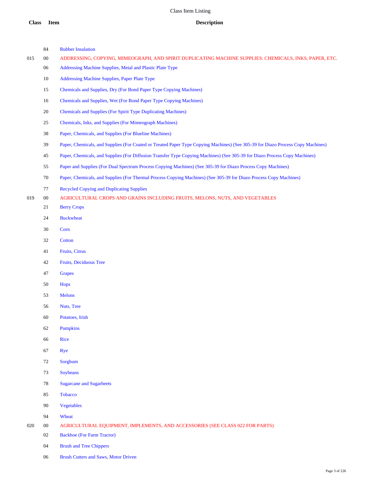00 ADDRESSING, COPYING, MIMEOGRAPH, AND SPIRIT DUPLICATING MACHINE SUPPLIES: CHEMICALS, INKS, PAPER, ETC.

Rubber Insulation

|     | 06     | Addressing Machine Supplies, Metal and Plastic Plate Type                                                                       |
|-----|--------|---------------------------------------------------------------------------------------------------------------------------------|
|     | 10     | Addressing Machine Supplies, Paper Plate Type                                                                                   |
|     | 15     | Chemicals and Supplies, Dry (For Bond Paper Type Copying Machines)                                                              |
|     | 16     | Chemicals and Supplies, Wet (For Bond Paper Type Copying Machines)                                                              |
|     | 20     | <b>Chemicals and Supplies (For Spirit Type Duplicating Machines)</b>                                                            |
|     | 25     | Chemicals, Inks, and Supplies (For Mimeograph Machines)                                                                         |
|     | 38     | Paper, Chemicals, and Supplies (For Blueline Machines)                                                                          |
|     | 39     | Paper, Chemicals, and Supplies (For Coated or Treated Paper Type Copying Machines) (See 305-39 for Diazo Process Copy Machines) |
|     | 45     | Paper, Chemicals, and Supplies (For Diffusion Transfer Type Copying Machines) (See 305-39 for Diazo Process Copy Machines)      |
|     | 55     | Paper and Supplies (For Dual Spectrum Process Copying Machines) (See 305-39 for Diazo Process Copy Machines)                    |
|     | 70     | Paper, Chemicals, and Supplies (For Thermal Process Copying Machines) (See 305-39 for Diazo Process Copy Machines)              |
|     | 77     | <b>Recycled Copying and Duplicating Supplies</b>                                                                                |
| 019 | $00\,$ | AGRICULTURAL CROPS AND GRAINS INCLUDING FRUITS, MELONS, NUTS, AND VEGETABLES                                                    |
|     | 21     | <b>Berry Crops</b>                                                                                                              |
|     | 24     | <b>Buckwheat</b>                                                                                                                |
|     | 30     | Corn                                                                                                                            |
|     | 32     | Cotton                                                                                                                          |
|     | 41     | Fruits, Citrus                                                                                                                  |
|     | 42     | Fruits, Deciduous Tree                                                                                                          |
|     | 47     | <b>Grapes</b>                                                                                                                   |
|     | 50     | <b>Hops</b>                                                                                                                     |
|     | 53     | <b>Melons</b>                                                                                                                   |
|     | 56     | Nuts, Tree                                                                                                                      |
|     | 60     | Potatoes, Irish                                                                                                                 |
|     | 62     | <b>Pumpkins</b>                                                                                                                 |
|     | 66     | <b>Rice</b>                                                                                                                     |
|     | 67     | <b>Rye</b>                                                                                                                      |
|     | 72     | Sorghum                                                                                                                         |
|     | 73     | Soybeans                                                                                                                        |
|     | 78     | <b>Sugarcane and Sugarbeets</b>                                                                                                 |
|     | 85     | Tobacco                                                                                                                         |
|     | 90     | Vegetables                                                                                                                      |
|     | 94     | Wheat                                                                                                                           |
| 020 | $00\,$ | AGRICULTURAL EQUIPMENT, IMPLEMENTS, AND ACCESSORIES (SEE CLASS 022 FOR PARTS)                                                   |
|     | 02     | <b>Backhoe</b> (For Farm Tractor)                                                                                               |
|     | 04     | <b>Brush and Tree Chippers</b>                                                                                                  |
|     | 06     | <b>Brush Cutters and Saws, Motor Driven</b>                                                                                     |
|     |        |                                                                                                                                 |
|     |        |                                                                                                                                 |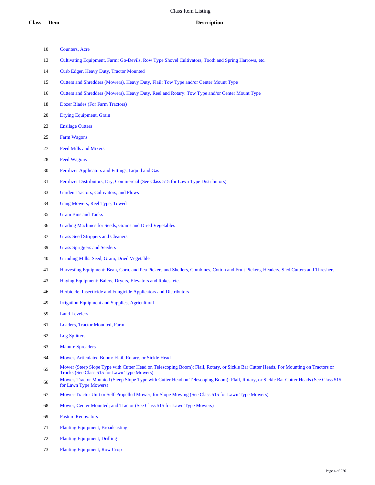- Counters, Acre
- Cultivating Equipment, Farm: Go-Devils, Row Type Shovel Cultivators, Tooth and Spring Harrows, etc.
- Curb Edger, Heavy Duty, Tractor Mounted
- Cutters and Shredders (Mowers), Heavy Duty, Flail: Tow Type and/or Center Mount Type
- Cutters and Shredders (Mowers), Heavy Duty, Reel and Rotary: Tow Type and/or Center Mount Type
- Dozer Blades (For Farm Tractors)
- Drying Equipment, Grain
- Ensilage Cutters
- Farm Wagons
- Feed Mills and Mixers
- Feed Wagons
- Fertilizer Applicators and Fittings, Liquid and Gas
- Fertilizer Distributors, Dry, Commercial (See Class 515 for Lawn Type Distributors)
- Garden Tractors, Cultivators, and Plows
- Gang Mowers, Reel Type, Towed
- Grain Bins and Tanks
- Grading Machines for Seeds, Grains and Dried Vegetables
- Grass Seed Strippers and Cleaners
- Grass Spriggers and Seeders
- Grinding Mills: Seed, Grain, Dried Vegetable
- Harvesting Equipment: Bean, Corn, and Pea Pickers and Shellers, Combines, Cotton and Fruit Pickers, Headers, Sled Cutters and Threshers
- Haying Equipment: Balers, Dryers, Elevators and Rakes, etc.
- Herbicide, Insecticide and Fungicide Applicators and Distributors
- Irrigation Equipment and Supplies, Agricultural
- Land Levelers
- Loaders, Tractor Mounted, Farm
- Log Splitters
- Manure Spreaders
- Mower, Articulated Boom: Flail, Rotary, or Sickle Head
- Mower (Steep Slope Type with Cutter Head on Telescoping Boom): Flail, Rotary, or Sickle Bar Cutter Heads, For Mounting on Tractors or Trucks (See Class 515 for Lawn Type Mowers)
- Mower, Tractor Mounted (Steep Slope Type with Cutter Head on Telescoping Boom): Flail, Rotary, or Sickle Bar Cutter Heads (See Class 515 for Lawn Type Mowers)
- Mower-Tractor Unit or Self-Propelled Mower, for Slope Mowing (See Class 515 for Lawn Type Mowers)
- Mower, Center Mounted; and Tractor (See Class 515 for Lawn Type Mowers)
- Pasture Renovators
- Planting Equipment, Broadcasting
- Planting Equipment, Drilling
- Planting Equipment, Row Crop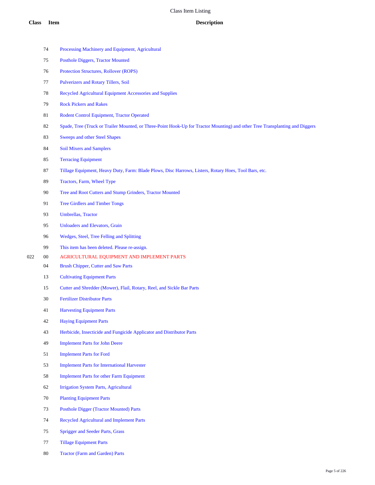|     | 74     | Processing Machinery and Equipment, Agricultural                                                                             |
|-----|--------|------------------------------------------------------------------------------------------------------------------------------|
|     | 75     | <b>Posthole Diggers, Tractor Mounted</b>                                                                                     |
|     | 76     | Protection Structures, Rollover (ROPS)                                                                                       |
|     | 77     | Pulverizers and Rotary Tillers, Soil                                                                                         |
|     | 78     | Recycled Agricultural Equipment Accessories and Supplies                                                                     |
|     | 79     | <b>Rock Pickers and Rakes</b>                                                                                                |
|     | 81     | Rodent Control Equipment, Tractor Operated                                                                                   |
|     | 82     | Spade, Tree (Truck or Trailer Mounted, or Three-Point Hook-Up for Tractor Mounting) and other Tree Transplanting and Diggers |
|     | 83     | <b>Sweeps and other Steel Shapes</b>                                                                                         |
|     | 84     | <b>Soil Mixers and Samplers</b>                                                                                              |
|     | 85     | <b>Terracing Equipment</b>                                                                                                   |
|     | 87     | Tillage Equipment, Heavy Duty, Farm: Blade Plows, Disc Harrows, Listers, Rotary Hoes, Tool Bars, etc.                        |
|     | 89     | Tractors, Farm, Wheel Type                                                                                                   |
|     | 90     | Tree and Root Cutters and Stump Grinders, Tractor Mounted                                                                    |
|     | 91     | <b>Tree Girdlers and Timber Tongs</b>                                                                                        |
|     | 93     | Umbrellas, Tractor                                                                                                           |
|     | 95     | <b>Unloaders and Elevators, Grain</b>                                                                                        |
|     | 96     | Wedges, Steel, Tree Felling and Splitting                                                                                    |
|     | 99     | This item has been deleted. Please re-assign.                                                                                |
| 022 | $00\,$ | AGRICULTURAL EQUIPMENT AND IMPLEMENT PARTS                                                                                   |
|     | 04     | <b>Brush Chipper, Cutter and Saw Parts</b>                                                                                   |
|     | 13     | <b>Cultivating Equipment Parts</b>                                                                                           |
|     | 15     | Cutter and Shredder (Mower), Flail, Rotary, Reel, and Sickle Bar Parts                                                       |
|     | 30     | <b>Fertilizer Distributor Parts</b>                                                                                          |
|     | 41     | <b>Harvesting Equipment Parts</b>                                                                                            |
|     | 42     | <b>Haying Equipment Parts</b>                                                                                                |
|     | 43     | Herbicide, Insecticide and Fungicide Applicator and Distributor Parts                                                        |
|     | 49     | <b>Implement Parts for John Deere</b>                                                                                        |
|     | 51     | <b>Implement Parts for Ford</b>                                                                                              |
|     | 53     | <b>Implement Parts for International Harvester</b>                                                                           |
|     | 58     | <b>Implement Parts for other Farm Equipment</b>                                                                              |
|     | 62     | <b>Irrigation System Parts, Agricultural</b>                                                                                 |
|     | 70     | <b>Planting Equipment Parts</b>                                                                                              |
|     | 73     | <b>Posthole Digger (Tractor Mounted) Parts</b>                                                                               |
|     | 74     | Recycled Agricultural and Implement Parts                                                                                    |
|     | 75     | <b>Sprigger and Seeder Parts, Grass</b>                                                                                      |
|     | 77     | <b>Tillage Equipment Parts</b>                                                                                               |

Tractor (Farm and Garden) Parts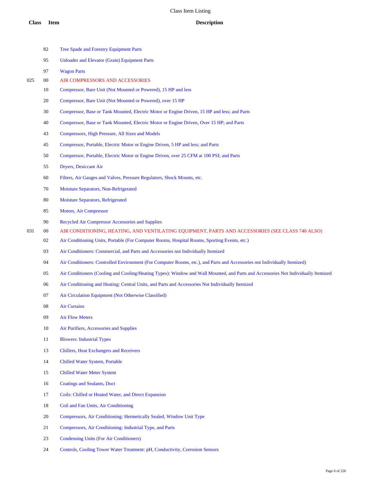|     | 82     | <b>Tree Spade and Forestry Equipment Parts</b>                                                                                     |
|-----|--------|------------------------------------------------------------------------------------------------------------------------------------|
|     | 95     | <b>Unloader and Elevator (Grain) Equipment Parts</b>                                                                               |
|     | 97     | <b>Wagon Parts</b>                                                                                                                 |
| 025 | $00\,$ | AIR COMPRESSORS AND ACCESSORIES                                                                                                    |
|     | 10     | Compressor, Bare Unit (Not Mounted or Powered), 15 HP and less                                                                     |
|     | 20     | Compressor, Bare Unit (Not Mounted or Powered), over 15 HP                                                                         |
|     | 30     | Compressor, Base or Tank Mounted, Electric Motor or Engine Driven, 15 HP and less; and Parts                                       |
|     | 40     | Compressor, Base or Tank Mounted, Electric Motor or Engine Driven, Over 15 HP; and Parts                                           |
|     | 43     | Compressors, High Pressure, All Sizes and Models                                                                                   |
|     | 45     | Compressor, Portable, Electric Motor or Engine Driven, 5 HP and less; and Parts                                                    |
|     | 50     | Compressor, Portable, Electric Motor or Engine Driven, over 25 CFM at 100 PSI; and Parts                                           |
|     | 55     | Dryers, Desiccant Air                                                                                                              |
|     | 60     | Filters, Air Gauges and Valves, Pressure Regulators, Shock Mounts, etc.                                                            |
|     | 70     | Moisture Separators, Non-Refrigerated                                                                                              |
|     | 80     | Moisture Separators, Refrigerated                                                                                                  |
|     | 85     | <b>Motors, Air Compressor</b>                                                                                                      |
|     | 90     | Recycled Air Compressor Accessories and Supplies                                                                                   |
| 031 | $00\,$ | AIR CONDITIONING, HEATING, AND VENTILATING EQUIPMENT, PARTS AND ACCESSORIES (SEE CLASS 740 ALSO)                                   |
|     | 02     | Air Conditioning Units, Portable (For Computer Rooms, Hospital Rooms, Sporting Events, etc.)                                       |
|     | 03     | Air Conditioners: Commercial, and Parts and Accessories not Individually Itemized                                                  |
|     | 04     | Air Conditioners: Controlled Environment (For Computer Rooms, etc.), and Parts and Accessories not Individually Itemized)          |
|     | 05     | Air Conditioners (Cooling and Cooling/Heating Types): Window and Wall Mounted, and Parts and Accessories Not Individually Itemized |
|     | 06     | Air Conditioning and Heating: Central Units, and Parts and Accessories Not Individually Itemized                                   |
|     | 07     | Air Circulation Equipment (Not Otherwise Classified)                                                                               |
|     | 08     | <b>Air Curtains</b>                                                                                                                |
|     | 09     | <b>Air Flow Meters</b>                                                                                                             |
|     | 10     | Air Purifiers, Accessories and Supplies                                                                                            |
|     | 11     | <b>Blowers: Industrial Types</b>                                                                                                   |
|     | 13     | <b>Chillers, Heat Exchangers and Receivers</b>                                                                                     |
|     | 14     | Chilled Water System, Portable                                                                                                     |
|     | 15     | <b>Chilled Water Meter System</b>                                                                                                  |
|     | 16     | <b>Coatings and Sealants, Duct</b>                                                                                                 |
|     | 17     | Coils: Chilled or Heated Water, and Direct Expansion                                                                               |
|     | $18\,$ | Coil and Fan Units, Air Conditioning                                                                                               |
|     | 20     | Compressors, Air Conditioning: Hermetically Sealed, Window Unit Type                                                               |
|     | 21     | Compressors, Air Conditioning: Industrial Type, and Parts                                                                          |

- Condensing Units (For Air Conditioners)
- Controls, Cooling Tower Water Treatment: pH, Conductivity, Corrosion Sensors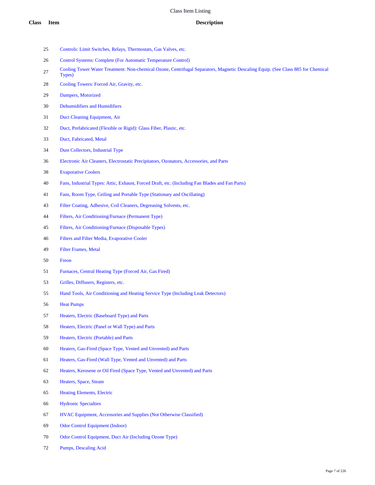- Controls: Limit Switches, Relays, Thermostats, Gas Valves, etc.
- Control Systems: Complete (For Automatic Temperature Control)
- 27 Cooling Tower Water Treatment: Non-chemical Ozone, Centrifugal Separators, Magnetic Descaling Equip. (See Class 885 for Chemical Types)
- Cooling Towers: Forced Air, Gravity, etc.
- Dampers, Motorized
- Dehumidifiers and Humidifiers
- Duct Cleaning Equipment, Air
- Duct, Prefabricated (Flexible or Rigid): Glass Fiber, Plastic, etc.
- Duct, Fabricated, Metal
- Dust Collectors, Industrial Type
- Electronic Air Cleaners, Electrostatic Precipitators, Ozonators, Accessories, and Parts
- Evaporative Coolers
- Fans, Industrial Types: Attic, Exhaust, Forced Draft, etc. (Including Fan Blades and Fan Parts)
- Fans, Room Type, Ceiling and Portable Type (Stationary and Oscillating)
- Filter Coating, Adhesive, Coil Cleaners, Degreasing Solvents, etc.
- Filters, Air Conditioning/Furnace (Permanent Type)
- Filters, Air Conditioning/Furnace (Disposable Types)
- Filters and Filter Media, Evaporative Cooler
- Filter Frames, Metal
- Freon
- Furnaces, Central Heating Type (Forced Air, Gas Fired)
- Grilles, Diffusers, Registers, etc.
- Hand Tools, Air Conditioning and Heating Service Type (Including Leak Detectors)
- Heat Pumps
- Heaters, Electric (Baseboard Type) and Parts
- Heaters, Electric (Panel or Wall Type) and Parts
- Heaters, Electric (Portable) and Parts
- Heaters, Gas-Fired (Space Type, Vented and Unvented) and Parts
- Heaters, Gas-Fired (Wall Type, Vented and Unvented) and Parts
- Heaters, Kerosene or Oil Fired (Space Type, Vented and Unvented) and Parts
- Heaters, Space, Steam
- Heating Elements, Electric
- Hydronic Specialties
- HVAC Equipment, Accessories and Supplies (Not Otherwise Classified)
- Odor Control Equipment (Indoor)
- Odor Control Equipment, Duct Air (Including Ozone Type)
- Pumps, Descaling Acid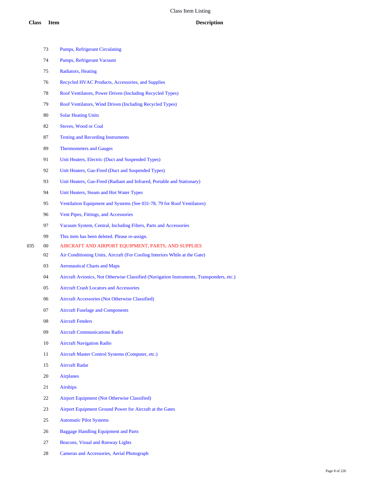|     | 73 | <b>Pumps, Refrigerant Circulating</b>                                                    |
|-----|----|------------------------------------------------------------------------------------------|
|     | 74 | Pumps, Refrigerant Vacuum                                                                |
|     | 75 | Radiators, Heating                                                                       |
|     | 76 | Recycled HVAC Products, Accessories, and Supplies                                        |
|     | 78 | Roof Ventilators, Power Driven (Including Recycled Types)                                |
|     | 79 | Roof Ventilators, Wind Driven (Including Recycled Types)                                 |
|     | 80 | <b>Solar Heating Units</b>                                                               |
|     | 82 | <b>Stoves, Wood or Coal</b>                                                              |
|     | 87 | <b>Testing and Recording Instruments</b>                                                 |
|     | 89 | <b>Thermometers and Gauges</b>                                                           |
|     | 91 | Unit Heaters, Electric (Duct and Suspended Types)                                        |
|     | 92 | Unit Heaters, Gas-Fired (Duct and Suspended Types)                                       |
|     | 93 | Unit Heaters, Gas-Fired (Radiant and Infrared, Portable and Stationary)                  |
|     | 94 | Unit Heaters, Steam and Hot Water Types                                                  |
|     | 95 | Ventilation Equipment and Systems (See 031-78, 79 for Roof Ventilators)                  |
|     | 96 | Vent Pipes, Fittings, and Accessories                                                    |
|     | 97 | Vacuum System, Central, Including Filters, Parts and Accessories                         |
|     | 99 | This item has been deleted. Please re-assign.                                            |
| 035 | 00 | AIRCRAFT AND AIRPORT EQUIPMENT, PARTS, AND SUPPLIES                                      |
|     | 02 | Air Conditioning Units, Aircraft (For Cooling Interiors While at the Gate)               |
|     | 03 | <b>Aeronautical Charts and Maps</b>                                                      |
|     | 04 | Aircraft Avionics, Not Otherwise Classified (Navigation Instruments, Transponders, etc.) |
|     | 05 | <b>Aircraft Crash Locators and Accessories</b>                                           |
|     | 06 | Aircraft Accessories (Not Otherwise Classified)                                          |
|     | 07 | <b>Aircraft Fuselage and Components</b>                                                  |
|     | 08 | <b>Aircraft Fenders</b>                                                                  |
|     | 09 | <b>Aircraft Communications Radio</b>                                                     |
|     | 10 | <b>Aircraft Navigation Radio</b>                                                         |
|     | 11 | Aircraft Master Control Systems (Computer, etc.)                                         |
|     | 15 | <b>Aircraft Radar</b>                                                                    |
|     | 20 | <b>Airplanes</b>                                                                         |
|     | 21 | <b>Airships</b>                                                                          |
|     | 22 | Airport Equipment (Not Otherwise Classified)                                             |
|     | 23 | Airport Equipment Ground Power for Aircraft at the Gates                                 |
|     | 25 | <b>Automatic Pilot Systems</b>                                                           |
|     | 26 | <b>Baggage Handling Equipment and Parts</b>                                              |
|     | 27 | <b>Beacons, Visual and Runway Lights</b>                                                 |

Cameras and Accessories, Aerial Photograph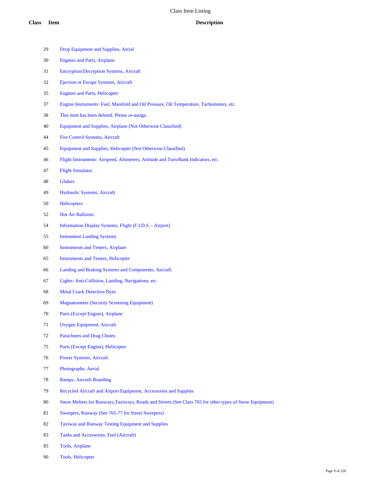- Engines and Parts, Airplane Encryption/Decryption Systems, Aircraft Ejection or Escape Systems, Aircraft Engines and Parts, Helicopter Engine Instruments: Fuel, Manifold and Oil Pressure, Oil Temperature, Tachometers, etc. This item has been deleted. Please re-assign. Equipment and Supplies, Airplane (Not Otherwise Classified)
- Fire Control Systems, Aircraft

Drop Equipment and Supplies, Aerial

- Equipment and Supplies, Helicopter (Not Otherwise Classified)
- Flight Instruments: Airspeed, Altimeters, Attitude and Turn/Bank Indicators, etc.
- Flight Simulator
- Gliders
- Hydraulic Systems, Aircraft
- Helicopters
- Hot Air Balloons
- Information Display Systems, Flight (F.I.D.S. Airport)
- Instrument Landing Systems
- Instruments and Testers, Airplane
- Instruments and Testers, Helicopter
- Landing and Braking Systems and Components, Aircraft
- Lights: Anti-Collision, Landing, Navigations, etc.
- Metal Crack Detection Dyes
- Magnatometer (Security Screening Equipment)
- Parts (Except Engine), Airplane
- Oxygen Equipment, Aircraft
- Parachutes and Drag Chutes
- Parts (Except Engine), Helicopter
- Power Systems, Aircraft
- Photographs, Aerial
- Ramps, Aircraft Boarding
- Recycled Aircraft and Airport Equipment, Accessories and Supplies
- Snow Melters for Runways,Taxiways, Roads and Streets (See Class 765 for other types of Snow Equipment)
- Sweepers, Runway (See 765-77 for Street Sweepers)
- Taxiway and Runway Testing Equipment and Supplies
- Tanks and Accessories, Fuel (Aircraft)
- Tools, Airplane
- Tools, Helicopter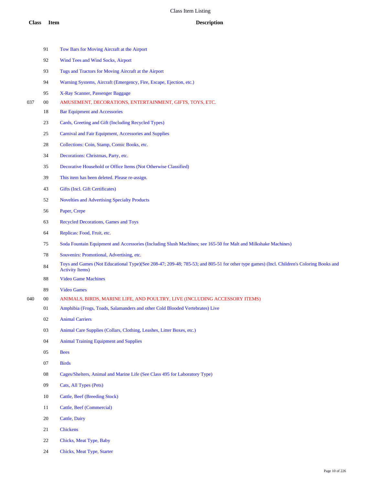|     | 91     | Tow Bars for Moving Aircraft at the Airport                                                                                                  |
|-----|--------|----------------------------------------------------------------------------------------------------------------------------------------------|
|     | 92     | Wind Tees and Wind Socks, Airport                                                                                                            |
|     | 93     | Tugs and Tractors for Moving Aircraft at the Airport                                                                                         |
|     | 94     | Warning Systems, Aircraft (Emergency, Fire, Escape, Ejection, etc.)                                                                          |
|     | 95     | X-Ray Scanner, Passenger Baggage                                                                                                             |
| 037 | 00     | AMUSEMENT, DECORATIONS, ENTERTAINMENT, GIFTS, TOYS, ETC.                                                                                     |
|     | 18     | <b>Bar Equipment and Accessories</b>                                                                                                         |
|     | 23     | Cards, Greeting and Gift (Including Recycled Types)                                                                                          |
|     | 25     | Carnival and Fair Equipment, Accessories and Supplies                                                                                        |
|     | 28     | Collections: Coin, Stamp, Comic Books, etc.                                                                                                  |
|     | 34     | Decorations: Christmas, Party, etc.                                                                                                          |
|     | 35     | Decorative Household or Office Items (Not Otherwise Classified)                                                                              |
|     | 39     | This item has been deleted. Please re-assign.                                                                                                |
|     | 43     | Gifts (Incl. Gift Certificates)                                                                                                              |
|     | 52     | <b>Novelties and Advertising Specialty Products</b>                                                                                          |
|     | 56     | Paper, Crepe                                                                                                                                 |
|     | 63     | <b>Recycled Decorations, Games and Toys</b>                                                                                                  |
|     | 64     | Replicas: Food, Fruit, etc.                                                                                                                  |
|     | 75     | Soda Fountain Equipment and Accessories (Including Slush Machines; see 165-50 for Malt and Milkshake Machines)                               |
|     | 78     | Souvenirs: Promotional, Advertising, etc.                                                                                                    |
|     | 84     | Toys and Games (Not Educational Type)(See 208-47; 209-48; 785-53; and 805-51 for other type games) (Incl. Children<br><b>Activity Items)</b> |
|     | 88     | <b>Video Game Machines</b>                                                                                                                   |
|     | 89     | <b>Video Games</b>                                                                                                                           |
| 040 | $00\,$ | ANIMALS, BIRDS, MARINE LIFE, AND POULTRY, LIVE (INCLUDING ACCESSORY ITEMS)                                                                   |
|     | 01     | Amphibia (Frogs, Toads, Salamanders and other Cold Blooded Vertebrates) Live                                                                 |
|     | 02     | <b>Animal Carriers</b>                                                                                                                       |
|     | 03     | Animal Care Supplies (Collars, Clothing, Leashes, Litter Boxes, etc.)                                                                        |
|     | 04     | <b>Animal Training Equipment and Supplies</b>                                                                                                |
|     | 05     | <b>Bees</b>                                                                                                                                  |
|     | 07     | <b>Birds</b>                                                                                                                                 |
|     | 08     | Cages/Shelters, Animal and Marine Life (See Class 495 for Laboratory Type)                                                                   |
|     | 09     | Cats, All Types (Pets)                                                                                                                       |
|     | 10     | Cattle, Beef (Breeding Stock)                                                                                                                |
|     | 11     | Cattle, Beef (Commercial)                                                                                                                    |
|     | 20     | Cattle, Dairy                                                                                                                                |
|     | 21     | <b>Chickens</b>                                                                                                                              |
|     | 22     | Chicks, Meat Type, Baby                                                                                                                      |
|     |        |                                                                                                                                              |

Chicks, Meat Type, Starter

Children's Coloring Books and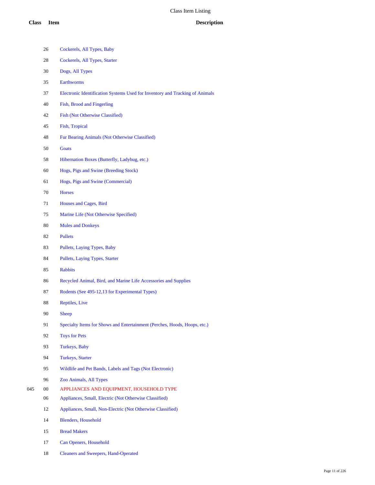- Cockerels, All Types, Baby
- Cockerels, All Types, Starter
- Dogs, All Types
- Earthworms
- Electronic Identification Systems Used for Inventory and Tracking of Animals
- Fish, Brood and Fingerling
- Fish (Not Otherwise Classified)
- Fish, Tropical
- Fur Bearing Animals (Not Otherwise Classified)
- Goats
- Hibernation Boxes (Butterfly, Ladybug, etc.)
- Hogs, Pigs and Swine (Breeding Stock)
- Hogs, Pigs and Swine (Commercial)
- Horses
- Houses and Cages, Bird
- Marine Life (Not Otherwise Specified)
- Mules and Donkeys
- Pullets
- Pullets, Laying Types, Baby
- Pullets, Laying Types, Starter
- Rabbits
- Recycled Animal, Bird, and Marine Life Accessories and Supplies
- Rodents (See 495-12,13 for Experimental Types)
- Reptiles, Live
- Sheep
- Specialty Items for Shows and Entertainment (Perches, Hoods, Hoops, etc.)
- Toys for Pets
- Turkeys, Baby
- Turkeys, Starter
- Wildlife and Pet Bands, Labels and Tags (Not Electronic)
- Zoo Animals, All Types
- 00 APPLIANCES AND EQUIPMENT, HOUSEHOLD TYPE
	- Appliances, Small, Electric (Not Otherwise Classified)
	- Appliances, Small, Non-Electric (Not Otherwise Classified)
	- Blenders, Household
	- Bread Makers
	- Can Openers, Household
	- Cleaners and Sweepers, Hand-Operated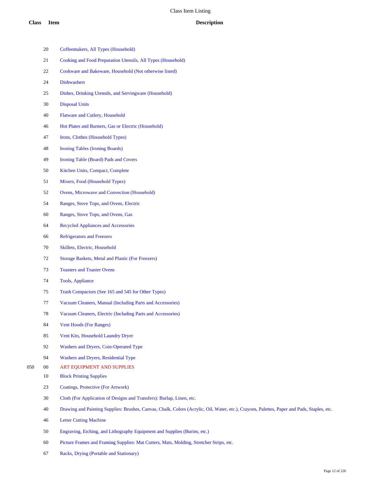|     | 20     | Coffeemakers, All Types (Household)                                                                                                         |
|-----|--------|---------------------------------------------------------------------------------------------------------------------------------------------|
|     | 21     | Cooking and Food Preparation Utensils, All Types (Household)                                                                                |
|     | 22     | Cookware and Bakeware, Household (Not otherwise listed)                                                                                     |
|     | 24     | <b>Dishwashers</b>                                                                                                                          |
|     | 25     | Dishes, Drinking Utensils, and Servingware (Household)                                                                                      |
|     | 30     | <b>Disposal Units</b>                                                                                                                       |
|     | 40     | Flatware and Cutlery, Household                                                                                                             |
|     | 46     | Hot Plates and Burners, Gas or Electric (Household)                                                                                         |
|     | 47     | Irons, Clothes (Household Types)                                                                                                            |
|     | 48     | Ironing Tables (Ironing Boards)                                                                                                             |
|     | 49     | Ironing Table (Board) Pads and Covers                                                                                                       |
|     | 50     | Kitchen Units, Compact, Complete                                                                                                            |
|     | 51     | Mixers, Food (Household Types)                                                                                                              |
|     | 52     | Ovens, Microwave and Convection (Household)                                                                                                 |
|     | 54     | Ranges, Stove Tops, and Ovens, Electric                                                                                                     |
|     | 60     | Ranges, Stove Tops, and Ovens, Gas                                                                                                          |
|     | 64     | <b>Recycled Appliances and Accessories</b>                                                                                                  |
|     | 66     | <b>Refrigerators and Freezers</b>                                                                                                           |
|     | 70     | Skillets, Electric, Household                                                                                                               |
|     | 72     | Storage Baskets, Metal and Plastic (For Freezers)                                                                                           |
|     | 73     | <b>Toasters and Toaster Ovens</b>                                                                                                           |
|     | 74     | Tools, Appliance                                                                                                                            |
|     | 75     | Trash Compactors (See 165 and 545 for Other Types)                                                                                          |
|     | 77     | Vacuum Cleaners, Manual (Including Parts and Accessories)                                                                                   |
|     | 78     | Vacuum Cleaners, Electric (Including Parts and Accessories)                                                                                 |
|     | 84     | <b>Vent Hoods (For Ranges)</b>                                                                                                              |
|     | 85     | Vent Kits, Household Laundry Dryer                                                                                                          |
|     | 92     | Washers and Dryers, Coin-Operated Type                                                                                                      |
|     | 94     | Washers and Dryers, Residential Type                                                                                                        |
| 050 | $00\,$ | ART EQUIPMENT AND SUPPLIES                                                                                                                  |
|     | 10     | <b>Block Printing Supplies</b>                                                                                                              |
|     | 23     | Coatings, Protective (For Artwork)                                                                                                          |
|     | 30     | Cloth (For Application of Designs and Transfers): Burlap, Linen, etc.                                                                       |
|     | 40     | Drawing and Painting Supplies: Brushes, Canvas, Chalk, Colors (Acrylic, Oil, Water, etc.), Crayons, Palettes, Paper and Pads, Staples, etc. |
|     | 46     | <b>Letter Cutting Machine</b>                                                                                                               |
|     | 50     | Engraving, Etching, and Lithography Equipment and Supplies (Burins, etc.)                                                                   |

- Picture Frames and Framing Supplies: Mat Cutters, Mats, Molding, Stretcher Strips, etc.
- Racks, Drying (Portable and Stationary)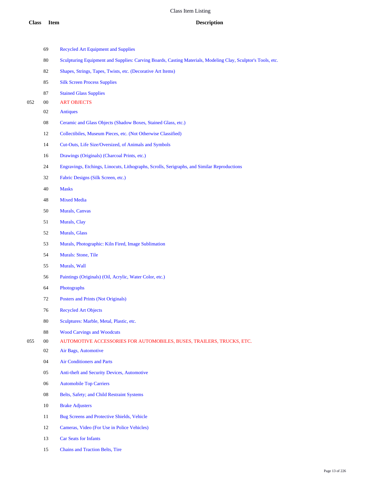|     | 69     | <b>Recycled Art Equipment and Supplies</b>                                                                   |
|-----|--------|--------------------------------------------------------------------------------------------------------------|
|     | 80     | Sculpturing Equipment and Supplies: Carving Boards, Casting Materials, Modeling Clay, Sculptor's Tools, etc. |
|     | 82     | Shapes, Strings, Tapes, Twists, etc. (Decorative Art Items)                                                  |
|     | 85     | <b>Silk Screen Process Supplies</b>                                                                          |
|     | 87     | <b>Stained Glass Supplies</b>                                                                                |
| 052 | $00\,$ | <b>ART OBJECTS</b>                                                                                           |
|     | 02     | <b>Antiques</b>                                                                                              |
|     | 08     | Ceramic and Glass Objects (Shadow Boxes, Stained Glass, etc.)                                                |
|     | 12     | Collectibiles, Museum Pieces, etc. (Not Otherwise Classified)                                                |
|     | 14     | Cut-Outs, Life Size/Oversized, of Animals and Symbols                                                        |
|     | 16     | Drawings (Originals) (Charcoal Prints, etc.)                                                                 |
|     | 24     | Engravings, Etchings, Linocuts, Lithographs, Scrolls, Serigraphs, and Similar Reproductions                  |
|     | 32     | Fabric Designs (Silk Screen, etc.)                                                                           |
|     | 40     | <b>Masks</b>                                                                                                 |
|     | 48     | <b>Mixed Media</b>                                                                                           |
|     | 50     | <b>Murals, Canvas</b>                                                                                        |
|     | 51     | Murals, Clay                                                                                                 |
|     | 52     | Murals, Glass                                                                                                |
|     | 53     | Murals, Photographic: Kiln Fired, Image Sublimation                                                          |
|     | 54     | Murals: Stone, Tile                                                                                          |
|     | 55     | Murals, Wall                                                                                                 |
|     | 56     | Paintings (Originals) (Oil, Acrylic, Water Color, etc.)                                                      |
|     | 64     | Photographs                                                                                                  |
|     | 72     | Posters and Prints (Not Originals)                                                                           |
|     | 76     | <b>Recycled Art Objects</b>                                                                                  |
|     | 80     | Sculptures: Marble, Metal, Plastic, etc.                                                                     |
|     | $88\,$ | <b>Wood Carvings and Woodcuts</b>                                                                            |
| 055 | $00\,$ | AUTOMOTIVE ACCESSORIES FOR AUTOMOBILES, BUSES, TRAILERS, TRUCKS, ETC.                                        |
|     | 02     | Air Bags, Automotive                                                                                         |
|     | 04     | <b>Air Conditioners and Parts</b>                                                                            |
|     | 05     | Anti-theft and Security Devices, Automotive                                                                  |
|     | 06     | <b>Automobile Top Carriers</b>                                                                               |
|     | 08     | Belts, Safety; and Child Restraint Systems                                                                   |
|     | 10     | <b>Brake Adjusters</b>                                                                                       |
|     | 11     | <b>Bug Screens and Protective Shields, Vehicle</b>                                                           |
|     | 12     | Cameras, Video (For Use in Police Vehicles)                                                                  |
|     |        |                                                                                                              |

- Car Seats for Infants
- Chains and Traction Belts, Tire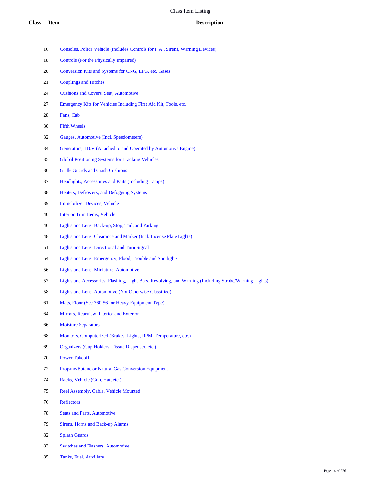- Consoles, Police Vehicle (Includes Controls for P.A., Sirens, Warning Devices)
- Controls (For the Physically Impaired)
- Conversion Kits and Systems for CNG, LPG, etc. Gases
- Couplings and Hitches
- Cushions and Covers, Seat, Automotive
- Emergency Kits for Vehicles Including First Aid Kit, Tools, etc.
- Fans, Cab
- Fifth Wheels
- Gauges, Automotive (Incl. Speedometers)
- Generators, 110V (Attached to and Operated by Automotive Engine)
- Global Positioning Systems for Tracking Vehicles
- Grille Guards and Crash Cushions
- Headlights, Accessories and Parts (Including Lamps)
- Heaters, Defrosters, and Defogging Systems
- Immobilizer Devices, Vehicle
- Interior Trim Items, Vehicle
- Lights and Lens: Back-up, Stop, Tail, and Parking
- Lights and Lens: Clearance and Marker (Incl. License Plate Lights)
- Lights and Lens: Directional and Turn Signal
- Lights and Lens: Emergency, Flood, Trouble and Spotlights
- Lights and Lens: Miniature, Automotive
- Lights and Accessories: Flashing, Light Bars, Revolving, and Warning (Including Strobe/Warning Lights)
- Lights and Lens, Automotive (Not Otherwise Classified)
- Mats, Floor (See 760-56 for Heavy Equipment Type)
- Mirrors, Rearview, Interior and Exterior
- Moisture Separators
- Monitors, Computerized (Brakes, Lights, RPM, Temperature, etc.)
- Organizers (Cup Holders, Tissue Dispenser, etc.)
- Power Takeoff
- Propane/Butane or Natural Gas Conversion Equipment
- Racks, Vehicle (Gun, Hat, etc.)
- Reel Assembly, Cable, Vehicle Mounted
- Reflectors
- Seats and Parts, Automotive
- Sirens, Horns and Back-up Alarms
- Splash Guards
- Switches and Flashers, Automotive
- Tanks, Fuel, Auxiliary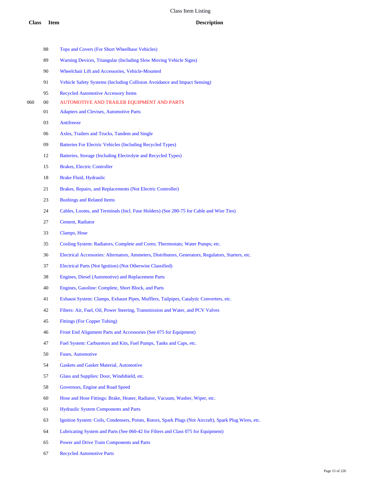|     | 88 | Tops and Covers (For Short Wheelbase Vehicles)                                                         |
|-----|----|--------------------------------------------------------------------------------------------------------|
|     | 89 | Warning Devices, Triangular (Including Slow Moving Vehicle Signs)                                      |
|     | 90 | Wheelchair Lift and Accessories, Vehicle-Mounted                                                       |
|     | 91 | Vehicle Safety Systems (Including Collision Avoidance and Impact Sensing)                              |
|     | 95 | <b>Recycled Automotive Accessory Items</b>                                                             |
| 060 | 00 | AUTOMOTIVE AND TRAILER EQUIPMENT AND PARTS                                                             |
|     | 01 | <b>Adapters and Clevises, Automotive Parts</b>                                                         |
|     | 03 | Antifreeze                                                                                             |
|     | 06 | Axles, Trailers and Trucks, Tandem and Single                                                          |
|     | 09 | Batteries For Electric Vehicles (Including Recycled Types)                                             |
|     | 12 | Batteries, Storage (Including Electrolyte and Recycled Types)                                          |
|     | 15 | <b>Brakes, Electric Controller</b>                                                                     |
|     | 18 | <b>Brake Fluid, Hydraulic</b>                                                                          |
|     | 21 | Brakes, Repairs, and Replacements (Not Electric Controller)                                            |
|     | 23 | <b>Bushings and Related Items</b>                                                                      |
|     | 24 | Cables, Looms, and Terminals (Incl. Fuse Holders) (See 280-75 for Cable and Wire Ties)                 |
|     | 27 | Cement, Radiator                                                                                       |
|     | 33 | Clamps, Hose                                                                                           |
|     | 35 | Cooling System: Radiators, Complete and Cores; Thermostats; Water Pumps; etc.                          |
|     | 36 | Electrical Accessories: Alternators, Ammeters, Distributors, Generators, Regulators, Starters, etc.    |
|     | 37 | Electrical Parts (Not Ignition) (Not Otherwise Classified)                                             |
|     | 38 | Engines, Diesel (Automotive) and Replacement Parts                                                     |
|     | 40 | Engines, Gasoline: Complete, Short Block, and Parts                                                    |
|     | 41 | Exhaust System: Clamps, Exhaust Pipes, Mufflers, Tailpipes, Catalytic Converters, etc.                 |
|     | 42 | Filters: Air, Fuel, Oil, Power Steering, Transmission and Water, and PCV Valves                        |
|     | 45 | <b>Fittings (For Copper Tubing)</b>                                                                    |
|     | 46 | Front End Alignment Parts and Accessories (See 075 for Equipment)                                      |
|     | 47 | Fuel System: Carburetors and Kits, Fuel Pumps, Tanks and Caps, etc.                                    |
|     | 50 | <b>Fuses, Automotive</b>                                                                               |
|     | 54 | <b>Gaskets and Gasket Material, Automotive</b>                                                         |
|     | 57 | Glass and Supplies: Door, Windshield, etc.                                                             |
|     | 58 | Governors, Engine and Road Speed                                                                       |
|     | 60 | Hose and Hose Fittings: Brake, Heater, Radiator, Vacuum, Washer, Wiper, etc.                           |
|     | 61 | <b>Hydraulic System Components and Parts</b>                                                           |
|     | 63 | Ignition System: Coils, Condensers, Points, Rotors, Spark Plugs (Not Aircraft), Spark Plug Wires, etc. |
|     | 64 | Lubricating System and Parts (See 060-42 for Filters and Class 075 for Equipment)                      |
|     | 65 | Power and Drive Train Components and Parts                                                             |
|     |    |                                                                                                        |

Recycled Automotive Parts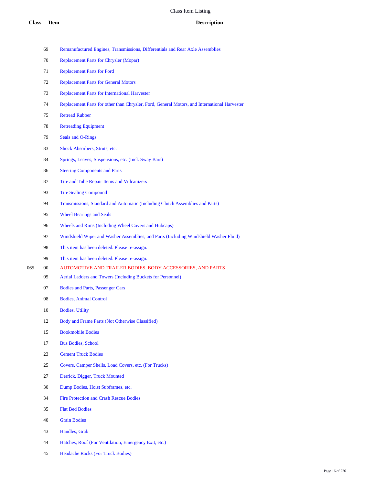- Remanufactured Engines, Transmissions, Differentials and Rear Axle Assemblies
- Replacement Parts for Chrysler (Mopar)
- Replacement Parts for Ford
- Replacement Parts for General Motors
- Replacement Parts for International Harvester
- Replacement Parts for other than Chrysler, Ford, General Motors, and International Harvester
- Retread Rubber
- Retreading Equipment
- Seals and O-Rings
- Shock Absorbers, Struts, etc.
- Springs, Leaves, Suspensions, etc. (Incl. Sway Bars)
- Steering Components and Parts
- Tire and Tube Repair Items and Vulcanizers
- Tire Sealing Compound
- Transmissions, Standard and Automatic (Including Clutch Assemblies and Parts)
- Wheel Bearings and Seals
- Wheels and Rims (Including Wheel Covers and Hubcaps)
- Windshield Wiper and Washer Assemblies, and Parts (Including Windshield Washer Fluid)
- This item has been deleted. Please re-assign.
- This item has been deleted. Please re-assign.
- 00 AUTOMOTIVE AND TRAILER BODIES, BODY ACCESSORIES, AND PARTS
	- Aerial Ladders and Towers (Including Buckets for Personnel)
	- Bodies and Parts, Passenger Cars
	- Bodies, Animal Control
	- Bodies, Utility
	- 12 Body and Frame Parts (Not Otherwise Classified)
	- Bookmobile Bodies
	- Bus Bodies, School
	- Cement Truck Bodies
	- Covers, Camper Shells, Load Covers, etc. (For Trucks)
	- Derrick, Digger, Truck Mounted
	- Dump Bodies, Hoist Subframes, etc.
	- Fire Protection and Crash Rescue Bodies
	- Flat Bed Bodies
	- Grain Bodies
	- Handles, Grab
	- Hatches, Roof (For Ventilation, Emergency Exit, etc.)
	- Headache Racks (For Truck Bodies)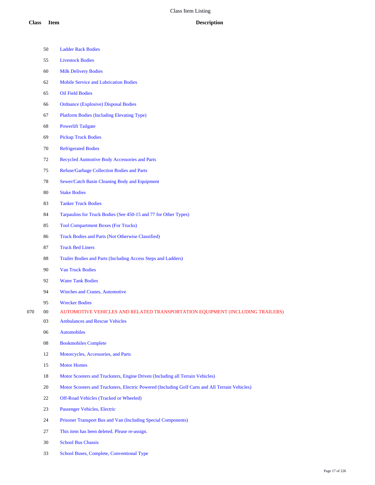|     | 50         | <b>Ladder Rack Bodies</b>                                                                       |
|-----|------------|-------------------------------------------------------------------------------------------------|
|     | 55         | <b>Livestock Bodies</b>                                                                         |
|     | 60         | <b>Milk Delivery Bodies</b>                                                                     |
|     | 62         | <b>Mobile Service and Lubrication Bodies</b>                                                    |
|     | 65         | <b>Oil Field Bodies</b>                                                                         |
|     | 66         | <b>Ordnance (Explosive) Disposal Bodies</b>                                                     |
|     | 67         | <b>Platform Bodies (Including Elevating Type)</b>                                               |
|     | 68         | <b>Powerlift Tailgate</b>                                                                       |
|     | 69         | <b>Pickup Truck Bodies</b>                                                                      |
|     | $70\,$     | <b>Refrigerated Bodies</b>                                                                      |
|     | 72         | Recycled Autmotive Body Accessories and Parts                                                   |
|     | 75         | <b>Refuse/Garbage Collection Bodies and Parts</b>                                               |
|     | 78         | Sewer/Catch Basin Cleaning Body and Equipment                                                   |
|     | 80         | <b>Stake Bodies</b>                                                                             |
|     | 83         | <b>Tanker Truck Bodies</b>                                                                      |
|     | 84         | Tarpaulins for Truck Bodies (See 450-15 and 77 for Other Types)                                 |
|     | 85         | <b>Tool Compartment Boxes (For Trucks)</b>                                                      |
|     | 86         | Truck Bodies and Parts (Not Otherwise Classified)                                               |
|     | 87         | <b>Truck Bed Liners</b>                                                                         |
|     | 88         | Trailer Bodies and Parts (Including Access Steps and Ladders)                                   |
|     | 90         | <b>Van Truck Bodies</b>                                                                         |
|     | 92         | <b>Water Tank Bodies</b>                                                                        |
|     | 94         | <b>Winches and Cranes, Automotive</b>                                                           |
|     | 95         | <b>Wrecker Bodies</b>                                                                           |
| 070 | 00         | AUTOMOTIVE VEHICLES AND RELATED TRANSPORTATION EQUIPMENT (INCLUDING TRAILERS)                   |
|     | 03         | <b>Ambulances and Rescue Vehicles</b>                                                           |
|     | 06         | <b>Automobiles</b>                                                                              |
|     | ${\bf 08}$ | <b>Bookmobiles Complete</b>                                                                     |
|     | 12         | Motorcycles, Accessories, and Parts                                                             |
|     | 15         | <b>Motor Homes</b>                                                                              |
|     | 18         | Motor Scooters and Trucksters, Engine Driven (Including all Terrain Vehicles)                   |
|     | 20         | Motor Scooters and Trucksters, Electric Powered (Including Golf Carts and All Terrain Vehicles) |
|     | 22         | Off-Road Vehicles (Tracked or Wheeled)                                                          |
|     | 23         | Passenger Vehicles, Electric                                                                    |
|     | 24         | Prisoner Transport Bus and Van (Including Special Components)                                   |
|     | 27         | This item has been deleted. Please re-assign.                                                   |
|     | 30         | <b>School Bus Chassis</b>                                                                       |
|     | 33         | School Buses, Complete, Conventional Type                                                       |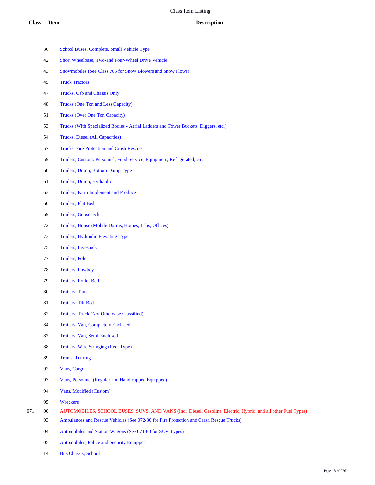- School Buses, Complete, Small Vehicle Type
- Short Wheelbase, Two-and Four-Wheel Drive Vehicle
- Snowmobiles (See Class 765 for Snow Blowers and Snow Plows)
- Truck Tractors
- Trucks, Cab and Chassis Only
- Trucks (One Ton and Less Capacity)
- Trucks (Over One Ton Capacity)
- Trucks (With Specialized Bodies Aerial Ladders and Tower Buckets, Diggers, etc.)
- Trucks, Diesel (All Capacities)
- Trucks, Fire Protection and Crash Rescue
- Trailers, Custom: Personnel, Food Service, Equipment, Refrigerated, etc.
- Trailers, Dump, Bottom Dump Type
- Trailers, Dump, Hydraulic
- Trailers, Farm Implement and Produce
- Trailers, Flat Bed
- Trailers, Gooseneck
- Trailers, House (Mobile Dorms, Homes, Labs, Offices)
- Trailers, Hydraulic Elevating Type
- Trailers, Livestock
- Trailers, Pole
- Trailers, Lowboy
- Trailers, Roller Bed
- Trailers, Tank
- Trailers, Tilt Bed
- Trailers, Truck (Not Otherwise Classified)
- Trailers, Van, Completely Enclosed
- Trailers, Van, Semi-Enclosed
- Trailers, Wire Stringing (Reel Type)
- Trams, Touring
- Vans, Cargo
- Vans, Personnel (Regular and Handicapped Equipped)
- Vans, Modified (Custom)
- Wreckers
- 00 AUTOMOBILES, SCHOOL BUSES, SUVS, AND VANS (Incl. Diesel, Gasoline, Electric, Hybrid, and all other Fuel Types)
	- Ambulances and Rescue Vehicles (See 072-30 for Fire Protection and Crash Rescue Trucks)
	- Automobiles and Station Wagons (See 071-80 for SUV Types)
	- Automobiles, Police and Security Equipped
	- Bus Chassis, School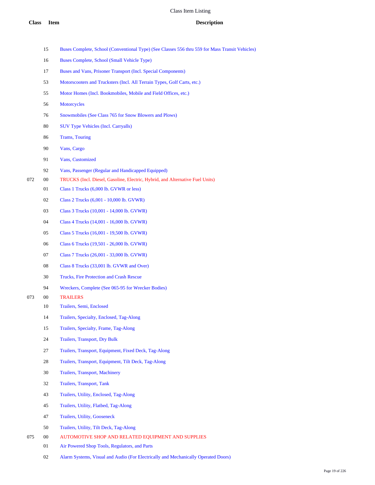|     | 15     | Buses Complete, School (Conventional Type) (See Classes 556 thru 559 for Mass Transit Vehicles) |
|-----|--------|-------------------------------------------------------------------------------------------------|
|     | 16     | Buses Complete, School (Small Vehicle Type)                                                     |
|     | 17     | Buses and Vans, Prisoner Transport (Incl. Special Components)                                   |
|     | 53     | Motorscooters and Trucksters (Incl. All Terrain Types, Golf Carts, etc.)                        |
|     | 55     | Motor Homes (Incl. Bookmobiles, Mobile and Field Offices, etc.)                                 |
|     | 56     | Motorcycles                                                                                     |
|     | 76     | Snowmobiles (See Class 765 for Snow Blowers and Plows)                                          |
|     | 80     | <b>SUV Type Vehicles (Incl. Carryalls)</b>                                                      |
|     | 86     | <b>Trams, Touring</b>                                                                           |
|     | 90     | Vans, Cargo                                                                                     |
|     | 91     | Vans, Customized                                                                                |
|     | 92     | Vans, Passenger (Regular and Handicapped Equipped)                                              |
| 072 | $00\,$ | TRUCKS (Incl. Diesel, Gasoline, Electric, Hybrid, and Alternative Fuel Units)                   |
|     | 01     | Class 1 Trucks (6,000 lb. GVWR or less)                                                         |
|     | 02     | Class 2 Trucks (6,001 - 10,000 lb. GVWR)                                                        |
|     | 03     | Class 3 Trucks (10,001 - 14,000 lb. GVWR)                                                       |
|     | 04     | Class 4 Trucks (14,001 - 16,000 lb. GVWR)                                                       |
|     | 05     | Class 5 Trucks (16,001 - 19,500 lb. GVWR)                                                       |
|     | 06     | Class 6 Trucks (19,501 - 26,000 lb. GVWR)                                                       |
|     | 07     | Class 7 Trucks (26,001 - 33,000 lb. GVWR)                                                       |
|     | 08     | Class 8 Trucks (33,001 lb. GVWR and Over)                                                       |
|     | 30     | <b>Trucks, Fire Protection and Crash Rescue</b>                                                 |
|     | 94     | Wreckers, Complete (See 065-95 for Wrecker Bodies)                                              |
| 073 | $00\,$ | <b>TRAILERS</b>                                                                                 |
|     | 10     | Trailers, Semi, Enclosed                                                                        |
|     | 14     | Trailers, Specialty, Enclosed, Tag-Along                                                        |
|     | 15     | Trailers, Specialty, Frame, Tag-Along                                                           |
|     | 24     | <b>Trailers, Transport, Dry Bulk</b>                                                            |
|     | 27     | Trailers, Transport, Equipment, Fixed Deck, Tag-Along                                           |
|     | 28     | Trailers, Transport, Equipment, Tilt Deck, Tag-Along                                            |
|     | 30     | <b>Trailers, Transport, Machinery</b>                                                           |
|     | 32     | <b>Trailers, Transport, Tank</b>                                                                |
|     | 43     | Trailers, Utility, Enclosed, Tag-Along                                                          |
|     | 45     | Trailers, Utility, Flatbed, Tag-Along                                                           |
|     | 47     | <b>Trailers, Utility, Gooseneck</b>                                                             |
|     | 50     | Trailers, Utility, Tilt Deck, Tag-Along                                                         |
| 075 | $00\,$ | AUTOMOTIVE SHOP AND RELATED EQUIPMENT AND SUPPLIES                                              |

- Air Powered Shop Tools, Regulators, and Parts
- Alarm Systems, Visual and Audio (For Electrically and Mechanically Operated Doors)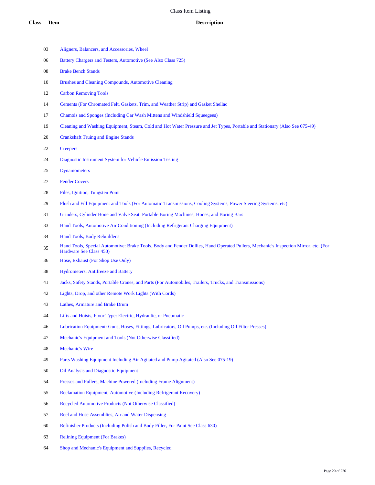- Aligners, Balancers, and Accessories, Wheel
- Battery Chargers and Testers, Automotive (See Also Class 725)
- Brake Bench Stands
- Brushes and Cleaning Compounds, Automotive Cleaning
- Carbon Removing Tools
- Cements (For Chromated Felt, Gaskets, Trim, and Weather Strip) and Gasket Shellac
- Chamois and Sponges (Including Car Wash Mittens and Windshield Squeegees)
- Cleaning and Washing Equipment, Steam, Cold and Hot Water Pressure and Jet Types, Portable and Stationary (Also See 075-49)
- Crankshaft Truing and Engine Stands
- Creepers
- Diagnostic Instrument System for Vehicle Emission Testing
- Dynamometers
- Fender Covers
- Files, Ignition, Tungsten Point
- Flush and Fill Equipment and Tools (For Automatic Transmissions, Cooling Systems, Power Steering Systems, etc)
- Grinders, Cylinder Hone and Valve Seat; Portable Boring Machines; Hones; and Boring Bars
- Hand Tools, Automotive Air Conditioning (Including Refrigerant Charging Equipment)
- Hand Tools, Body Rebuilder's
- Hand Tools, Special Automotive: Brake Tools, Body and Fender Dollies, Hand Operated Pullers, Mechanic's Inspection Mirror, etc. (For Hardware See Class 450)
- Hose, Exhaust (For Shop Use Only)
- Hydrometers, Antifreeze and Battery
- Jacks, Safety Stands, Portable Cranes, and Parts (For Automobiles, Trailers, Trucks, and Transmissions)
- Lights, Drop, and other Remote Work Lights (With Cords)
- Lathes, Armature and Brake Drum
- Lifts and Hoists, Floor Type: Electric, Hydraulic, or Pneumatic
- Lubrication Equipment: Guns, Hoses, Fittings, Lubricators, Oil Pumps, etc. (Including Oil Filter Presses)
- Mechanic's Equipment and Tools (Not Otherwise Classified)
- Mechanic's Wire
- Parts Washing Equipment Including Air Agitated and Pump Agitated (Also See 075-19)
- Oil Analysis and Diagnostic Equipment
- Presses and Pullers, Machine Powered (Including Frame Alignment)
- Reclamation Equipment, Automotive (Including Refrigerant Recovery)
- Recycled Automotive Products (Not Otherwise Classified)
- Reel and Hose Assemblies, Air and Water Dispensing
- Refinisher Products (Including Polish and Body Filler, For Paint See Class 630)
- Relining Equipment (For Brakes)
- Shop and Mechanic's Equipment and Supplies, Recycled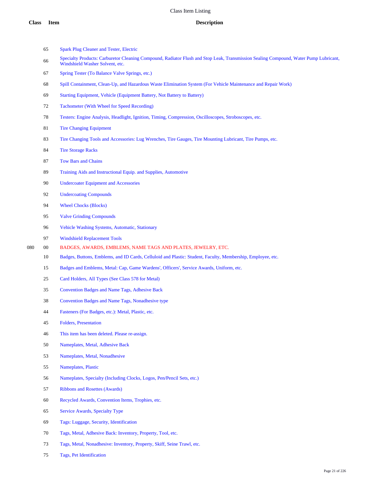- Spark Plug Cleaner and Tester, Electric
- Specialty Products: Carburetor Cleaning Compound, Radiator Flush and Stop Leak, Transmission Sealing Compound, Water Pump Lubricant, Windshield Washer Solvent, etc.
- Spring Tester (To Balance Valve Springs, etc.)
- Spill Containment, Clean-Up, and Hazardous Waste Elimination System (For Vehicle Maintenance and Repair Work)
- Starting Equipment, Vehicle (Equipment Battery, Not Battery to Battery)
- Tachometer (With Wheel for Speed Recording)
- Testers: Engine Analysis, Headlight, Ignition, Timing, Compression, Oscilloscopes, Stroboscopes, etc.
- Tire Changing Equipment
- Tire Changing Tools and Accessories: Lug Wrenches, Tire Gauges, Tire Mounting Lubricant, Tire Pumps, etc.
- Tire Storage Racks
- Tow Bars and Chains
- Training Aids and Instructional Equip. and Supplies, Automotive
- Undercoater Equipment and Accessories
- Undercoating Compounds
- 94 Wheel Chocks (Blocks)
- Valve Grinding Compounds
- Vehicle Washing Systems, Automatic, Stationary
- Windshield Replacement Tools
- 00 BADGES, AWARDS, EMBLEMS, NAME TAGS AND PLATES, JEWELRY, ETC.
	- Badges, Buttons, Emblems, and ID Cards, Celluloid and Plastic: Student, Faculty, Membership, Employee, etc.
	- Badges and Emblems, Metal: Cap, Game Wardens', Officers', Service Awards, Uniform, etc.
	- Card Holders, All Types (See Class 578 for Metal)
	- Convention Badges and Name Tags, Adhesive Back
	- Convention Badges and Name Tags, Nonadhesive type
	- Fasteners (For Badges, etc.): Metal, Plastic, etc.
	- Folders, Presentation
	- This item has been deleted. Please re-assign.
	- Nameplates, Metal, Adhesive Back
	- Nameplates, Metal, Nonadhesive
	- Nameplates, Plastic
	- Nameplates, Specialty (Including Clocks, Logos, Pen/Pencil Sets, etc.)
	- Ribbons and Rosettes (Awards)
	- Recycled Awards, Convention Items, Trophies, etc.
	- Service Awards, Specialty Type
	- Tags: Luggage, Security, Identification
	- Tags, Metal, Adhesive Back: Inventory, Property, Tool, etc.
	- Tags, Metal, Nonadhesive: Inventory, Property, Skiff, Seine Trawl, etc.
	- Tags, Pet Identification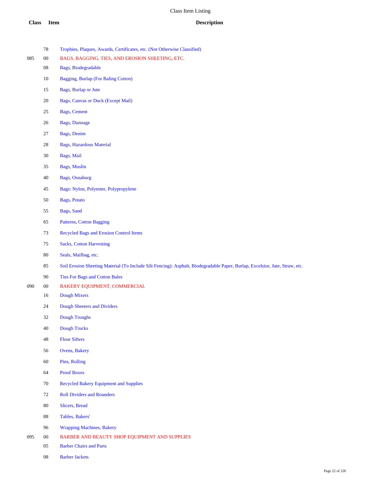- Trophies, Plaques, Awards, Certificates, etc. (Not Otherwise Classified)
- 00 BAGS, BAGGING, TIES, AND EROSION SHEETING, ETC.
	- Bags, Biodegradable
	- Bagging, Burlap (For Baling Cotton)
	- Bags, Burlap or Jute
	- Bags, Canvas or Duck (Except Mail)
	- Bags, Cement
	- Bags, Dunnage
	- Bags, Denim
	- Bags, Hazardous Material
	- Bags, Mail
	- Bags, Muslin
	- Bags, Osnaburg
	- Bags: Nylon, Polyester, Polypropylene
	- Bags, Potato
	- Bags, Sand
	- Patterns, Cotton Bagging
	- Recycled Bags and Erosion Control Items
	- Sacks, Cotton Harvesting
	- Seals, Mailbag, etc.
	- Soil Erosion Sheeting Material (To Include Silt Fencing): Asphalt, Biodegradable Paper, Burlap, Excelsior, Jute, Straw, etc.
	- Ties For Bags and Cotton Bales
- 00 BAKERY EQUIPMENT, COMMERCIAL
	- Dough Mixers
	- Dough Sheeters and Dividers
	- Dough Troughs
	- Dough Trucks
	- Flour Sifters
	- Ovens, Bakery
	- Pins, Rolling
	- Proof Boxes
	- Recycled Bakery Equipment and Supplies
	- Roll Dividers and Rounders
	- Slicers, Bread
	- Tables, Bakers'
	- Wrapping Machines, Bakery
- 095 00 BARBER AND BEAUTY SHOP EQUIPMENT AND SUPPLIES
	- Barber Chairs and Parts
	- Barber Jackets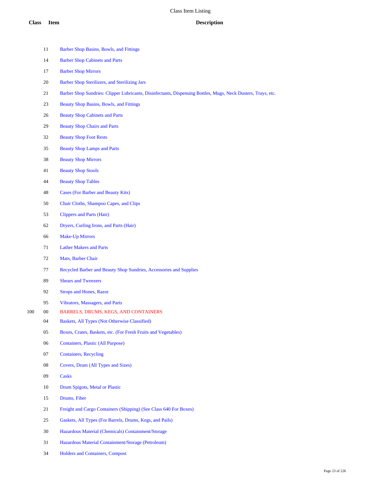- 11 Barber Shop Basins, Bowls, and Fittings Barber Shop Cabinets and Parts Barber Shop Mirrors Barber Shop Sterilizers, and Sterilizing Jars Barber Shop Sundries: Clipper Lubricants, Disinfectants, Dispensing Bottles, Mugs, Neck Dusters, Trays, etc. Beauty Shop Basins, Bowls, and Fittings Beauty Shop Cabinets and Parts Beauty Shop Chairs and Parts Beauty Shop Foot Rests Beauty Shop Lamps and Parts Beauty Shop Mirrors Beauty Shop Stools Beauty Shop Tables Cases (For Barber and Beauty Kits) Chair Cloths, Shampoo Capes, and Clips Clippers and Parts (Hair) Dryers, Curling Irons, and Parts (Hair) Make-Up Mirrors Lather Makers and Parts Mats, Barber Chair Recycled Barber and Beauty Shop Sundries, Accessories and Supplies Shears and Tweezers Strops and Hones, Razor Vibrators, Massagers, and Parts 00 BARRELS, DRUMS, KEGS, AND CONTAINERS Baskets, All Types (Not Otherwise Classified) Boxes, Crates, Baskets, etc. (For Fresh Fruits and Vegetables) Containers, Plastic (All Purpose) Containers, Recycling Covers, Drum (All Types and Sizes) Casks Drum Spigots, Metal or Plastic Drums, Fiber Freight and Cargo Containers (Shipping) (See Class 640 For Boxes) Gaskets, All Types (For Barrels, Drums, Kegs, and Pails) Hazardous Material (Chemicals) Containment/Storage Hazardous Material Containment/Storage (Petroleum)
	- Holders and Containers, Compost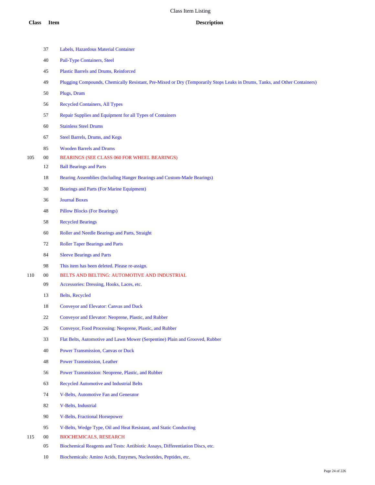|     | 37     | Labels, Hazardous Material Container                                                                                       |
|-----|--------|----------------------------------------------------------------------------------------------------------------------------|
|     | 40     | Pail-Type Containers, Steel                                                                                                |
|     | 45     | Plastic Barrels and Drums, Reinforced                                                                                      |
|     | 49     | Plugging Compounds, Chemically Resistant, Pre-Mixed or Dry (Temporarily Stops Leaks in Drums, Tanks, and Other Containers) |
|     | 50     | Plugs, Drum                                                                                                                |
|     | 56     | <b>Recycled Containers, All Types</b>                                                                                      |
|     | 57     | Repair Supplies and Equipment for all Types of Containers                                                                  |
|     | 60     | <b>Stainless Steel Drums</b>                                                                                               |
|     | 67     | Steel Barrels, Drums, and Kegs                                                                                             |
|     | 85     | <b>Wooden Barrels and Drums</b>                                                                                            |
| 105 | $00\,$ | BEARINGS (SEE CLASS 060 FOR WHEEL BEARINGS)                                                                                |
|     | 12     | <b>Ball Bearings and Parts</b>                                                                                             |
|     | 18     | Bearing Assemblies (Including Hanger Bearings and Custom-Made Bearings)                                                    |
|     | 30     | <b>Bearings and Parts (For Marine Equipment)</b>                                                                           |
|     | 36     | <b>Journal Boxes</b>                                                                                                       |
|     | 48     | <b>Pillow Blocks (For Bearings)</b>                                                                                        |
|     | 58     | <b>Recycled Bearings</b>                                                                                                   |
|     | 60     | Roller and Needle Bearings and Parts, Straight                                                                             |
|     | 72     | <b>Roller Taper Bearings and Parts</b>                                                                                     |
|     | 84     | <b>Sleeve Bearings and Parts</b>                                                                                           |
|     | 98     | This item has been deleted. Please re-assign.                                                                              |
| 110 | $00\,$ | BELTS AND BELTING: AUTOMOTIVE AND INDUSTRIAL                                                                               |
|     | 09     | Accessories: Dressing, Hooks, Laces, etc.                                                                                  |
|     | 13     | <b>Belts</b> , Recycled                                                                                                    |
|     | 18     | <b>Conveyor and Elevator: Canvas and Duck</b>                                                                              |
|     | 22     | Conveyor and Elevator: Neoprene, Plastic, and Rubber                                                                       |
|     | 26     | Conveyor, Food Processing: Neoprene, Plastic, and Rubber                                                                   |
|     | 33     | Flat Belts, Automotive and Lawn Mower (Serpentine) Plain and Grooved, Rubber                                               |
|     | 40     | Power Transmission, Canvas or Duck                                                                                         |
|     | 48     | <b>Power Transmission, Leather</b>                                                                                         |
|     | 56     | Power Transmission: Neoprene, Plastic, and Rubber                                                                          |
|     | 63     | <b>Recycled Automotive and Industrial Belts</b>                                                                            |
|     | 74     | V-Belts, Automotive Fan and Generator                                                                                      |
|     | 82     | V-Belts, Industrial                                                                                                        |
|     | 90     | <b>V-Belts, Fractional Horsepower</b>                                                                                      |
|     | 95     | V-Belts, Wedge Type, Oil and Heat Resistant, and Static Conducting                                                         |
| 115 | $00\,$ | <b>BIOCHEMICALS, RESEARCH</b>                                                                                              |

Biochemical Reagents and Tests: Antibiotic Assays, Differentiation Discs, etc.

Biochemicals: Amino Acids, Enzymes, Nucleotides, Peptides, etc.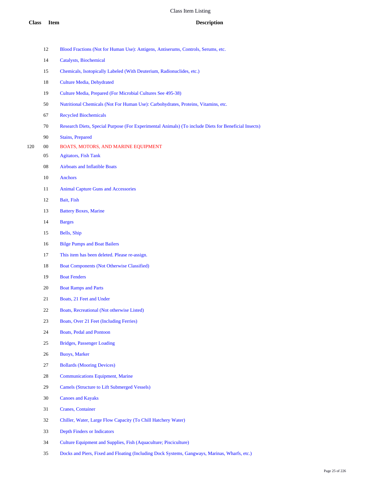|     | 12 | Blood Fractions (Not for Human Use): Antigens, Antiserums, Controls, Serums, etc.                    |
|-----|----|------------------------------------------------------------------------------------------------------|
|     | 14 | Catalysts, Biochemical                                                                               |
|     | 15 | Chemicals, Isotopically Labeled (With Deuterium, Radionuclides, etc.)                                |
|     | 18 | <b>Culture Media, Dehydrated</b>                                                                     |
|     | 19 | Culture Media, Prepared (For Microbial Cultures See 495-38)                                          |
|     | 50 | Nutritional Chemicals (Not For Human Use): Carbohydrates, Proteins, Vitamins, etc.                   |
|     | 67 | <b>Recycled Biochemicals</b>                                                                         |
|     | 70 | Research Diets, Special Purpose (For Experimental Animals) (To include Diets for Beneficial Insects) |
|     | 90 | <b>Stains, Prepared</b>                                                                              |
| 120 | 00 | BOATS, MOTORS, AND MARINE EQUIPMENT                                                                  |
|     | 05 | <b>Agitators, Fish Tank</b>                                                                          |
|     | 08 | <b>Airboats and Inflatible Boats</b>                                                                 |
|     | 10 | Anchors                                                                                              |
|     | 11 | <b>Animal Capture Guns and Accessories</b>                                                           |
|     | 12 | Bait, Fish                                                                                           |
|     | 13 | <b>Battery Boxes, Marine</b>                                                                         |
|     | 14 | <b>Barges</b>                                                                                        |
|     | 15 | Bells, Ship                                                                                          |
|     | 16 | <b>Bilge Pumps and Boat Bailers</b>                                                                  |
|     | 17 | This item has been deleted. Please re-assign.                                                        |
|     | 18 | <b>Boat Components (Not Otherwise Classified)</b>                                                    |
|     | 19 | <b>Boat Fenders</b>                                                                                  |
|     | 20 | <b>Boat Ramps and Parts</b>                                                                          |
|     | 21 | Boats, 21 Feet and Under                                                                             |
|     | 22 | Boats, Recreational (Not otherwise Listed)                                                           |
|     | 23 | Boats, Over 21 Feet (Including Ferries)                                                              |
|     | 24 | <b>Boats, Pedal and Pontoon</b>                                                                      |
|     | 25 | Bridges, Passenger Loading                                                                           |
|     | 26 | <b>Buoys, Marker</b>                                                                                 |
|     | 27 | <b>Bollards (Mooring Devices)</b>                                                                    |
|     | 28 | <b>Communications Equipment, Marine</b>                                                              |
|     | 29 | <b>Camels (Structure to Lift Submerged Vessels)</b>                                                  |
|     | 30 | <b>Canoes and Kayaks</b>                                                                             |
|     | 31 | <b>Cranes, Container</b>                                                                             |
|     | 32 | Chiller, Water, Large Flow Capacity (To Chill Hatchery Water)                                        |
|     | 33 | <b>Depth Finders or Indicators</b>                                                                   |
|     | 34 | Culture Equipment and Supplies, Fish (Aquaculture; Pisciculture)                                     |

Docks and Piers, Fixed and Floating (Including Dock Systems, Gangways, Marinas, Wharfs, etc.)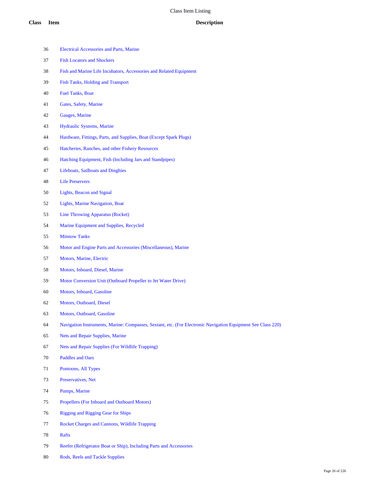- Electrical Accessories and Parts, Marine
- Fish Locators and Shockers
- Fish and Marine Life Incubators, Accessories and Related Equipment
- Fish Tanks, Holding and Transport
- Fuel Tanks, Boat
- Gates, Safety, Marine
- Gauges, Marine
- Hydraulic Systems, Marine
- Hardware, Fittings, Parts, and Supplies, Boat (Except Spark Plugs)
- Hatcheries, Ranches, and other Fishery Resources
- Hatching Equipment, Fish (Including Jars and Standpipes)
- Lifeboats, Sailboats and Dinghies
- Life Preservers
- Lights, Beacon and Signal
- Lights, Marine Navigation, Boat
- Line Throwing Apparatus (Rocket)
- Marine Equipment and Supplies, Recycled
- Minnow Tanks
- Motor and Engine Parts and Accessories (Miscellaneous), Marine
- Motors, Marine, Electric
- Motors, Inboard, Diesel, Marine
- Motor Conversion Unit (Outboard Propeller to Jet Water Drive)
- Motors, Inboard, Gasoline
- Motors, Outboard, Diesel
- Motors, Outboard, Gasoline
- Navigation Instruments, Marine: Compasses, Sextant, etc. (For Electronic Navigation Equipment See Class 220)
- Nets and Repair Supplies, Marine
- Nets and Repair Supplies (For Wildlife Trapping)
- Paddles and Oars
- Pontoons, All Types
- Preservatives, Net
- Pumps, Marine
- Propellers (For Inboard and Outboard Motors)
- Rigging and Rigging Gear for Ships
- Rocket Charges and Cannons, Wildlife Trapping
- Rafts
- Reefer (Refrigerator Boat or Ship), Including Parts and Accessories
- Rods, Reels and Tackle Supplies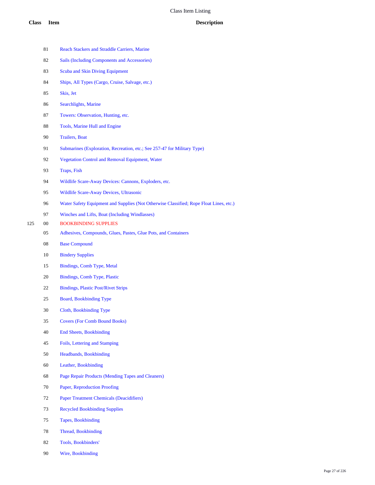Rope Float Lines, etc.)

|     | 81     | <b>Reach Stackers and Straddle Carriers, Marine</b>                      |
|-----|--------|--------------------------------------------------------------------------|
|     | 82     | <b>Sails (Including Components and Accessories)</b>                      |
|     | 83     | <b>Scuba and Skin Diving Equipment</b>                                   |
|     | 84     | Ships, All Types (Cargo, Cruise, Salvage, etc.)                          |
|     | 85     | Skis, Jet                                                                |
|     | 86     | Searchlights, Marine                                                     |
|     | 87     | Towers: Observation, Hunting, etc.                                       |
|     | 88     | Tools, Marine Hull and Engine                                            |
|     | 90     | <b>Trailers</b> , Boat                                                   |
|     | 91     | Submarines (Exploration, Recreation, etc.; See 257-47 for Military Type) |
|     | 92     | Vegetation Control and Removal Equipment, Water                          |
|     | 93     | Traps, Fish                                                              |
|     | 94     | Wildlife Scare-Away Devices: Cannons, Exploders, etc.                    |
|     | 95     | Wildlife Scare-Away Devices, Ultrasonic                                  |
|     | 96     | Water Safety Equipment and Supplies (Not Otherwise Classified; Rope Fl   |
|     | 97     | Winches and Lifts, Boat (Including Windlasses)                           |
| 125 | $00\,$ | <b>BOOKBINDING SUPPLIES</b>                                              |
|     | 05     | Adhesives, Compounds, Glues, Pastes, Glue Pots, and Containers           |
|     | 08     | <b>Base Compound</b>                                                     |
|     | 10     | <b>Bindery Supplies</b>                                                  |
|     | 15     | Bindings, Comb Type, Metal                                               |
|     | 20     | Bindings, Comb Type, Plastic                                             |
|     | 22     | <b>Bindings, Plastic Post/Rivet Strips</b>                               |
|     | 25     | <b>Board, Bookbinding Type</b>                                           |
|     | 30     | Cloth, Bookbinding Type                                                  |
|     | 35     | <b>Covers (For Comb Bound Books)</b>                                     |
|     | 40     | <b>End Sheets, Bookbinding</b>                                           |
|     | 45     | Foils, Lettering and Stamping                                            |
|     | 50     | Headbands, Bookbinding                                                   |
|     | 60     | Leather, Bookbinding                                                     |
|     | 68     | Page Repair Products (Mending Tapes and Cleaners)                        |
|     | 70     | Paper, Reproduction Proofing                                             |
|     | 72     | <b>Paper Treatment Chemicals (Deacidifiers)</b>                          |
|     | 73     | <b>Recycled Bookbinding Supplies</b>                                     |
|     | 75     | <b>Tapes, Bookbinding</b>                                                |
|     | 78     | Thread, Bookbinding                                                      |
|     | 82     | Tools, Bookbinders'                                                      |

Wire, Bookbinding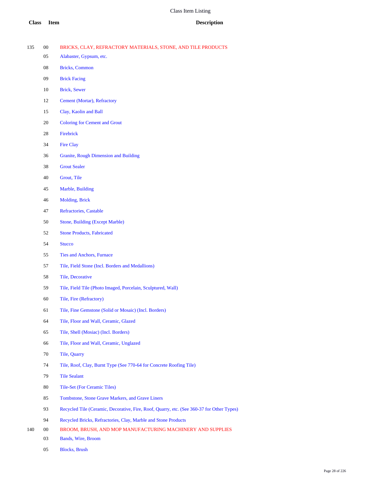### **Class Item Description**

| 135 |  |  |  |  | BRICKS, CLAY, REFRACTORY MATERIALS, STONE, AND TILE PRODUCTS |
|-----|--|--|--|--|--------------------------------------------------------------|
|-----|--|--|--|--|--------------------------------------------------------------|

- Alabaster, Gypsum, etc.
- Bricks, Common
- Brick Facing
- Brick, Sewer
- Cement (Mortar), Refractory
- Clay, Kaolin and Ball
- Coloring for Cement and Grout
- Firebrick
- Fire Clay
- Granite, Rough Dimension and Building
- Grout Sealer
- Grout, Tile
- Marble, Building
- Molding, Brick
- Refractories, Castable
- Stone, Building (Except Marble)
- Stone Products, Fabricated
- Stucco
- Ties and Anchors, Furnace
- Tile, Field Stone (Incl. Borders and Medallions)
- Tile, Decorative
- Tile, Field Tile (Photo Imaged, Porcelain, Sculptured, Wall)
- Tile, Fire (Refractory)
- Tile, Fine Gemstone (Solid or Mosaic) (Incl. Borders)
- Tile, Floor and Wall, Ceramic, Glazed
- Tile, Shell (Mosiac) (Incl. Borders)
- Tile, Floor and Wall, Ceramic, Unglazed
- Tile, Quarry
- Tile, Roof, Clay, Burnt Type (See 770-64 for Concrete Roofing Tile)
- Tile Sealant
- Tile-Set (For Ceramic Tiles)
- Tombstone, Stone Grave Markers, and Grave Liners
- 93 Recycled Tile (Ceramic, Decorative, Fire, Roof, Quarry, etc. (See 360-37 for Other Types)
- Recycled Bricks, Refractories, Clay, Marble and Stone Products
- 00 BROOM, BRUSH, AND MOP MANUFACTURING MACHINERY AND SUPPLIES
	- Bands, Wire, Broom
	- Blocks, Brush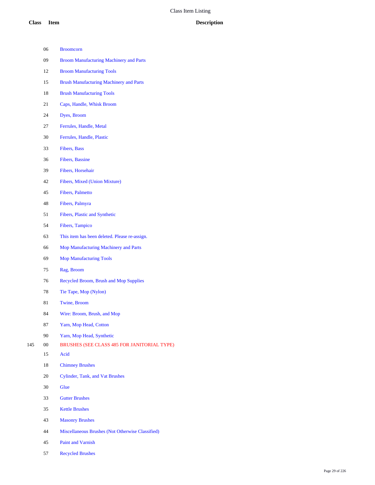|     | 06     | <b>Broomcorn</b>                                 |
|-----|--------|--------------------------------------------------|
|     | 09     | <b>Broom Manufacturing Machinery and Parts</b>   |
|     | 12     | <b>Broom Manufacturing Tools</b>                 |
|     | 15     | <b>Brush Manufacturing Machinery and Parts</b>   |
|     | 18     | <b>Brush Manufacturing Tools</b>                 |
|     | 21     | Caps, Handle, Whisk Broom                        |
|     | 24     | Dyes, Broom                                      |
|     | 27     | Ferrules, Handle, Metal                          |
|     | 30     | Ferrules, Handle, Plastic                        |
|     | 33     | Fibers, Bass                                     |
|     | 36     | <b>Fibers, Bassine</b>                           |
|     | 39     | Fibers, Horsehair                                |
|     | 42     | Fibers, Mixed (Union Mixture)                    |
|     | 45     | <b>Fibers</b> , Palmetto                         |
|     | 48     | Fibers, Palmyra                                  |
|     | 51     | Fibers, Plastic and Synthetic                    |
|     | 54     | Fibers, Tampico                                  |
|     | 63     | This item has been deleted. Please re-assign.    |
|     | 66     | Mop Manufacturing Machinery and Parts            |
|     | 69     | <b>Mop Manufacturing Tools</b>                   |
|     | 75     | Rag, Broom                                       |
|     | 76     | Recycled Broom, Brush and Mop Supplies           |
|     | 78     | Tie Tape, Mop (Nylon)                            |
|     | 81     | Twine, Broom                                     |
|     | 84     | Wire: Broom, Brush, and Mop                      |
|     | 87     | Yarn, Mop Head, Cotton                           |
|     | 90     | Yarn, Mop Head, Synthetic                        |
| 145 | $00\,$ | BRUSHES (SEE CLASS 485 FOR JANITORIAL TYPE)      |
|     | 15     | Acid                                             |
|     | 18     | <b>Chimney Brushes</b>                           |
|     | 20     | Cylinder, Tank, and Vat Brushes                  |
|     | 30     | Glue                                             |
|     | 33     | <b>Gutter Brushes</b>                            |
|     | 35     | <b>Kettle Brushes</b>                            |
|     | 43     | <b>Masonry Brushes</b>                           |
|     | 44     | Miscellaneous Brushes (Not Otherwise Classified) |
|     | 45     | Paint and Varnish                                |

Recycled Brushes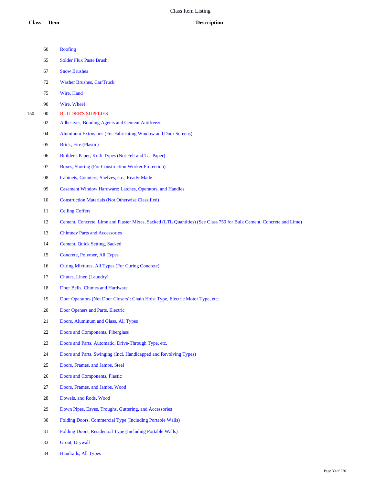| 60 | Roofing |
|----|---------|
|    |         |

- Solder Flux Paste Brush
- Snow Brushes
- Washer Brushes, Car/Truck
- Wire, Hand
- Wire, Wheel
- 00 BUILDER'S SUPPLIES
	- Adhesives, Bonding Agents and Cement Antifreeze
	- Aluminum Extrusions (For Fabricating Window and Door Screens)
	- Brick, Fire (Plastic)
	- Builder's Paper, Kraft Types (Not Felt and Tar Paper)
	- Boxes, Shoring (For Construction Worker Protection)
	- Cabinets, Counters, Shelves, etc., Ready-Made
	- Casement Window Hardware: Latches, Operators, and Handles
	- Construction Materials (Not Otherwise Classified)
	- Ceiling Coffers
	- Cement, Concrete, Lime and Plaster Mixes, Sacked (LTL Quantities) (See Class 750 for Bulk Cement, Concrete and Lime)
	- Chimney Parts and Accessories
	- Cement, Quick Setting, Sacked
	- Concrete, Polymer, All Types
	- Curing Mixtures, All Types (For Curing Concrete)
	- Chutes, Linen (Laundry)
	- Door Bells, Chimes and Hardware
	- Door Operators (Not Door Closers): Chain Hoist Type, Electric Motor Type, etc.
	- Door Openers and Parts, Electric
	- Doors, Aluminum and Glass, All Types
	- Doors and Components, Fiberglass
	- Doors and Parts, Automatic, Drive-Through Type, etc.
	- Doors and Parts, Swinging (Incl. Handicapped and Revolving Types)
	- Doors, Frames, and Jambs, Steel
	- Doors and Components, Plastic
	- Doors, Frames, and Jambs, Wood
	- Dowels, and Rods, Wood
	- Down Pipes, Eaves, Troughs, Guttering, and Accessories
	- Folding Doors, Commercial Type (Including Portable Walls)
	- Folding Doors, Residential Type (Including Portable Walls)
	- Grout, Drywall
	- Handrails, All Types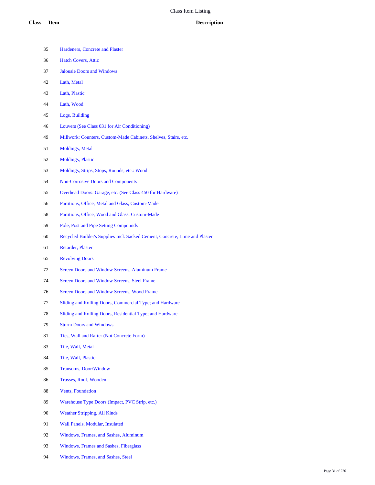- Hardeners, Concrete and Plaster
- Hatch Covers, Attic
- Jalousie Doors and Windows
- Lath, Metal
- Lath, Plastic
- Lath, Wood
- Logs, Building
- Louvers (See Class 031 for Air Conditioning)
- Millwork: Counters, Custom-Made Cabinets, Shelves, Stairs, etc.
- Moldings, Metal
- Moldings, Plastic
- Moldings, Strips, Stops, Rounds, etc.: Wood
- Non-Corrosive Doors and Components
- Overhead Doors: Garage, etc. (See Class 450 for Hardware)
- Partitions, Office, Metal and Glass, Custom-Made
- Partitions, Office, Wood and Glass, Custom-Made
- Pole, Post and Pipe Setting Compounds
- Recycled Builder's Supplies Incl. Sacked Cement, Concrete, Lime and Plaster
- Retarder, Plaster
- Revolving Doors
- Screen Doors and Window Screens, Aluminum Frame
- Screen Doors and Window Screens, Steel Frame
- Screen Doors and Window Screens, Wood Frame
- Sliding and Rolling Doors, Commercial Type; and Hardware
- Sliding and Rolling Doors, Residential Type; and Hardware
- Storm Doors and Windows
- Ties, Wall and Rafter (Not Concrete Form)
- Tile, Wall, Metal
- Tile, Wall, Plastic
- Transoms, Door/Window
- Trusses, Roof, Wooden
- Vents, Foundation
- Warehouse Type Doors (Impact, PVC Strip, etc.)
- Weather Stripping, All Kinds
- Wall Panels, Modular, Insulated
- Windows, Frames, and Sashes, Aluminum
- Windows, Frames and Sashes, Fiberglass
- Windows, Frames, and Sashes, Steel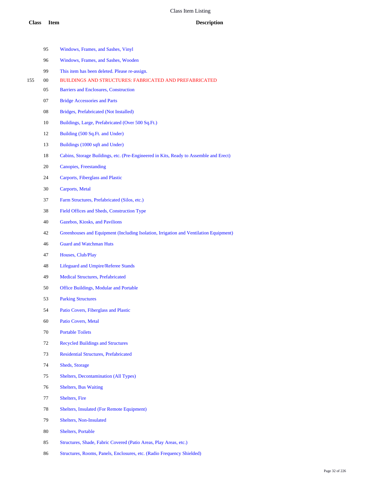|     | 95 | Windows, Frames, and Sashes, Vinyl                                                    |
|-----|----|---------------------------------------------------------------------------------------|
|     | 96 | Windows, Frames, and Sashes, Wooden                                                   |
|     | 99 | This item has been deleted. Please re-assign.                                         |
| 155 | 00 | <b>BUILDINGS AND STRUCTURES: FABRICATED AND PREFABRICATED</b>                         |
|     | 05 | Barriers and Enclosures, Construction                                                 |
|     | 07 | <b>Bridge Accessories and Parts</b>                                                   |
|     | 08 | Bridges, Prefabricated (Not Installed)                                                |
|     | 10 | Buildings, Large, Prefabricated (Over 500 Sq.Ft.)                                     |
|     | 12 | Building (500 Sq.Ft. and Under)                                                       |
|     | 13 | Buildings (1000 sqft and Under)                                                       |
|     | 18 | Cabins, Storage Buildings, etc. (Pre-Engineered in Kits, Ready to Assemble and Erect) |
|     | 20 | Canopies, Freestanding                                                                |
|     | 24 | <b>Carports, Fiberglass and Plastic</b>                                               |
|     | 30 | Carports, Metal                                                                       |
|     | 37 | Farm Structures, Prefabricated (Silos, etc.)                                          |
|     | 38 | Field Offices and Sheds, Construction Type                                            |
|     | 40 | Gazebos, Kiosks, and Pavilions                                                        |
|     | 42 | Greenhouses and Equipment (Including Isolation, Irrigation and Ventilation Equipment) |
|     | 46 | <b>Guard and Watchman Huts</b>                                                        |
|     | 47 | Houses, Club/Play                                                                     |
|     | 48 | <b>Lifeguard and Umpire/Referee Stands</b>                                            |
|     | 49 | <b>Medical Structures, Prefabricated</b>                                              |
|     | 50 | <b>Office Buildings, Modular and Portable</b>                                         |
|     | 53 | <b>Parking Structures</b>                                                             |
|     | 54 | Patio Covers, Fiberglass and Plastic                                                  |
|     | 60 | Patio Covers, Metal                                                                   |
|     | 70 | <b>Portable Toilets</b>                                                               |
|     | 72 | <b>Recycled Buildings and Structures</b>                                              |
|     | 73 | <b>Residential Structures, Prefabricated</b>                                          |
|     | 74 | Sheds, Storage                                                                        |
|     | 75 | Shelters, Decontamination (All Types)                                                 |
|     | 76 | <b>Shelters</b> , Bus Waiting                                                         |
|     | 77 | Shelters, Fire                                                                        |
|     | 78 | Shelters, Insulated (For Remote Equipment)                                            |
|     | 79 | Shelters, Non-Insulated                                                               |
|     |    |                                                                                       |

- Shelters, Portable
- Structures, Shade, Fabric Covered (Patio Areas, Play Areas, etc.)
- Structures, Rooms, Panels, Enclosures, etc. (Radio Frequency Shielded)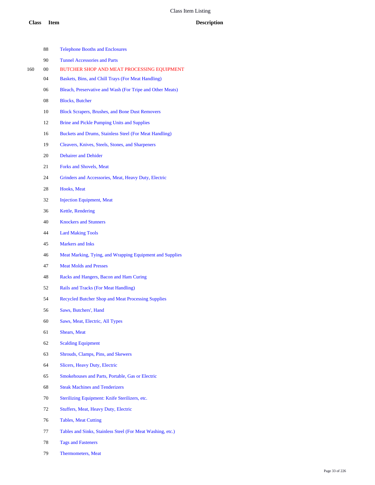# **Class Item Description**

|     | 88     | <b>Telephone Booths and Enclosures</b>                     |
|-----|--------|------------------------------------------------------------|
|     | 90     | <b>Tunnel Accessories and Parts</b>                        |
| 160 | $00\,$ | BUTCHER SHOP AND MEAT PROCESSING EQUIPMENT                 |
|     | 04     | Baskets, Bins, and Chill Trays (For Meat Handling)         |
|     | 06     | Bleach, Preservative and Wash (For Tripe and Other Meats)  |
|     | 08     | <b>Blocks, Butcher</b>                                     |
|     | 10     | <b>Block Scrapers, Brushes, and Bone Dust Removers</b>     |
|     | 12     | <b>Brine and Pickle Pumping Units and Supplies</b>         |
|     | 16     | Buckets and Drums, Stainless Steel (For Meat Handling)     |
|     | 19     | Cleavers, Knives, Steels, Stones, and Sharpeners           |
|     | 20     | <b>Dehairer and Dehider</b>                                |
|     | 21     | <b>Forks and Shovels, Meat</b>                             |
|     | 24     | Grinders and Accessories, Meat, Heavy Duty, Electric       |
|     | 28     | Hooks, Meat                                                |
|     | 32     | <b>Injection Equipment, Meat</b>                           |
|     | 36     | Kettle, Rendering                                          |
|     | 40     | <b>Knockers and Stunners</b>                               |
|     | 44     | <b>Lard Making Tools</b>                                   |
|     | 45     | <b>Markers and Inks</b>                                    |
|     | 46     | Meat Marking, Tying, and Wrapping Equipment and Supplies   |
|     | 47     | <b>Meat Molds and Presses</b>                              |
|     | 48     | Racks and Hangers, Bacon and Ham Curing                    |
|     | 52     | Rails and Tracks (For Meat Handling)                       |
|     | 54     | <b>Recycled Butcher Shop and Meat Processing Supplies</b>  |
|     | 56     | Saws, Butchers', Hand                                      |
|     | 60     | Saws, Meat, Electric, All Types                            |
|     | 61     | <b>Shears, Meat</b>                                        |
|     | 62     | <b>Scalding Equipment</b>                                  |
|     | 63     | Shrouds, Clamps, Pins, and Skewers                         |
|     | 64     | Slicers, Heavy Duty, Electric                              |
|     | 65     | Smokehouses and Parts, Portable, Gas or Electric           |
|     | 68     | <b>Steak Machines and Tenderizers</b>                      |
|     | 70     | Sterilizing Equipment: Knife Sterilizers, etc.             |
|     | 72     | Stuffers, Meat, Heavy Duty, Electric                       |
|     | 76     | <b>Tables, Meat Cutting</b>                                |
|     | 77     | Tables and Sinks, Stainless Steel (For Meat Washing, etc.) |
|     | 78     | <b>Tags and Fasteners</b>                                  |

Thermometers, Meat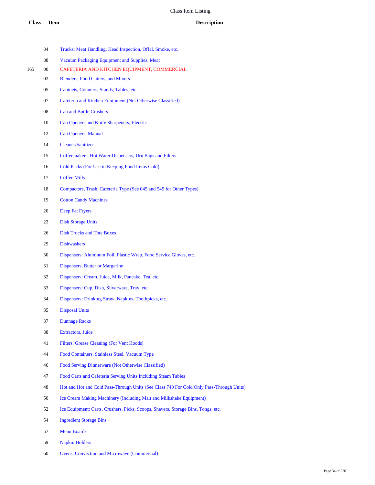|     | 84 | Trucks: Meat Handling, Head Inspection, Offal, Smoke, etc.                               |
|-----|----|------------------------------------------------------------------------------------------|
|     | 88 | Vacuum Packaging Equipment and Supplies, Meat                                            |
| 165 | 00 | CAFETERIA AND KITCHEN EQUIPMENT, COMMERCIAL                                              |
|     | 02 | <b>Blenders, Food Cutters, and Mixers</b>                                                |
|     | 05 | Cabinets, Counters, Stands, Tables, etc.                                                 |
|     | 07 | Cafeteria and Kitchen Equipment (Not Otherwise Classified)                               |
|     | 08 | <b>Can and Bottle Crushers</b>                                                           |
|     | 10 | Can Openers and Knife Sharpeners, Electric                                               |
|     | 12 | Can Openers, Manual                                                                      |
|     | 14 | <b>Cleaner/Sanitizer</b>                                                                 |
|     | 15 | Coffeemakers, Hot Water Dispensers, Urn Bags and Filters                                 |
|     | 16 | Cold Packs (For Use in Keeping Food Items Cold)                                          |
|     | 17 | <b>Coffee Mills</b>                                                                      |
|     | 18 | Compactors, Trash, Cafeteria Type (See 045 and 545 for Other Types)                      |
|     | 19 | <b>Cotton Candy Machines</b>                                                             |
|     | 20 | Deep Fat Fryers                                                                          |
|     | 23 | <b>Dish Storage Units</b>                                                                |
|     | 26 | <b>Dish Trucks and Tote Boxes</b>                                                        |
|     | 29 | <b>Dishwashers</b>                                                                       |
|     | 30 | Dispensers: Aluminum Foil, Plastic Wrap, Food Service Gloves, etc.                       |
|     | 31 | Dispensers, Butter or Margarine                                                          |
|     | 32 | Dispensers: Cream, Juice, Milk, Pancake, Tea, etc.                                       |
|     | 33 | Dispensers: Cup, Dish, Silverware, Tray, etc.                                            |
|     | 34 | Dispensers: Drinking Straw, Napkins, Toothpicks, etc.                                    |
|     | 35 | <b>Disposal Units</b>                                                                    |
|     | 37 | <b>Dunnage Racks</b>                                                                     |
|     | 38 | <b>Extractors</b> , Juice                                                                |
|     | 41 | Filters, Grease Cleaning (For Vent Hoods)                                                |
|     | 44 | Food Containers, Stainless Steel, Vacuum Type                                            |
|     | 46 | Food Serving Dinnerware (Not Otherwise Classified)                                       |
|     | 47 | Food Carts and Cafeteria Serving Units Including Steam Tables                            |
|     | 48 | Hot and Hot and Cold Pass-Through Units (See Class 740 For Cold Only Pass-Through Units) |
|     | 50 | Ice Cream Making Machinery (Including Malt and Milkshake Equipment)                      |
|     | 52 | Ice Equipment: Carts, Crushers, Picks, Scoops, Shavers, Storage Bins, Tongs, etc.        |
|     |    |                                                                                          |
|     | 54 | <b>Ingredient Storage Bins</b>                                                           |
|     | 57 | <b>Menu Boards</b>                                                                       |

- Napkin Holders
- Ovens, Convection and Microwave (Commercial)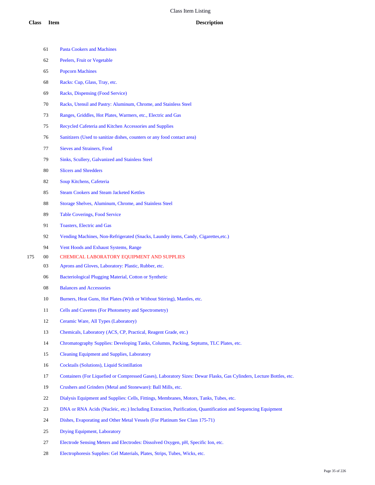- Pasta Cookers and Machines Peelers, Fruit or Vegetable Popcorn Machines Racks: Cup, Glass, Tray, etc. Racks, Dispensing (Food Service) Racks, Utensil and Pastry: Aluminum, Chrome, and Stainless Steel Ranges, Griddles, Hot Plates, Warmers, etc., Electric and Gas Recycled Cafeteria and Kitchen Accessories and Supplies Sanitizers (Used to sanitize dishes, counters or any food contact area) Sieves and Strainers, Food Sinks, Scullery, Galvanized and Stainless Steel Slicers and Shredders Soup Kitchens, Cafeteria Steam Cookers and Steam Jacketed Kettles Storage Shelves, Aluminum, Chrome, and Stainless Steel Table Coverings, Food Service Toasters, Electric and Gas Vending Machines, Non-Refrigerated (Snacks, Laundry items, Candy, Cigarettes,etc.) Vent Hoods and Exhaust Systems, Range 00 CHEMICAL LABORATORY EQUIPMENT AND SUPPLIES Aprons and Gloves, Laboratory: Plastic, Rubber, etc. Bacteriological Plugging Material, Cotton or Synthetic Balances and Accessories 10 Burners, Heat Guns, Hot Plates (With or Without Stirring), Mantles, etc. Cells and Cuvettes (For Photometry and Spectrometry) Ceramic Ware, All Types (Laboratory) Chemicals, Laboratory (ACS, CP, Practical, Reagent Grade, etc.) Chromatography Supplies: Developing Tanks, Columns, Packing, Septums, TLC Plates, etc. Cleaning Equipment and Supplies, Laboratory Cocktails (Solutions), Liquid Scintillation Containers (For Liquefied or Compressed Gases), Laboratory Sizes: Dewar Flasks, Gas Cylinders, Lecture Bottles, etc. Crushers and Grinders (Metal and Stoneware): Ball Mills, etc. Dialysis Equipment and Supplies: Cells, Fittings, Membranes, Motors, Tanks, Tubes, etc.
	- DNA or RNA Acids (Nucleic, etc.) Including Extraction, Purification, Quantification and Sequencing Equipment
	- Dishes, Evaporating and Other Metal Vessels (For Platinum See Class 175-71)
	- Drying Equipment, Laboratory
	- Electrode Sensing Meters and Electrodes: Dissolved Oxygen, pH, Specific Ion, etc.
	- Electrophoresis Supplies: Gel Materials, Plates, Strips, Tubes, Wicks, etc.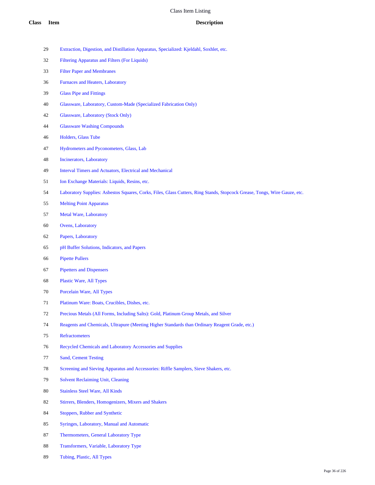- Extraction, Digestion, and Distillation Apparatus, Specialized: Kjeldahl, Soxhlet, etc.
- Filtering Apparatus and Filters (For Liquids)
- Filter Paper and Membranes
- Furnaces and Heaters, Laboratory
- Glass Pipe and Fittings
- Glassware, Laboratory, Custom-Made (Specialized Fabrication Only)
- Glassware, Laboratory (Stock Only)
- Glassware Washing Compounds
- Holders, Glass Tube
- Hydrometers and Pyconometers, Glass, Lab
- Incinerators, Laboratory
- Interval Timers and Actuators, Electrical and Mechanical
- Ion Exchange Materials: Liquids, Resins, etc.
- Laboratory Supplies: Asbestos Squares, Corks, Files, Glass Cutters, Ring Stands, Stopcock Grease, Tongs, Wire Gauze, etc.
- Melting Point Apparatus
- Metal Ware, Laboratory
- Ovens, Laboratory
- Papers, Laboratory
- pH Buffer Solutions, Indicators, and Papers
- Pipette Pullers
- Pipetters and Dispensers
- Plastic Ware, All Types
- Porcelain Ware, All Types
- Platinum Ware: Boats, Crucibles, Dishes, etc.
- Precious Metals (All Forms, Including Salts): Gold, Platinum Group Metals, and Silver
- Reagents and Chemicals, Ultrapure (Meeting Higher Standards than Ordinary Reagent Grade, etc.)
- Refractometers
- Recycled Chemicals and Laboratory Accessories and Supplies
- Sand, Cement Testing
- Screening and Sieving Apparatus and Accessories: Riffle Samplers, Sieve Shakers, etc.
- Solvent Reclaiming Unit, Cleaning
- Stainless Steel Ware, All Kinds
- Stirrers, Blenders, Homogenizers, Mixers and Shakers
- Stoppers, Rubber and Synthetic
- Syringes, Laboratory, Manual and Automatic
- Thermometers, General Laboratory Type
- Transformers, Variable, Laboratory Type
- Tubing, Plastic, All Types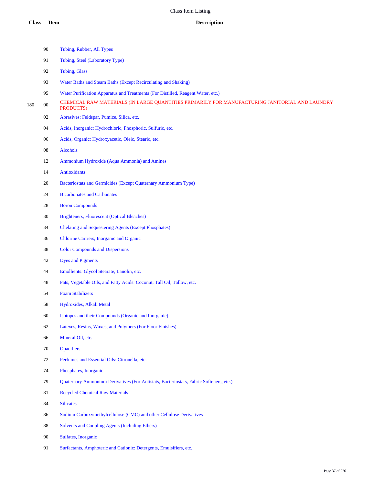|     | 90     | Tubing, Rubber, All Types                                                                                   |
|-----|--------|-------------------------------------------------------------------------------------------------------------|
|     | 91     | Tubing, Steel (Laboratory Type)                                                                             |
|     | 92     | <b>Tubing, Glass</b>                                                                                        |
|     | 93     | Water Baths and Steam Baths (Except Recirculating and Shaking)                                              |
|     | 95     | Water Purification Apparatus and Treatments (For Distilled, Reagent Water, etc.)                            |
| 180 | $00\,$ | CHEMICAL RAW MATERIALS (IN LARGE QUANTITIES PRIMARILY FOR MANUFACTURING JANITORIAL AND LAUNDRY<br>PRODUCTS) |
|     | 02     | Abrasives: Feldspar, Pumice, Silica, etc.                                                                   |
|     | 04     | Acids, Inorganic: Hydrochloric, Phosphoric, Sulfuric, etc.                                                  |
|     | 06     | Acids, Organic: Hydroxyacetic, Oleic, Stearic, etc.                                                         |
|     | 08     | Alcohols                                                                                                    |
|     | 12     | Ammonium Hydroxide (Aqua Ammonia) and Amines                                                                |
|     | 14     | <b>Antioxidants</b>                                                                                         |
|     | 20     | Bacteriostats and Germicides (Except Quaternary Ammonium Type)                                              |
|     | 24     | <b>Bicarbonates and Carbonates</b>                                                                          |
|     | 28     | <b>Boron Compounds</b>                                                                                      |
|     | 30     | Brighteners, Fluorescent (Optical Bleaches)                                                                 |
|     | 34     | <b>Chelating and Sequestering Agents (Except Phosphates)</b>                                                |
|     | 36     | Chlorine Carriers, Inorganic and Organic                                                                    |
|     | 38     | <b>Color Compounds and Dispersions</b>                                                                      |
|     | 42     | <b>Dyes and Pigments</b>                                                                                    |
|     | 44     | Emollients: Glycol Stearate, Lanolin, etc.                                                                  |
|     | 48     | Fats, Vegetable Oils, and Fatty Acids: Coconut, Tall Oil, Tallow, etc.                                      |
|     | 54     | <b>Foam Stabilizers</b>                                                                                     |
|     | 58     | Hydroxides, Alkali Metal                                                                                    |
|     | 60     | Isotopes and their Compounds (Organic and Inorganic)                                                        |
|     | 62     | Latexes, Resins, Waxes, and Polymers (For Floor Finishes)                                                   |
|     | 66     | Mineral Oil, etc.                                                                                           |
|     | 70     | <b>Opacifiers</b>                                                                                           |
|     | 72     | Perfumes and Essential Oils: Citronella, etc.                                                               |
|     | 74     | Phosphates, Inorganic                                                                                       |
|     | 79     | Quaternary Ammonium Derivatives (For Antistats, Bacteriostats, Fabric Softeners, etc.)                      |
|     | 81     | <b>Recycled Chemical Raw Materials</b>                                                                      |
|     | 84     | <b>Silicates</b>                                                                                            |
|     | 86     | Sodium Carboxymethylcellulose (CMC) and other Cellulose Derivatives                                         |
|     | 88     | <b>Solvents and Coupling Agents (Including Ethers)</b>                                                      |
|     | 90     | Sulfates, Inorganic                                                                                         |

Surfactants, Amphoteric and Cationic: Detergents, Emulsifiers, etc.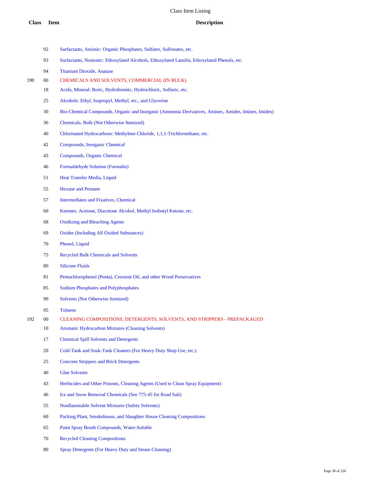- Surfactants, Anionic: Organic Phosphates, Sulfates, Sulfonates, etc.
- Surfactants, Nonionic: Ethoxylated Alcohols, Ethoxylated Lanolin, Ethoxylated Phenols, etc.
- Titanium Dioxide, Anatase
- 00 CHEMICALS AND SOLVENTS, COMMERCIAL (IN BULK)
	- Acids, Mineral: Boric, Hydrobromic, Hydrochloric, Sulfuric, etc.
	- Alcohols: Ethyl, Isopropyl, Methyl, etc., and Glycerine
	- Bio-Chemical Compounds, Organic and Inorganic (Ammonia Derivatives, Amines, Amides, Imines, Imides)
	- Chemicals, Bulk (Not Otherwise Itemized)
	- Chlorinated Hydrocarbons: Methylene Chloride, 1,1,1-Trichloroethane, etc.
	- Compounds, Inorganic Chemical
	- Compounds, Organic Chemical
	- Formaldehyde Solution (Formalin)
	- Heat Transfer Media, Liquid
	- Hexane and Pentane
	- Intermediates and Fixatives, Chemical
	- Ketones: Acetone, Diacetone Alcohol, Methyl Isobutyl Ketone, etc.
	- Oxidizing and Bleaching Agents
	- Oxides (Including All Oxided Substances)
	- Phenol, Liquid
	- Recycled Bulk Chemicals and Solvents
	- Silicone Fluids
	- Pentachlorophenol (Penta), Creosote Oil, and other Wood Preservatives
	- Sodium Phosphates and Polyphosphates
	- Solvents (Not Otherwise Itemized)
	- Toluene
- 00 CLEANING COMPOSITIONS, DETERGENTS, SOLVENTS, AND STRIPPERS PREPACKAGED
	- Aromatic Hydrocarbon Mixtures (Cleaning Solvents)
	- Chemical Spill Solvents and Detergents
	- Cold-Tank and Soak-Tank Cleaners (For Heavy Duty Shop Use, etc.)
	- Concrete Strippers and Brick Detergents
	- Glue Solvents
	- Herbicides and Other Poisons, Cleaning Agents (Used to Clean Spray Equipment)
	- Ice and Snow Removal Chemicals (See 775-45 for Road Salt)
	- Nonflammable Solvent Mixtures (Safety Solvents)
	- Packing Plant, Smokehouse, and Slaughter House Cleaning Compositions
	- Paint Spray Booth Compounds, Water-Soluble
	- Recycled Cleaning Compositions
	- Spray Detergents (For Heavy Duty and Steam Cleaning)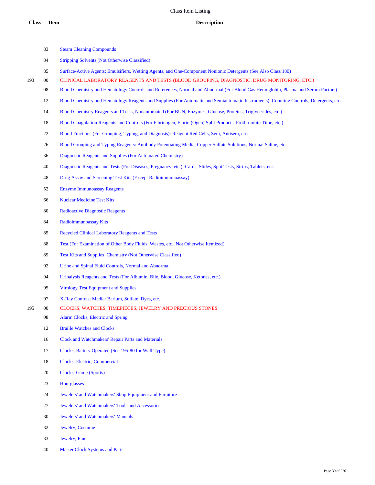Surface-Active Agents: Emulsifiers, Wetting Agents, and One-Component Nonionic Detergents (See Also Class 180)

Steam Cleaning Compounds

Stripping Solvents (Not Otherwise Classified)

| 193 | $00\,$ | CLINICAL LABORATORY REAGENTS AND TESTS (BLOOD GROUPING, DIAGNOSTIC, DRUG MONITORING, ETC.)                                              |
|-----|--------|-----------------------------------------------------------------------------------------------------------------------------------------|
|     | 08     | Blood Chemistry and Hematology Controls and References, Normal and Abnormal (For Blood Gas Hemoglobin, Plasma and Serum Factors)        |
|     | 12     | Blood Chemistry and Hematology Reagents and Supplies (For Automatic and Semiautomatic Instruments): Counting Controls, Detergents, etc. |
|     | 14     | Blood Chemistry Reagents and Tests, Nonautomated (For BUN, Enzymes, Glucose, Proteins, Triglycerides, etc.)                             |
|     | 18     | Blood Coagulation Reagents and Controls (For Fibrinogen, Fibrin (Ogen) Split Products, Prothrombin Time, etc.)                          |
|     | 22     | Blood Fractions (For Grouping, Typing, and Diagnosis): Reagent Red Cells, Sera, Antisera, etc.                                          |
|     | 26     | Blood Grouping and Typing Reagents: Antibody Potentiating Media, Copper Sulfate Solutions, Normal Saline, etc.                          |
|     | 36     | Diagnostic Reagents and Supplies (For Automated Chemistry)                                                                              |
|     | 40     | Diagnostic Reagents and Tests (For Diseases, Pregnancy, etc.): Cards, Slides, Spot Tests, Strips, Tablets, etc.                         |
|     | 48     | Drug Assay and Screening Test Kits (Except Radioimmunoassay)                                                                            |
|     | 52     | <b>Enzyme Immunoassay Reagents</b>                                                                                                      |
|     | 66     | <b>Nuclear Medicine Test Kits</b>                                                                                                       |
|     | 80     | <b>Radioactive Diagnostic Reagents</b>                                                                                                  |
|     | 84     | Radioimmunoassay Kits                                                                                                                   |
|     | 85     | <b>Recycled Clinical Laboratory Reagents and Tests</b>                                                                                  |
|     | 88     | Test (For Examination of Other Body Fluids, Wastes, etc., Not Otherwise Itemized)                                                       |
|     | 89     | Test Kits and Supplies, Chemistry (Not Otherwise Classified)                                                                            |
|     | 92     | Urine and Spinal Fluid Controls, Normal and Abnormal                                                                                    |
|     | 94     | Urinalysis Reagents and Tests (For Albumin, Bile, Blood, Glucose, Ketones, etc.)                                                        |
|     | 95     | <b>Virology Test Equipment and Supplies</b>                                                                                             |
|     | 97     | X-Ray Contrast Media: Barium, Sulfate, Dyes, etc.                                                                                       |
| 195 | 00     | CLOCKS, WATCHES, TIMEPIECES, JEWELRY AND PRECIOUS STONES                                                                                |
|     | 08     | Alarm Clocks, Electric and Spring                                                                                                       |
|     | 12     | <b>Braille Watches and Clocks</b>                                                                                                       |
|     | 16     | Clock and Watchmakers' Repair Parts and Materials                                                                                       |
|     | 17     | Clocks, Battery Operated (See 195-80 for Wall Type)                                                                                     |
|     | 18     | Clocks, Electric, Commercial                                                                                                            |
|     | 20     | Clocks, Game (Sports)                                                                                                                   |
|     | 23     | <b>Hourglasses</b>                                                                                                                      |
|     | 24     | Jewelers' and Watchmakers' Shop Equipment and Furniture                                                                                 |
|     | 27     | Jewelers' and Watchmakers' Tools and Accessories                                                                                        |
|     | 30     | <b>Jewelers' and Watchmakers' Manuals</b>                                                                                               |
|     | 32     | Jewelry, Costume                                                                                                                        |
|     | 33     | Jewelry, Fine                                                                                                                           |
|     | 40     | <b>Master Clock Systems and Parts</b>                                                                                                   |
|     |        |                                                                                                                                         |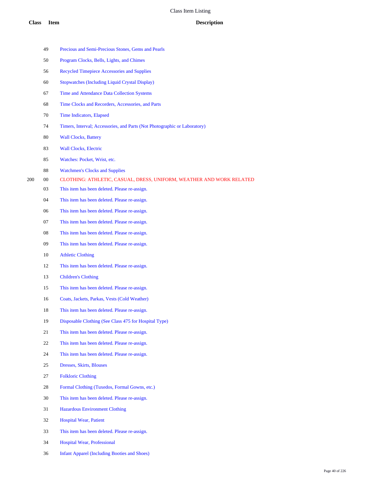| 49 | Precious and Semi-Precious Stones, Gems and Pearls                        |
|----|---------------------------------------------------------------------------|
| 50 | Program Clocks, Bells, Lights, and Chimes                                 |
| 56 | <b>Recycled Timepiece Accessories and Supplies</b>                        |
| 60 | <b>Stopwatches (Including Liquid Crystal Display)</b>                     |
| 67 | Time and Attendance Data Collection Systems                               |
| 68 | Time Clocks and Recorders, Accessories, and Parts                         |
| 70 | Time Indicators, Elapsed                                                  |
| 74 | Timers, Interval; Accessories, and Parts (Not Photographic or Laboratory) |
| 80 | <b>Wall Clocks, Battery</b>                                               |
| 83 | <b>Wall Clocks, Electric</b>                                              |
| 85 | Watches: Pocket, Wrist, etc.                                              |
| 88 | <b>Watchmen's Clocks and Supplies</b>                                     |
| 00 | CLOTHING: ATHLETIC, CASUAL, DRESS, UNIFORM, WEATHER AND WORK RELATED      |
| 03 | This item has been deleted. Please re-assign.                             |
| 04 | This item has been deleted. Please re-assign.                             |
| 06 | This item has been deleted. Please re-assign.                             |
| 07 | This item has been deleted. Please re-assign.                             |
| 08 | This item has been deleted. Please re-assign.                             |
| 09 | This item has been deleted. Please re-assign.                             |
| 10 | <b>Athletic Clothing</b>                                                  |
| 12 | This item has been deleted. Please re-assign.                             |
| 13 | <b>Children's Clothing</b>                                                |
| 15 | This item has been deleted. Please re-assign.                             |
| 16 | Coats, Jackets, Parkas, Vests (Cold Weather)                              |
| 18 | This item has been deleted. Please re-assign.                             |
| 19 | Disposable Clothing (See Class 475 for Hospital Type)                     |
| 21 | This item has been deleted. Please re-assign.                             |
| 22 | This item has been deleted. Please re-assign.                             |
| 24 | This item has been deleted. Please re-assign.                             |
| 25 | Dresses, Skirts, Blouses                                                  |
| 27 | <b>Folkloric Clothing</b>                                                 |
| 28 | Formal Clothing (Tuxedos, Formal Gowns, etc.)                             |
| 30 | This item has been deleted. Please re-assign.                             |
| 31 | <b>Hazardous Environment Clothing</b>                                     |
| 32 | <b>Hospital Wear, Patient</b>                                             |
| 33 | This item has been deleted. Please re-assign.                             |
|    |                                                                           |

- Hospital Wear, Professional
- Infant Apparel (Including Booties and Shoes)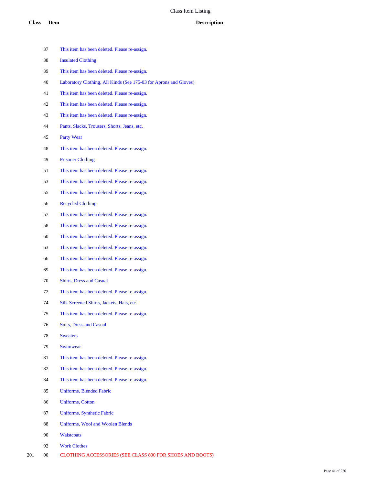This item has been deleted. Please re-assign. Insulated Clothing This item has been deleted. Please re-assign. Laboratory Clothing, All Kinds (See 175-03 for Aprons and Gloves) This item has been deleted. Please re-assign. This item has been deleted. Please re-assign. This item has been deleted. Please re-assign. Pants, Slacks, Trousers, Shorts, Jeans, etc. Party Wear This item has been deleted. Please re-assign. Prisoner Clothing This item has been deleted. Please re-assign. This item has been deleted. Please re-assign. This item has been deleted. Please re-assign. Recycled Clothing This item has been deleted. Please re-assign. This item has been deleted. Please re-assign. This item has been deleted. Please re-assign. This item has been deleted. Please re-assign. This item has been deleted. Please re-assign. This item has been deleted. Please re-assign. Shirts, Dress and Casual This item has been deleted. Please re-assign. Silk Screened Shirts, Jackets, Hats, etc. This item has been deleted. Please re-assign. Suits, Dress and Casual Sweaters Swimwear This item has been deleted. Please re-assign. This item has been deleted. Please re-assign. This item has been deleted. Please re-assign. Uniforms, Blended Fabric Uniforms, Cotton Uniforms, Synthetic Fabric Uniforms, Wool and Woolen Blends Waistcoats Work Clothes 00 CLOTHING ACCESSORIES (SEE CLASS 800 FOR SHOES AND BOOTS)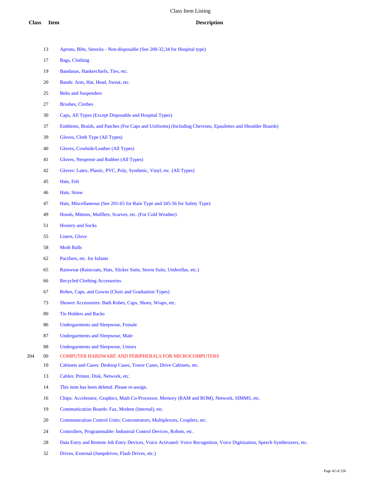- Aprons, Bibs, Smocks Non-disposable (See 200-32,34 for Hospital type)
- Bags, Clothing
- Bandanas, Hankerchiefs, Ties, etc.
- Bands: Arm, Hat, Head, Sweat, etc.
- Belts and Suspenders
- Brushes, Clothes
- Caps, All Types (Except Disposable and Hospital Types)
- Emblems, Braids, and Patches (For Caps and Uniforms) (Including Chevrons, Epaulettes and Shoulder Boards)
- Gloves, Cloth Type (All Types)
- Gloves, Cowhide/Leather (All Types)
- Gloves, Neoprene and Rubber (All Types)
- Gloves: Latex, Plastic, PVC, Poly, Synthetic, Vinyl, etc. (All Types)
- Hats, Felt
- Hats, Straw
- Hats, Miscellaneous (See 201-65 for Rain Type and 345-56 for Safety Type)
- Hoods, Mittens, Mufflers, Scarves, etc. (For Cold Weather)
- Hosiery and Socks
- Liners, Glove
- Moth Balls
- Pacifiers, etc. for Infants
- Rainwear (Raincoats, Hats, Slicker Suits, Storm Suits, Umbrellas, etc.)
- Recycled Clothing Accessories
- Robes, Caps, and Gowns (Choir and Graduation Types)
- Shower Accessories: Bath Robes, Caps, Shoes, Wraps, etc.
- Tie Holders and Racks
- Undergarments and Sleepwear, Female
- Undergarments and Sleepwear, Male
- Undergarments and Sleepwear, Unisex
- 00 COMPUTER HARDWARE AND PERIPHERALS FOR MICROCOMPUTERS
	- Cabinets and Cases: Desktop Cases, Tower Cases, Drive Cabinets, etc.
	- Cables: Printer, Disk, Network, etc.
	- This item has been deleted. Please re-assign.
	- Chips: Accelerator, Graphics, Math Co-Processor, Memory (RAM and ROM), Network, SIMMS, etc.
	- Communication Boards: Fax, Modem (Internal), etc.
	- 20 Communication Control Units: Concentrators, Multiplexors, Couplers, etc.
	- Controllers, Programmable: Industrial Control Devices, Robots, etc.
	- Data Entry and Remote Job Entry Devices, Voice Activated: Voice Recognition, Voice Digitization, Speech Synthesizers, etc.
	- Drives, External (Jumpdrives, Flash Drives, etc.)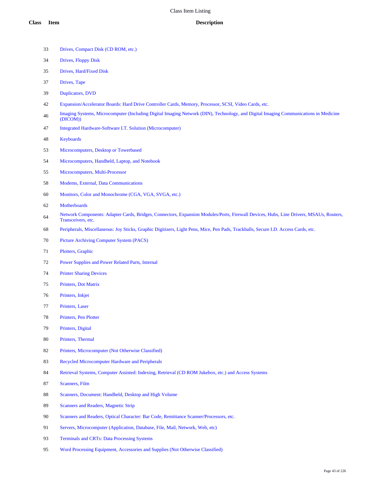- Drives, Compact Disk (CD ROM, etc.)
- Drives, Floppy Disk
- Drives, Hard/Fixed Disk
- Drives, Tape
- Duplicators, DVD
- Expansion/Accelerator Boards: Hard Drive Controller Cards, Memory, Processor, SCSI, Video Cards, etc.
- Imaging Systems, Microcomputer (Including Digital Imaging Network (DIN), Technology, and Digital Imaging Communications in Medicine (DICOM))
- Integrated Hardware-Software I.T. Solution (Microcomputer)
- Keyboards
- Microcomputers, Desktop or Towerbased
- Microcomputers, Handheld, Laptop, and Notebook
- Microcomputers, Multi-Processor
- Modems, External, Data Communications
- Monitors, Color and Monochrome (CGA, VGA, SVGA, etc.)
- Motherboards
- Network Components: Adapter Cards, Bridges, Connectors, Expansion Modules/Ports, Firewall Devices, Hubs, Line Drivers, MSAUs, Routers, Transceivers, etc.
- Peripherals, Miscellaneous: Joy Sticks, Graphic Digitizers, Light Pens, Mice, Pen Pads, Trackballs, Secure I.D. Access Cards, etc.
- Picture Archiving Computer System (PACS)
- Plotters, Graphic
- Power Supplies and Power Related Parts, Internal
- Printer Sharing Devices
- Printers, Dot Matrix
- Printers, Inkjet
- Printers, Laser
- Printers, Pen Plotter
- Printers, Digital
- Printers, Thermal
- Printers, Microcomputer (Not Otherwise Classified)
- Recycled Microcomputer Hardware and Peripherals
- Retrieval Systems, Computer Assisted: Indexing, Retrieval (CD ROM Jukebox, etc.) and Access Systems
- Scanners, Film
- 88 Scanners, Document: Handheld, Desktop and High Volume
- Scanners and Readers, Magnetic Strip
- Scanners and Readers, Optical Character: Bar Code, Remittance Scanner/Processors, etc.
- Servers, Microcomputer (Application, Database, File, Mail, Network, Web, etc)
- Terminals and CRTs: Data Processing Systems
- Word Processing Equipment, Accessories and Supplies (Not Otherwise Classified)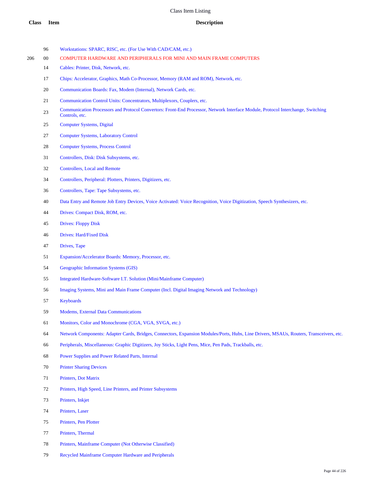- 96 Workstations: SPARC, RISC, etc. (For Use With CAD/CAM, etc.)
- 00 COMPUTER HARDWARE AND PERIPHERALS FOR MINI AND MAIN FRAME COMPUTERS
	- Cables: Printer, Disk, Network, etc.
	- Chips: Accelerator, Graphics, Math Co-Processor, Memory (RAM and ROM), Network, etc.
	- Communication Boards: Fax, Modem (Internal), Network Cards, etc.
	- 21 Communication Control Units: Concentrators, Multiplexors, Couplers, etc.
	- 23 Communication Processors and Protocol Convertors: Front-End Processor, Network Interface Module, Protocol Interchange, Switching Controls, etc.
	- Computer Systems, Digital
	- Computer Systems, Laboratory Control
	- Computer Systems, Process Control
	- Controllers, Disk: Disk Subsystems, etc.
	- Controllers, Local and Remote
	- Controllers, Peripheral: Plotters, Printers, Digitizers, etc.
	- Controllers, Tape: Tape Subsystems, etc.
	- Data Entry and Remote Job Entry Devices, Voice Activated: Voice Recognition, Voice Digitization, Speech Synthesizers, etc.
	- Drives: Compact Disk, ROM, etc.
	- Drives: Floppy Disk
	- Drives: Hard/Fixed Disk
	- Drives, Tape
	- Expansion/Accelerator Boards: Memory, Processor, etc.
	- Geographic Information Systems (GIS)
	- Integrated Hardware-Software I.T. Solution (Mini/Mainframe Computer)
	- Imaging Systems, Mini and Main Frame Computer (Incl. Digital Imaging Network and Technology)
	- Keyboards
	- Modems, External Data Communications
	- Monitors, Color and Monochrome (CGA, VGA, SVGA, etc.)
	- Network Components: Adapter Cards, Bridges, Connectors, Expansion Modules/Ports, Hubs, Line Drivers, MSAUs, Routers, Transceivers, etc.
	- Peripherals, Miscellaneous: Graphic Digitizers, Joy Sticks, Light Pens, Mice, Pen Pads, Trackballs, etc.
	- Power Supplies and Power Related Parts, Internal
	- Printer Sharing Devices
	- Printers, Dot Matrix
	- Printers, High Speed, Line Printers, and Printer Subsystems
	- Printers, Inkjet
	- Printers, Laser
	- Printers, Pen Plotter
	- Printers, Thermal
	- Printers, Mainframe Computer (Not Otherwise Classified)
	- Recycled Mainframe Computer Hardware and Peripherals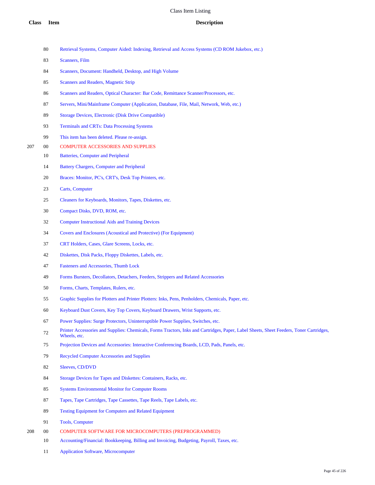- Retrieval Systems, Computer Aided: Indexing, Retrieval and Access Systems (CD ROM Jukebox, etc.)
- Scanners, Film
- Scanners, Document: Handheld, Desktop, and High Volume
- Scanners and Readers, Magnetic Strip
- 86 Scanners and Readers, Optical Character: Bar Code, Remittance Scanner/Processors, etc.
- Servers, Mini/Mainframe Computer (Application, Database, File, Mail, Network, Web, etc.)
- Storage Devices, Electronic (Disk Drive Compatible)
- Terminals and CRTs: Data Processing Systems
- This item has been deleted. Please re-assign.
- 00 COMPUTER ACCESSORIES AND SUPPLIES
	- Batteries, Computer and Peripheral
	- Battery Chargers, Computer and Peripheral
	- Braces: Monitor, PC's, CRT's, Desk Top Printers, etc.
	- Carts, Computer
	- Cleaners for Keyboards, Monitors, Tapes, Diskettes, etc.
	- Compact Disks, DVD, ROM, etc.
	- Computer Instructional Aids and Training Devices
	- Covers and Enclosures (Acoustical and Protective) (For Equipment)
	- CRT Holders, Cases, Glare Screens, Locks, etc.
	- Diskettes, Disk Packs, Floppy Diskettes, Labels, etc.
	- Fasteners and Accessories, Thumb Lock
	- Forms Bursters, Decollators, Detachers, Feeders, Strippers and Related Accessories
	- Forms, Charts, Templates, Rulers, etc.
	- Graphic Supplies for Plotters and Printer Plotters: Inks, Pens, Penholders, Chemicals, Paper, etc.
	- Keyboard Dust Covers, Key Top Covers, Keyboard Drawers, Wrist Supports, etc.
	- Power Supplies: Surge Protectors, Uninterruptible Power Supplies, Switches, etc.
	- Printer Accessories and Supplies: Chemicals, Forms Tractors, Inks and Cartridges, Paper, Label Sheets, Sheet Feeders, Toner Cartridges, Wheels, etc.
	- Projection Devices and Accessories: Interactive Conferencing Boards, LCD, Pads, Panels, etc.
	- Recycled Computer Accessories and Supplies
	- Sleeves, CD/DVD
	- Storage Devices for Tapes and Diskettes: Containers, Racks, etc.
	- Systems Environmental Monitor for Computer Rooms
	- Tapes, Tape Cartridges, Tape Cassettes, Tape Reels, Tape Labels, etc.
	- Testing Equipment for Computers and Related Equipment
	- Tools, Computer
- 00 COMPUTER SOFTWARE FOR MICROCOMPUTERS (PREPROGRAMMED)
	- Accounting/Financial: Bookkeeping, Billing and Invoicing, Budgeting, Payroll, Taxes, etc.
	- Application Software, Microcomputer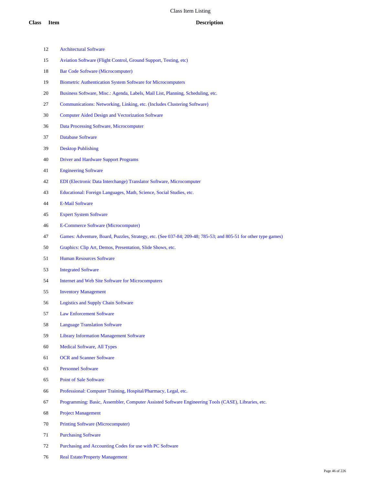- Architectural Software
- Aviation Software (Flight Control, Ground Support, Testing, etc)
- Bar Code Software (Microcomputer)
- Biometric Authentication System Software for Microcomputers
- Business Software, Misc.: Agenda, Labels, Mail List, Planning, Scheduling, etc.
- Communications: Networking, Linking, etc. (Includes Clustering Software)
- Computer Aided Design and Vectorization Software
- Data Processing Software, Microcomputer
- Database Software
- Desktop Publishing
- Driver and Hardware Support Programs
- Engineering Software
- EDI (Electronic Data Interchange) Translator Software, Microcomputer
- Educational: Foreign Languages, Math, Science, Social Studies, etc.
- E-Mail Software
- Expert System Software
- E-Commerce Software (Microcomputer)
- Games: Adventure, Board, Puzzles, Strategy, etc. (See 037-84; 209-48; 785-53; and 805-51 for other type games)
- Graphics: Clip Art, Demos, Presentation, Slide Shows, etc.
- Human Resources Software
- Integrated Software
- Internet and Web Site Software for Microcomputers
- Inventory Management
- Logistics and Supply Chain Software
- Law Enforcement Software
- Language Translation Software
- Library Information Management Software
- Medical Software, All Types
- OCR and Scanner Software
- Personnel Software
- Point of Sale Software
- Professional: Computer Training, Hospital/Pharmacy, Legal, etc.
- Programming: Basic, Assembler, Computer Assisted Software Engineering Tools (CASE), Libraries, etc.
- Project Management
- Printing Software (Microcomputer)
- Purchasing Software
- Purchasing and Accounting Codes for use with PC Software
- Real Estate/Property Management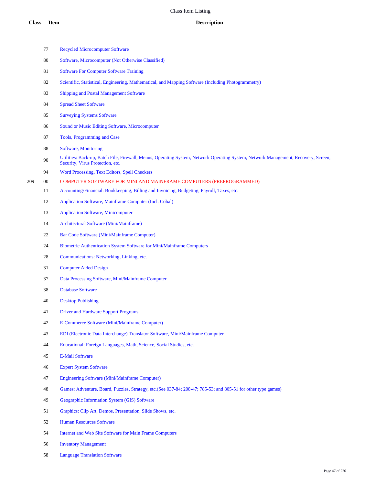|     | 77 | <b>Recycled Microcomputer Software</b>                                                                                                                                 |
|-----|----|------------------------------------------------------------------------------------------------------------------------------------------------------------------------|
|     | 80 | Software, Microcomputer (Not Otherwise Classified)                                                                                                                     |
|     | 81 | <b>Software For Computer Software Training</b>                                                                                                                         |
|     | 82 | Scientific, Statistical, Engineering, Mathematical, and Mapping Software (Including Photogrammetry)                                                                    |
|     | 83 | Shipping and Postal Management Software                                                                                                                                |
|     | 84 | <b>Spread Sheet Software</b>                                                                                                                                           |
|     | 85 | <b>Surveying Systems Software</b>                                                                                                                                      |
|     | 86 | Sound or Music Editing Software, Microcomputer                                                                                                                         |
|     | 87 | Tools, Programming and Case                                                                                                                                            |
|     | 88 | Software, Monitoring                                                                                                                                                   |
|     | 90 | Utilities: Back-up, Batch File, Firewall, Menus, Operating System, Network Operating System, Network Management, Recovery, Screen,<br>Security, Virus Protection, etc. |
|     | 94 | Word Processing, Text Editors, Spell Checkers                                                                                                                          |
| 209 | 00 | COMPUTER SOFTWARE FOR MINI AND MAINFRAME COMPUTERS (PREPROGRAMMED)                                                                                                     |
|     | 11 | Accounting/Financial: Bookkeeping, Billing and Invoicing, Budgeting, Payroll, Taxes, etc.                                                                              |
|     | 12 | Application Software, Mainframe Computer (Incl. Cobal)                                                                                                                 |
|     | 13 | <b>Application Software, Minicomputer</b>                                                                                                                              |
|     | 14 | Architectural Software (Mini/Mainframe)                                                                                                                                |
|     | 22 | Bar Code Software (Mini/Mainframe Computer)                                                                                                                            |
|     | 24 | Biometric Authentication System Software for Mini/Mainframe Computers                                                                                                  |
|     | 28 | Communications: Networking, Linking, etc.                                                                                                                              |
|     | 31 | <b>Computer Aided Design</b>                                                                                                                                           |
|     | 37 | Data Processing Software, Mini/Mainframe Computer                                                                                                                      |
|     | 38 | <b>Database Software</b>                                                                                                                                               |
|     | 40 | <b>Desktop Publishing</b>                                                                                                                                              |
|     | 41 | <b>Driver and Hardware Support Programs</b>                                                                                                                            |
|     | 42 | E-Commerce Software (Mini/Mainframe Computer)                                                                                                                          |
|     | 43 | EDI (Electronic Data Interchange) Translator Software, Mini/Mainframe Computer                                                                                         |
|     | 44 | Educational: Foreign Languages, Math, Science, Social Studies, etc.                                                                                                    |
|     | 45 | <b>E-Mail Software</b>                                                                                                                                                 |
|     | 46 | <b>Expert System Software</b>                                                                                                                                          |
|     | 47 | <b>Engineering Software (Mini/Mainframe Computer)</b>                                                                                                                  |
|     | 48 | Games: Adventure, Board, Puzzles, Strategy, etc.(See 037-84; 208-47; 785-53; and 805-51 for other type games)                                                          |
|     | 49 | Geographic Information System (GIS) Software                                                                                                                           |
|     | 51 | Graphics: Clip Art, Demos, Presentation, Slide Shows, etc.                                                                                                             |
|     | 52 | <b>Human Resources Software</b>                                                                                                                                        |
|     | 54 | Internet and Web Site Software for Main Frame Computers                                                                                                                |
|     | 56 | <b>Inventory Management</b>                                                                                                                                            |
|     | 58 | <b>Language Translation Software</b>                                                                                                                                   |
|     |    |                                                                                                                                                                        |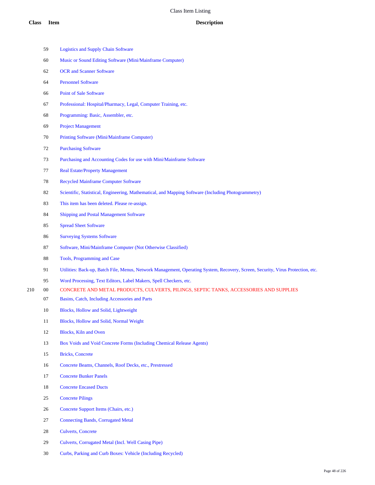|     | 59     | <b>Logistics and Supply Chain Software</b>                                                                                      |
|-----|--------|---------------------------------------------------------------------------------------------------------------------------------|
|     | 60     | Music or Sound Editing Software (Mini/Mainframe Computer)                                                                       |
|     | 62     | <b>OCR</b> and Scanner Software                                                                                                 |
|     | 64     | <b>Personnel Software</b>                                                                                                       |
|     | 66     | Point of Sale Software                                                                                                          |
|     | 67     | Professional: Hospital/Pharmacy, Legal, Computer Training, etc.                                                                 |
|     | 68     | Programming: Basic, Assembler, etc.                                                                                             |
|     | 69     | <b>Project Management</b>                                                                                                       |
|     | 70     | Printing Software (Mini/Mainframe Computer)                                                                                     |
|     | 72     | <b>Purchasing Software</b>                                                                                                      |
|     | 73     | Purchasing and Accounting Codes for use with Mini/Mainframe Software                                                            |
|     | 77     | <b>Real Estate/Property Management</b>                                                                                          |
|     | 78     | <b>Recycled Mainframe Computer Software</b>                                                                                     |
|     | 82     | Scientific, Statistical, Engineering, Mathematical, and Mapping Software (Including Photogrammetry)                             |
|     | 83     | This item has been deleted. Please re-assign.                                                                                   |
|     | 84     | Shipping and Postal Management Software                                                                                         |
|     | 85     | <b>Spread Sheet Software</b>                                                                                                    |
|     | 86     | <b>Surveying Systems Software</b>                                                                                               |
|     | 87     | Software, Mini/Mainframe Computer (Not Otherwise Classified)                                                                    |
|     | 88     | Tools, Programming and Case                                                                                                     |
|     | 91     | Utilities: Back-up, Batch File, Menus, Network Management, Operating System, Recovery, Screen, Security, Virus Protection, etc. |
|     | 95     | Word Processing, Text Editors, Label Makers, Spell Checkers, etc.                                                               |
| 210 | $00\,$ | CONCRETE AND METAL PRODUCTS, CULVERTS, PILINGS, SEPTIC TANKS, ACCESSORIES AND SUPPLIES                                          |
|     | 07     | Basins, Catch, Including Accessories and Parts                                                                                  |
|     | 10     | Blocks, Hollow and Solid, Lightweight                                                                                           |
|     | 11     | Blocks, Hollow and Solid, Normal Weight                                                                                         |
|     | 12     | <b>Blocks, Kiln and Oven</b>                                                                                                    |
|     | 13     | Box Voids and Void Concrete Forms (Including Chemical Release Agents)                                                           |
|     | 15     | <b>Bricks, Concrete</b>                                                                                                         |
|     | 16     | Concrete Beams, Channels, Roof Decks, etc., Prestressed                                                                         |
|     | 17     | <b>Concrete Bunker Panels</b>                                                                                                   |
|     | 18     | <b>Concrete Encased Ducts</b>                                                                                                   |
|     | 25     | <b>Concrete Pilings</b>                                                                                                         |
|     | 26     | Concrete Support Items (Chairs, etc.)                                                                                           |
|     | 27     | <b>Connecting Bands, Corrugated Metal</b>                                                                                       |
|     | $28\,$ | <b>Culverts, Concrete</b>                                                                                                       |
|     |        |                                                                                                                                 |

- Culverts, Corrugated Metal (Incl. Well Casing Pipe)
- Curbs, Parking and Curb Boxes: Vehicle (Including Recycled)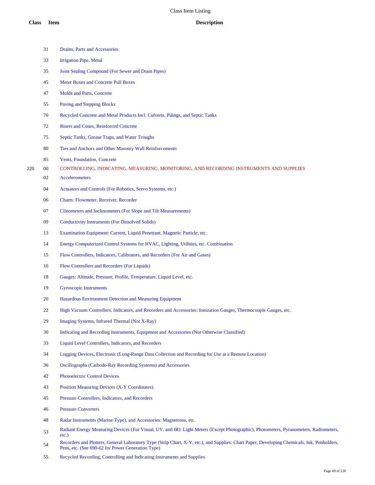|     | 31     | Drains, Parts and Accessories                                                                                                                                                                    |
|-----|--------|--------------------------------------------------------------------------------------------------------------------------------------------------------------------------------------------------|
|     | 33     | <b>Irrigation Pipe, Metal</b>                                                                                                                                                                    |
|     | 35     | Joint Sealing Compound (For Sewer and Drain Pipes)                                                                                                                                               |
|     | 45     | <b>Meter Boxes and Concrete Pull Boxes</b>                                                                                                                                                       |
|     | 47     | Molds and Parts, Concrete                                                                                                                                                                        |
|     | 55     | <b>Paving and Stepping Blocks</b>                                                                                                                                                                |
|     | 70     | Recycled Concrete and Metal Products Incl. Culverts, Pilings, and Septic Tanks                                                                                                                   |
|     | 72     | <b>Risers and Cones, Reinforced Concrete</b>                                                                                                                                                     |
|     | 75     | Septic Tanks, Grease Traps, and Water Troughs                                                                                                                                                    |
|     | 80     | Ties and Anchors and Other Masonry Wall Reinforcements                                                                                                                                           |
|     | 85     | <b>Vents, Foundation, Concrete</b>                                                                                                                                                               |
| 220 | $00\,$ | CONTROLLING, INDICATING, MEASURING, MONITORING, AND RECORDING INSTRUMENTS AND SUPPLIES                                                                                                           |
|     | 02     | <b>Accelerometers</b>                                                                                                                                                                            |
|     | 04     | Actuators and Controls (For Robotics, Servo Systems, etc.)                                                                                                                                       |
|     | 06     | Charts: Flowmeter, Receiver, Recorder                                                                                                                                                            |
|     | 07     | Clinometers and Inclinometers (For Slope and Tilt Measurements)                                                                                                                                  |
|     | 09     | <b>Conductivity Instruments (For Dissolved Solids)</b>                                                                                                                                           |
|     | 13     | Examination Equipment: Current, Liquid Penetrant, Magnetic Particle, etc.                                                                                                                        |
|     | 14     | Energy Computerized Control Systems for HVAC, Lighting, Utilities, etc. Combination                                                                                                              |
|     | 15     | Flow Controllers, Indicators, Calibrators, and Recorders (For Air and Gases)                                                                                                                     |
|     | 16     | Flow Controllers and Recorders (For Liquids)                                                                                                                                                     |
|     | 18     | Gauges: Altitude, Pressure, Profile, Temperature, Liquid Level, etc.                                                                                                                             |
|     | 19     | <b>Gyroscopic Instruments</b>                                                                                                                                                                    |
|     | 20     | Hazardous Environment Detection and Measuring Equipment                                                                                                                                          |
|     | 22     | High Vacuum Controllers, Indicators, and Recorders and Accessories: Ionization Gauges, Thermocouple Gauges, etc.                                                                                 |
|     | 29     | Imaging Systems, Infrared Thermal (Not X-Ray)                                                                                                                                                    |
|     | 30     | Indicating and Recording Instruments, Equipment and Accessories (Not Otherwise Classified)                                                                                                       |
|     | 33     | Liquid Level Controllers, Indicators, and Recorders                                                                                                                                              |
|     | 34     | Logging Devices, Electronic (Long-Range Data Collection and Recording for Use at a Remote Location)                                                                                              |
|     | 36     | Oscillographs (Cathode-Ray Recording Systems) and Accessories                                                                                                                                    |
|     | $42\,$ | <b>Photoelectric Control Devices</b>                                                                                                                                                             |
|     | 43     | <b>Position Measuring Devices (X-Y Coordinates)</b>                                                                                                                                              |
|     | 45     | Pressure Controllers, Indicators, and Recorders                                                                                                                                                  |
|     | 46     | <b>Pressure Converters</b>                                                                                                                                                                       |
|     | 48     | Radar Instruments (Marine Type), and Accessories: Magnetrons, etc.                                                                                                                               |
|     | 53     | Radiant Energy Measuring Devices (For Visual, UV, and IR): Light Meters (Except Photographic), Photometers, Pyranometers, Radiometers,<br>$etc.$ )                                               |
|     | 54     | Recorders and Plotters, General Laboratory Type (Strip Chart, X-Y, etc.), and Supplies: Chart Paper, Developing Chemicals, Ink, Penholders,<br>Pens, etc. (See 690-62 for Power Generation Type) |
|     |        |                                                                                                                                                                                                  |

Recycled Recording, Controlling and Indicating Instruments and Supplies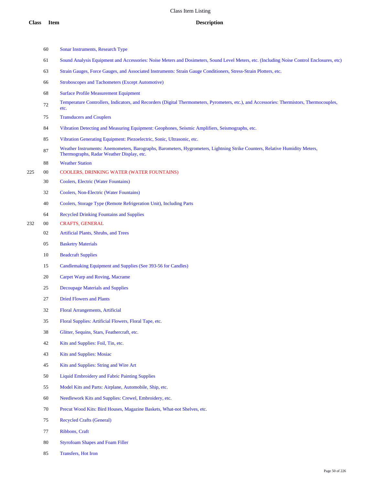|     | 60     | Sonar Instruments, Research Type                                                                                                                                         |
|-----|--------|--------------------------------------------------------------------------------------------------------------------------------------------------------------------------|
|     | 61     | Sound Analysis Equipment and Accessories: Noise Meters and Dosimeters, Sound Level Meters, etc. (Including Noise Control Enclosures, etc)                                |
|     | 63     | Strain Gauges, Force Gauges, and Associated Instruments: Strain Gauge Conditioners, Stress-Strain Plotters, etc.                                                         |
|     | 66     | <b>Stroboscopes and Tachometers (Except Automotive)</b>                                                                                                                  |
|     | 68     | <b>Surface Profile Measurement Equipment</b>                                                                                                                             |
|     | 72     | Temperature Controllers, Indicators, and Recorders (Digital Thermometers, Pyrometers, etc.), and Accessories: Thermistors, Thermocouples,<br>etc.                        |
|     | 75     | <b>Transducers and Couplers</b>                                                                                                                                          |
|     | 84     | Vibration Detecting and Measuring Equipment: Geophones, Seismic Amplifiers, Seismographs, etc.                                                                           |
|     | 85     | Vibration Generating Equipment: Piezoelectric, Sonic, Ultrasonic, etc.                                                                                                   |
|     | 87     | Weather Instruments: Anemometers, Barographs, Barometers, Hygrometers, Lightning Strike Counters, Relative Humidity Meters,<br>Thermographs, Radar Weather Display, etc. |
|     | 88     | <b>Weather Station</b>                                                                                                                                                   |
| 225 | $00\,$ | COOLERS, DRINKING WATER (WATER FOUNTAINS)                                                                                                                                |
|     | 30     | Coolers, Electric (Water Fountains)                                                                                                                                      |
|     | 32     | Coolers, Non-Electric (Water Fountains)                                                                                                                                  |
|     | 40     | Coolers, Storage Type (Remote Refrigeration Unit), Including Parts                                                                                                       |
|     | 64     | <b>Recycled Drinking Fountains and Supplies</b>                                                                                                                          |
| 232 | $00\,$ | <b>CRAFTS, GENERAL</b>                                                                                                                                                   |
|     | 02     | Artificial Plants, Shrubs, and Trees                                                                                                                                     |
|     | 05     | <b>Basketry Materials</b>                                                                                                                                                |
|     | 10     | <b>Beadcraft Supplies</b>                                                                                                                                                |
|     | 15     | Candlemaking Equipment and Supplies (See 393-56 for Candles)                                                                                                             |
|     | 20     | Carpet Warp and Roving, Macrame                                                                                                                                          |
|     | 25     | <b>Decoupage Materials and Supplies</b>                                                                                                                                  |
|     | 27     | <b>Dried Flowers and Plants</b>                                                                                                                                          |
|     | 32     | Floral Arrangements, Artificial                                                                                                                                          |
|     | 35     | Floral Supplies: Artificial Flowers, Floral Tape, etc.                                                                                                                   |
|     | 38     | Glitter, Sequins, Stars, Feathercraft, etc.                                                                                                                              |
|     | 42     | Kits and Supplies: Foil, Tin, etc.                                                                                                                                       |
|     | 43     | <b>Kits and Supplies: Mosiac</b>                                                                                                                                         |
|     | 45     | Kits and Supplies: String and Wire Art                                                                                                                                   |
|     | 50     | <b>Liquid Embroidery and Fabric Painting Supplies</b>                                                                                                                    |
|     | 55     | Model Kits and Parts: Airplane, Automobile, Ship, etc.                                                                                                                   |
|     | 60     | Needlework Kits and Supplies: Crewel, Embroidery, etc.                                                                                                                   |
|     | 70     | Precut Wood Kits: Bird Houses, Magazine Baskets, What-not Shelves, etc.                                                                                                  |
|     |        |                                                                                                                                                                          |

- Recycled Crafts (General)
- Ribbons, Craft
- Styrofoam Shapes and Foam Filler
- Transfers, Hot Iron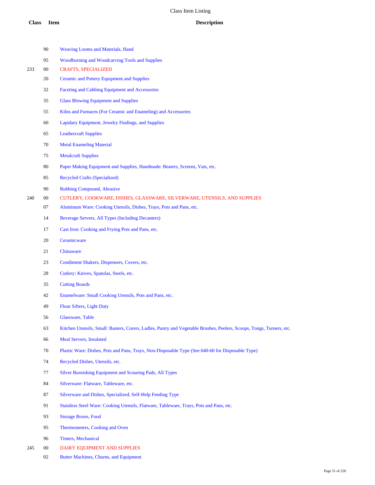|     | 90     | <b>Weaving Looms and Materials, Hand</b>                                                                              |
|-----|--------|-----------------------------------------------------------------------------------------------------------------------|
|     | 95     | Woodburning and Woodcarving Tools and Supplies                                                                        |
| 233 | 00     | <b>CRAFTS, SPECIALIZED</b>                                                                                            |
|     | 20     | <b>Ceramic and Pottery Equipment and Supplies</b>                                                                     |
|     | 32     | Faceting and Cabbing Equipment and Accessories                                                                        |
|     | 35     | <b>Glass Blowing Equipment and Supplies</b>                                                                           |
|     | 55     | Kilns and Furnaces (For Ceramic and Enameling) and Accessories                                                        |
|     | 60     | Lapidary Equipment, Jewelry Findings, and Supplies                                                                    |
|     | 65     | <b>Leathercraft Supplies</b>                                                                                          |
|     | 70     | <b>Metal Enameling Material</b>                                                                                       |
|     | 75     | <b>Metalcraft Supplies</b>                                                                                            |
|     | 80     | Paper Making Equipment and Supplies, Handmade: Beaters, Screens, Vats, etc.                                           |
|     | 85     | <b>Recycled Crafts (Specialized)</b>                                                                                  |
|     | 90     | <b>Rubbing Compound, Abrasive</b>                                                                                     |
| 240 | $00\,$ | CUTLERY, COOKWARE, DISHES, GLASSWARE, SILVERWARE, UTENSILS, AND SUPPLIES                                              |
|     | 07     | Aluminum Ware: Cooking Utensils, Dishes, Trays, Pots and Pans, etc.                                                   |
|     | 14     | Beverage Servers, All Types (Including Decanters)                                                                     |
|     | 17     | Cast Iron: Cooking and Frying Pots and Pans, etc.                                                                     |
|     | 20     | Ceramicware                                                                                                           |
|     | 21     | Chinaware                                                                                                             |
|     | 23     | Condiment Shakers, Dispensers, Covers, etc.                                                                           |
|     | 28     | Cutlery: Knives, Spatulas, Steels, etc.                                                                               |
|     | 35     | <b>Cutting Boards</b>                                                                                                 |
|     | 42     | Enamelware: Small Cooking Utensils, Pots and Pans, etc.                                                               |
|     | 49     | Flour Sifters, Light Duty                                                                                             |
|     | 56     | Glassware, Table                                                                                                      |
|     | 63     | Kitchen Utensils, Small: Basters, Corers, Ladles, Pastry and Vegetable Brushes, Peelers, Scoops, Tongs, Turners, etc. |
|     | 66     | <b>Meal Servers, Insulated</b>                                                                                        |
|     | 70     | Plastic Ware: Dishes, Pots and Pans, Trays, Non-Disposable Type (See 640-60 for Disposable Type)                      |
|     | 74     | Recycled Dishes, Utensils, etc.                                                                                       |
|     | 77     | Silver Burnishing Equipment and Scouring Pads, All Types                                                              |
|     | 84     | Silverware: Flatware, Tableware, etc.                                                                                 |
|     | 87     | Silverware and Dishes, Specialized, Self-Help Feeding Type                                                            |
|     | 91     | Stainless Steel Ware: Cooking Utensils, Flatware, Tableware, Trays, Pots and Pans, etc.                               |
|     | 93     | <b>Storage Boxes, Food</b>                                                                                            |
|     | 95     | Thermometers, Cooking and Oven                                                                                        |
|     | 96     | <b>Timers, Mechanical</b>                                                                                             |
| 245 | $00\,$ | DAIRY EQUIPMENT AND SUPPLIES                                                                                          |
|     |        |                                                                                                                       |

Butter Machines, Churns, and Equipment

Page 51 of 226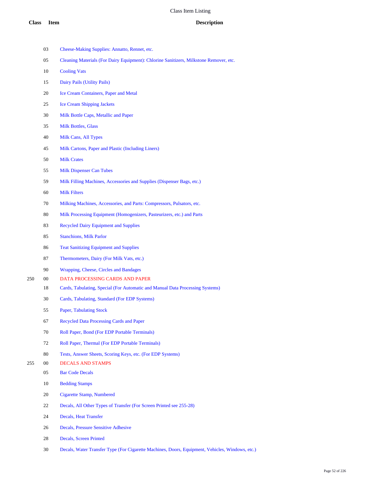|     | 03     | Cheese-Making Supplies: Annatto, Rennet, etc.                                                   |
|-----|--------|-------------------------------------------------------------------------------------------------|
|     | 05     | Cleaning Materials (For Dairy Equipment): Chlorine Sanitizers, Milkstone Remover, etc.          |
|     | 10     | <b>Cooling Vats</b>                                                                             |
|     | 15     | Dairy Pails (Utility Pails)                                                                     |
|     | 20     | Ice Cream Containers, Paper and Metal                                                           |
|     | 25     | <b>Ice Cream Shipping Jackets</b>                                                               |
|     | 30     | Milk Bottle Caps, Metallic and Paper                                                            |
|     | 35     | <b>Milk Bottles, Glass</b>                                                                      |
|     | 40     | Milk Cans, All Types                                                                            |
|     | 45     | Milk Cartons, Paper and Plastic (Including Liners)                                              |
|     | 50     | <b>Milk Crates</b>                                                                              |
|     | 55     | <b>Milk Dispenser Can Tubes</b>                                                                 |
|     | 59     | Milk Filling Machines, Accessories and Supplies (Dispenser Bags, etc.)                          |
|     | 60     | <b>Milk Filters</b>                                                                             |
|     | 70     | Milking Machines, Accessories, and Parts: Compressors, Pulsators, etc.                          |
|     | 80     | Milk Processing Equipment (Homogenizers, Pasteurizers, etc.) and Parts                          |
|     | 83     | <b>Recycled Dairy Equipment and Supplies</b>                                                    |
|     | 85     | <b>Stanchions, Milk Parlor</b>                                                                  |
|     | 86     | <b>Teat Sanitizing Equipment and Supplies</b>                                                   |
|     | 87     | Thermometers, Dairy (For Milk Vats, etc.)                                                       |
|     | 90     | Wrapping, Cheese, Circles and Bandages                                                          |
| 250 | $00\,$ | DATA PROCESSING CARDS AND PAPER                                                                 |
|     | 18     | Cards, Tabulating, Special (For Automatic and Manual Data Processing Systems)                   |
|     | 30     | Cards, Tabulating, Standard (For EDP Systems)                                                   |
|     | 55     | Paper, Tabulating Stock                                                                         |
|     | 67     | <b>Recycled Data Processing Cards and Paper</b>                                                 |
|     | 70     | Roll Paper, Bond (For EDP Portable Terminals)                                                   |
|     | 72     | Roll Paper, Thermal (For EDP Portable Terminals)                                                |
|     | 80     | Tests, Answer Sheets, Scoring Keys, etc. (For EDP Systems)                                      |
| 255 | $00\,$ | <b>DECALS AND STAMPS</b>                                                                        |
|     | 05     | <b>Bar Code Decals</b>                                                                          |
|     | 10     | <b>Bedding Stamps</b>                                                                           |
|     | 20     | <b>Cigarette Stamp, Numbered</b>                                                                |
|     | 22     | Decals, All Other Types of Transfer (For Screen Printed see 255-28)                             |
|     | 24     | <b>Decals, Heat Transfer</b>                                                                    |
|     | 26     | Decals, Pressure Sensitive Adhesive                                                             |
|     | 28     | Decals, Screen Printed                                                                          |
|     | 30     | Decals, Water Transfer Type (For Cigarette Machines, Doors, Equipment, Vehicles, Windows, etc.) |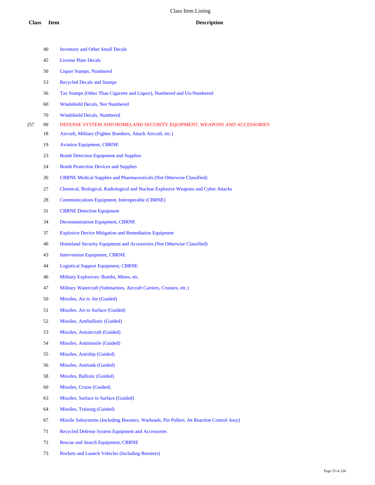|     | 40     | <b>Inventory and Other Small Decals</b>                                                   |
|-----|--------|-------------------------------------------------------------------------------------------|
|     | 45     | <b>License Plate Decals</b>                                                               |
|     | 50     | <b>Liquor Stamps, Numbered</b>                                                            |
|     | 53     | <b>Recycled Decals and Stamps</b>                                                         |
|     | 56     | Tax Stamps (Other Than Cigarette and Liquor), Numbered and Un-Numbered                    |
|     | 60     | <b>Windshield Decals, Not Numbered</b>                                                    |
|     | 70     | <b>Windshield Decals, Numbered</b>                                                        |
| 257 | 00     | DEFENSE SYSTEM AND HOMELAND SECURITY EQUIPMENT, WEAPONS AND ACCESSORIES                   |
|     | 18     | Aircraft, Military (Fighter Bombers, Attack Aircraft, etc.)                               |
|     | 19     | <b>Aviation Equipment, CBRNE</b>                                                          |
|     | 23     | <b>Bomb Detection Equipment and Supplies</b>                                              |
|     | 24     | <b>Bomb Protection Devices and Supplies</b>                                               |
|     | 26     | <b>CBRNE Medical Supplies and Pharmaceuticals (Not Otherwise Classified)</b>              |
|     | 27     | Chemical, Biological, Radiological and Nuclear Explosive Weapons and Cyber Attacks        |
|     | 28     | Communications Equipment, Interoperable (CBRNE)                                           |
|     | 31     | <b>CBRNE</b> Detection Equipment                                                          |
|     | 34     | <b>Decontamination Equipment, CBRNE</b>                                                   |
|     | 37     | <b>Explosive Device Mitigation and Remediation Equipment</b>                              |
|     | 40     | Homeland Security Equipment and Accessories (Not Otherwise Classified)                    |
|     | 43     | <b>Intervention Equipment, CBRNE</b>                                                      |
|     | 44     | <b>Logistical Support Equipment, CBRNE</b>                                                |
|     | 46     | Military Explosives: Bombs, Mines, etc.                                                   |
|     | 47     | Military Watercraft (Submarines, Aircraft Carriers, Cruisers, etc.)                       |
|     | 50     | Missiles, Air to Air (Guided)                                                             |
|     | 51     | Missiles, Air to Surface (Guided)                                                         |
|     | 52     | Missiles, Antiballistic (Guided)                                                          |
|     | 53     | Missiles, Antiaircraft (Guided)                                                           |
|     | 54     | Missiles, Antimissile (Guided)                                                            |
|     | 55     | Missiles, Antiship (Guided)                                                               |
|     | 56     | Missiles, Antitank (Guided)                                                               |
|     | 58     | Missiles, Ballistic (Guided)                                                              |
|     | 60     | Missiles, Cruise (Guided)                                                                 |
|     | 63     | Missiles, Surface to Surface (Guided)                                                     |
|     | 64     | Missiles, Training (Guided)                                                               |
|     | 67     | Missile Subsystems (Including Boosters, Warheads, Pin Pullers, Jet Reaction Control Assy) |
|     | 71     | <b>Recycled Defense System Equipment and Accessories</b>                                  |
|     | $72\,$ | <b>Rescue and Search Equipment, CBRNE</b>                                                 |

Rockets and Launch Vehicles (Including Boosters)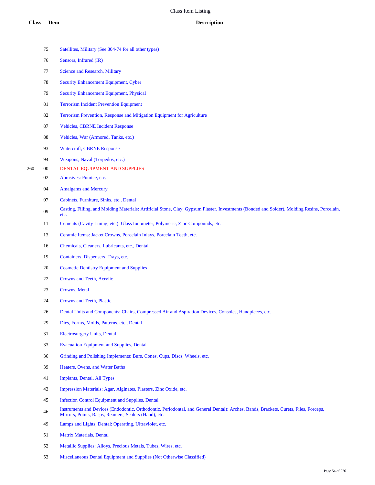- Satellites, Military (See 804-74 for all other types) Sensors, Infrared (IR) Science and Research, Military Security Enhancement Equipment, Cyber Security Enhancement Equipment, Physical Terrorism Incident Prevention Equipment Terrorism Prevention, Response and Mitigation Equipment for Agriculture Vehicles, CBRNE Incident Response Vehicles, War (Armored, Tanks, etc.) Watercraft, CBRNE Response Weapons, Naval (Torpedos, etc.) 00 DENTAL EQUIPMENT AND SUPPLIES Abrasives: Pumice, etc. Amalgams and Mercury Cabinets, Furniture, Sinks, etc., Dental Casting, Filling, and Molding Materials: Artificial Stone, Clay, Gypsum Plaster, Investments (Bonded and Solder), Molding Resins, Porcelain, etc. Cements (Cavity Lining, etc.): Glass Ionometer, Polymeric, Zinc Compounds, etc. Ceramic Items: Jacket Crowns, Porcelain Inlays, Porcelain Teeth, etc. Chemicals, Cleaners, Lubricants, etc., Dental Containers, Dispensers, Trays, etc. Cosmetic Dentistry Equipment and Supplies Crowns and Teeth, Acrylic Crowns, Metal Crowns and Teeth, Plastic 26 Dental Units and Components: Chairs, Compressed Air and Aspiration Devices, Consoles, Handpieces, etc. Dies, Forms, Molds, Patterns, etc., Dental Electrosurgery Units, Dental Evacuation Equipment and Supplies, Dental Grinding and Polishing Implements: Burs, Cones, Cups, Discs, Wheels, etc. Heaters, Ovens, and Water Baths Implants, Dental, All Types Impression Materials: Agar, Alginates, Plasters, Zinc Oxide, etc. Infection Control Equipment and Supplies, Dental Instruments and Devices (Endodontic, Orthodontic, Periodontal, and General Dental): Arches, Bands, Brackets, Curets, Files, Forceps, Mirrors, Points, Rasps, Reamers, Scalers (Hand), etc. Lamps and Lights, Dental: Operating, Ultraviolet, etc. **Class Item Description**
	- Matrix Materials, Dental
	- Metallic Supplies: Alloys, Precious Metals, Tubes, Wires, etc.
	- Miscellaneous Dental Equipment and Supplies (Not Otherwise Classified)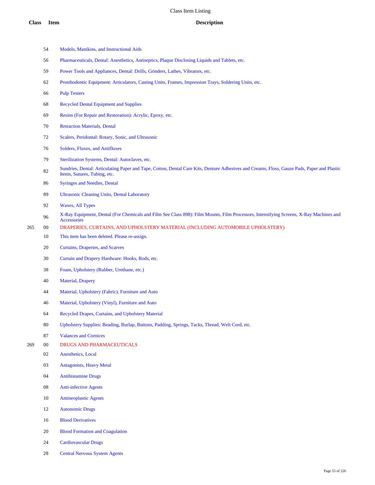|     | 54     | Models, Manikins, and Instructional Aids                                                                                                                                    |
|-----|--------|-----------------------------------------------------------------------------------------------------------------------------------------------------------------------------|
|     | 56     | Pharmaceuticals, Dental: Anesthetics, Antiseptics, Plaque Disclosing Liquids and Tablets, etc.                                                                              |
|     | 59     | Power Tools and Appliances, Dental: Drills, Grinders, Lathes, Vibrators, etc.                                                                                               |
|     | 62     | Prosthodontic Equipment: Articulators, Casting Units, Frames, Impression Trays, Soldering Units, etc.                                                                       |
|     | 66     | <b>Pulp Testers</b>                                                                                                                                                         |
|     | 68     | <b>Recycled Dental Equipment and Supplies</b>                                                                                                                               |
|     | 69     | Resins (For Repair and Restoration): Acrylic, Epoxy, etc.                                                                                                                   |
|     | 70     | <b>Retraction Materials, Dental</b>                                                                                                                                         |
|     | 72     | Scalers, Peridontal: Rotary, Sonic, and Ultrasonic                                                                                                                          |
|     | 76     | Solders, Fluxes, and Antifluxes                                                                                                                                             |
|     | 79     | Sterilization Systems, Dental: Autoclaves, etc.                                                                                                                             |
|     | 82     | Sundries, Dental: Articulating Paper and Tape, Cotton, Dental Care Kits, Denture Adhesives and Creams, Floss, Gauze Pads, Paper and Plastic<br>Items, Sutures, Tubing, etc. |
|     | 86     | <b>Syringes and Needles, Dental</b>                                                                                                                                         |
|     | 89     | <b>Ultrasonic Cleaning Units, Dental Laboratory</b>                                                                                                                         |
|     | 92     | <b>Waxes, All Types</b>                                                                                                                                                     |
|     | 96     | X-Ray Equipment, Dental (For Chemicals and Film See Class 898): Film Mounts, Film Processors, Intensifying Screens, X-Ray Machines and<br>Accessories                       |
| 265 | $00\,$ | DRAPERIES, CURTAINS, AND UPHOLSTERY MATERIAL (INCLUDING AUTOMOBILE UPHOLSTERY)                                                                                              |
|     | 10     | This item has been deleted. Please re-assign.                                                                                                                               |
|     | 20     | Curtains, Draperies, and Scarves                                                                                                                                            |
|     | 30     | Curtain and Drapery Hardware: Hooks, Rods, etc.                                                                                                                             |
|     | 38     | Foam, Upholstery (Rubber, Urethane, etc.)                                                                                                                                   |
|     | 40     | Material, Drapery                                                                                                                                                           |
|     | 44     | Material, Upholstery (Fabric), Furniture and Auto                                                                                                                           |
|     | 46     | Material, Upholstery (Vinyl), Furniture and Auto                                                                                                                            |
|     | 64     | Recycled Drapes, Curtains, and Upholstery Material                                                                                                                          |
|     | 80     | Upholstery Supplies: Beading, Burlap, Buttons, Padding, Springs, Tacks, Thread, Welt Cord, etc.                                                                             |
|     | $87\,$ | <b>Valances and Cornices</b>                                                                                                                                                |
| 269 | $00\,$ | DRUGS AND PHARMACEUTICALS                                                                                                                                                   |
|     | $02\,$ | Anesthetics, Local                                                                                                                                                          |
|     | 03     | <b>Antagonists, Heavy Metal</b>                                                                                                                                             |
|     | 04     | <b>Antihistamine Drugs</b>                                                                                                                                                  |
|     | 08     | <b>Anti-infective Agents</b>                                                                                                                                                |
|     | 10     | <b>Antineoplastic Agents</b>                                                                                                                                                |
|     | 12     | <b>Autonomic Drugs</b>                                                                                                                                                      |
|     | 16     | <b>Blood Derivatives</b>                                                                                                                                                    |
|     | 20     | <b>Blood Formation and Coagulation</b>                                                                                                                                      |
|     | 24     | <b>Cardiovascular Drugs</b>                                                                                                                                                 |

Central Nervous System Agents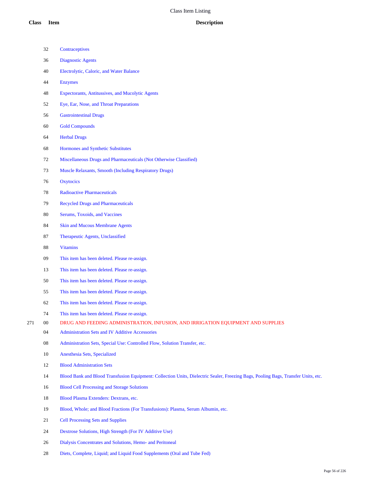|     | 32 | Contraceptives                                                                                                                     |
|-----|----|------------------------------------------------------------------------------------------------------------------------------------|
|     | 36 | <b>Diagnostic Agents</b>                                                                                                           |
|     | 40 | Electrolytic, Caloric, and Water Balance                                                                                           |
|     | 44 | <b>Enzymes</b>                                                                                                                     |
|     | 48 | <b>Expectorants, Antitussives, and Mucolytic Agents</b>                                                                            |
|     | 52 | Eye, Ear, Nose, and Throat Preparations                                                                                            |
|     | 56 | <b>Gastrointestinal Drugs</b>                                                                                                      |
|     | 60 | <b>Gold Compounds</b>                                                                                                              |
|     | 64 | <b>Herbal Drugs</b>                                                                                                                |
|     | 68 | Hormones and Synthetic Substitutes                                                                                                 |
|     | 72 | Miscellaneous Drugs and Pharmaceuticals (Not Otherwise Classified)                                                                 |
|     | 73 | <b>Muscle Relaxants, Smooth (Including Respiratory Drugs)</b>                                                                      |
|     | 76 | Oxytocics                                                                                                                          |
|     | 78 | <b>Radioactive Pharmaceuticals</b>                                                                                                 |
|     | 79 | <b>Recycled Drugs and Pharmaceuticals</b>                                                                                          |
|     | 80 | Serums, Toxoids, and Vaccines                                                                                                      |
|     | 84 | <b>Skin and Mucous Membrane Agents</b>                                                                                             |
|     | 87 | Therapeutic Agents, Unclassified                                                                                                   |
|     | 88 | <b>Vitamins</b>                                                                                                                    |
|     | 09 | This item has been deleted. Please re-assign.                                                                                      |
|     | 13 | This item has been deleted. Please re-assign.                                                                                      |
|     | 50 | This item has been deleted. Please re-assign.                                                                                      |
|     | 55 | This item has been deleted. Please re-assign.                                                                                      |
|     | 62 | This item has been deleted. Please re-assign.                                                                                      |
|     | 74 | This item has been deleted. Please re-assign.                                                                                      |
| 271 | 00 | DRUG AND FEEDING ADMINISTRATION, INFUSION, AND IRRIGATION EQUIPMENT AND SUPPLIES                                                   |
|     | 04 | Administration Sets and IV Additive Accessories                                                                                    |
|     | 08 | Administration Sets, Special Use: Controlled Flow, Solution Transfer, etc.                                                         |
|     | 10 | Anesthesia Sets, Specialized                                                                                                       |
|     | 12 | <b>Blood Administration Sets</b>                                                                                                   |
|     | 14 | Blood Bank and Blood Transfusion Equipment: Collection Units, Dielectric Sealer, Freezing Bags, Pooling Bags, Transfer Units, etc. |
|     | 16 | <b>Blood Cell Processing and Storage Solutions</b>                                                                                 |
|     | 18 | Blood Plasma Extenders: Dextrans, etc.                                                                                             |
|     | 19 | Blood, Whole; and Blood Fractions (For Transfusions): Plasma, Serum Albumin, etc.                                                  |
|     | 21 | <b>Cell Processing Sets and Supplies</b>                                                                                           |
|     | 24 | Dextrose Solutions, High Strength (For IV Additive Use)                                                                            |
|     | 26 | Dialysis Concentrates and Solutions, Hemo- and Peritoneal                                                                          |

Diets, Complete, Liquid; and Liquid Food Supplements (Oral and Tube Fed)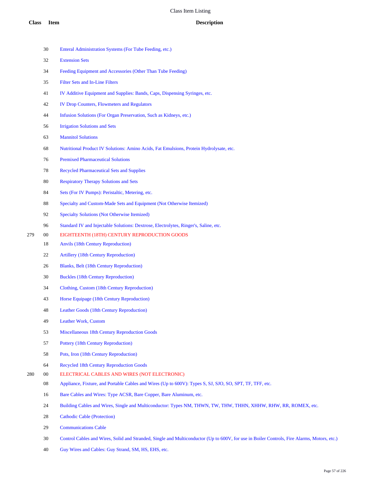|     | 30     | Enteral Administration Systems (For Tube Feeding, etc.)                                                         |
|-----|--------|-----------------------------------------------------------------------------------------------------------------|
|     | 32     | <b>Extension Sets</b>                                                                                           |
|     | 34     | Feeding Equipment and Accessories (Other Than Tube Feeding)                                                     |
|     | 35     | Filter Sets and In-Line Filters                                                                                 |
|     | 41     | IV Additive Equipment and Supplies: Bands, Caps, Dispensing Syringes, etc.                                      |
|     | 42     | <b>IV Drop Counters, Flowmeters and Regulators</b>                                                              |
|     | 44     | Infusion Solutions (For Organ Preservation, Such as Kidneys, etc.)                                              |
|     | 56     | <b>Irrigation Solutions and Sets</b>                                                                            |
|     | 63     | <b>Mannitol Solutions</b>                                                                                       |
|     | 68     | Nutritional Product IV Solutions: Amino Acids, Fat Emulsions, Protein Hydrolysate, etc.                         |
|     | 76     | <b>Premixed Pharmaceutical Solutions</b>                                                                        |
|     | 78     | <b>Recycled Pharmaceutical Sets and Supplies</b>                                                                |
|     | 80     | <b>Respiratory Therapy Solutions and Sets</b>                                                                   |
|     | 84     | Sets (For IV Pumps): Peristaltic, Metering, etc.                                                                |
|     | 88     | Specialty and Custom-Made Sets and Equipment (Not Otherwise Itemized)                                           |
|     | 92     | <b>Specialty Solutions (Not Otherwise Itemized)</b>                                                             |
|     | 96     | Standard IV and Injectable Solutions: Dextrose, Electrolytes, Ringer's, Saline, etc.                            |
| 279 | $00\,$ | EIGHTEENTH (18TH) CENTURY REPRODUCTION GOODS                                                                    |
|     | 18     | <b>Anvils (18th Century Reproduction)</b>                                                                       |
|     | 22     | <b>Artillery</b> (18th Century Reproduction)                                                                    |
|     | 26     | Blanks, Belt (18th Century Reproduction)                                                                        |
|     | 30     | <b>Buckles (18th Century Reproduction)</b>                                                                      |
|     | 34     | Clothing, Custom (18th Century Reproduction)                                                                    |
|     | 43     | Horse Equipage (18th Century Reproduction)                                                                      |
|     | 48     | Leather Goods (18th Century Reproduction)                                                                       |
|     | 49     | Leather Work, Custom                                                                                            |
|     | 53     | Miscellaneous 18th Century Reproduction Goods                                                                   |
|     | 57     | Pottery (18th Century Reproduction)                                                                             |
|     | 58     | Pots, Iron (18th Century Reproduction)                                                                          |
|     | 64     | <b>Recycled 18th Century Reproduction Goods</b>                                                                 |
| 280 | 00     | ELECTRICAL CABLES AND WIRES (NOT ELECTRONIC)                                                                    |
|     | 08     | Appliance, Fixture, and Portable Cables and Wires (Up to 600V): Types S, SJ, SJO, SO, SPT, TF, TFF, etc.        |
|     | 16     | Bare Cables and Wires: Type ACSR, Bare Copper, Bare Aluminum, etc.                                              |
|     | 24     | Building Cables and Wires, Single and Multiconductor: Types NM, THWN, TW, THW, THHN, XHHW, RHW, RR, ROMEX, etc. |
|     | 28     | <b>Cathodic Cable (Protection)</b>                                                                              |
|     | 29     | <b>Communications Cable</b>                                                                                     |
|     |        |                                                                                                                 |

- Control Cables and Wires, Solid and Stranded, Single and Multiconductor (Up to 600V, for use in Boiler Controls, Fire Alarms, Motors, etc.)
- Guy Wires and Cables: Guy Strand, SM, HS, EHS, etc.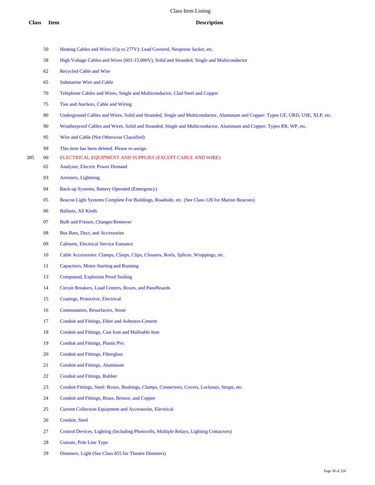|     | 50 | Heating Cables and Wires (Up to 277V): Lead Covered, Neoprene Jacket, etc.                                                      |      |
|-----|----|---------------------------------------------------------------------------------------------------------------------------------|------|
|     | 58 | High Voltage Cables and Wires (601-15,000V), Solid and Stranded, Single and Multiconductor                                      |      |
|     | 62 | <b>Recycled Cable and Wire</b>                                                                                                  |      |
|     | 65 | <b>Submarine Wire and Cable</b>                                                                                                 |      |
|     | 70 | Telephone Cables and Wires, Single and Multiconductor, Clad Steel and Copper                                                    |      |
|     | 75 | Ties and Anchors, Cable and Wiring                                                                                              |      |
|     | 80 | Underground Cables and Wires, Solid and Stranded, Single and Multiconductor, Aluminum and Copper: Types UF, URD, USE, XLP, etc. |      |
|     | 90 | Weatherproof Cables and Wires, Solid and Stranded, Single and Multiconductor, Aluminum and Copper: Types RR, WP, etc.           |      |
|     | 95 | Wire and Cable (Not Otherwise Classified)                                                                                       |      |
|     | 99 | This item has been deleted. Please re-assign.                                                                                   |      |
| 285 | 00 | ELECTRICAL EQUIPMENT AND SUPPLIES (EXCEPT CABLE AND WIRE)                                                                       |      |
|     | 02 | Analyzer, Electric Power Demand                                                                                                 |      |
|     | 03 | Arresters, Lightning                                                                                                            |      |
|     | 04 | Back-up Systems, Battery Operated (Emergency)                                                                                   |      |
|     | 05 | Beacon Light Systems Complete For Buildings, Roadside, etc. (See Class 120 for Marine Beacons)                                  |      |
|     | 06 | <b>Ballasts, All Kinds</b>                                                                                                      |      |
|     | 07 | <b>Bulb and Fixture, Changer/Remover</b>                                                                                        |      |
|     | 08 | <b>Bus Bars, Duct, and Accessories</b>                                                                                          |      |
|     | 09 | <b>Cabinets, Electrical Service Entrance</b>                                                                                    |      |
|     | 10 | Cable Accessories: Clamps, Clasps, Clips, Closures, Reels, Splices, Wrappings, etc.                                             |      |
|     | 11 | <b>Capacitors, Motor Starting and Running</b>                                                                                   |      |
|     | 13 | Compound, Explosion Proof Sealing                                                                                               |      |
|     | 14 | Circuit Breakers, Load Centers, Boxes, and Panelboards                                                                          |      |
|     | 15 | Coatings, Protective, Electrical                                                                                                |      |
|     | 16 | <b>Commutators, Resurfacers, Stone</b>                                                                                          |      |
|     | 17 | Conduit and Fittings, Fiber and Asbestos-Cement                                                                                 |      |
|     | 18 | Conduit and Fittings, Cast Iron and Malleable Iron                                                                              |      |
|     | 19 | Conduit and Fittings, Plastic/Pvc                                                                                               |      |
|     | 20 | <b>Conduit and Fittings, Fiberglass</b>                                                                                         |      |
|     | 21 | <b>Conduit and Fittings, Aluminum</b>                                                                                           |      |
|     | 22 | <b>Conduit and Fittings, Rubber</b>                                                                                             |      |
|     | 23 | Conduit Fittings, Steel: Boxes, Bushings, Clamps, Connectors, Covers, Locknuts, Straps, etc.                                    |      |
|     | 24 | Conduit and Fittings, Brass, Bronze, and Copper                                                                                 |      |
|     | 25 | <b>Current Collection Equipment and Accessories, Electrical</b>                                                                 |      |
|     | 26 | Conduit, Steel                                                                                                                  |      |
|     | 27 | Control Devices, Lighting (Including Photocells, Multiple Relays, Lighting Contactors)                                          |      |
|     | 28 | Cutouts, Pole Line Type                                                                                                         |      |
|     | 29 | Dimmers, Light (See Class 855 for Theatre Dimmers)                                                                              |      |
|     |    |                                                                                                                                 | Page |
|     |    |                                                                                                                                 |      |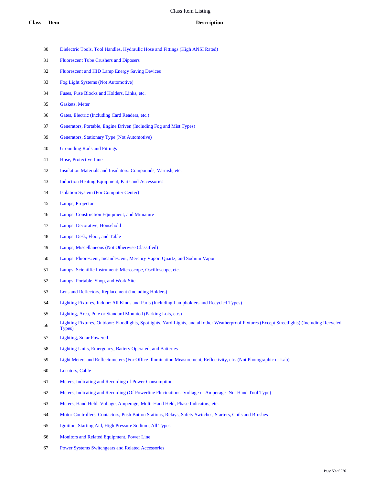- Dielectric Tools, Tool Handles, Hydraulic Hose and Fittings (High ANSI Rated)
- Fluorescent Tube Crushers and Diposers
- Fluorescent and HID Lamp Energy Saving Devices
- Fog Light Systems (Not Automotive)
- Fuses, Fuse Blocks and Holders, Links, etc.
- Gaskets, Meter
- Gates, Electric (Including Card Readers, etc.)
- Generators, Portable, Engine Driven (Including Fog and Mist Types)
- Generators, Stationary Type (Not Automotive)
- Grounding Rods and Fittings
- Hose, Protective Line
- Insulation Materials and Insulators: Compounds, Varnish, etc.
- Induction Heating Equipment, Parts and Accessories
- Isolation System (For Computer Center)
- Lamps, Projector
- Lamps: Construction Equipment, and Miniature
- Lamps: Decorative, Household
- Lamps: Desk, Floor, and Table
- Lamps, Miscellaneous (Not Otherwise Classified)
- Lamps: Fluorescent, Incandescent, Mercury Vapor, Quartz, and Sodium Vapor
- Lamps: Scientific Instrument: Microscope, Oscilloscope, etc.
- Lamps: Portable, Shop, and Work Site
- Lens and Reflectors, Replacement (Including Holders)
- Lighting Fixtures, Indoor: All Kinds and Parts (Including Lampholders and Recycled Types)
- Lighting, Area, Pole or Standard Mounted (Parking Lots, etc.)
- Lighting Fixtures, Outdoor: Floodlights, Spotlights, Yard Lights, and all other Weatherproof Fixtures (Except Streetlights) (Including Recycled Types)
- Lighting, Solar Powered
- Lighting Units, Emergency, Battery Operated; and Batteries
- Light Meters and Reflectometers (For Office Illumination Measurement, Reflectivity, etc. (Not Photographic or Lab)
- Locators, Cable
- Meters, Indicating and Recording of Power Consumption
- Meters, Indicating and Recording (Of Powerline Fluctuations -Voltage or Amperage -Not Hand Tool Type)
- Meters, Hand Held: Voltage, Amperage, Multi-Hand Held, Phase Indicators, etc.
- Motor Controllers, Contactors, Push Button Stations, Relays, Safety Switches, Starters, Coils and Brushes
- Ignition, Starting Aid, High Pressure Sodium, All Types
- Monitors and Related Equipment, Power Line
- Power Systems Switchgears and Related Accessories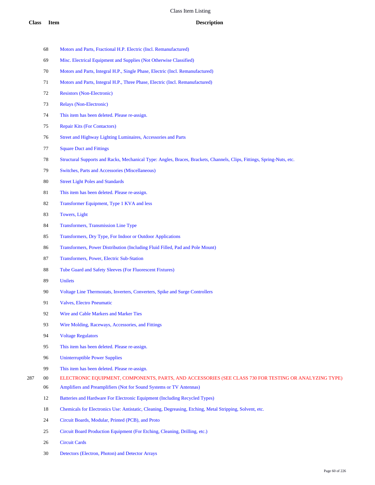- Motors and Parts, Fractional H.P. Electric (Incl. Remanufactured)
- Misc. Electrical Equipment and Supplies (Not Otherwise Classified)
- Motors and Parts, Integral H.P., Single Phase, Electric (Incl. Remanufactured)
- Motors and Parts, Integral H.P., Three Phase, Electric (Incl. Remanufactured)
- Resistors (Non-Electronic)
- Relays (Non-Electronic)
- This item has been deleted. Please re-assign.
- Repair Kits (For Contactors)
- Street and Highway Lighting Luminaires, Accessories and Parts
- Square Duct and Fittings
- Structural Supports and Racks, Mechanical Type: Angles, Braces, Brackets, Channels, Clips, Fittings, Spring-Nuts, etc.
- Switches, Parts and Accessories (Miscellaneous)
- Street Light Poles and Standards
- This item has been deleted. Please re-assign.
- Transformer Equipment, Type 1 KVA and less
- Towers, Light
- Transformers, Transmission Line Type
- Transformers, Dry Type, For Indoor or Outdoor Applications
- Transformers, Power Distribution (Including Fluid Filled, Pad and Pole Mount)
- Transformers, Power, Electric Sub-Station
- Tube Guard and Safety Sleeves (For Fluorescent Fixtures)
- Unilets
- Voltage Line Thermostats, Inverters, Converters, Spike and Surge Controllers
- Valves, Electro Pneumatic
- 92 Wire and Cable Markers and Marker Ties
- Wire Molding, Raceways, Accessories, and Fittings
- Voltage Regulators
- This item has been deleted. Please re-assign.
- Uninterruptible Power Supplies
- This item has been deleted. Please re-assign.
- 00 ELECTRONIC EQUIPMENT, COMPONENTS, PARTS, AND ACCESSORIES (SEE CLASS 730 FOR TESTING OR ANALYZING TYPE)
	- Amplifiers and Preamplifiers (Not for Sound Systems or TV Antennas)
	- Batteries and Hardware For Electronic Equipment (Including Recycled Types)
	- Chemicals for Electronics Use: Antistatic, Cleaning, Degreasing, Etching, Metal Stripping, Solvent, etc.
	- Circuit Boards, Modular, Printed (PCB), and Proto
	- Circuit Board Production Equipment (For Etching, Cleaning, Drilling, etc.)
	- Circuit Cards
	- Detectors (Electron, Photon) and Detector Arrays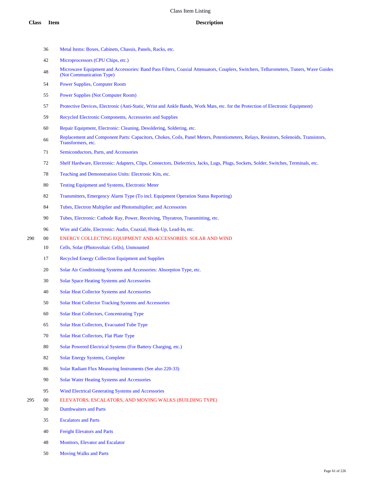- Metal Items: Boxes, Cabinets, Chassis, Panels, Racks, etc.
- Microprocessors (CPU Chips, etc.)
- Microwave Equipment and Accessories: Band Pass Filters, Coaxial Attenuators, Couplers, Switchers, Tellurometers, Tuners, Wave Guides (Not Communication Type)
- Power Supplies, Computer Room
- Power Supplies (Not Computer Room)
- Protective Devices, Electronic (Anti-Static, Wrist and Ankle Bands, Work Mats, etc. for the Protection of Electronic Equipment)
- Recycled Electronic Components, Accessories and Supplies
- Repair Equipment, Electronic: Cleaning, Desoldering, Soldering, etc.
- 66 Replacement and Component Parts: Capacitors, Chokes, Coils, Panel Meters, Potentiometers, Relays, Resistors, Solenoids, Transistors, Transformers, etc.
- Semiconductors, Parts, and Accessories
- Shelf Hardware, Electronic: Adapters, Clips, Connectors, Dielectrics, Jacks, Lugs, Plugs, Sockets, Solder, Switches, Terminals, etc.
- Teaching and Demonstration Units: Electronic Kits, etc.
- Testing Equipment and Systems, Electronic Meter
- Transmitters, Emergency Alarm Type (To incl. Equipment Operation Status Reporting)
- Tubes, Electron Multiplier and Photomultiplier; and Accessories
- Tubes, Electronic: Cathode Ray, Power, Receiving, Thyratron, Transmitting, etc.
- Wire and Cable, Electronic: Audio, Coaxial, Hook-Up, Lead-In, etc.
- 00 ENERGY COLLECTING EQUIPMENT AND ACCESSORIES: SOLAR AND WIND
	- Cells, Solar (Photovoltaic Cells), Unmounted
	- Recycled Energy Collection Equipment and Supplies
	- Solar Air Conditioning Systems and Accessories: Absorption Type, etc.
	- Solar Space Heating Systems and Accessories
	- Solar Heat Collector Systems and Accessories
	- Solar Heat Collector Tracking Systems and Accessories
	- Solar Heat Collectors, Concentrating Type
	- Solar Heat Collectors, Evacuated Tube Type
	- Solar Heat Collectors, Flat Plate Type
	- 80 Solar Powered Electrical Systems (For Battery Charging, etc.)
	- Solar Energy Systems, Complete
	- 86 Solar Radiant Flux Measuring Instruments (See also 220-33)
	- Solar Water Heating Systems and Accessories
	- Wind Electrical Generating Systems and Accessories
- 00 ELEVATORS, ESCALATORS, AND MOVING WALKS (BUILDING TYPE)
	- Dumbwaiters and Parts
	- Escalators and Parts
	- Freight Elevators and Parts
	- Monitors, Elevator and Escalator
	- Moving Walks and Parts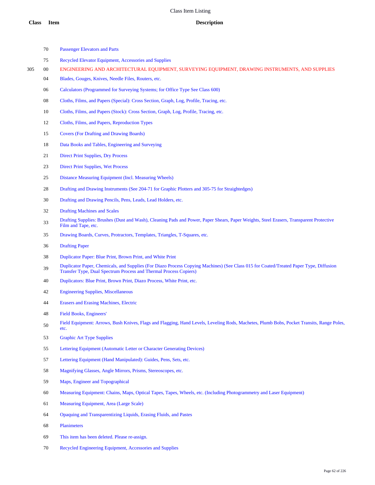- Passenger Elevators and Parts
- Recycled Elevator Equipment, Accessories and Supplies
- 00 ENGINEERING AND ARCHITECTURAL EQUIPMENT, SURVEYING EQUIPMENT, DRAWING INSTRUMENTS, AND SUPPLIES
	- Blades, Gouges, Knives, Needle Files, Routers, etc.
	- Calculators (Programmed for Surveying Systems; for Office Type See Class 600)
	- Cloths, Films, and Papers (Special): Cross Section, Graph, Log, Profile, Tracing, etc.
	- Cloths, Films, and Papers (Stock): Cross Section, Graph, Log, Profile, Tracing, etc.
	- Cloths, Films, and Papers, Reproduction Types
	- Covers (For Drafting and Drawing Boards)
	- Data Books and Tables, Engineering and Surveying
	- Direct Print Supplies, Dry Process
	- Direct Print Supplies, Wet Process
	- Distance Measuring Equipment (Incl. Measuring Wheels)
	- Drafting and Drawing Instruments (See 204-71 for Graphic Plotters and 305-75 for Straightedges)
	- Drafting and Drawing Pencils, Pens, Leads, Lead Holders, etc.
	- Drafting Machines and Scales
	- 33 Drafting Supplies: Brushes (Dust and Wash), Cleaning Pads and Power, Paper Shears, Paper Weights, Steel Erasers, Transparent Protective Film and Tape, etc.
	- Drawing Boards, Curves, Protractors, Templates, Triangles, T-Squares, etc.
	- Drafting Paper
	- Duplicator Paper: Blue Print, Brown Print, and White Print
	- Duplicator Paper, Chemicals, and Supplies (For Diazo Process Copying Machines) (See Class 015 for Coated/Treated Paper Type, Diffusion Transfer Type, Dual Spectrum Process and Thermal Process Copiers)
	- Duplicators: Blue Print, Brown Print, Diazo Process, White Print, etc.
	- Engineering Supplies, Miscellaneous
	- Erasers and Erasing Machines, Electric
	- Field Books, Engineers'
	- Field Equipment: Arrows, Bush Knives, Flags and Flagging, Hand Levels, Leveling Rods, Machetes, Plumb Bobs, Pocket Transits, Range Poles, etc.
	- Graphic Art Type Supplies
	- Lettering Equipment (Automatic Letter or Character Generating Devices)
	- Lettering Equipment (Hand Manipulated): Guides, Pens, Sets, etc.
	- Magnifying Glasses, Angle Mirrors, Prisms, Stereoscopes, etc.
	- Maps, Engineer and Topographical
	- Measuring Equipment: Chains, Maps, Optical Tapes, Tapes, Wheels, etc. (Including Photogrammetry and Laser Equipment)
	- Measuring Equipment, Area (Large Scale)
	- Opaquing and Transparentizing Liquids, Erasing Fluids, and Pastes
	- Planimeters
	- This item has been deleted. Please re-assign.
	- Recycled Engineering Equipment, Accessories and Supplies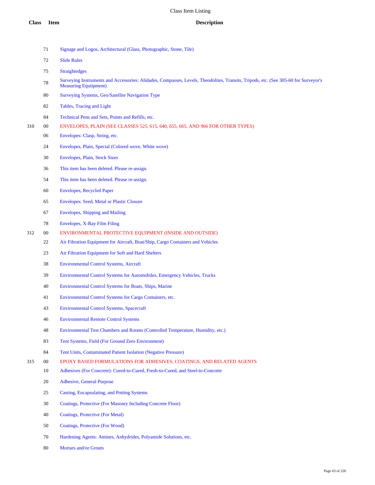- Signage and Logos, Architectural (Glass, Photographic, Stone, Tile)
- Slide Rules
- Straightedges
- Surveying Instruments and Accessories: Alidades, Compasses, Levels, Theodolites, Transits, Tripods, etc. (See 305-60 for Surveyor's Measuring Equiipment)
- Surveying Systems, Geo/Satellite Navigation Type
- Tables, Tracing and Light
- Technical Pens and Sets, Points and Refills, etc.
- 00 ENVELOPES, PLAIN (SEE CLASSES 525, 615, 640, 655, 665, AND 966 FOR OTHER TYPES)
	- Envelopes: Clasp, String, etc.
	- Envelopes, Plain, Special (Colored wove, White wove)
	- Envelopes, Plain, Stock Sizes
	- This item has been deleted. Please re-assign.
	- This item has been deleted. Please re-assign.
	- Envelopes, Recycled Paper
	- Envelopes: Seed, Metal or Plastic Closure
	- Envelopes, Shipping and Mailing
	- Envelopes, X-Ray Film Filing
- 00 ENVIRONMENTAL PROTECTIVE EQUIPMENT (INSIDE AND OUTSIDE)
	- Air Filtration Equipment for Aircraft, Boat/Ship, Cargo Containers and Vehicles
	- Air Filtration Equipment for Soft and Hard Shelters
	- Environmental Control Systems, Aircraft
	- Environmental Control Systems for Automobiles, Emergency Vehicles, Trucks
	- Environmental Control Systems for Boats, Ships, Marine
	- Environmental Control Systems for Cargo Containers, etc.
	- Environmental Control Systems, Spacecraft
	- Environmental Remote Control Systems
	- Environmental Test Chambers and Rooms (Controlled Temperature, Humidity, etc.)
	- Tent Systems, Field (For Ground Zero Environment)
	- Tent Units, Contaminated Patient Isolation (Negative Pressure)
- 00 EPOXY BASED FORMULATIONS FOR ADHESIVES, COATINGS, AND RELATED AGENTS
	- Adhesives (For Concrete): Cured-to-Cured, Fresh-to-Cured, and Steel-to-Concrete
	- Adhesive, General Purpose
	- Casting, Encapsulating, and Potting Systems
	- Coatings, Protective (For Masonry Including Concrete Floor)
	- Coatings, Protective (For Metal)
	- Coatings, Protective (For Wood)
	- Hardening Agents: Amines, Anhydrides, Polyamide Solutions, etc.
	- Mortars and/or Grouts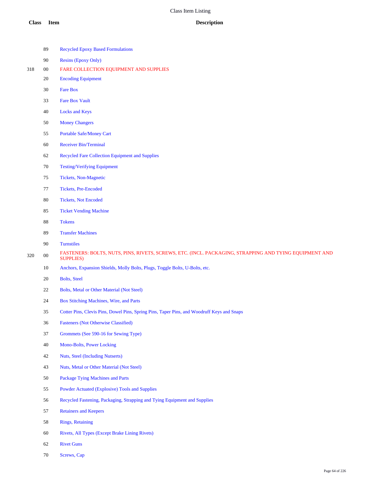|     | 89         | <b>Recycled Epoxy Based Formulations</b>                                                                                   |
|-----|------------|----------------------------------------------------------------------------------------------------------------------------|
|     | $90\,$     | <b>Resins (Epoxy Only)</b>                                                                                                 |
| 318 | $00\,$     | FARE COLLECTION EQUIPMENT AND SUPPLIES                                                                                     |
|     | 20         | <b>Encoding Equipment</b>                                                                                                  |
|     | 30         | <b>Fare Box</b>                                                                                                            |
|     | 33         | <b>Fare Box Vault</b>                                                                                                      |
|     | 40         | <b>Locks and Keys</b>                                                                                                      |
|     | 50         | <b>Money Changers</b>                                                                                                      |
|     | 55         | Portable Safe/Money Cart                                                                                                   |
|     | 60         | <b>Receiver Bin/Terminal</b>                                                                                               |
|     | 62         | Recycled Fare Collection Equipment and Supplies                                                                            |
|     | 70         | <b>Testing/Verifying Equipment</b>                                                                                         |
|     | 75         | <b>Tickets, Non-Magnetic</b>                                                                                               |
|     | 77         | Tickets, Pre-Encoded                                                                                                       |
|     | $80\,$     | <b>Tickets, Not Encoded</b>                                                                                                |
|     | 85         | <b>Ticket Vending Machine</b>                                                                                              |
|     | $88\,$     | <b>Tokens</b>                                                                                                              |
|     | 89         | <b>Transfer Machines</b>                                                                                                   |
|     | 90         | <b>Turnstiles</b>                                                                                                          |
| 320 | ${\bf 00}$ | FASTENERS: BOLTS, NUTS, PINS, RIVETS, SCREWS, ETC. (INCL. PACKAGING, STRAPPING AND TYING EQUIPMENT AND<br><b>SUPPLIES)</b> |
|     | $10\,$     | Anchors, Expansion Shields, Molly Bolts, Plugs, Toggle Bolts, U-Bolts, etc.                                                |
|     | 20         | <b>Bolts</b> , Steel                                                                                                       |
|     | 22         | <b>Bolts, Metal or Other Material (Not Steel)</b>                                                                          |
|     | 24         | Box Stitching Machines, Wire, and Parts                                                                                    |
|     | 35         | Cotter Pins, Clevis Pins, Dowel Pins, Spring Pins, Taper Pins, and Woodruff Keys and Snaps                                 |
|     | 36         | <b>Fasteners (Not Otherwise Classified)</b>                                                                                |
|     | 37         | Grommets (See 590-16 for Sewing Type)                                                                                      |
|     | 40         | Mono-Bolts, Power Locking                                                                                                  |
|     | 42         | <b>Nuts, Steel (Including Nutserts)</b>                                                                                    |
|     | 43         | Nuts, Metal or Other Material (Not Steel)                                                                                  |
|     | 50         | <b>Package Tying Machines and Parts</b>                                                                                    |
|     | 55         | Powder Actuated (Explosive) Tools and Supplies                                                                             |
|     | 56         | Recycled Fastening, Packaging, Strapping and Tying Equipment and Supplies                                                  |
|     | 57         | <b>Retainers and Keepers</b>                                                                                               |
|     | $58\,$     | <b>Rings, Retaining</b>                                                                                                    |
|     | $60\,$     | Rivets, All Types (Except Brake Lining Rivets)                                                                             |
|     |            |                                                                                                                            |

- Rivet Guns
- Screws, Cap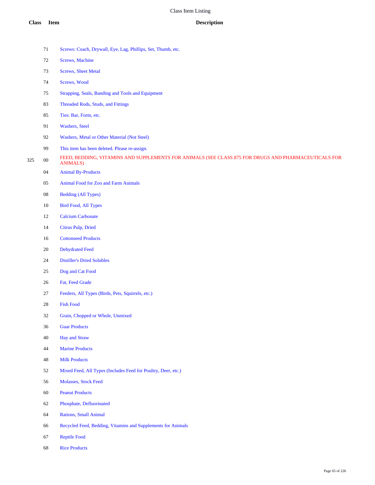|     | 71                                           | Screws: Coach, Drywall, Eye, Lag, Phillips, Set, Thumb, etc.                                                             |  |
|-----|----------------------------------------------|--------------------------------------------------------------------------------------------------------------------------|--|
|     | 72                                           | <b>Screws</b> , Machine                                                                                                  |  |
|     | 73                                           | <b>Screws</b> , Sheet Metal                                                                                              |  |
|     | 74                                           | Screws, Wood                                                                                                             |  |
|     | 75                                           | Strapping, Seals, Banding and Tools and Equipment                                                                        |  |
|     | 83                                           | Threaded Rods, Studs, and Fittings                                                                                       |  |
|     | 85<br>Ties: Bar, Form, etc.                  |                                                                                                                          |  |
|     | Washers, Steel                               |                                                                                                                          |  |
|     | Washers, Metal or Other Material (Not Steel) |                                                                                                                          |  |
|     | 99                                           | This item has been deleted. Please re-assign.                                                                            |  |
| 325 | $00\,$                                       | FEED, BEDDING, VITAMINS AND SUPPLEMENTS FOR ANIMALS (SEE CLASS 875 FOR DRUGS AND PHARMACEUTICALS FOR<br><b>ANIMALS</b> ) |  |
|     | 04                                           | <b>Animal By-Products</b>                                                                                                |  |
|     | 05                                           | <b>Animal Food for Zoo and Farm Animals</b>                                                                              |  |
|     | $08\,$                                       | <b>Bedding (All Types)</b>                                                                                               |  |
|     | $10\,$                                       | <b>Bird Food, All Types</b>                                                                                              |  |
|     | 12                                           | <b>Calcium Carbonate</b>                                                                                                 |  |
|     | 14                                           | Citrus Pulp, Dried                                                                                                       |  |
|     | 16                                           | <b>Cottonseed Products</b>                                                                                               |  |
|     | 20                                           | <b>Dehydrated Feed</b>                                                                                                   |  |
|     | 24                                           | <b>Distiller's Dried Solubles</b>                                                                                        |  |
|     | 25                                           | Dog and Cat Food                                                                                                         |  |
|     | 26                                           | Fat, Feed Grade                                                                                                          |  |
|     | 27                                           | Feeders, All Types (Birds, Pets, Squirrels, etc.)                                                                        |  |
|     | 28                                           | <b>Fish Food</b>                                                                                                         |  |
|     | 32                                           | Grain, Chopped or Whole, Unmixed                                                                                         |  |
|     | 36                                           | <b>Guar Products</b>                                                                                                     |  |
|     | 40                                           | <b>Hay and Straw</b>                                                                                                     |  |
|     | 44                                           | <b>Marine Products</b>                                                                                                   |  |
|     | 48                                           | <b>Milk Products</b>                                                                                                     |  |
|     | 52                                           | Mixed Feed, All Types (Includes Feed for Poultry, Deer, etc.)                                                            |  |
|     | 56                                           | Molasses, Stock Feed                                                                                                     |  |
|     | $60\,$                                       | <b>Peanut Products</b>                                                                                                   |  |
|     | 62                                           | Phosphate, Defluorinated                                                                                                 |  |
|     | 64                                           | Rations, Small Animal                                                                                                    |  |
|     | 66                                           | Recycled Feed, Bedding, Vitamins and Supplements for Animals                                                             |  |
|     | 67                                           | <b>Reptile Food</b>                                                                                                      |  |
|     |                                              |                                                                                                                          |  |

Rice Products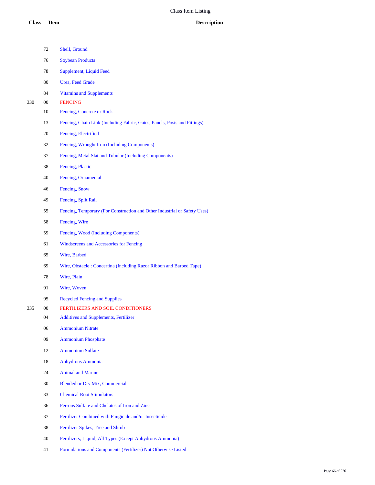|     | 72 | Shell, Ground                                                             |
|-----|----|---------------------------------------------------------------------------|
|     | 76 | <b>Soybean Products</b>                                                   |
|     | 78 | Supplement, Liquid Feed                                                   |
|     | 80 | <b>Urea</b> , Feed Grade                                                  |
|     | 84 | <b>Vitamins and Supplements</b>                                           |
| 330 | 00 | <b>FENCING</b>                                                            |
|     | 10 | Fencing, Concrete or Rock                                                 |
|     | 13 | Fencing, Chain Link (Including Fabric, Gates, Panels, Posts and Fittings) |
|     | 20 | Fencing, Electrified                                                      |
|     | 32 | Fencing, Wrought Iron (Including Components)                              |
|     | 37 | Fencing, Metal Slat and Tubular (Including Components)                    |
|     | 38 | Fencing, Plastic                                                          |
|     | 40 | Fencing, Ornamental                                                       |
|     | 46 | Fencing, Snow                                                             |
|     | 49 | Fencing, Split Rail                                                       |
|     | 55 | Fencing, Temporary (For Construction and Other Industrial or Safety Uses) |
|     | 58 | Fencing, Wire                                                             |
|     | 59 | Fencing, Wood (Including Components)                                      |
|     | 61 | Windscreens and Accessories for Fencing                                   |
|     | 65 | Wire, Barbed                                                              |
|     | 69 | Wire, Obstacle: Concertina (Including Razor Ribbon and Barbed Tape)       |
|     | 78 | Wire, Plain                                                               |
|     | 91 | Wire, Woven                                                               |
|     | 95 | <b>Recycled Fencing and Supplies</b>                                      |
| 335 | 00 | <b>FERTILIZERS AND SOIL CONDITIONERS</b>                                  |
|     | 04 | <b>Additives and Supplements, Fertilizer</b>                              |
|     | 06 | <b>Ammonium Nitrate</b>                                                   |
|     | 09 | <b>Ammonium Phosphate</b>                                                 |
|     | 12 | <b>Ammonium Sulfate</b>                                                   |
|     | 18 | <b>Anhydrous Ammonia</b>                                                  |
|     | 24 | <b>Animal and Marine</b>                                                  |
|     | 30 | <b>Blended or Dry Mix, Commercial</b>                                     |
|     | 33 | <b>Chemical Root Stimulators</b>                                          |
|     | 36 | Ferrous Sulfate and Chelates of Iron and Zinc                             |
|     | 37 | Fertilizer Combined with Fungicide and/or Insecticide                     |
|     | 38 | Fertilizer Spikes, Tree and Shrub                                         |
|     | 40 | Fertilizers, Liquid, All Types (Except Anhydrous Ammonia)                 |
|     | 41 | Formulations and Components (Fertilizer) Not Otherwise Listed             |
|     |    |                                                                           |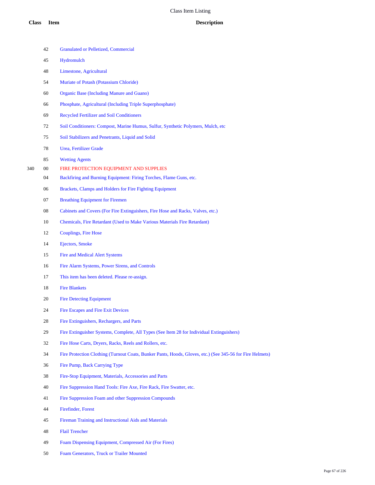## **Class Item Description**

|     | 42 | <b>Granulated or Pelletized, Commercial</b>                                                               |
|-----|----|-----------------------------------------------------------------------------------------------------------|
|     | 45 | Hydromulch                                                                                                |
|     | 48 | Limestone, Agricultural                                                                                   |
|     | 54 | Muriate of Potash (Potassium Chloride)                                                                    |
|     | 60 | <b>Organic Base (Including Manure and Guano)</b>                                                          |
|     | 66 | Phosphate, Agricultural (Including Triple Superphosphate)                                                 |
|     | 69 | <b>Recycled Fertilizer and Soil Conditioners</b>                                                          |
|     | 72 | Soil Conditioners: Compost, Marine Humus, Sulfur, Synthetic Polymers, Mulch, etc                          |
|     | 75 | Soil Stabilizers and Penetrants, Liquid and Solid                                                         |
|     | 78 | Urea, Fertilizer Grade                                                                                    |
|     | 85 | <b>Wetting Agents</b>                                                                                     |
| 340 | 00 | FIRE PROTECTION EQUIPMENT AND SUPPLIES                                                                    |
|     | 04 | Backfiring and Burning Equipment: Firing Torches, Flame Guns, etc.                                        |
|     | 06 | Brackets, Clamps and Holders for Fire Fighting Equipment                                                  |
|     | 07 | <b>Breathing Equipment for Firemen</b>                                                                    |
|     | 08 | Cabinets and Covers (For Fire Extinguishers, Fire Hose and Racks, Valves, etc.)                           |
|     | 10 | Chemicals, Fire Retardant (Used to Make Various Materials Fire Retardant)                                 |
|     | 12 | <b>Couplings, Fire Hose</b>                                                                               |
|     | 14 | <b>Ejectors</b> , Smoke                                                                                   |
|     | 15 | <b>Fire and Medical Alert Systems</b>                                                                     |
|     | 16 | Fire Alarm Systems, Power Sirens, and Controls                                                            |
|     | 17 | This item has been deleted. Please re-assign.                                                             |
|     | 18 | <b>Fire Blankets</b>                                                                                      |
|     | 20 | <b>Fire Detecting Equipment</b>                                                                           |
|     | 24 | <b>Fire Escapes and Fire Exit Devices</b>                                                                 |
|     | 28 | Fire Extinguishers, Rechargers, and Parts                                                                 |
|     | 29 | Fire Extinguisher Systems, Complete, All Types (See Item 28 for Individual Extinguishers)                 |
|     | 32 | Fire Hose Carts, Dryers, Racks, Reels and Rollers, etc.                                                   |
|     | 34 | Fire Protection Clothing (Turnout Coats, Bunker Pants, Hoods, Gloves, etc.) (See 345-56 for Fire Helmets) |
|     | 36 | Fire Pump, Back Carrying Type                                                                             |
|     | 38 | Fire-Stop Equipment, Materials, Accessories and Parts                                                     |
|     | 40 | Fire Suppression Hand Tools: Fire Axe, Fire Rack, Fire Swatter, etc.                                      |
|     | 41 | Fire Suppression Foam and other Suppression Compounds                                                     |
|     | 44 | Firefinder, Forest                                                                                        |
|     | 45 | Fireman Training and Instructional Aids and Materials                                                     |
|     | 48 | <b>Flail Trencher</b>                                                                                     |
|     | 49 | Foam Dispensing Equipment, Compressed Air (For Fires)                                                     |
|     | 50 | Foam Generators, Truck or Trailer Mounted                                                                 |
|     |    |                                                                                                           |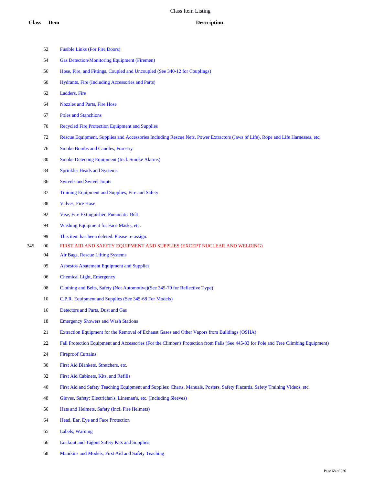|     | 52 | <b>Fusible Links (For Fire Doors)</b>                                                                                                |
|-----|----|--------------------------------------------------------------------------------------------------------------------------------------|
|     | 54 | <b>Gas Detection/Monitoring Equipment (Firemen)</b>                                                                                  |
|     | 56 | Hose, Fire, and Fittings, Coupled and Uncoupled (See 340-12 for Couplings)                                                           |
|     | 60 | Hydrants, Fire (Including Accessories and Parts)                                                                                     |
|     | 62 | Ladders, Fire                                                                                                                        |
|     | 64 | Nozzles and Parts, Fire Hose                                                                                                         |
|     | 67 | <b>Poles and Stanchions</b>                                                                                                          |
|     | 70 | Recycled Fire Protection Equipment and Supplies                                                                                      |
|     | 72 | Rescue Equipment, Supplies and Accessories Including Rescue Nets, Power Extractors (Jaws of Life), Rope and Life Harnesses, etc.     |
|     | 76 | <b>Smoke Bombs and Candles, Forestry</b>                                                                                             |
|     | 80 | <b>Smoke Detecting Equipment (Incl. Smoke Alarms)</b>                                                                                |
|     | 84 | <b>Sprinkler Heads and Systems</b>                                                                                                   |
|     | 86 | <b>Swivels and Swivel Joints</b>                                                                                                     |
|     | 87 | Training Equipment and Supplies, Fire and Safety                                                                                     |
|     | 88 | <b>Valves, Fire Hose</b>                                                                                                             |
|     | 92 | Vise, Fire Extinguisher, Pneumatic Belt                                                                                              |
|     | 94 | Washing Equipment for Face Masks, etc.                                                                                               |
|     | 99 | This item has been deleted. Please re-assign.                                                                                        |
| 345 | 00 | FIRST AID AND SAFETY EQUIPMENT AND SUPPLIES (EXCEPT NUCLEAR AND WELDING)                                                             |
|     | 04 | Air Bags, Rescue Lifting Systems                                                                                                     |
|     | 05 | <b>Asbestos Abatement Equipment and Supplies</b>                                                                                     |
|     | 06 | <b>Chemical Light</b> , Emergency                                                                                                    |
|     | 08 | Clothing and Belts, Safety (Not Automotive)(See 345-79 for Reflective Type)                                                          |
|     | 10 | C.P.R. Equipment and Supplies (See 345-68 For Models)                                                                                |
|     | 16 | Detectors and Parts, Dust and Gas                                                                                                    |
|     | 18 | <b>Emergency Showers and Wash Stations</b>                                                                                           |
|     | 21 | Extraction Equipment for the Removal of Exhaust Gases and Other Vapors from Buildings (OSHA)                                         |
|     | 22 | Fall Protection Equipment and Accessories (For the Climber's Protection from Falls (See 445-83 for Pole and Tree Climbing Equipment) |
|     | 24 | <b>Fireproof Curtains</b>                                                                                                            |
|     | 30 | First Aid Blankets, Stretchers, etc.                                                                                                 |
|     | 32 | First Aid Cabinets, Kits, and Refills                                                                                                |
|     | 40 | First Aid and Safety Teaching Equipment and Supplies: Charts, Manuals, Posters, Safety Placards, Safety Training Videos, etc.        |
|     | 48 | Gloves, Safety: Electrician's, Lineman's, etc. (Including Sleeves)                                                                   |
|     | 56 | Hats and Helmets, Safety (Incl. Fire Helmets)                                                                                        |
|     | 64 | Head, Ear, Eye and Face Protection                                                                                                   |
|     | 65 | Labels, Warning                                                                                                                      |
|     | 66 | <b>Lockout and Tagout Safety Kits and Supplies</b>                                                                                   |

Manikins and Models, First Aid and Safety Teaching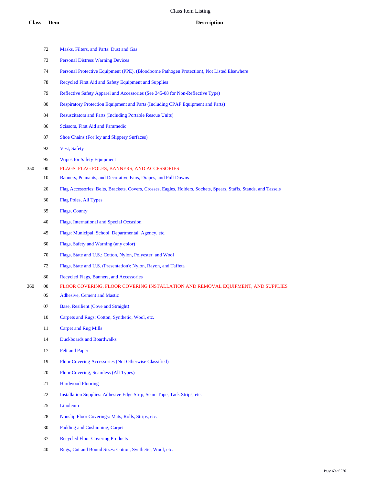|     | 72     | Masks, Filters, and Parts: Dust and Gas                                                                           |
|-----|--------|-------------------------------------------------------------------------------------------------------------------|
|     | 73     | <b>Personal Distress Warning Devices</b>                                                                          |
|     | 74     | Personal Protective Equipment (PPE), (Bloodborne Pathogen Protection), Not Listed Elsewhere                       |
|     | 78     | Recycled First Aid and Safety Equipment and Supplies                                                              |
|     | 79     | Reflective Safety Apparel and Accessories (See 345-08 for Non-Reflective Type)                                    |
|     | 80     | <b>Respiratory Protection Equipment and Parts (Including CPAP Equipment and Parts)</b>                            |
|     | 84     | <b>Resuscitators and Parts (Including Portable Rescue Units)</b>                                                  |
|     | 86     | Scissors, First Aid and Paramedic                                                                                 |
|     | 87     | Shoe Chains (For Icy and Slippery Surfaces)                                                                       |
|     | 92     | <b>Vest, Safety</b>                                                                                               |
|     | 95     | <b>Wipes for Safety Equipment</b>                                                                                 |
| 350 | $00\,$ | FLAGS, FLAG POLES, BANNERS, AND ACCESSORIES                                                                       |
|     | 10     | Banners, Pennants, and Decorative Fans, Drapes, and Pull Downs                                                    |
|     | 20     | Flag Accessories: Belts, Brackets, Covers, Crosses, Eagles, Holders, Sockets, Spears, Staffs, Stands, and Tassels |
|     | 30     | <b>Flag Poles, All Types</b>                                                                                      |
|     | 35     | Flags, County                                                                                                     |
|     | 40     | Flags, International and Special Occasion                                                                         |
|     | 45     | Flags: Municipal, School, Departmental, Agency, etc.                                                              |
|     | 60     | Flags, Safety and Warning (any color)                                                                             |
|     | 70     | Flags, State and U.S.: Cotton, Nylon, Polyester, and Wool                                                         |
|     | 72     | Flags, State and U.S. (Presentation): Nylon, Rayon, and Taffeta                                                   |
|     | 80     | Recycled Flags, Banners, and Accessories                                                                          |
| 360 | $00\,$ | FLOOR COVERING, FLOOR COVERING INSTALLATION AND REMOVAL EQUIPMENT, AND SUPPLIES                                   |
|     | 05     | <b>Adhesive, Cement and Mastic</b>                                                                                |
|     | 07     | Base, Resilient (Cove and Straight)                                                                               |
|     | 10     | Carpets and Rugs: Cotton, Synthetic, Wool, etc.                                                                   |
|     | 11     | <b>Carpet and Rug Mills</b>                                                                                       |
|     | 14     | <b>Duckboards and Boardwalks</b>                                                                                  |
|     | 17     | <b>Felt and Paper</b>                                                                                             |
|     | 19     | Floor Covering Accessories (Not Otherwise Classified)                                                             |
|     | 20     | Floor Covering, Seamless (All Types)                                                                              |
|     | 21     | <b>Hardwood Flooring</b>                                                                                          |
|     | 22     | Installation Supplies: Adhesive Edge Strip, Seam Tape, Tack Strips, etc.                                          |
|     | 25     | Linoleum                                                                                                          |
|     | 28     | Nonslip Floor Coverings: Mats, Rolls, Strips, etc.                                                                |
|     | 30     | Padding and Cushioning, Carpet                                                                                    |
|     | 37     | <b>Recycled Floor Covering Products</b>                                                                           |

Rugs, Cut and Bound Sizes: Cotton, Synthetic, Wool, etc.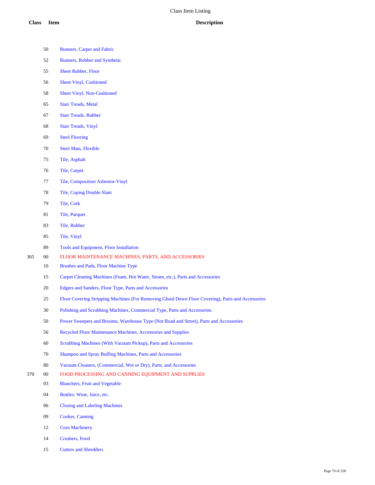- Runners, Carpet and Fabric
- Runners, Rubber and Synthetic
- Sheet Rubber, Floor
- Sheet Vinyl, Cushioned
- Sheet Vinyl, Non-Cushioned
- Stair Treads, Metal
- Stair Treads, Rubber
- Stair Treads, Vinyl
- Steel Flooring
- Steel Mats, Flexible
- Tile, Asphalt
- Tile, Carpet
- Tile, Composition Asbestos-Vinyl
- Tile, Coping Double Slant
- Tile, Cork
- Tile, Parquet
- Tile, Rubber
- Tile, Vinyl
- Tools and Equipment, Floor Installation
- 00 FLOOR MAINTENANCE MACHINES, PARTS, AND ACCESSORIES
	- Brushes and Pads, Floor Machine Type
	- Carpet Cleaning Machines (Foam, Hot Water, Steam, etc.), Parts and Accessories
	- Edgers and Sanders, Floor Type, Parts and Accessories
	- Floor Covering Stripping Machines (For Removing Glued Down Floor Covering), Parts and Accessories
	- Polishing and Scrubbing Machines, Commercial Type, Parts and Accessories
	- Power Sweepers and Brooms, Warehouse Type (Not Road and Street), Parts and Accessories
	- Recycled Floor Maintenance Machines, Accessories and Supplies
	- Scrubbing Machines (With Vacuum Pickup), Parts and Accessories
	- Shampoo and Spray Buffing Machines, Parts and Accessories
	- Vacuum Cleaners, (Commercial, Wet or Dry), Parts, and Accessories
- 00 FOOD PROCESSING AND CANNING EQUIPMENT AND SUPPLIES
	- Blanchers, Fruit and Vegetable
	- Bottles: Wine, Juice, etc.
	- Closing and Labeling Machines
	- Cooker, Canning
	- Corn Machinery
	- Crushers, Food
	- Cutters and Shredders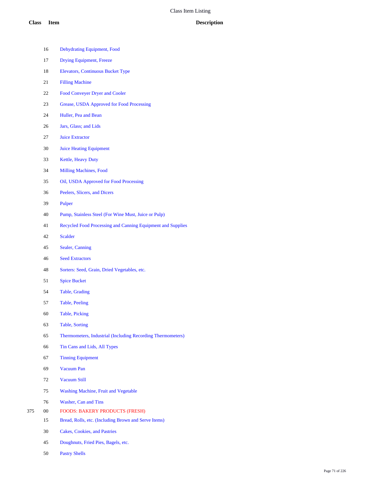|     | 16     | Dehydrating Equipment, Food                                 |
|-----|--------|-------------------------------------------------------------|
|     | 17     | <b>Drying Equipment, Freeze</b>                             |
|     | 18     | <b>Elevators, Continuous Bucket Type</b>                    |
|     | 21     | <b>Filling Machine</b>                                      |
|     | 22     | <b>Food Conveyer Dryer and Cooler</b>                       |
|     | 23     | Grease, USDA Approved for Food Processing                   |
|     | 24     | Huller, Pea and Bean                                        |
|     | 26     | Jars, Glass; and Lids                                       |
|     | 27     | <b>Juice Extractor</b>                                      |
|     | 30     | <b>Juice Heating Equipment</b>                              |
|     | 33     | Kettle, Heavy Duty                                          |
|     | 34     | <b>Milling Machines, Food</b>                               |
|     | 35     | Oil, USDA Approved for Food Processing                      |
|     | 36     | Peelers, Slicers, and Dicers                                |
|     | 39     | Pulper                                                      |
|     | 40     | Pump, Stainless Steel (For Wine Must, Juice or Pulp)        |
|     | 41     | Recycled Food Processing and Canning Equipment and Supplies |
|     | 42     | <b>Scalder</b>                                              |
|     | 45     | Sealer, Canning                                             |
|     | 46     | <b>Seed Extractors</b>                                      |
|     | 48     | Sorters: Seed, Grain, Dried Vegetables, etc.                |
|     | 51     | <b>Spice Bucket</b>                                         |
|     | 54     | Table, Grading                                              |
|     | 57     | Table, Peeling                                              |
|     | 60     | <b>Table, Picking</b>                                       |
|     | 63     | <b>Table, Sorting</b>                                       |
|     | 65     | Thermometers, Industrial (Including Recording Thermometers) |
|     | 66     | Tin Cans and Lids, All Types                                |
|     | 67     | <b>Tinning Equipment</b>                                    |
|     | 69     | <b>Vacuum Pan</b>                                           |
|     | 72     | <b>Vacuum Still</b>                                         |
|     | 75     | Washing Machine, Fruit and Vegetable                        |
|     | 76     | Washer, Can and Tins                                        |
| 375 | $00\,$ | <b>FOODS: BAKERY PRODUCTS (FRESH)</b>                       |
|     | 15     | Bread, Rolls, etc. (Including Brown and Serve Items)        |
|     | 30     | <b>Cakes, Cookies, and Pastries</b>                         |
|     | 45     | Doughnuts, Fried Pies, Bagels, etc.                         |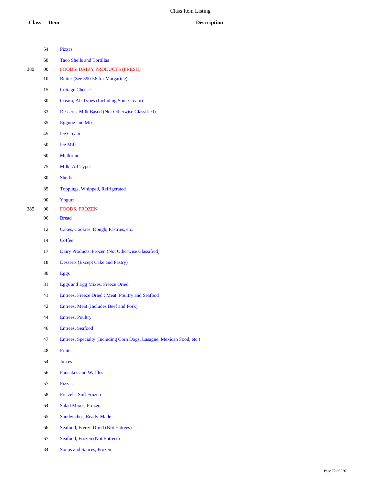|     | 54     | <b>Pizzas</b>                                                         |
|-----|--------|-----------------------------------------------------------------------|
|     | 60     | <b>Taco Shells and Tortillas</b>                                      |
| 380 | $00\,$ | <b>FOODS: DAIRY PRODUCTS (FRESH)</b>                                  |
|     | 10     | Butter (See 390-56 for Margarine)                                     |
|     | 15     | <b>Cottage Cheese</b>                                                 |
|     | 30     | Cream, All Types (Including Sour Cream)                               |
|     | 33     | Desserts, Milk Based (Not Otherwise Classified)                       |
|     | 35     | <b>Eggnog</b> and Mix                                                 |
|     | 45     | <b>Ice Cream</b>                                                      |
|     | 50     | <b>Ice Milk</b>                                                       |
|     | 60     | Mellorine                                                             |
|     | 75     | Milk, All Types                                                       |
|     | 80     | <b>Sherbet</b>                                                        |
|     | 85     | Toppings, Whipped, Refrigerated                                       |
|     | 90     | Yogurt                                                                |
| 385 | $00\,$ | <b>FOODS, FROZEN</b>                                                  |
|     | 06     | <b>Bread</b>                                                          |
|     | 12     | Cakes, Cookies, Dough, Pastries, etc.                                 |
|     | 14     | Coffee                                                                |
|     | 17     | Dairy Products, Frozen (Not Otherwise Classified)                     |
|     | 18     | <b>Desserts (Except Cake and Pastry)</b>                              |
|     | 30     | Eggs                                                                  |
|     | 31     | Eggs and Egg Mixes, Freeze Dried                                      |
|     | 41     | Entrees, Freeze Dried: Meat, Poultry and Seafood                      |
|     | 42     | Entrees, Meat (Includes Beef and Pork)                                |
|     | 44     | <b>Entrees, Poultry</b>                                               |
|     | 46     | <b>Entrees, Seafood</b>                                               |
|     | 47     | Entrees, Specialty (Including Corn Dogs, Lasagne, Mexican Food, etc.) |
|     | 48     | <b>Fruits</b>                                                         |
|     | 54     | <b>Juices</b>                                                         |
|     | 56     | Pancakes and Waffles                                                  |
|     | 57     | <b>Pizzas</b>                                                         |
|     | 58     | Pretzels, Soft Frozen                                                 |
|     | 64     | <b>Salad Mixes, Frozen</b>                                            |
|     | 65     | Sandwiches, Ready-Made                                                |
|     | 66     | Seafood, Freeze Dried (Not Entrees)                                   |
|     |        |                                                                       |
|     | 67     | Seafood, Frozen (Not Entrees)                                         |

Soups and Sauces, Frozen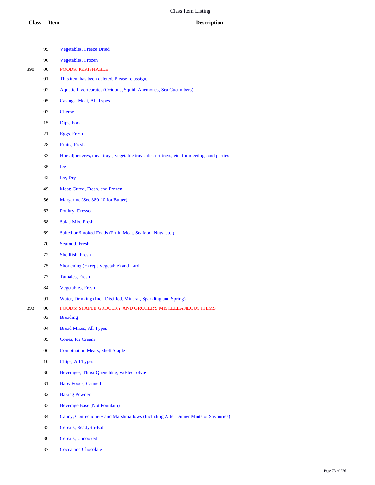|     | 95     | <b>Vegetables, Freeze Dried</b>                                                           |
|-----|--------|-------------------------------------------------------------------------------------------|
|     | 96     | <b>Vegetables</b> , Frozen                                                                |
| 390 | $00\,$ | <b>FOODS: PERISHABLE</b>                                                                  |
|     | 01     | This item has been deleted. Please re-assign.                                             |
|     | 02     | Aquatic Invertebrates (Octopus, Squid, Anemones, Sea Cucumbers)                           |
|     | 05     | Casings, Meat, All Types                                                                  |
|     | 07     | <b>Cheese</b>                                                                             |
|     | 15     | Dips, Food                                                                                |
|     | 21     | Eggs, Fresh                                                                               |
|     | 28     | <b>Fruits, Fresh</b>                                                                      |
|     | 33     | Hors djoeuvres, meat trays, vegetable trays, dessert trays, etc. for meetings and parties |
|     | 35     | Ice                                                                                       |
|     | 42     | Ice, Dry                                                                                  |
|     | 49     | Meat: Cured, Fresh, and Frozen                                                            |
|     | 56     | Margarine (See 380-10 for Butter)                                                         |
|     | 63     | Poultry, Dressed                                                                          |
|     | 68     | Salad Mix, Fresh                                                                          |
|     | 69     | Salted or Smoked Foods (Fruit, Meat, Seafood, Nuts, etc.)                                 |
|     | 70     | Seafood, Fresh                                                                            |
|     | 72     | Shellfish, Fresh                                                                          |
|     | 75     | Shortening (Except Vegetable) and Lard                                                    |
|     | 77     | <b>Tamales, Fresh</b>                                                                     |
|     | 84     | <b>Vegetables</b> , Fresh                                                                 |
|     | 91     | Water, Drinking (Incl. Distilled, Mineral, Sparkling and Spring)                          |
| 393 | 00     | <b>FOODS: STAPLE GROCERY AND GROCER'S MISCELLANEOUS ITEMS</b>                             |
|     | 03     | <b>Breading</b>                                                                           |
|     | 04     | <b>Bread Mixes, All Types</b>                                                             |
|     | 05     | <b>Cones, Ice Cream</b>                                                                   |
|     | 06     | <b>Combination Meals, Shelf Staple</b>                                                    |
|     | 10     | Chips, All Types                                                                          |
|     | 30     | Beverages, Thirst Quenching, w/Electrolyte                                                |
|     | 31     | <b>Baby Foods, Canned</b>                                                                 |
|     | 32     | <b>Baking Powder</b>                                                                      |
|     | 33     | <b>Beverage Base (Not Fountain)</b>                                                       |
|     | 34     | Candy, Confectionery and Marshmallows (Including After Dinner Mints or Savouries)         |
|     | 35     | Cereals, Ready-to-Eat                                                                     |
|     | 36     | Cereals, Uncooked                                                                         |
|     |        |                                                                                           |

Cocoa and Chocolate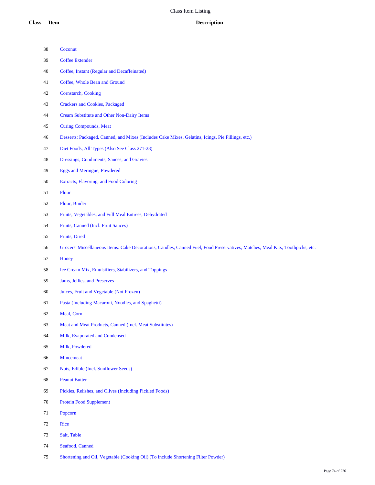| 38 | Coconut                                                                                                                        |
|----|--------------------------------------------------------------------------------------------------------------------------------|
| 39 | <b>Coffee Extender</b>                                                                                                         |
| 40 | Coffee, Instant (Regular and Decaffeinated)                                                                                    |
| 41 | Coffee, Whole Bean and Ground                                                                                                  |
| 42 | Cornstarch, Cooking                                                                                                            |
| 43 | <b>Crackers and Cookies, Packaged</b>                                                                                          |
| 44 | <b>Cream Substitute and Other Non-Dairy Items</b>                                                                              |
| 45 | <b>Curing Compounds, Meat</b>                                                                                                  |
| 46 | Desserts: Packaged, Canned, and Mixes (Includes Cake Mixes, Gelatins, Icings, Pie Fillings, etc.)                              |
| 47 | Diet Foods, All Types (Also See Class 271-28)                                                                                  |
| 48 | Dressings, Condiments, Sauces, and Gravies                                                                                     |
| 49 | <b>Eggs and Meringue, Powdered</b>                                                                                             |
| 50 | Extracts, Flavoring, and Food Coloring                                                                                         |
| 51 | Flour                                                                                                                          |
| 52 | Flour, Binder                                                                                                                  |
| 53 | Fruits, Vegetables, and Full Meal Entrees, Dehydrated                                                                          |
| 54 | Fruits, Canned (Incl. Fruit Sauces)                                                                                            |
| 55 | Fruits, Dried                                                                                                                  |
| 56 | Grocers' Miscellaneous Items: Cake Decorations, Candles, Canned Fuel, Food Preservatives, Matches, Meal Kits, Toothpicks, etc. |
| 57 | Honey                                                                                                                          |
| 58 | Ice Cream Mix, Emulsifiers, Stabilizers, and Toppings                                                                          |
| 59 | Jams, Jellies, and Preserves                                                                                                   |
| 60 | Juices, Fruit and Vegetable (Not Frozen)                                                                                       |
| 61 | Pasta (Including Macaroni, Noodles, and Spaghetti)                                                                             |
| 62 | Meal, Corn                                                                                                                     |
| 63 | Meat and Meat Products, Canned (Incl. Meat Substitutes)                                                                        |
| 64 | Milk, Evaporated and Condensed                                                                                                 |
| 65 | Milk, Powdered                                                                                                                 |
| 66 | Mincemeat                                                                                                                      |
| 67 | Nuts, Edible (Incl. Sunflower Seeds)                                                                                           |
| 68 | <b>Peanut Butter</b>                                                                                                           |
| 69 | Pickles, Relishes, and Olives (Including Pickled Foods)                                                                        |
| 70 | <b>Protein Food Supplement</b>                                                                                                 |
| 71 | Popcorn                                                                                                                        |
| 72 | Rice                                                                                                                           |
| 73 | Salt, Table                                                                                                                    |
| 74 | Seafood, Canned                                                                                                                |

Shortening and Oil, Vegetable (Cooking Oil) (To include Shortening Filter Powder)

Page 74 of 226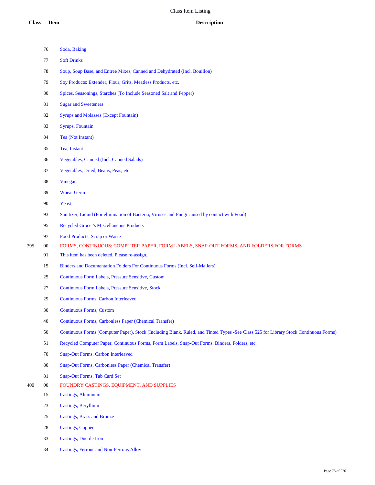|     | 76     | Soda, Baking                                                                                                                          |
|-----|--------|---------------------------------------------------------------------------------------------------------------------------------------|
|     | 77     | <b>Soft Drinks</b>                                                                                                                    |
|     | 78     | Soup, Soup Base, and Entree Mixes, Canned and Dehydrated (Incl. Bouillon)                                                             |
|     | 79     | Soy Products: Extender, Flour, Grits, Meatless Products, etc.                                                                         |
|     | $80\,$ | Spices, Seasonings, Starches (To Include Seasoned Salt and Pepper)                                                                    |
|     | 81     | <b>Sugar and Sweeteners</b>                                                                                                           |
|     | 82     | <b>Syrups and Molasses (Except Fountain)</b>                                                                                          |
|     | 83     | Syrups, Fountain                                                                                                                      |
|     | 84     | Tea (Not Instant)                                                                                                                     |
|     | 85     | Tea, Instant                                                                                                                          |
|     | 86     | <b>Vegetables, Canned (Incl. Canned Salads)</b>                                                                                       |
|     | 87     | Vegetables, Dried, Beans, Peas, etc.                                                                                                  |
|     | 88     | Vinegar                                                                                                                               |
|     | 89     | <b>Wheat Germ</b>                                                                                                                     |
|     | 90     | Yeast                                                                                                                                 |
|     | 93     | Sanitizer, Liquid (For elimination of Bacteria, Viruses and Fungi caused by contact with Food)                                        |
|     | 95     | <b>Recycled Grocer's Miscellaneous Products</b>                                                                                       |
|     | 97     | Food Products, Scrap or Waste                                                                                                         |
| 395 | $00\,$ | FORMS, CONTINUOUS: COMPUTER PAPER, FORM LABELS, SNAP-OUT FORMS, AND FOLDERS FOR FORMS                                                 |
|     | 01     | This item has been deleted. Please re-assign.                                                                                         |
|     | 15     | Binders and Documentation Folders For Continuous Forms (Incl. Self-Mailers)                                                           |
|     | 25     | Continuous Form Labels, Pressure Sensitive, Custom                                                                                    |
|     | 27     | Continuous Form Labels, Pressure Sensitive, Stock                                                                                     |
|     | 29     | <b>Continuous Forms, Carbon Interleaved</b>                                                                                           |
|     | 30     | <b>Continuous Forms, Custom</b>                                                                                                       |
|     | 40     | Continuous Forms, Carbonless Paper (Chemical Transfer)                                                                                |
|     | 50     | Continuous Forms (Computer Paper), Stock (Including Blank, Ruled, and Tinted Types -See Class 525 for Library Stock Continuous Forms) |
|     | 51     | Recycled Computer Paper, Continuous Forms, Form Labels, Snap-Out Forms, Binders, Folders, etc.                                        |
|     | 70     | <b>Snap-Out Forms, Carbon Interleaved</b>                                                                                             |
|     | 80     | Snap-Out Forms, Carbonless Paper (Chemical Transfer)                                                                                  |
|     | 81     | Snap-Out Forms, Tab Card Set                                                                                                          |
| 400 | $00\,$ | FOUNDRY CASTINGS, EQUIPMENT, AND SUPPLIES                                                                                             |
|     | 15     | Castings, Aluminum                                                                                                                    |
|     | 23     | Castings, Beryllium                                                                                                                   |
|     | 25     | <b>Castings, Brass and Bronze</b>                                                                                                     |
|     | 28     | <b>Castings, Copper</b>                                                                                                               |
|     | 33     | <b>Castings, Ductile Iron</b>                                                                                                         |

Castings, Ferrous and Non-Ferrous Alloy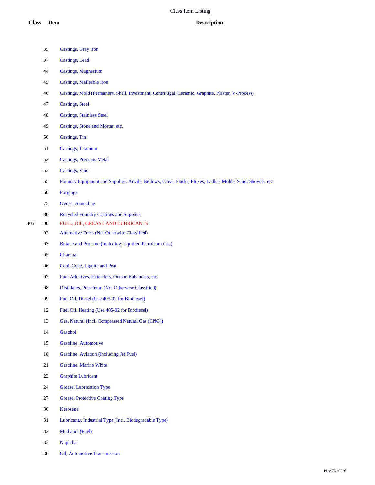|     | 35         | <b>Castings</b> , Gray Iron                                                                                |
|-----|------------|------------------------------------------------------------------------------------------------------------|
|     | 37         | <b>Castings</b> , Lead                                                                                     |
|     | 44         | <b>Castings, Magnesium</b>                                                                                 |
|     | 45         | <b>Castings, Malleable Iron</b>                                                                            |
|     | 46         | Castings, Mold (Permanent, Shell, Investment, Centrifugal, Ceramic, Graphite, Plaster, V-Process)          |
|     | 47         | <b>Castings</b> , Steel                                                                                    |
|     | 48         | <b>Castings, Stainless Steel</b>                                                                           |
|     | 49         | Castings, Stone and Mortar, etc.                                                                           |
|     | 50         | Castings, Tin                                                                                              |
|     | 51         | <b>Castings</b> , Titanium                                                                                 |
|     | 52         | <b>Castings, Precious Metal</b>                                                                            |
|     | 53         | Castings, Zinc                                                                                             |
|     | 55         | Foundry Equipment and Supplies: Anvils, Bellows, Clays, Flasks, Fluxes, Ladles, Molds, Sand, Shovels, etc. |
|     | $60\,$     | <b>Forgings</b>                                                                                            |
|     | 75         | <b>Ovens, Annealing</b>                                                                                    |
|     | 80         | <b>Recycled Foundry Castings and Supplies</b>                                                              |
| 405 | $00\,$     | FUEL, OIL, GREASE AND LUBRICANTS                                                                           |
|     | 02         | <b>Alternative Fuels (Not Otherwise Classified)</b>                                                        |
|     | 03         | Butane and Propane (Including Liquified Petroleum Gas)                                                     |
|     | $05\,$     | Charcoal                                                                                                   |
|     | $06\,$     | Coal, Coke, Lignite and Peat                                                                               |
|     | 07         | Fuel Additives, Extenders, Octane Enhancers, etc.                                                          |
|     | ${\bf 08}$ | Distillates, Petroleum (Not Otherwise Classified)                                                          |
|     | 09         | Fuel Oil, Diesel (Use 405-02 for Biodiesel)                                                                |
|     | 12         | Fuel Oil, Heating (Use 405-02 for Biodiesel)                                                               |
|     | 13         | Gas, Natural (Incl. Compressed Natural Gas (CNG))                                                          |
|     | 14         | Gasohol                                                                                                    |
|     | 15         | Gasoline, Automotive                                                                                       |
|     | 18         | Gasoline, Aviation (Including Jet Fuel)                                                                    |
|     | 21         | Gasoline, Marine White                                                                                     |
|     | 23         | <b>Graphite Lubricant</b>                                                                                  |
|     | 24         | Grease, Lubrication Type                                                                                   |
|     | 27         | <b>Grease, Protective Coating Type</b>                                                                     |
|     | $30\,$     | Kerosene                                                                                                   |
|     | 31         | Lubricants, Industrial Type (Incl. Biodegradable Type)                                                     |
|     | 32         | Methanol (Fuel)                                                                                            |
|     | 33         | Naphtha                                                                                                    |
|     | 36         | Oil, Automotive Transmission                                                                               |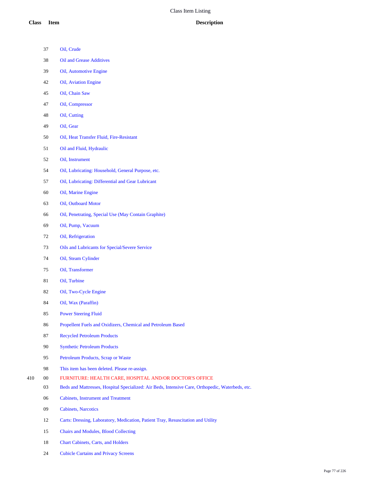- Oil, Crude Oil and Grease Additives Oil, Automotive Engine Oil, Aviation Engine Oil, Chain Saw
	- Oil, Compressor
	- Oil, Cutting
	- Oil, Gear
	- Oil, Heat Transfer Fluid, Fire-Resistant
	- Oil and Fluid, Hydraulic
	- Oil, Instrument
	- Oil, Lubricating: Household, General Purpose, etc.
	- Oil, Lubricating: Differential and Gear Lubricant
	- Oil, Marine Engine
	- Oil, Outboard Motor
	- Oil, Penetrating, Special Use (May Contain Graphite)
	- Oil, Pump, Vacuum
	- Oil, Refrigeration
	- Oils and Lubricants for Special/Severe Service
	- Oil, Steam Cylinder
	- Oil, Transformer
	- Oil, Turbine
	- Oil, Two-Cycle Engine
	- Oil, Wax (Paraffin)
	- Power Steering Fluid
	- Propellent Fuels and Oxidizers, Chemical and Petroleum Based
	- Recycled Petroleum Products
	- Synthetic Petroleum Products
	- Petroleum Products, Scrap or Waste
- This item has been deleted. Please re-assign.
- 00 FURNITURE: HEALTH CARE, HOSPITAL AND/OR DOCTOR'S OFFICE
	- Beds and Mattresses, Hospital Specialized: Air Beds, Intensive Care, Orthopedic, Waterbeds, etc.
	- Cabinets, Instrument and Treatment
	- Cabinets, Narcotics
	- Carts: Dressing, Laboratory, Medication, Patient Tray, Resuscitation and Utility
	- Chairs and Modules, Blood Collecting
	- Chart Cabinets, Carts, and Holders
	- Cubicle Curtains and Privacy Screens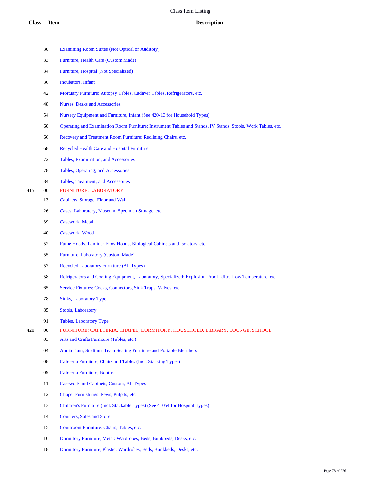- Examining Room Suites (Not Optical or Auditory) Furniture, Health Care (Custom Made) Furniture, Hospital (Not Specialized) Incubators, Infant Mortuary Furniture: Autopsy Tables, Cadaver Tables, Refrigerators, etc. Nurses' Desks and Accessories Nursery Equipment and Furniture, Infant (See 420-13 for Household Types) Operating and Examination Room Furniture: Instrument Tables and Stands, IV Stands, Stools, Work Tables, etc. Recovery and Treatment Room Furniture: Reclining Chairs, etc. Recycled Health Care and Hospital Furniture Tables, Examination; and Accessories Tables, Operating; and Accessories Tables, Treatment; and Accessories 00 FURNITURE: LABORATORY Cabinets, Storage, Floor and Wall Cases: Laboratory, Museum, Specimen Storage, etc. Casework, Metal Casework, Wood Fume Hoods, Laminar Flow Hoods, Biological Cabinets and Isolators, etc. Furniture, Laboratory (Custom Made) Recycled Laboratory Furniture (All Types) Refrigerators and Cooling Equipment, Laboratory, Specialized: Explosion-Proof, Ultra-Low Temperature, etc. Service Fixtures: Cocks, Connectors, Sink Traps, Valves, etc. Sinks, Laboratory Type Stools, Laboratory Tables, Laboratory Type 00 FURNITURE: CAFETERIA, CHAPEL, DORMITORY, HOUSEHOLD, LIBRARY, LOUNGE, SCHOOL Arts and Crafts Furniture (Tables, etc.) Auditorium, Stadium, Team Seating Furniture and Portable Bleachers Cafeteria Furniture, Chairs and Tables (Incl. Stacking Types) Cafeteria Furniture, Booths Casework and Cabinets, Custom, All Types Chapel Furnishings: Pews, Pulpits, etc. Children's Furniture (Incl. Stackable Types) (See 41054 for Hospital Types) Counters, Sales and Store Courtroom Furniture: Chairs, Tables, etc.
	- Dormitory Furniture, Metal: Wardrobes, Beds, Bunkbeds, Desks, etc.
	- Dormitory Furniture, Plastic: Wardrobes, Beds, Bunkbeds, Desks, etc.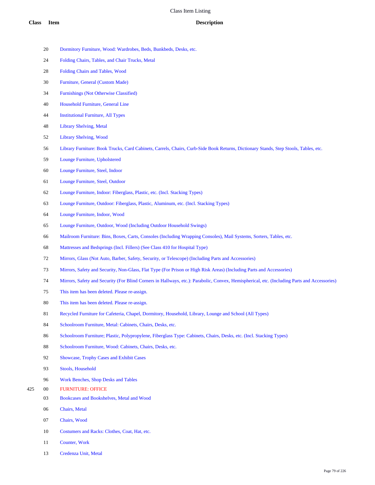- Dormitory Furniture, Wood: Wardrobes, Beds, Bunkbeds, Desks, etc.
- Folding Chairs, Tables, and Chair Trucks, Metal
- Folding Chairs and Tables, Wood
- Furniture, General (Custom Made)
- Furnishings (Not Otherwise Classified)
- Household Furniture, General Line
- Institutional Furniture, All Types
- Library Shelving, Metal
- Library Shelving, Wood
- Library Furniture: Book Trucks, Card Cabinets, Carrels, Chairs, Curb-Side Book Returns, Dictionary Stands, Step Stools, Tables, etc.
- Lounge Furniture, Upholstered
- Lounge Furniture, Steel, Indoor
- Lounge Furniture, Steel, Outdoor
- Lounge Furniture, Indoor: Fiberglass, Plastic, etc. (Incl. Stacking Types)
- Lounge Furniture, Outdoor: Fiberglass, Plastic, Aluminum, etc. (Incl. Stacking Types)
- Lounge Furniture, Indoor, Wood
- Lounge Furniture, Outdoor, Wood (Including Outdoor Household Swings)
- Mailroom Furniture: Bins, Boxes, Carts, Consoles (Including Wrapping Consoles), Mail Systems, Sorters, Tables, etc.
- Mattresses and Bedsprings (Incl. Fillers) (See Class 410 for Hospital Type)
- Mirrors, Glass (Not Auto, Barber, Safety, Security, or Telescope) (Including Parts and Accessories)
- Mirrors, Safety and Security, Non-Glass, Flat Type (For Prison or High Risk Areas) (Including Parts and Accessories)
- Mirrors, Safety and Security (For Blind Corners in Hallways, etc.): Parabolic, Convex, Hemispherical, etc. (Including Parts and Accessories)
- This item has been deleted. Please re-assign.
- This item has been deleted. Please re-assign.
- Recycled Furniture for Cafeteria, Chapel, Dormitory, Household, Library, Lounge and School (All Types)
- Schoolroom Furniture, Metal: Cabinets, Chairs, Desks, etc.
- Schoolroom Furniture; Plastic, Polypropylene, Fiberglass Type: Cabinets, Chairs, Desks, etc. (Incl. Stacking Types)
- Schoolroom Furniture, Wood: Cabinets, Chairs, Desks, etc.
- Showcase, Trophy Cases and Exhibit Cases
- Stools, Household
- Work Benches, Shop Desks and Tables
- 00 FURNITURE: OFFICE
	- Bookcases and Bookshelves, Metal and Wood
	- Chairs, Metal
	- Chairs, Wood
	- Costumers and Racks: Clothes, Coat, Hat, etc.
	- Counter, Work
	- Credenza Unit, Metal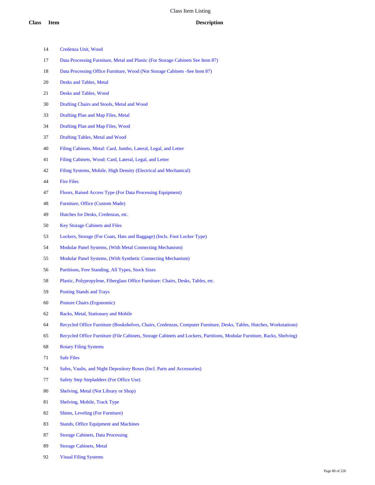- Credenza Unit, Wood
- Data Processing Furniture, Metal and Plastic (For Storage Cabinets See Item 87)
- Data Processing Office Furniture, Wood (Not Storage Cabinets -See Item 87)
- Desks and Tables, Metal
- Desks and Tables, Wood
- Drafting Chairs and Stools, Metal and Wood
- Drafting Plan and Map Files, Metal
- Drafting Plan and Map Files, Wood
- Drafting Tables, Metal and Wood
- Filing Cabinets, Metal: Card, Jumbo, Lateral, Legal, and Letter
- Filing Cabinets, Wood: Card, Lateral, Legal, and Letter
- Filing Systems, Mobile, High Density (Electrical and Mechanical)
- Fire Files
- Floors, Raised Access Type (For Data Processing Equipment)
- Furniture, Office (Custom Made)
- Hutches for Desks, Credenzas, etc.
- Key Storage Cabinets and Files
- Lockers, Storage (For Coats, Hats and Baggage) (Incls. Foot Locker Type)
- Modular Panel Systems, (With Metal Connecting Mechanism)
- Modular Panel Systems, (With Synthetic Connecting Mechanism)
- Partitions, Free Standing, All Types, Stock Sizes
- Plastic, Polypropylene, Fiberglass Office Furniture: Chairs, Desks, Tables, etc.
- Posting Stands and Trays
- Posture Chairs (Ergonomic)
- Racks, Metal, Stationary and Mobile
- Recycled Office Furniture (Bookshelves, Chairs, Credenzas, Computer Furniture, Desks, Tables, Hutches, Workstations)
- Recycled Office Furniture (File Cabinets, Storage Cabinets and Lockers, Partitions, Modular Furniture, Racks, Shelving)
- Rotary Filing Systems
- Safe Files
- Safes, Vaults, and Night Depository Boxes (Incl. Parts and Accessories)
- Safety Step Stepladders (For Office Use)
- Shelving, Metal (Not Library or Shop)
- Shelving, Mobile, Track Type
- Shims, Leveling (For Furniture)
- Stands, Office Equipment and Machines
- Storage Cabinets, Data Processing
- Storage Cabinets, Metal
- Visual Filing Systems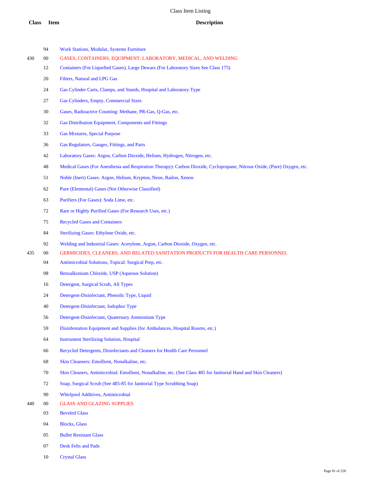|     | 94 | <b>Work Stations, Modular, Systems Furniture</b>                                                                         |
|-----|----|--------------------------------------------------------------------------------------------------------------------------|
| 430 | 00 | GASES, CONTAINERS, EQUIPMENT: LABORATORY, MEDICAL, AND WELDING                                                           |
|     | 12 | Containers (For Liquefied Gases), Large Dewars (For Laboratory Sizes See Class 175)                                      |
|     | 20 | Filters, Natural and LPG Gas                                                                                             |
|     | 24 | Gas Cylinder Carts, Clamps, and Stands, Hospital and Laboratory Type                                                     |
|     | 27 | Gas Cylinders, Empty, Commercial Sizes                                                                                   |
|     | 30 | Gases, Radioactive Counting: Methane, PR-Gas, Q-Gas, etc.                                                                |
|     | 32 | Gas Distribution Equipment, Components and Fittings                                                                      |
|     | 33 | <b>Gas Mixtures, Special Purpose</b>                                                                                     |
|     | 36 | Gas Regulators, Gauges, Fittings, and Parts                                                                              |
|     | 42 | Laboratory Gases: Argon, Carbon Dioxide, Helium, Hydrogen, Nitrogen, etc.                                                |
|     | 48 | Medical Gases (For Anesthesia and Respiration Therapy): Carbon Dioxide, Cyclopropane, Nitrous Oxide, (Pure) Oxygen, etc. |
|     | 51 | Noble (Inert) Gases: Argon, Helium, Krypton, Neon, Radon, Xenon                                                          |
|     | 62 | Pure (Elemental) Gases (Not Otherwise Classified)                                                                        |
|     | 63 | Purifiers (For Gases): Soda Lime, etc.                                                                                   |
|     | 72 | Rare or Highly Purified Gases (For Research Uses, etc.)                                                                  |
|     | 75 | <b>Recycled Gases and Containers</b>                                                                                     |
|     | 84 | Sterilizing Gases: Ethylene Oxide, etc.                                                                                  |
|     | 92 | Welding and Industrial Gases: Acetylene, Argon, Carbon Dioxide, Oxygen, etc.                                             |
| 435 | 00 | GERMICIDES, CLEANERS, AND RELATED SANITATION PRODUCTS FOR HEALTH CARE PERSONNEL                                          |
|     | 04 | Antimicrobial Solutions, Topical: Surgical Prep, etc.                                                                    |
|     | 08 | Benzalkonium Chloride, USP (Aqueous Solution)                                                                            |
|     | 16 | Detergent, Surgical Scrub, All Types                                                                                     |
|     | 24 | Detergent-Disinfectant, Phenolic Type, Liquid                                                                            |
|     | 40 | Detergent-Disinfectant, Iodophor Type                                                                                    |
|     | 56 | Detergent-Disinfectant, Quaternary Ammonium Type                                                                         |
|     | 59 | Disinfestation Equipment and Supplies (for Ambulances, Hospital Rooms, etc.)                                             |
|     | 64 | <b>Instrument Sterilizing Solution, Hospital</b>                                                                         |
|     | 66 | Recycled Detergents, Disinfectants and Cleaners for Health Care Personnel                                                |
|     | 68 | Skin Cleansers: Emollient, Nonalkaline, etc.                                                                             |
|     | 70 | Skin Cleaners, Antimicrobial: Emollient, Nonalkaline, etc. (See Class 485 for Janitorial Hand and Skin Cleaners)         |
|     | 72 | Soap, Surgical Scrub (See 485-85 for Janitorial Type Scrubbing Soap)                                                     |
|     | 90 | Whirlpool Additives, Antimicrobial                                                                                       |
| 440 | 00 | <b>GLASS AND GLAZING SUPPLIES</b>                                                                                        |
|     | 03 | <b>Beveled Glass</b>                                                                                                     |
|     | 04 | <b>Blocks</b> , Glass                                                                                                    |
|     | 05 | <b>Bullet Resistant Glass</b>                                                                                            |
|     |    |                                                                                                                          |

- Desk Felts and Pads
- Crystal Glass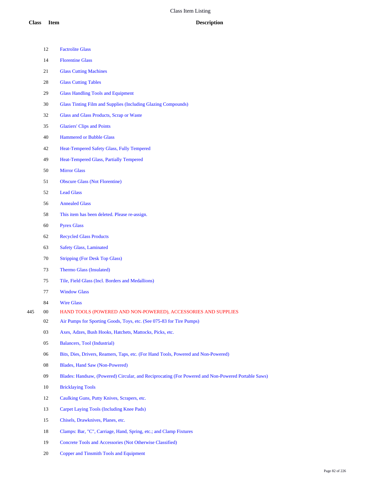|     | 12 | <b>Factrolite Glass</b>                                                                            |
|-----|----|----------------------------------------------------------------------------------------------------|
|     | 14 | <b>Florentine Glass</b>                                                                            |
|     | 21 | <b>Glass Cutting Machines</b>                                                                      |
|     | 28 | <b>Glass Cutting Tables</b>                                                                        |
|     | 29 | <b>Glass Handling Tools and Equipment</b>                                                          |
|     | 30 | Glass Tinting Film and Supplies (Including Glazing Compounds)                                      |
|     | 32 | Glass and Glass Products, Scrap or Waste                                                           |
|     | 35 | <b>Glaziers' Clips and Points</b>                                                                  |
|     | 40 | <b>Hammered or Bubble Glass</b>                                                                    |
|     | 42 | Heat-Tempered Safety Glass, Fully Tempered                                                         |
|     | 49 | <b>Heat-Tempered Glass, Partially Tempered</b>                                                     |
|     | 50 | <b>Mirror Glass</b>                                                                                |
|     | 51 | <b>Obscure Glass (Not Florentine)</b>                                                              |
|     | 52 | <b>Lead Glass</b>                                                                                  |
|     | 56 | <b>Annealed Glass</b>                                                                              |
|     | 58 | This item has been deleted. Please re-assign.                                                      |
|     | 60 | <b>Pyrex Glass</b>                                                                                 |
|     | 62 | <b>Recycled Glass Products</b>                                                                     |
|     | 63 | <b>Safety Glass, Laminated</b>                                                                     |
|     | 70 | <b>Stripping (For Desk Top Glass)</b>                                                              |
|     | 73 | Thermo Glass (Insulated)                                                                           |
|     | 75 | Tile, Field Glass (Incl. Borders and Medallions)                                                   |
|     | 77 | <b>Window Glass</b>                                                                                |
|     | 84 | <b>Wire Glass</b>                                                                                  |
| 445 | 00 | HAND TOOLS (POWERED AND NON-POWERED), ACCESSORIES AND SUPPLIES                                     |
|     | 02 | Air Pumps for Sporting Goods, Toys, etc. (See 075-83 for Tire Pumps)                               |
|     | 03 | Axes, Adzes, Bush Hooks, Hatchets, Mattocks, Picks, etc.                                           |
|     | 05 | Balancers, Tool (Industrial)                                                                       |
|     | 06 | Bits, Dies, Drivers, Reamers, Taps, etc. (For Hand Tools, Powered and Non-Powered)                 |
|     | 08 | Blades, Hand Saw (Non-Powered)                                                                     |
|     | 09 | Blades: Handsaw, (Powered) Circular, and Reciprocating (For Powered and Non-Powered Portable Saws) |
|     | 10 | <b>Bricklaying Tools</b>                                                                           |
|     | 12 | Caulking Guns, Putty Knives, Scrapers, etc.                                                        |
|     | 13 | Carpet Laying Tools (Including Knee Pads)                                                          |
|     | 15 | Chisels, Drawknives, Planes, etc.                                                                  |
|     | 18 | Clamps: Bar, "C", Carriage, Hand, Spring, etc.; and Clamp Fixtures                                 |
|     |    |                                                                                                    |

Concrete Tools and Accessories (Not Otherwise Classified)

Copper and Tinsmith Tools and Equipment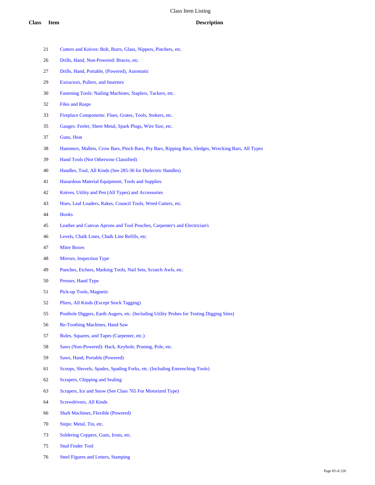- Cutters and Knives: Bolt, Burrs, Glass, Nippers, Pinchers, etc.
- Drills, Hand, Non-Powered: Braces, etc.
- Drills, Hand, Portable, (Powered), Automatic
- Extractors, Pullers, and Inserters
- Fastening Tools: Nailing Machines, Staplers, Tackers, etc.
- Files and Rasps
- Fireplace Components: Flues, Grates, Tools, Stokers, etc.
- Gauges: Feeler, Sheet Metal, Spark Plugs, Wire Size, etc.
- Guns, Heat
- Hammers, Mallets, Crow Bars, Pinch Bars, Pry Bars, Ripping Bars, Sledges, Wrecking Bars, All Types
- Hand Tools (Not Otherwise Classified)
- Handles, Tool, All Kinds (See 285-30 for Dielectric Handles)
- Hazardous Material Equipment, Tools and Supplies
- Knives, Utility and Pen (All Types) and Accessories
- Hoes, Leaf Loaders, Rakes, Council Tools, Weed Cutters, etc.
- Hooks
- Leather and Canvas Aprons and Tool Pouches, Carpenter's and Electrician's
- Levels, Chalk Lines, Chalk Line Refills, etc.
- Mitre Boxes
- Mirrors, Inspection Type
- Punches, Etchers, Marking Tools, Nail Sets, Scratch Awls, etc.
- Presses, Hand Type
- Pick-up Tools, Magnetic
- Pliers, All Kinds (Except Stock Tagging)
- Posthole Diggers, Earth Augers, etc. (Including Utility Probes for Testing Digging Sites)
- Re-Toothing Machines, Hand Saw
- Rules, Squares, and Tapes (Carpenter, etc.)
- Saws (Non-Powered): Hack, Keyhole, Pruning, Pole, etc.
- Saws, Hand, Portable (Powered)
- Scoops, Shovels, Spades, Spading Forks, etc. (Including Entrenching Tools)
- Scrapers, Chipping and Sealing
- Scrapers, Ice and Snow (See Class 765 For Motorized Type)
- Screwdrivers, All Kinds
- Shaft Machines, Flexible (Powered)
- Snips: Metal, Tin, etc.
- 73 Soldering Coppers, Guns, Irons, etc.
- Stud Finder Tool
- Steel Figures and Letters, Stamping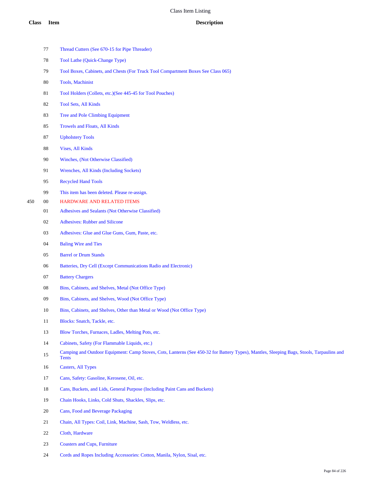|     | 77     | Thread Cutters (See 670-15 for Pipe Threader)                                                                                                             |
|-----|--------|-----------------------------------------------------------------------------------------------------------------------------------------------------------|
|     | 78     | Tool Lathe (Quick-Change Type)                                                                                                                            |
|     | 79     | Tool Boxes, Cabinets, and Chests (For Truck Tool Compartment Boxes See Class 065)                                                                         |
|     | 80     | Tools, Machinist                                                                                                                                          |
|     | 81     | Tool Holders (Collets, etc.) (See 445-45 for Tool Pouches)                                                                                                |
|     | 82     | <b>Tool Sets, All Kinds</b>                                                                                                                               |
|     | 83     | Tree and Pole Climbing Equipment                                                                                                                          |
|     | 85     | Trowels and Floats, All Kinds                                                                                                                             |
|     | 87     | <b>Upholstery Tools</b>                                                                                                                                   |
|     | 88     | <b>Vises, All Kinds</b>                                                                                                                                   |
|     | 90     | Winches, (Not Otherwise Classified)                                                                                                                       |
|     | 91     | Wrenches, All Kinds (Including Sockets)                                                                                                                   |
|     | 95     | <b>Recycled Hand Tools</b>                                                                                                                                |
|     | 99     | This item has been deleted. Please re-assign.                                                                                                             |
| 450 | $00\,$ | HARDWARE AND RELATED ITEMS                                                                                                                                |
|     | 01     | Adhesives and Sealants (Not Otherwise Classified)                                                                                                         |
|     | 02     | <b>Adhesives: Rubber and Silicone</b>                                                                                                                     |
|     | 03     | Adhesives: Glue and Glue Guns, Gum, Paste, etc.                                                                                                           |
|     | 04     | <b>Baling Wire and Ties</b>                                                                                                                               |
|     | 05     | <b>Barrel or Drum Stands</b>                                                                                                                              |
|     | 06     | Batteries, Dry Cell (Except Communications Radio and Electronic)                                                                                          |
|     | 07     | <b>Battery Chargers</b>                                                                                                                                   |
|     | 08     | Bins, Cabinets, and Shelves, Metal (Not Office Type)                                                                                                      |
|     | 09     | Bins, Cabinets, and Shelves, Wood (Not Office Type)                                                                                                       |
|     | 10     | Bins, Cabinets, and Shelves, Other than Metal or Wood (Not Office Type)                                                                                   |
|     | 11     | Blocks: Snatch, Tackle, etc.                                                                                                                              |
|     | 13     | Blow Torches, Furnaces, Ladles, Melting Pots, etc.                                                                                                        |
|     | 14     | Cabinets, Safety (For Flammable Liquids, etc.)                                                                                                            |
|     | 15     | Camping and Outdoor Equipment: Camp Stoves, Cots, Lanterns (See 450-32 for Battery Types), Mantles, Sleeping Bags, Stools, Tarpaulins and<br><b>Tents</b> |
|     | 16     | <b>Casters, All Types</b>                                                                                                                                 |
|     | 17     | Cans, Safety: Gasoline, Kerosene, Oil, etc.                                                                                                               |
|     | 18     | Cans, Buckets, and Lids, General Purpose (Including Paint Cans and Buckets)                                                                               |
|     | 19     | Chain Hooks, Links, Cold Shuts, Shackles, Slips, etc.                                                                                                     |
|     | 20     | Cans, Food and Beverage Packaging                                                                                                                         |
|     | 21     | Chain, All Types: Coil, Link, Machine, Sash, Tow, Weldless, etc.                                                                                          |
|     | 22     | Cloth, Hardware                                                                                                                                           |

- Coasters and Cups, Furniture
- Cords and Ropes Including Accessories: Cotton, Manila, Nylon, Sisal, etc.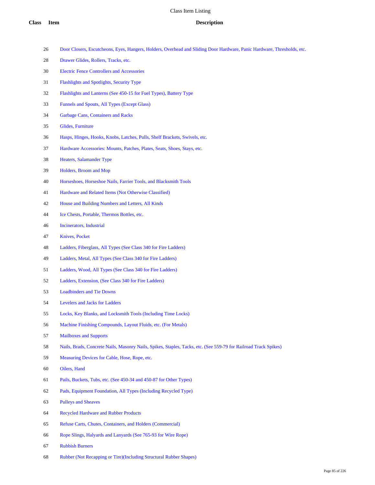- Door Closers, Escutcheons, Eyes, Hangers, Holders, Overhead and Sliding Door Hardware, Panic Hardware, Thresholds, etc.
- Drawer Glides, Rollers, Tracks, etc.
- Electric Fence Controllers and Accessories
- Flashlights and Spotlights, Security Type
- Flashlights and Lanterns (See 450-15 for Fuel Types), Battery Type
- Funnels and Spouts, All Types (Except Glass)
- Garbage Cans, Containers and Racks
- Glides, Furniture
- Hasps, Hinges, Hooks, Knobs, Latches, Pulls, Shelf Brackets, Swivels, etc.
- Hardware Accessories: Mounts, Patches, Plates, Seats, Shoes, Stays, etc.
- Heaters, Salamander Type
- Holders, Broom and Mop
- Horseshoes, Horseshoe Nails, Farrier Tools, and Blacksmith Tools
- Hardware and Related Items (Not Otherwise Classified)
- House and Building Numbers and Letters, All Kinds
- Ice Chests, Portable, Thermos Bottles, etc.
- Incinerators, Industrial
- Knives, Pocket
- Ladders, Fiberglass, All Types (See Class 340 for Fire Ladders)
- Ladders, Metal, All Types (See Class 340 for Fire Ladders)
- Ladders, Wood, All Types (See Class 340 for Fire Ladders)
- Ladders, Extension, (See Class 340 for Fire Ladders)
- Loadbinders and Tie Downs
- Levelers and Jacks for Ladders
- Locks, Key Blanks, and Locksmith Tools (Including Time Locks)
- Machine Finishing Compounds, Layout Fluids, etc. (For Metals)
- Mailboxes and Supports
- Nails, Brads, Concrete Nails, Masonry Nails, Spikes, Staples, Tacks, etc. (See 559-79 for Railroad Track Spikes)
- Measuring Devices for Cable, Hose, Rope, etc.
- Oilers, Hand
- Pails, Buckets, Tubs, etc. (See 450-34 and 450-87 for Other Types)
- Pads, Equipment Foundation, All Types (Including Recycled Type)
- Pulleys and Sheaves
- Recycled Hardware and Rubber Products
- Refuse Carts, Chutes, Containers, and Holders (Commercial)
- Rope Slings, Halyards and Lanyards (See 765-93 for Wire Rope)
- Rubbish Burners
- Rubber (Not Recapping or Tire)(Including Structural Rubber Shapes)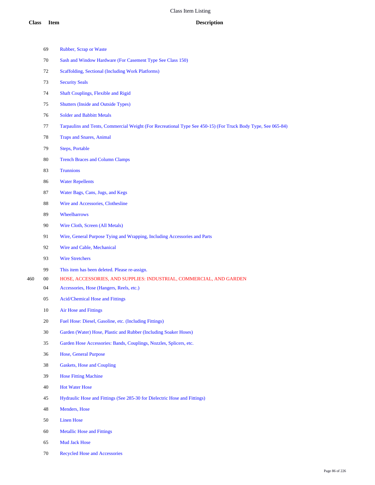|                                       | 69                                         | Rubber, Scrap or Waste                                                                                       |
|---------------------------------------|--------------------------------------------|--------------------------------------------------------------------------------------------------------------|
|                                       | 70                                         | Sash and Window Hardware (For Casement Type See Class 150)                                                   |
|                                       | 72                                         | Scaffolding, Sectional (Including Work Platforms)                                                            |
|                                       | 73                                         | <b>Security Seals</b>                                                                                        |
|                                       | Shaft Couplings, Flexible and Rigid        |                                                                                                              |
|                                       | <b>Shutters (Inside and Outside Types)</b> |                                                                                                              |
|                                       | <b>Solder and Babbitt Metals</b>           |                                                                                                              |
|                                       | 77                                         | Tarpaulins and Tents, Commercial Weight (For Recreational Type See 450-15) (For Truck Body Type, See 065-84) |
| 78<br><b>Traps and Snares, Animal</b> |                                            |                                                                                                              |
|                                       | 79<br><b>Steps, Portable</b>               |                                                                                                              |
|                                       | 80                                         | <b>Trench Braces and Column Clamps</b>                                                                       |
|                                       | 83                                         | <b>Trunnions</b>                                                                                             |
|                                       | 86                                         | <b>Water Repellents</b>                                                                                      |
|                                       | 87                                         | Water Bags, Cans, Jugs, and Kegs                                                                             |
|                                       | 88                                         | Wire and Accessories, Clothesline                                                                            |
|                                       | 89                                         | Wheelbarrows                                                                                                 |
|                                       | 90                                         | Wire Cloth, Screen (All Metals)                                                                              |
|                                       | 91                                         | Wire, General Purpose Tying and Wrapping, Including Accessories and Parts                                    |
|                                       | 92                                         | Wire and Cable, Mechanical                                                                                   |
|                                       | 93                                         | <b>Wire Stretchers</b>                                                                                       |
|                                       | 99                                         | This item has been deleted. Please re-assign.                                                                |
| 460                                   | $00\,$                                     | HOSE, ACCESSORIES, AND SUPPLIES: INDUSTRIAL, COMMERCIAL, AND GARDEN                                          |
|                                       | 04                                         | Accessories, Hose (Hangers, Reels, etc.)                                                                     |
|                                       | 05                                         | <b>Acid/Chemical Hose and Fittings</b>                                                                       |
|                                       | 10                                         | Air Hose and Fittings                                                                                        |
|                                       | $20\,$                                     | Fuel Hose: Diesel, Gasoline, etc. (Including Fittings)                                                       |
|                                       | 30                                         | Garden (Water) Hose, Plastic and Rubber (Including Soaker Hoses)                                             |
|                                       | 35                                         | Garden Hose Accessories: Bands, Couplings, Nozzles, Splicers, etc.                                           |
|                                       | 36                                         | Hose, General Purpose                                                                                        |
|                                       | 38                                         | Gaskets, Hose and Coupling                                                                                   |
|                                       | 39                                         | <b>Hose Fitting Machine</b>                                                                                  |
|                                       | 40                                         | <b>Hot Water Hose</b>                                                                                        |
|                                       | 45                                         | Hydraulic Hose and Fittings (See 285-30 for Dielectric Hose and Fittings)                                    |
|                                       | 48                                         | Menders, Hose                                                                                                |
|                                       | 50                                         | <b>Linen Hose</b>                                                                                            |
|                                       | 60                                         | <b>Metallic Hose and Fittings</b>                                                                            |

- Mud Jack Hose
- Recycled Hose and Accessories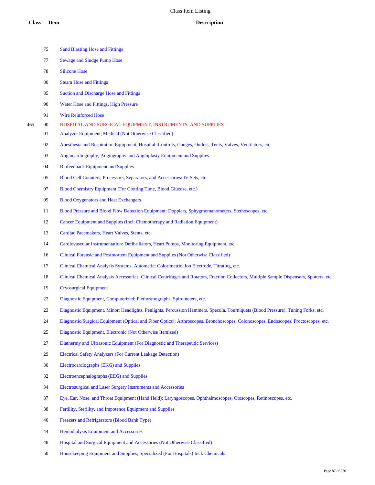- Sand Blasting Hose and Fittings Sewage and Sludge Pump Hose Silicone Hose Steam Hose and Fittings Suction and Discharge Hose and Fittings Water Hose and Fittings, High Pressure Wire Reinforced Hose 00 HOSPITAL AND SURGICAL EQUIPMENT, INSTRUMENTS, AND SUPPLIES Analyzer Equipment, Medical (Not Otherwise Classified) Anesthesia and Respiration Equipment, Hospital: Controls, Gauges, Outlets, Tents, Valves, Ventilators, etc. Angiocardiography, Angiography and Angioplasty Equipment and Supplies Biofeedback Equipment and Supplies Blood Cell Counters, Processors, Separators, and Accessories: IV Sets, etc. Blood Chemistry Equipment (For Clotting Time, Blood Glucose, etc.) Blood Oxygenators and Heat Exchangers Blood Pressure and Blood Flow Detection Equipment: Dopplers, Sphygmomanometers, Stethoscopes, etc. Cancer Equipment and Supplies (Incl. Chemotherapy and Radiation Equipment) Cardiac Pacemakers, Heart Valves, Stents, etc. Cardiovascular Instrumentation: Defibrillators, Heart Pumps, Monitoring Equipment, etc. Clinical Forensic and Postmortem Equipment and Supplies (Not Otherwise Classified) Clinical Chemical Analysis Systems, Automatic: Colorimetric, Ion Electrode, Titrating, etc. Clinical Chemical Analysis Accessories: Clinical Centrifuges and Rotators, Fraction Collectors, Multiple Sample Dispensers, Spotters, etc. Cryosurgical Equipment Diagnostic Equipment, Computerized: Plethysmographs, Spirometers, etc. Diagnostic Equipment, Minor: Headlights, Penlights, Percussion Hammers, Specula, Tourniquets (Blood Pressure), Tuning Forks, etc. Diagnostic/Surgical Equipment (Optical and Fiber Optics): Arthroscopes, Bronchoscopes, Colonoscopes, Endoscopes, Proctoscopes, etc. Diagnostic Equipment, Electronic (Not Otherwise Itemized) Diathermy and Ultrasonic Equipment (For Diagnostic and Therapeutic Services) Electrical Safety Analyzers (For Current Leakage Detection) Electrocardiographs (EKG) and Supplies Electroencephalographs (EEG) and Supplies Electrosurgical and Laser Surgery Instruments and Accessories Eye, Ear, Nose, and Throat Equipment (Hand Held): Laryngoscopes, Ophthalmoscopes, Otoscopes, Retinoscopes, etc.
	- Fertility, Sterility, and Impotence Equipment and Supplies
	- Freezers and Refrigerators (Blood Bank Type)
	- Hemodialysis Equipment and Accessories
	- Hospital and Surgical Equipment and Accessories (Not Otherwise Classified)
	- Housekeeping Equipment and Supplies, Specialized (For Hospitals) Incl. Chemicals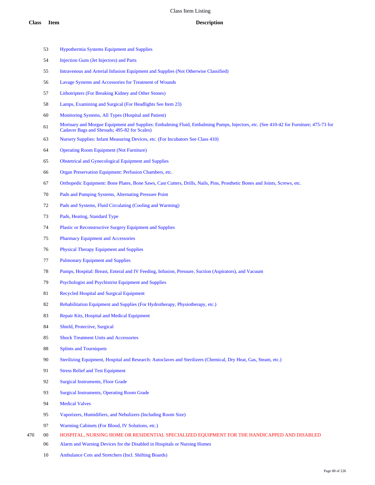- Hypothermia Systems Equipment and Supplies
- Injection Guns (Jet Injectors) and Parts
- Intravenous and Arterial Infusion Equipment and Supplies (Not Otherwise Classified)
- Lavage Systems and Accessories for Treatment of Wounds
- Lithotripters (For Breaking Kidney and Other Stones)
- Lamps, Examining and Surgical (For Headlights See Item 23)
- Monitoring Systems, All Types (Hospital and Patient)
- Mortuary and Morgue Equipment and Supplies: Embalming Fluid, Embalming Pumps, Injectors, etc. (See 410-42 for Furniture; 475-73 for Cadaver Bags and Shrouds; 495-82 for Scales)
- Nursery Supplies: Infant Measuring Devices, etc. (For Incubators See Class 410)
- Operating Room Equipment (Not Furniture)
- Obstetrical and Gynecological Equipment and Supplies
- Organ Preservation Equipment: Perfusion Chambers, etc.
- Orthopedic Equipment: Bone Plates, Bone Saws, Cast Cutters, Drills, Nails, Pins, Prosthetic Bones and Joints, Screws, etc.
- Pads and Pumping Systems, Alternating Pressure Point
- Pads and Systems, Fluid Circulating (Cooling and Warming)
- Pads, Heating, Standard Type
- Plastic or Reconstructive Surgery Equipment and Supplies
- Pharmacy Equipment and Accessories
- Physical Therapy Equipment and Supplies
- Pulmonary Equipment and Supplies
- Pumps, Hospital: Breast, Enteral and IV Feeding, Infusion, Pressure, Suction (Aspirators), and Vacuum
- Psychologist and Psychistrist Equipment and Supplies
- Recycled Hospital and Surgical Equipment
- Rehabilitation Equipment and Supplies (For Hydrotherapy, Physiotherapy, etc.)
- Repair Kits, Hospital and Medical Equipment
- Shield, Protective, Surgical
- Shock Treatment Units and Accessories
- Splints and Tourniquets
- Sterilizing Equipment, Hospital and Research: Autoclaves and Sterilizers (Chemical, Dry Heat, Gas, Steam, etc.)
- Stress Relief and Test Equipment
- Surgical Instruments, Floor Grade
- Surgical Instruments, Operating Room Grade
- Medical Valves
- Vaporizers, Humidifiers, and Nebulizers (Including Room Size)
- Warming Cabinets (For Blood, IV Solutions, etc.)
- 00 HOSPITAL, NURSING HOME OR RESIDENTIAL SPECIALIZED EQUIPMENT FOR THE HANDICAPPED AND DISABLED
	- Alarm and Warning Devices for the Disabled in Hospitals or Nursing Homes
	- Ambulance Cots and Stretchers (Incl. Shifting Boards)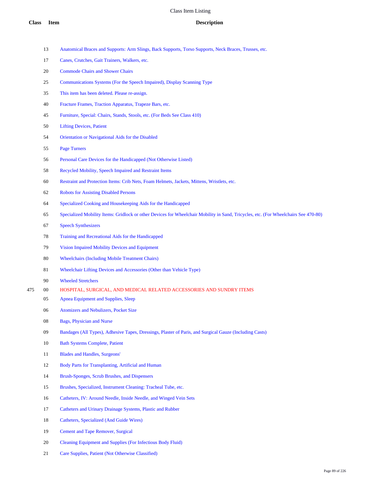- Anatomical Braces and Supports: Arm Slings, Back Supports, Torso Supports, Neck Braces, Trusses, etc.
- Canes, Crutches, Gait Trainers, Walkers, etc.
- Commode Chairs and Shower Chairs
- Communications Systems (For the Speech Impaired), Display Scanning Type
- This item has been deleted. Please re-assign.
- Fracture Frames, Traction Apparatus, Trapeze Bars, etc.
- Furniture, Special: Chairs, Stands, Stools, etc. (For Beds See Class 410)
- Lifting Devices, Patient
- Orientation or Navigational Aids for the Disabled
- Page Turners
- Personal Care Devices for the Handicapped (Not Otherwise Listed)
- Recycled Mobility, Speech Impaired and Restraint Items
- Restraint and Protection Items: Crib Nets, Foam Helmets, Jackets, Mittens, Wristlets, etc.
- Robots for Assisting Disabled Persons
- Specialized Cooking and Housekeeping Aids for the Handicapped
- Specialized Mobility Items: Gridlock or other Devices for Wheelchair Mobility in Sand, Tricycles, etc. (For Wheelchairs See 470-80)
- Speech Synthesizers
- Training and Recreational Aids for the Handicapped
- Vision Impaired Mobility Devices and Equipment
- Wheelchairs (Including Mobile Treatment Chairs)
- Wheelchair Lifting Devices and Accessories (Other than Vehicle Type)
- Wheeled Stretchers
- 00 HOSPITAL, SURGICAL, AND MEDICAL RELATED ACCESSORIES AND SUNDRY ITEMS
	- Apnea Equipment and Supplies, Sleep
	- Atomizers and Nebulizers, Pocket Size
	- Bags, Physician and Nurse
	- Bandages (All Types), Adhesive Tapes, Dressings, Plaster of Paris, and Surgical Gauze (Including Casts)
	- Bath Systems Complete, Patient
	- Blades and Handles, Surgeons'
	- Body Parts for Transplanting, Artificial and Human
	- Brush-Sponges, Scrub Brushes, and Dispensers
	- Brushes, Specialized, Instrument Cleaning: Tracheal Tube, etc.
	- Catheters, IV: Around Needle, Inside Needle, and Winged Vein Sets
	- Catheters and Urinary Drainage Systems, Plastic and Rubber
	- Catheters, Specialized (And Guide Wires)
	- Cement and Tape Remover, Surgical
	- Cleaning Equipment and Supplies (For Infectious Body Fluid)
	- Care Supplies, Patient (Not Otherwise Classified)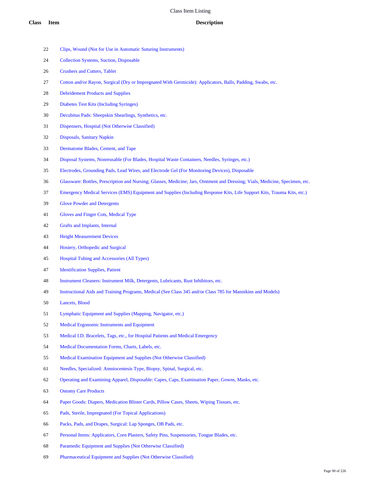- Clips, Wound (Not for Use in Automatic Suturing Instruments)
- Collection Systems, Suction, Disposable
- Crushers and Cutters, Tablet
- Cotton and/or Rayon, Surgical (Dry or Impregnated With Germicide): Applicators, Balls, Padding, Swabs, etc.
- Debridement Products and Supplies
- Diabetes Test Kits (Including Syringes)
- Decubitus Pads: Sheepskin Shearlings, Synthetics, etc.
- Dispensers, Hospital (Not Otherwise Classified)
- Disposals, Sanitary Napkin
- Dermatome Blades, Cement, and Tape
- Disposal Systems, Nonreusable (For Blades, Hospital Waste Containers, Needles, Syringes, etc.)
- Electrodes, Grounding Pads, Lead Wires, and Electrode Gel (For Monitoring Devices), Disposable
- Glassware: Bottles, Prescription and Nursing; Glasses, Medicine; Jars, Ointment and Dressing; Vials, Medicine, Specimen, etc.
- Emergency Medical Services (EMS) Equipment and Supplies (Including Response Kits, Life Support Kits, Trauma Kits, etc.)
- Glove Powder and Detergents
- Gloves and Finger Cots, Medical Type
- Grafts and Implants, Internal
- Height Measurement Devices
- Hosiery, Orthopedic and Surgical
- Hospital Tubing and Accessories (All Types)
- Identification Supplies, Patient
- Instrument Cleaners: Instrument Milk, Detergents, Lubricants, Rust Inhibitors, etc.
- Instructional Aids and Training Programs, Medical (See Class 345 and/or Class 785 for Mannikins and Models)
- Lancets, Blood
- Lymphatic Equipment and Supplies (Mapping, Navigator, etc.)
- Medical Ergonomic Instruments and Equipment
- Medical I.D. Bracelets, Tags, etc., for Hospital Patients and Medical Emergency
- Medical Documentation Forms, Charts, Labels, etc.
- Medical Examination Equipment and Supplies (Not Otherwise Classified)
- Needles, Specialized: Amniocentesis Type, Biopsy, Spinal, Surgical, etc.
- Operating and Examining Apparel, Disposable: Capes, Caps, Examination Paper, Gowns, Masks, etc.
- Ostomy Care Products
- Paper Goods: Diapers, Medication Blister Cards, Pillow Cases, Sheets, Wiping Tissues, etc.
- Pads, Sterile, Impregnated (For Topical Applications)
- Packs, Pads, and Drapes, Surgical: Lap Sponges, OB Pads, etc.
- Personal Items: Applicators, Corn Plasters, Safety Pins, Suspensories, Tongue Blades, etc.
- Paramedic Equipment and Supplies (Not Otherwise Classified)
- Pharmaceutical Equipment and Supplies (Not Otherwise Classified)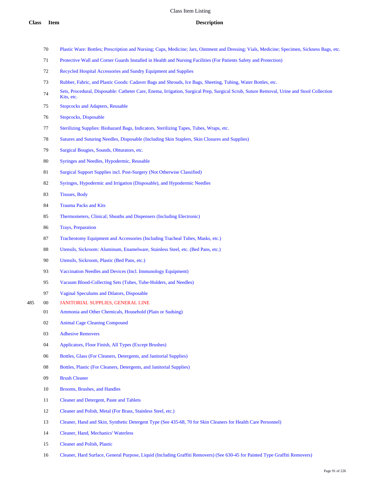- Plastic Ware: Bottles; Prescription and Nursing; Cups, Medicine; Jars, Ointment and Dressing; Vials, Medicine; Specimen, Sickness Bags, etc.
- Protective Wall and Corner Guards Installed in Health and Nursing Facilities (For Patients Safety and Protection)
- Recycled Hospital Accessories and Sundry Equipment and Supplies
- Rubber, Fabric, and Plastic Goods: Cadaver Bags and Shrouds, Ice Bags, Sheeting, Tubing, Water Bottles, etc.
- Sets, Procedural, Disposable: Catheter Care, Enema, Irrigation, Surgical Prep, Surgical Scrub, Suture Removal, Urine and Stool Collection Kits, etc.
- Stopcocks and Adapters, Reusable
- Stopcocks, Disposable
- Sterilizing Supplies: Biohazard Bags, Indicators, Sterilizing Tapes, Tubes, Wraps, etc.
- Sutures and Suturing Needles, Disposable (Including Skin Staplers, Skin Closures and Supplies)
- Surgical Bougies, Sounds, Obturators, etc.
- Syringes and Needles, Hypodermic, Reusable
- Surgical Support Supplies incl. Post-Surgery (Not Otherwise Classified)
- Syringes, Hypodermic and Irrigation (Disposable), and Hypodermic Needles
- Tissues, Body
- Trauma Packs and Kits
- Thermometers, Clinical; Sheaths and Dispensers (Including Electronic)
- Trays, Preparation
- Tracheotomy Equipment and Accessories (Including Tracheal Tubes, Masks, etc.)
- Utensils, Sickroom: Aluminum, Enamelware, Stainless Steel, etc. (Bed Pans, etc.)
- Utensils, Sickroom, Plastic (Bed Pans, etc.)
- Vaccination Needles and Devices (Incl. Immunology Equipment)
- Vacuum Blood-Collecting Sets (Tubes, Tube-Holders, and Needles)
- Vaginal Speculums and Dilators, Disposable
- 00 JANITORIAL SUPPLIES, GENERAL LINE
	- Ammonia and Other Chemicals, Household (Plain or Sudsing)
	- Animal Cage Cleaning Compound
	- Adhesive Removers
	- Applicators, Floor Finish, All Types (Except Brushes)
	- Bottles, Glass (For Cleaners, Detergents, and Janitorial Supplies)
	- 08 Bottles, Plastic (For Cleaners, Detergents, and Janitorial Supplies)
	- Brush Cleaner
	- Brooms, Brushes, and Handles
	- Cleaner and Detergent, Paste and Tablets
	- Cleaner and Polish, Metal (For Brass, Stainless Steel, etc.)
	- Cleaner, Hand and Skin, Synthetic Detergent Type (See 435-68, 70 for Skin Cleaners for Health Care Personnel)
	- Cleaner, Hand, Mechanics' Waterless
	- Cleaner and Polish, Plastic
	- Cleaner, Hard Surface, General Purpose, Liquid (Including Graffiti Removers) (See 630-45 for Painted Type Graffiti Removers)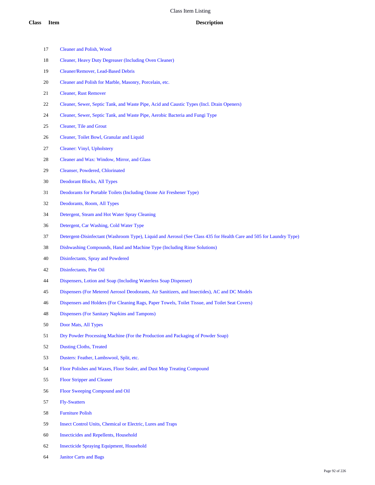- Cleaner and Polish, Wood
- Cleaner, Heavy Duty Degreaser (Including Oven Cleaner)
- Cleaner/Remover, Lead-Based Debris
- Cleaner and Polish for Marble, Masonry, Porcelain, etc.
- Cleaner, Rust Remover
- Cleaner, Sewer, Septic Tank, and Waste Pipe, Acid and Caustic Types (Incl. Drain Openers)
- Cleaner, Sewer, Septic Tank, and Waste Pipe, Aerobic Bacteria and Fungi Type
- Cleaner, Tile and Grout
- Cleaner, Toilet Bowl, Granular and Liquid
- Cleaner: Vinyl, Upholstery
- Cleaner and Wax: Window, Mirror, and Glass
- Cleanser, Powdered, Chlorinated
- Deodorant Blocks, All Types
- Deodorants for Portable Toilets (Including Ozone Air Freshener Type)
- Deodorants, Room, All Types
- Detergent, Steam and Hot Water Spray Cleaning
- Detergent, Car Washing, Cold Water Type
- Detergent-Disinfectant (Washroom Type), Liquid and Aerosol (See Class 435 for Health Care and 505 for Laundry Type)
- Dishwashing Compounds, Hand and Machine Type (Including Rinse Solutions)
- Disinfectants, Spray and Powdered
- Disinfectants, Pine Oil
- Dispensers, Lotion and Soap (Including Waterless Soap Dispenser)
- Dispensers (For Metered Aerosol Deodorants, Air Sanitizers, and Insectides), AC and DC Models
- Dispensers and Holders (For Cleaning Rags, Paper Towels, Toilet Tissue, and Toilet Seat Covers)
- Dispensers (For Sanitary Napkins and Tampons)
- Door Mats, All Types
- Dry Powder Processing Machine (For the Production and Packaging of Powder Soap)
- Dusting Cloths, Treated
- Dusters: Feather, Lambswool, Split, etc.
- Floor Polishes and Waxes, Floor Sealer, and Dust Mop Treating Compound
- Floor Stripper and Cleaner
- Floor Sweeping Compound and Oil
- Fly-Swatters
- Furniture Polish
- Insect Control Units, Chemical or Electric, Lures and Traps
- Insecticides and Repellents, Household
- Insecticide Spraying Equipment, Household
- Janitor Carts and Bags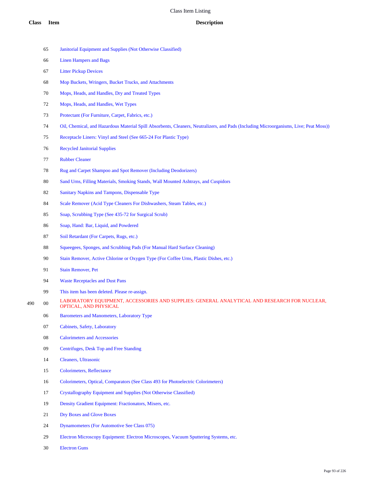Linen Hampers and Bags Litter Pickup Devices Mop Buckets, Wringers, Bucket Trucks, and Attachments Mops, Heads, and Handles, Dry and Treated Types Mops, Heads, and Handles, Wet Types Protectant (For Furniture, Carpet, Fabrics, etc.) Oil, Chemical, and Hazardous Material Spill Absorbents, Cleaners, Neutralizers, and Pads (Including Microorganisms, Live; Peat Moss)) Receptacle Liners: Vinyl and Steel (See 665-24 For Plastic Type) Recycled Janitorial Supplies Rubber Cleaner Rug and Carpet Shampoo and Spot Remover (Including Deodorizers) Sand Urns, Filling Materials, Smoking Stands, Wall Mounted Ashtrays, and Cuspidors 82 Sanitary Napkins and Tampons, Dispensable Type Scale Remover (Acid Type Cleaners For Dishwashers, Steam Tables, etc.) Soap, Scrubbing Type (See 435-72 for Surgical Scrub)

Janitorial Equipment and Supplies (Not Otherwise Classified)

- Soap, Hand: Bar, Liquid, and Powdered
- 87 Soil Retardant (For Carpets, Rugs, etc.)
- Squeegees, Sponges, and Scrubbing Pads (For Manual Hard Surface Cleaning)
- Stain Remover, Active Chlorine or Oxygen Type (For Coffee Urns, Plastic Dishes, etc.)
- Stain Remover, Pet
- Waste Receptacles and Dust Pans
- This item has been deleted. Please re-assign.
- 490 00 LABORATORY EQUIPMENT, ACCESSORIES AND SUPPLIES: GENERAL ANALYTICAL AND RESEARCH FOR NUCLEAR, OPTICAL, AND PHYSICAL
	- Barometers and Manometers, Laboratory Type
	- Cabinets, Safety, Laboratory
	- Calorimeters and Accessories
	- Centrifuges, Desk Top and Free Standing
	- Cleaners, Ultrasonic
	- Colorimeters, Reflectance
	- Colorimeters, Optical, Comparators (See Class 493 for Photoelectric Colorimeters)
	- Crystallography Equipment and Supplies (Not Otherwise Classified)
	- Density Gradient Equipment: Fractionators, Mixers, etc.
	- Dry Boxes and Glove Boxes
	- Dynamometers (For Automotive See Class 075)
	- Electron Microscopy Equipment: Electron Microscopes, Vacuum Sputtering Systems, etc.
	- Electron Guns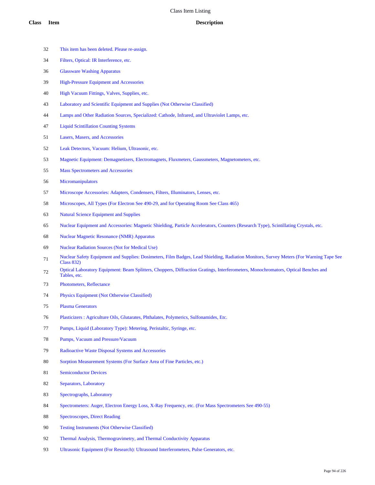- This item has been deleted. Please re-assign.
- Filters, Optical: IR Interference, etc.
- Glassware Washing Apparatus
- High-Pressure Equipment and Accessories
- High Vacuum Fittings, Valves, Supplies, etc.
- Laboratory and Scientific Equipment and Supplies (Not Otherwise Classified)
- Lamps and Other Radiation Sources, Specialized: Cathode, Infrared, and Ultraviolet Lamps, etc.
- Liquid Scintillation Counting Systems
- Lasers, Masers, and Accessories
- Leak Detectors, Vacuum: Helium, Ultrasonic, etc.
- Magnetic Equipment: Demagnetizers, Electromagnets, Fluxmeters, Gaussmeters, Magnetometers, etc.
- Mass Spectrometers and Accessories
- Micromanipulators
- Microscope Accessories: Adapters, Condensers, Filters, Illuminators, Lenses, etc.
- Microscopes, All Types (For Electron See 490-29, and for Operating Room See Class 465)
- Natural Science Equipment and Supplies
- Nuclear Equipment and Accessories: Magnetic Shielding, Particle Accelerators, Counters (Research Type), Scintillating Crystals, etc.
- Nuclear Magnetic Resonance (NMR) Apparatus
- Nuclear Radiation Sources (Not for Medical Use)
- 71 Nuclear Safety Equipment and Supplies: Dosimeters, Film Badges, Lead Shielding, Radiation Monitors, Survey Meters (For Warning Tape See Class 832)
- Optical Laboratory Equipment: Beam Splitters, Choppers, Diffraction Gratings, Interferometers, Monochromators, Optical Benches and Tables, etc.
- Photometers, Reflectance
- Physics Equipment (Not Otherwise Classified)
- Plasma Generators
- Plasticizers : Agriculture Oils, Glutarates, Phthalates, Polymerics, Sulfonamides, Etc.
- Pumps, Liquid (Laboratory Type): Metering, Peristaltic, Syringe, etc.
- Pumps, Vacuum and Pressure/Vacuum
- Radioactive Waste Disposal Systems and Accessories
- Sorption Measurement Systems (For Surface Area of Fine Particles, etc.)
- Semiconductor Devices
- Separators, Laboratory
- Spectrographs, Laboratory
- Spectrometers: Auger, Electron Energy Loss, X-Ray Frequency, etc. (For Mass Spectrometers See 490-55)
- Spectroscopes, Direct Reading
- Testing Instruments (Not Otherwise Classified)
- 92 Thermal Analysis, Thermogravimetry, and Thermal Conductivity Apparatus
- Ultrasonic Equipment (For Research): Ultrasound Interferometers, Pulse Generators, etc.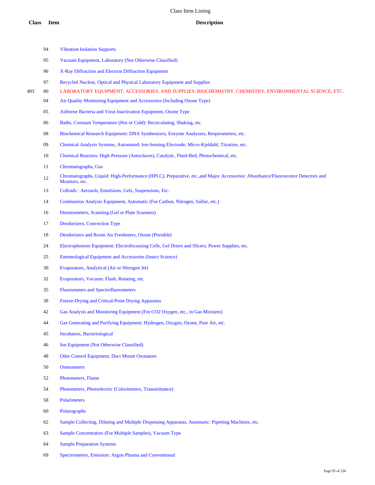- Vibration Isolation Supports
- Vacuum Equipment, Laboratory (Not Otherwise Classified)
- X-Ray Diffraction and Electron Diffraction Equipment
- Recycled Nuclear, Optical and Physical Laboratory Equipment and Supplies
- 00 LABORATORY EQUIPMENT, ACCESSORIES, AND SUPPLIES: BIOCHEMISTRY, CHEMISTRY, ENVIRONMENTAL SCIENCE, ETC.
	- Air Quality Monitoring Equipment and Accessories (Including Ozone Type)
	- Airborne Bacteria and Virus Inactivation Equipment, Ozone Type
	- Baths, Constant Temperature (Hot or Cold): Recirculating, Shaking, etc.
	- Biochemical Research Equipment: DNA Synthesizers, Enzyme Analyzers, Respirometers, etc.
	- Chemical Analysis Systems, Automated: Ion-Sensing Electrode, Micro-Kjeldahl, Titration, etc.
	- Chemical Reactors: High-Pressure (Autoclaves), Catalytic, Fluid-Bed, Photochemical, etc.
	- Chromatographs, Gas
	- Chromatographs, Liquid: High-Performance (HPLC), Preparative, etc.,and Major Accessories: Absorbance/Fluorescence Detectors and Monitors, etc.
	- Colloids : Aerosols, Emulsions, Gels, Suspensions, Etc.
	- Combustion Analysis Equipment, Automatic (For Carbon, Nitrogen, Sulfur, etc.)
	- Densitometers, Scanning (Gel or Plate Scanners)
	- Deodorizers, Convection Type
	- Deodorizers and Room Air Fresheners, Ozone (Portable)
	- Electrophoresis Equipment: Electrofocussing Cells, Gel Driers and Slicers, Power Supplies, etc.
	- Entomological Equipment and Accessories (Insect Science)
	- Evaporators, Analytical (Air or Nitrogen Jet)
	- Evaporators, Vacuum: Flash, Rotating, etc.
	- Fluorometers and Spectrofluorometers
	- Freeze-Drying and Critical-Point Drying Apparatus
	- Gas Analysis and Monitoring Equipment (For CO2 Oxygen, etc., in Gas Mixtures)
	- Gas Generating and Purifying Equipment: Hydrogen, Oxygen, Ozone, Pure Air, etc.
	- Incubators, Bacteriological
	- Ion Equipment (Not Otherwise Classified)
	- Odor Control Equipment, Duct Mount Ozonators
	- Osmometers
	- Photometers, Flame
	- Photometers, Photoelectric (Colorimeters, Transmittance)
	- Polarimeters
	- Polarographs
	- Sample Collecting, Diluting and Multiple Dispensing Apparatus, Automatic: Pipetting Machines, etc.
	- Sample Concentrators (For Multiple Samples), Vacuum Type
	- Sample Preparation Systems
	- Spectrometers, Emission: Argon Plasma and Conventional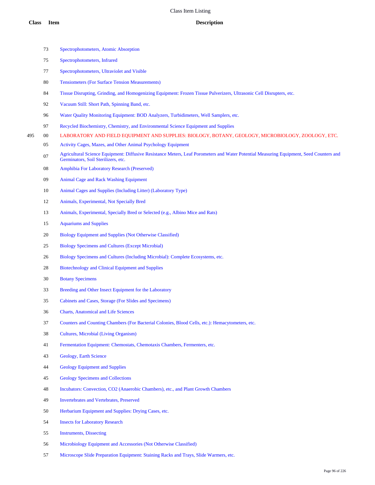|     | 73     | Spectrophotometers, Atomic Absorption                                                                                                                                          |
|-----|--------|--------------------------------------------------------------------------------------------------------------------------------------------------------------------------------|
|     | 75     | Spectrophotometers, Infrared                                                                                                                                                   |
|     | 77     | Spectrophotometers, Ultraviolet and Visible                                                                                                                                    |
|     | 80     | <b>Tensiometers (For Surface Tension Measurements)</b>                                                                                                                         |
|     | 84     | Tissue Disrupting, Grinding, and Homogenizing Equipment: Frozen Tissue Pulverizers, Ultrasonic Cell Disrupters, etc.                                                           |
|     | 92     | Vacuum Still: Short Path, Spinning Band, etc.                                                                                                                                  |
|     | 96     | Water Quality Monitoring Equipment: BOD Analyzers, Turbidimeters, Well Samplers, etc.                                                                                          |
|     | 97     | Recycled Biochemistry, Chemistry, and Environmental Science Equipment and Supplies                                                                                             |
| 495 | $00\,$ | LABORATORY AND FIELD EQUIPMENT AND SUPPLIES: BIOLOGY, BOTANY, GEOLOGY, MICROBIOLOGY, ZOOLOGY, ETC.                                                                             |
|     | 05     | Activity Cages, Mazes, and Other Animal Psychology Equipment                                                                                                                   |
|     | 07     | Agricultural Science Equipment: Diffusive Resistance Meters, Leaf Porometers and Water Potential Measuring Equipment, Seed Counters and<br>Germinators, Soil Sterilizers, etc. |
|     | 08     | Amphibia For Laboratory Research (Preserved)                                                                                                                                   |
|     | 09     | <b>Animal Cage and Rack Washing Equipment</b>                                                                                                                                  |
|     | 10     | Animal Cages and Supplies (Including Litter) (Laboratory Type)                                                                                                                 |
|     | 12     | Animals, Experimental, Not Specially Bred                                                                                                                                      |
|     | 13     | Animals, Experimental, Specially Bred or Selected (e.g., Albino Mice and Rats)                                                                                                 |
|     | 15     | <b>Aquariums and Supplies</b>                                                                                                                                                  |
|     | 20     | Biology Equipment and Supplies (Not Otherwise Classified)                                                                                                                      |
|     | 25     | <b>Biology Specimens and Cultures (Except Microbial)</b>                                                                                                                       |
|     | 26     | Biology Specimens and Cultures (Including Microbial): Complete Ecosystems, etc.                                                                                                |
|     | 28     | Biotechnology and Clinical Equipment and Supplies                                                                                                                              |
|     | 30     | <b>Botany Specimens</b>                                                                                                                                                        |
|     | 33     | Breeding and Other Insect Equipment for the Laboratory                                                                                                                         |
|     | 35     | Cabinets and Cases, Storage (For Slides and Specimens)                                                                                                                         |
|     | 36     | <b>Charts, Anatomical and Life Sciences</b>                                                                                                                                    |
|     | 37     | Counters and Counting Chambers (For Bacterial Colonies, Blood Cells, etc.): Hemacytometers, etc.                                                                               |
|     | 38     | Cultures, Microbial (Living Organism)                                                                                                                                          |
|     | 41     | Fermentation Equipment: Chemostats, Chemotaxis Chambers, Fermenters, etc.                                                                                                      |
|     | 43     | Geology, Earth Science                                                                                                                                                         |
|     | 44     | <b>Geology Equipment and Supplies</b>                                                                                                                                          |
|     | 45     | <b>Geology Specimens and Collections</b>                                                                                                                                       |
|     | 48     | Incubators: Convection, CO2 (Anaerobic Chambers), etc., and Plant Growth Chambers                                                                                              |
|     | 49     | Invertebrates and Vertebrates, Preserved                                                                                                                                       |
|     | 50     | Herbarium Equipment and Supplies: Drying Cases, etc.                                                                                                                           |
|     | 54     | <b>Insects for Laboratory Research</b>                                                                                                                                         |
|     | 55     | <b>Instruments</b> , Dissecting                                                                                                                                                |
|     | 56     | Microbiology Equipment and Accessories (Not Otherwise Classified)                                                                                                              |
|     | 57     | Microscope Slide Preparation Equipment: Staining Racks and Trays, Slide Warmers, etc.                                                                                          |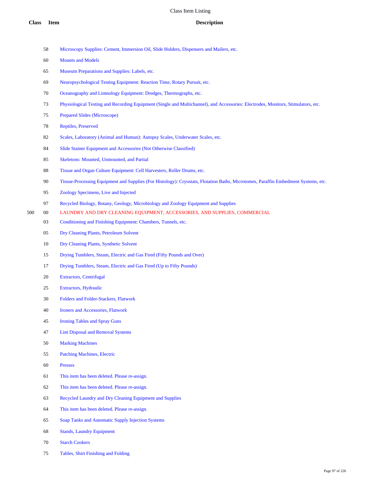- Microscopy Supplies: Cement, Immersion Oil, Slide Holders, Dispensers and Mailers, etc.
- Mounts and Models
- Museum Preparations and Supplies: Labels, etc.
- Neuropsychological Testing Equipment: Reaction Time, Rotary Pursuit, etc.
- Oceanography and Limnology Equipment: Dredges, Thermographs, etc.
- Physiological Testing and Recording Equipment (Single and Multichannel), and Accessories: Electrodes, Monitors, Stimulators, etc.
- Prepared Slides (Microscope)
- Reptiles, Preserved
- 82 Scales, Laboratory (Animal and Human): Autopsy Scales, Underwater Scales, etc.
- Slide Stainer Equipment and Accessories (Not Otherwise Classified)
- Skeletons: Mounted, Unmounted, and Partial
- Tissue and Organ Culture Equipment: Cell Harvesters, Roller Drums, etc.
- Tissue-Processing Equipment and Supplies (For Histology): Cryostats, Flotation Baths, Microtomes, Paraffin Embedment Systems, etc.
- Zoology Specimens, Live and Injected
- Recycled Biology, Botany, Geology, Microbiology and Zoology Equipment and Supplies
- 00 LAUNDRY AND DRY CLEANING EQUIPMENT, ACCESSORIES, AND SUPPLIES, COMMERCIAL
	- Conditioning and Finishing Equipment: Chambers, Tunnels, etc.
	- Dry Cleaning Plants, Petroleum Solvent
	- Dry Cleaning Plants, Synthetic Solvent
	- Drying Tumblers, Steam, Electric and Gas Fired (Fifty Pounds and Over)
	- Drying Tumblers, Steam, Electric and Gas Fired (Up to Fifty Pounds)
	- Extractors, Centrifugal
	- Extractors, Hydraulic
	- Folders and Folder-Stackers, Flatwork
	- Ironers and Accessories, Flatwork
	- Ironing Tables and Spray Guns
	- Lint Disposal and Removal Systems
	- Marking Machines
	- Patching Machines, Electric
	- Presses
	- This item has been deleted. Please re-assign.
	- This item has been deleted. Please re-assign.
	- Recycled Laundry and Dry Cleaning Equipment and Supplies
	- This item has been deleted. Please re-assign.
	- Soap Tanks and Automatic Supply Injection Systems
	- Stands, Laundry Equipment
	- Starch Cookers
	- Tables, Shirt Finishing and Folding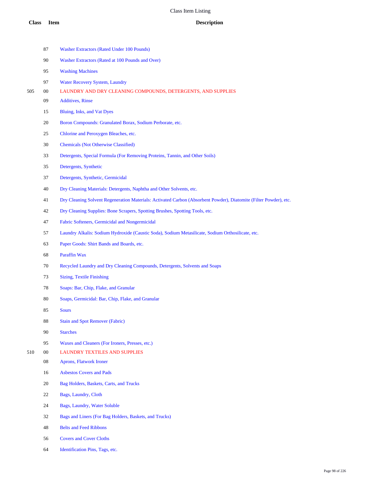|     | 87         | Washer Extractors (Rated Under 100 Pounds)                                                                        |
|-----|------------|-------------------------------------------------------------------------------------------------------------------|
|     | 90         | Washer Extractors (Rated at 100 Pounds and Over)                                                                  |
|     | 95         | <b>Washing Machines</b>                                                                                           |
|     | 97         | <b>Water Recovery System, Laundry</b>                                                                             |
| 505 | 00         | LAUNDRY AND DRY CLEANING COMPOUNDS, DETERGENTS, AND SUPPLIES                                                      |
|     | 09         | <b>Additives</b> , Rinse                                                                                          |
|     | 15         | Bluing, Inks, and Vat Dyes                                                                                        |
|     | 20         | Boron Compounds: Granulated Borax, Sodium Perborate, etc.                                                         |
|     | 25         | Chlorine and Peroxygen Bleaches, etc.                                                                             |
|     | 30         | <b>Chemicals (Not Otherwise Classified)</b>                                                                       |
|     | 33         | Detergents, Special Formula (For Removing Proteins, Tannin, and Other Soils)                                      |
|     | 35         | Detergents, Synthetic                                                                                             |
|     | 37         | Detergents, Synthetic, Germicidal                                                                                 |
|     | 40         | Dry Cleaning Materials: Detergents, Naphtha and Other Solvents, etc.                                              |
|     | 41         | Dry Cleaning Solvent Regeneration Materials: Activated Carbon (Absorbent Powder), Diatomite (Filter Powder), etc. |
|     | 42         | Dry Cleaning Supplies: Bone Scrapers, Spotting Brushes, Spotting Tools, etc.                                      |
|     | 47         | Fabric Softeners, Germicidal and Nongermicidal                                                                    |
|     | 57         | Laundry Alkalis: Sodium Hydroxide (Caustic Soda), Sodium Metasilicate, Sodium Orthosilicate, etc.                 |
|     | 63         | Paper Goods: Shirt Bands and Boards, etc.                                                                         |
|     | 68         | Paraffin Wax                                                                                                      |
|     | 70         | Recycled Laundry and Dry Cleaning Compounds, Detergents, Solvents and Soaps                                       |
|     | 73         | Sizing, Textile Finishing                                                                                         |
|     | 78         | Soaps: Bar, Chip, Flake, and Granular                                                                             |
|     | 80         | Soaps, Germicidal: Bar, Chip, Flake, and Granular                                                                 |
|     | 85         | Sours                                                                                                             |
|     | 88         | <b>Stain and Spot Remover (Fabric)</b>                                                                            |
|     | 90         | <b>Starches</b>                                                                                                   |
|     | 95         | Waxes and Cleaners (For Ironers, Presses, etc.)                                                                   |
| 510 | $00\,$     | <b>LAUNDRY TEXTILES AND SUPPLIES</b>                                                                              |
|     | ${\bf 08}$ | Aprons, Flatwork Ironer                                                                                           |
|     | 16         | <b>Asbestos Covers and Pads</b>                                                                                   |
|     | 20         | Bag Holders, Baskets, Carts, and Trucks                                                                           |
|     | 22         | Bags, Laundry, Cloth                                                                                              |
|     | 24         | Bags, Laundry, Water Soluble                                                                                      |
|     | 32         | Bags and Liners (For Bag Holders, Baskets, and Trucks)                                                            |
|     | 48         | <b>Belts and Feed Ribbons</b>                                                                                     |

- Covers and Cover Cloths
- Identification Pins, Tags, etc.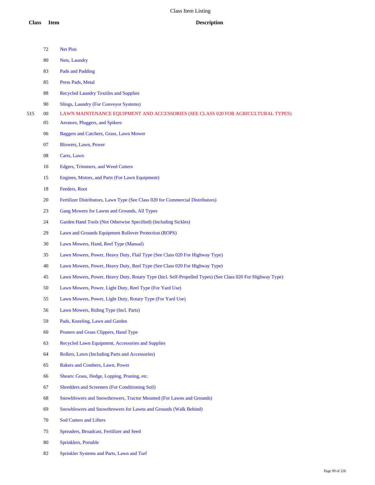|     | 72     | Net Pins                                                                                                  |
|-----|--------|-----------------------------------------------------------------------------------------------------------|
|     | 80     | Nets, Laundry                                                                                             |
|     | 83     | Pads and Padding                                                                                          |
|     | 85     | Press Pads, Metal                                                                                         |
|     | 88     | <b>Recycled Laundry Textiles and Supplies</b>                                                             |
|     | 90     | Slings, Laundry (For Conveyor Systems)                                                                    |
| 515 | $00\,$ | LAWN MAINTENANCE EQUIPMENT AND ACCESSORIES (SEE CLASS 020 FOR AGRICULTURAL TYPES)                         |
|     | 05     | Aerators, Pluggers, and Spikers                                                                           |
|     | 06     | Baggers and Catchers, Grass, Lawn Mower                                                                   |
|     | 07     | Blowers, Lawn, Power                                                                                      |
|     | 08     | Carts, Lawn                                                                                               |
|     | 10     | Edgers, Trimmers, and Weed Cutters                                                                        |
|     | 15     | Engines, Motors, and Parts (For Lawn Equipment)                                                           |
|     | 18     | Feeders, Root                                                                                             |
|     | 20     | Fertilizer Distributors, Lawn Type (See Class 020 for Commercial Distributors)                            |
|     | 23     | Gang Mowers for Lawns and Grounds, All Types                                                              |
|     | 24     | Garden Hand Tools (Not Otherwise Specified) (Including Sickles)                                           |
|     | 29     | Lawn and Grounds Equipment Rollover Protection (ROPS)                                                     |
|     | 30     | Lawn Mowers, Hand, Reel Type (Manual)                                                                     |
|     | 35     | Lawn Mowers, Power, Heavy Duty, Flail Type (See Class 020 For Highway Type)                               |
|     | 40     | Lawn Mowers, Power, Heavy Duty, Reel Type (See Class 020 For Highway Type)                                |
|     | 45     | Lawn Mowers, Power, Heavy Duty, Rotary Type (Incl. Self-Propelled Types) (See Class 020 For Highway Type) |
|     | 50     | Lawn Mowers, Power, Light Duty, Reel Type (For Yard Use)                                                  |
|     | 55     | Lawn Mowers, Power, Light Duty, Rotary Type (For Yard Use)                                                |
|     | 56     | Lawn Mowers, Riding Type (Incl. Parts)                                                                    |
|     | 59     | Pads, Kneeling, Lawn and Garden                                                                           |
|     | 60     | Pruners and Grass Clippers, Hand Type                                                                     |
|     | 63     | Recycled Lawn Equipment, Accessories and Supplies                                                         |
|     | 64     | Rollers, Lawn (Including Parts and Accessories)                                                           |
|     | 65     | Rakers and Combers, Lawn, Power                                                                           |
|     | 66     | Shears: Grass, Hedge, Lopping, Pruning, etc.                                                              |
|     | 67     | <b>Shredders and Screeners (For Conditioning Soil)</b>                                                    |
|     | 68     | Snowblowers and Snowthrowers, Tractor Mounted (For Lawns and Grounds)                                     |
|     | 69     | Snowblowers and Snowthrowers for Lawns and Grounds (Walk Behind)                                          |
|     | 70     | <b>Sod Cutters and Lifters</b>                                                                            |
|     | 75     | Spreaders, Broadcast, Fertilizer and Seed                                                                 |
|     | 80     | Sprinklers, Portable                                                                                      |
|     |        |                                                                                                           |

Sprinkler Systems and Parts, Lawn and Turf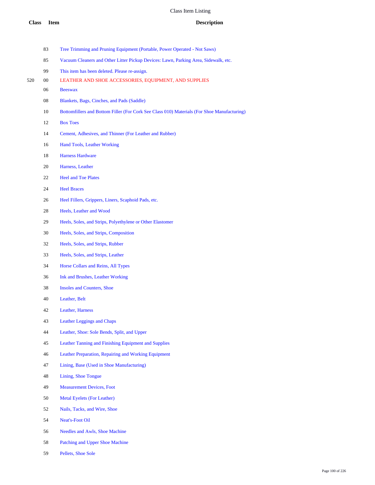- Tree Trimming and Pruning Equipment (Portable, Power Operated Not Saws)
- Vacuum Cleaners and Other Litter Pickup Devices: Lawn, Parking Area, Sidewalk, etc.
- This item has been deleted. Please re-assign.
- 00 LEATHER AND SHOE ACCESSORIES, EQUIPMENT, AND SUPPLIES
	- Beeswax
	- Blankets, Bags, Cinches, and Pads (Saddle)
	- Bottomfillers and Bottom Filler (For Cork See Class 010) Materials (For Shoe Manufacturing)
	- Box Toes
	- Cement, Adhesives, and Thinner (For Leather and Rubber)
	- Hand Tools, Leather Working
	- Harness Hardware
	- Harness, Leather
	- Heel and Toe Plates
	- Heel Braces
	- Heel Fillers, Grippers, Liners, Scaphoid Pads, etc.
	- Heels, Leather and Wood
	- Heels, Soles, and Strips, Polyethylene or Other Elastomer
	- Heels, Soles, and Strips, Composition
	- Heels, Soles, and Strips, Rubber
	- Heels, Soles, and Strips, Leather
	- Horse Collars and Reins, All Types
	- Ink and Brushes, Leather Working
	- Insoles and Counters, Shoe
	- Leather, Belt
	- Leather, Harness
	- Leather Leggings and Chaps
	- Leather, Shoe: Sole Bends, Split, and Upper
	- Leather Tanning and Finishing Equipment and Supplies
	- Leather Preparation, Repairing and Working Equipment
	- Lining, Base (Used in Shoe Manufacturing)
	- Lining, Shoe Tongue
	- Measurement Devices, Foot
	- Metal Eyelets (For Leather)
	- Nails, Tacks, and Wire, Shoe
	- Neat's-Foot Oil
	- Needles and Awls, Shoe Machine
	- Patching and Upper Shoe Machine
	- Pellets, Shoe Sole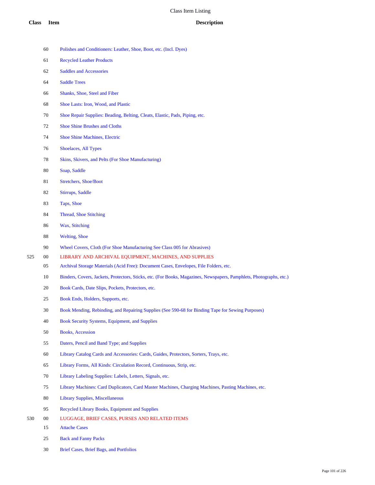- Polishes and Conditioners: Leather, Shoe, Boot, etc. (Incl. Dyes)
- Recycled Leather Products
- Saddles and Accessories
- Saddle Trees
- Shanks, Shoe, Steel and Fiber
- Shoe Lasts: Iron, Wood, and Plastic
- Shoe Repair Supplies: Beading, Belting, Cleats, Elastic, Pads, Piping, etc.
- Shoe Shine Brushes and Cloths
- Shoe Shine Machines, Electric
- Shoelaces, All Types
- Skins, Skivers, and Pelts (For Shoe Manufacturing)
- Soap, Saddle
- Stretchers, Shoe/Boot
- Stirrups, Saddle
- Taps, Shoe
- Thread, Shoe Stitching
- Wax, Stitching
- Welting, Shoe
- Wheel Covers, Cloth (For Shoe Manufacturing See Class 005 for Abrasives)
- 00 LIBRARY AND ARCHIVAL EQUIPMENT, MACHINES, AND SUPPLIES
	- Archival Storage Materials (Acid Free): Document Cases, Envelopes, File Folders, etc.
	- Binders, Covers, Jackets, Protectors, Sticks, etc. (For Books, Magazines, Newspapers, Pamphlets, Photographs, etc.)
	- Book Cards, Date Slips, Pockets, Protectors, etc.
	- Book Ends, Holders, Supports, etc.
	- Book Mending, Rebinding, and Repairing Supplies (See 590-68 for Binding Tape for Sewing Purposes)
	- Book Security Systems, Equipment, and Supplies
	- Books, Accession
	- Daters, Pencil and Band Type; and Supplies
	- Library Catalog Cards and Accessories: Cards, Guides, Protectors, Sorters, Trays, etc.
	- Library Forms, All Kinds: Circulation Record, Continuous, Strip, etc.
	- Library Labeling Supplies: Labels, Letters, Signals, etc.
	- Library Machines: Card Duplicators, Card Master Machines, Charging Machines, Pasting Machines, etc.
	- Library Supplies, Miscellaneous
	- Recycled Library Books, Equipment and Supplies
- 00 LUGGAGE, BRIEF CASES, PURSES AND RELATED ITEMS
	- Attache Cases
	- Back and Fanny Packs
	- Brief Cases, Brief Bags, and Portfolios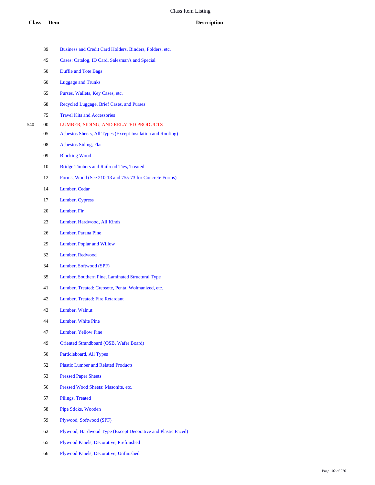- Business and Credit Card Holders, Binders, Folders, etc.
- Cases: Catalog, ID Card, Salesman's and Special
- Duffle and Tote Bags
- Luggage and Trunks
- Purses, Wallets, Key Cases, etc.
- Recycled Luggage, Brief Cases, and Purses
- Travel Kits and Accessories
- 00 LUMBER, SIDING, AND RELATED PRODUCTS
	- Asbestos Sheets, All Types (Except Insulation and Roofing)
	- Asbestos Siding, Flat
	- Blocking Wood
	- Bridge Timbers and Railroad Ties, Treated
	- Forms, Wood (See 210-13 and 755-73 for Concrete Forms)
	- Lumber, Cedar
	- Lumber, Cypress
	- Lumber, Fir
	- Lumber, Hardwood, All Kinds
	- Lumber, Parana Pine
	- Lumber, Poplar and Willow
	- Lumber, Redwood
	- Lumber, Softwood (SPF)
	- Lumber, Southern Pine, Laminated Structural Type
	- Lumber, Treated: Creosote, Penta, Wolmanized, etc.
	- Lumber, Treated: Fire Retardant
	- Lumber, Walnut
	- Lumber, White Pine
	- Lumber, Yellow Pine
	- Oriented Strandboard (OSB, Wafer Board)
	- Particleboard, All Types
	- Plastic Lumber and Related Products
	- Pressed Paper Sheets
	- Pressed Wood Sheets: Masonite, etc.
	- Pilings, Treated
	- Pipe Sticks, Wooden
	- Plywood, Softwood (SPF)
	- Plywood, Hardwood Type (Except Decorative and Plastic Faced)
	- Plywood Panels, Decorative, Prefinished
	- Plywood Panels, Decorative, Unfinished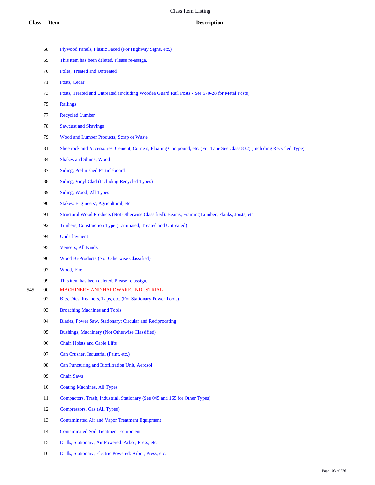- Plywood Panels, Plastic Faced (For Highway Signs, etc.)
- This item has been deleted. Please re-assign.
- Poles, Treated and Untreated
- Posts, Cedar
- Posts, Treated and Untreated (Including Wooden Guard Rail Posts See 570-28 for Metal Posts)
- Railings
- Recycled Lumber
- Sawdust and Shavings
- Wood and Lumber Products, Scrap or Waste
- Sheetrock and Accessories: Cement, Corners, Floating Compound, etc. (For Tape See Class 832) (Including Recycled Type)
- Shakes and Shims, Wood
- Siding, Prefinished Particleboard
- Siding, Vinyl Clad (Including Recycled Types)
- Siding, Wood, All Types
- Stakes: Engineers', Agricultural, etc.
- Structural Wood Products (Not Otherwise Classified): Beams, Framing Lumber, Planks, Joists, etc.
- Timbers, Construction Type (Laminated, Treated and Untreated)
- Underlayment
- Veneers, All Kinds
- Wood Bi-Products (Not Otherwise Classified)
- Wood, Fire
- This item has been deleted. Please re-assign.
- 00 MACHINERY AND HARDWARE, INDUSTRIAL
	- Bits, Dies, Reamers, Taps, etc. (For Stationary Power Tools)
	- Broaching Machines and Tools
	- Blades, Power Saw, Stationary: Circular and Reciprocating
	- Bushings, Machinery (Not Otherwise Classified)
	- Chain Hoists and Cable Lifts
	- Can Crusher, Industrial (Paint, etc.)
	- Can Puncturing and Biofiltration Unit, Aerosol
	- Chain Saws
	- Coating Machines, All Types
	- Compactors, Trash, Industrial, Stationary (See 045 and 165 for Other Types)
	- Compressors, Gas (All Types)
	- Contaminated Air and Vapor Treatment Equipment
	- Contaminated Soil Treatment Equipment
	- Drills, Stationary, Air Powered: Arbor, Press, etc.
	- Drills, Stationary, Electric Powered: Arbor, Press, etc.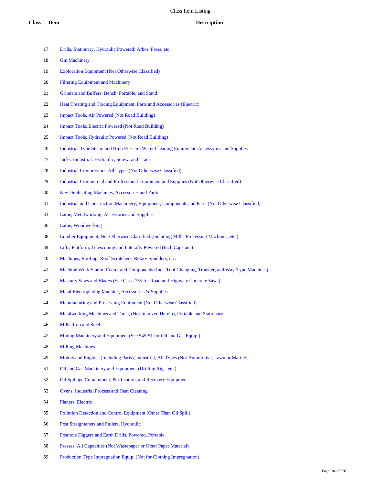- Drills, Stationary, Hydraulic Powered: Arbor, Press, etc.
- Gin Machinery
- Exploration Equipment (Not Otherwise Classified)
- Filtering Equipment and Machinery
- Grinders and Buffers: Bench, Portable, and Stand
- Heat Treating and Tracing Equipment, Parts and Accessories (Electric)
- Impact Tools, Air Powered (Not Road Building)
- Impact Tools, Electric Powered (Not Road Building)
- Impact Tools, Hydraulic Powered (Not Road Building)
- Industrial Type Steam and High Pressure Water Cleaning Equipment, Accessories and Supplies
- Jacks, Industrial: Hydraulic, Screw, and Track
- Industrial Compressors, All Types (Not Otherwise Classified)
- Industrial Commercial and Professional Equipment and Supplies (Not Otherwise Classified)
- Key Duplicating Machines, Accessories and Parts
- Industrial and Construction Machinery, Equipment, Components and Parts (Not Otherwise Classified)
- Lathe, Metalworking, Accessories and Supplies
- Lathe, Woodworking
- Lumber Equipment, Not Otherwise Classified (Including Mills, Processing Machines, etc.)
- Lifts, Platform, Telescoping and Laterally Powered (Incl. Capstans)
- Machines, Roofing: Roof Scratchers, Rotary Spudders, etc.
- Machine Work Station Center and Components (Incl. Tool Changing, Transfer, and Way-Type Machines)
- Masonry Saws and Blades (See Class 755 for Road and Highway Concrete Saws)
- Metal Electroplating Machine, Accessories & Supplies
- Manufacturing and Processing Equipment (Not Otherwise Classified)
- Metalworking Machines and Tools, (Not Itemized Herein), Portable and Stationary
- Mills, Iron and Steel
- Mining Machinery and Equipment (See 545-51 for Oil and Gas Equip.)
- Milling Machines
- Motors and Engines (Including Parts), Industrial, All Types (Not Automotive, Lawn or Marine)
- Oil and Gas Machinery and Equipment (Drilling Rigs, etc.)
- Oil Spillage Containment, Purification, and Recovery Equipment
- Ovens, Industrial Process and Heat Cleaning
- Planers, Electric
- Pollution Detection and Control Equipment (Other Than Oil Spill)
- Post Straighteners and Pullers, Hydraulic
- Posthole Diggers and Earth Drills, Powered, Portable
- Presses, All Capacities (Not Wastepaper or Other Paper Material)
- Production Type Impregnation Equip. (Not for Clothing Impregnation)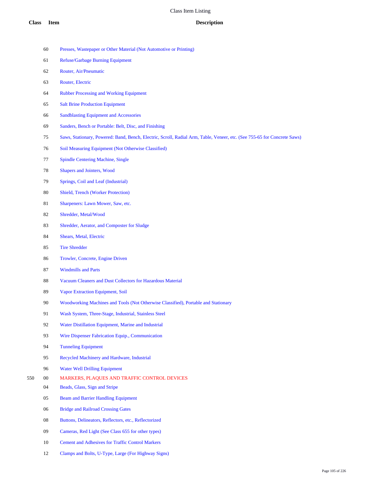- Presses, Wastepaper or Other Material (Not Automotive or Printing)
- Refuse/Garbage Burning Equipment
- Router, Air/Pneumatic
- Router, Electric
- Rubber Processing and Working Equipment
- Salt Brine Production Equipment
- Sandblasting Equipment and Accessories
- Sanders, Bench or Portable: Belt, Disc, and Finishing
- Saws, Stationary, Powered: Band, Bench, Electric, Scroll, Radial Arm, Table, Veneer, etc. (See 755-65 for Concrete Saws)
- Soil Measuring Equipment (Not Otherwise Classified)
- Spindle Centering Machine, Single
- Shapers and Jointers, Wood
- Springs, Coil and Leaf (Industrial)
- Shield, Trench (Worker Protection)
- 81 Sharpeners: Lawn Mower, Saw, etc.
- Shredder, Metal/Wood
- Shredder, Aerator, and Composter for Sludge
- Shears, Metal, Electric
- Tire Shredder
- Trowler, Concrete, Engine Driven
- Windmills and Parts
- Vacuum Cleaners and Dust Collectors for Hazardous Material
- Vapor Extraction Equipment, Soil
- Woodworking Machines and Tools (Not Otherwise Classified), Portable and Stationary
- Wash System, Three-Stage, Industrial, Stainless Steel
- Water Distillation Equipment, Marine and Industrial
- Wire Dispenser Fabrication Equip., Communication
- Tunneling Equipment
- Recycled Machinery and Hardware, Industrial
- Water Well Drilling Equipment
- 00 MARKERS, PLAQUES AND TRAFFIC CONTROL DEVICES
	- Beads, Glass, Sign and Stripe
	- Beam and Barrier Handling Equipment
	- Bridge and Railroad Crossing Gates
	- Buttons, Delineators, Reflectors, etc., Reflectorized
	- Cameras, Red Light (See Class 655 for other types)
	- Cement and Adhesives for Traffic Control Markers
	- Clamps and Bolts, U-Type, Large (For Highway Signs)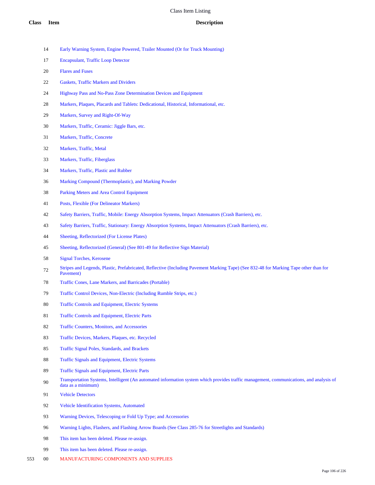- Early Warning System, Engine Powered, Trailer Mounted (Or for Truck Mounting)
- Encapsulant, Traffic Loop Detector
- Flares and Fuses
- Gaskets, Traffic Markers and Dividers
- Highway Pass and No-Pass Zone Determination Devices and Equipment
- Markers, Plaques, Placards and Tablets: Dedicational, Historical, Informational, etc.
- Markers, Survey and Right-Of-Way
- Markers, Traffic, Ceramic: Jiggle Bars, etc.
- Markers, Traffic, Concrete
- Markers, Traffic, Metal
- Markers, Traffic, Fiberglass
- Markers, Traffic, Plastic and Rubber
- Marking Compound (Thermoplastic), and Marking Powder
- Parking Meters and Area Control Equipment
- Posts, Flexible (For Delineator Markers)
- Safety Barriers, Traffic, Mobile: Energy Absorption Systems, Impact Attenuators (Crash Barriers), etc.
- Safety Barriers, Traffic, Stationary: Energy Absorption Systems, Impact Attenuators (Crash Barriers), etc.
- Sheeting, Reflectorized (For License Plates)
- Sheeting, Reflectorized (General) (See 801-49 for Reflective Sign Material)
- Signal Torches, Kerosene
- Stripes and Legends, Plastic, Prefabricated, Reflective (Including Pavement Marking Tape) (See 832-48 for Marking Tape other than for Pavement)
- Traffic Cones, Lane Markers, and Barricades (Portable)
- Traffic Control Devices, Non-Electric (Including Rumble Strips, etc.)
- Traffic Controls and Equipment, Electric Systems
- Traffic Controls and Equipment, Electric Parts
- Traffic Counters, Monitors, and Accessories
- Traffic Devices, Markers, Plaques, etc. Recycled
- Traffic Signal Poles, Standards, and Brackets
- Traffic Signals and Equipment, Electric Systems
- Traffic Signals and Equipment, Electric Parts
- 90 Transportation Systems, Intelligent (An automated information system which provides traffic management, communications, and analysis of data as a minimum)
- Vehicle Detectors
- Vehicle Identification Systems, Automated
- Warning Devices, Telescoping or Fold Up Type; and Accessories
- Warning Lights, Flashers, and Flashing Arrow Boards (See Class 285-76 for Streetlights and Standards)
- This item has been deleted. Please re-assign.
- This item has been deleted. Please re-assign.
- 00 MANUFACTURING COMPONENTS AND SUPPLIES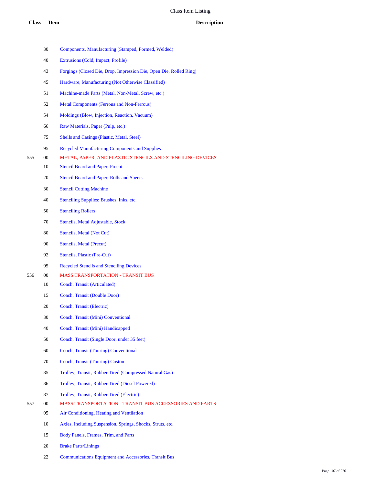|     | 30     | Components, Manufacturing (Stamped, Formed, Welded)                |
|-----|--------|--------------------------------------------------------------------|
|     | 40     | Extrusions (Cold, Impact, Profile)                                 |
|     | 43     | Forgings (Closed Die, Drop, Impression Die, Open Die, Rolled Ring) |
|     | 45     | Hardware, Manufacturing (Not Otherwise Classified)                 |
|     | 51     | Machine-made Parts (Metal, Non-Metal, Screw, etc.)                 |
|     | 52     | <b>Metal Components (Ferrous and Non-Ferrous)</b>                  |
|     | 54     | Moldings (Blow, Injection, Reaction, Vacuum)                       |
|     | 66     | Raw Materials, Paper (Pulp, etc.)                                  |
|     | 75     | <b>Shells and Casings (Plastic, Metal, Steel)</b>                  |
|     | 95     | <b>Recycled Manufacturing Components and Supplies</b>              |
| 555 | $00\,$ | METAL, PAPER, AND PLASTIC STENCILS AND STENCILING DEVICES          |
|     | 10     | <b>Stencil Board and Paper, Precut</b>                             |
|     | 20     | Stencil Board and Paper, Rolls and Sheets                          |
|     | 30     | <b>Stencil Cutting Machine</b>                                     |
|     | 40     | Stenciling Supplies: Brushes, Inks, etc.                           |
|     | 50     | <b>Stenciling Rollers</b>                                          |
|     | 70     | Stencils, Metal Adjustable, Stock                                  |
|     | 80     | Stencils, Metal (Not Cut)                                          |
|     | 90     | Stencils, Metal (Precut)                                           |
|     | 92     | Stencils, Plastic (Pre-Cut)                                        |
|     | 95     | <b>Recycled Stencils and Stenciling Devices</b>                    |
| 556 | $00\,$ | <b>MASS TRANSPORTATION - TRANSIT BUS</b>                           |
|     | 10     | Coach, Transit (Articulated)                                       |
|     | 15     | Coach, Transit (Double Door)                                       |
|     | 20     | Coach, Transit (Electric)                                          |
|     | 30     | Coach, Transit (Mini) Conventional                                 |
|     | 40     | Coach, Transit (Mini) Handicapped                                  |
|     | 50     | Coach, Transit (Single Door, under 35 feet)                        |
|     | 60     | Coach, Transit (Touring) Conventional                              |
|     | 70     | Coach, Transit (Touring) Custom                                    |
|     | 85     | Trolley, Transit, Rubber Tired (Compressed Natural Gas)            |
|     | 86     | Trolley, Transit, Rubber Tired (Diesel Powered)                    |
|     | 87     | Trolley, Transit, Rubber Tired (Electric)                          |
| 557 | $00\,$ | <b>MASS TRANSPORTATION - TRANSIT BUS ACCESSORIES AND PARTS</b>     |
|     | 05     | Air Conditioning, Heating and Ventilation                          |
|     | 10     | Axles, Including Suspension, Springs, Shocks, Struts, etc.         |
|     | 15     | Body Panels, Frames, Trim, and Parts                               |
|     |        |                                                                    |

- Brake Parts/Linings
- Communications Equipment and Accessories, Transit Bus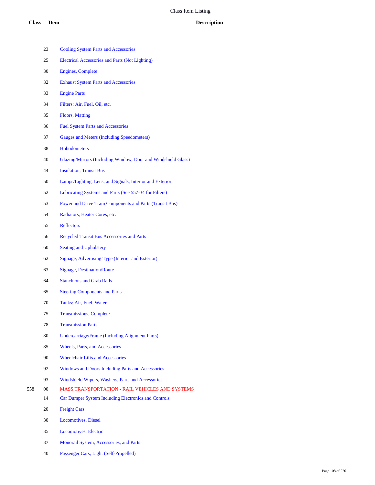|     | 23     | <b>Cooling System Parts and Accessories</b>                     |
|-----|--------|-----------------------------------------------------------------|
|     | 25     | Electrical Accessories and Parts (Not Lighting)                 |
|     | 30     | <b>Engines, Complete</b>                                        |
|     | 32     | <b>Exhaust System Parts and Accessories</b>                     |
|     | 33     | <b>Engine Parts</b>                                             |
|     | 34     | Filters: Air, Fuel, Oil, etc.                                   |
|     | 35     | <b>Floors, Matting</b>                                          |
|     | 36     | <b>Fuel System Parts and Accessories</b>                        |
|     | 37     | <b>Gauges and Meters (Including Speedometers)</b>               |
|     | 38     | <b>Hubodometers</b>                                             |
|     | 40     | Glazing/Mirrors (Including Window, Door and Windshield Glass)   |
|     | 44     | <b>Insulation, Transit Bus</b>                                  |
|     | 50     | Lamps/Lighting, Lens, and Signals, Interior and Exterior        |
|     | 52     | Lubricating Systems and Parts (See 557-34 for Filters)          |
|     | 53     | <b>Power and Drive Train Components and Parts (Transit Bus)</b> |
|     | 54     | Radiators, Heater Cores, etc.                                   |
|     | 55     | <b>Reflectors</b>                                               |
|     | 56     | <b>Recycled Transit Bus Accessories and Parts</b>               |
|     | 60     | <b>Seating and Upholstery</b>                                   |
|     | 62     | Signage, Advertising Type (Interior and Exterior)               |
|     | 63     | <b>Signage, Destination/Route</b>                               |
|     | 64     | <b>Stanchions and Grab Rails</b>                                |
|     | 65     | <b>Steering Components and Parts</b>                            |
|     | 70     | Tanks: Air, Fuel, Water                                         |
|     | 75     | <b>Transmissions, Complete</b>                                  |
|     | 78     | <b>Transmission Parts</b>                                       |
|     | 80     | <b>Undercarriage/Frame (Including Alignment Parts)</b>          |
|     | 85     | <b>Wheels, Parts, and Accessories</b>                           |
|     | 90     | <b>Wheelchair Lifts and Accessories</b>                         |
|     | 92     | Windows and Doors Including Parts and Accessories               |
|     | 93     | Windshield Wipers, Washers, Parts and Accessories               |
| 558 | $00\,$ | <b>MASS TRANSPORTATION - RAIL VEHICLES AND SYSTEMS</b>          |
|     | 14     | Car Dumper System Including Electronics and Controls            |
|     | 20     | <b>Freight Cars</b>                                             |
|     | 30     | <b>Locomotives</b> , Diesel                                     |
|     | 35     | Locomotives, Electric                                           |
|     |        |                                                                 |

- Monorail System, Accessories, and Parts
- Passenger Cars, Light (Self-Propelled)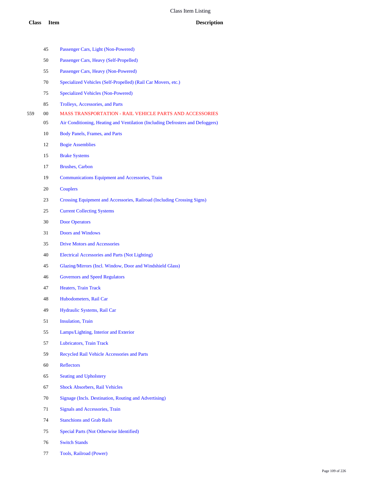|     | 45     | Passenger Cars, Light (Non-Powered)                                            |
|-----|--------|--------------------------------------------------------------------------------|
|     | 50     | Passenger Cars, Heavy (Self-Propelled)                                         |
|     | 55     | Passenger Cars, Heavy (Non-Powered)                                            |
|     | 70     | Specialized Vehicles (Self-Propelled) (Rail Car Movers, etc.)                  |
|     | 75     | <b>Specialized Vehicles (Non-Powered)</b>                                      |
|     | 85     | <b>Trolleys, Accessories, and Parts</b>                                        |
| 559 | $00\,$ | <b>MASS TRANSPORTATION - RAIL VEHICLE PARTS AND ACCESSORIES</b>                |
|     | 05     | Air Conditioning, Heating and Ventilation (Including Defrosters and Defoggers) |
|     | 10     | <b>Body Panels, Frames, and Parts</b>                                          |
|     | 12     | <b>Bogie Assemblies</b>                                                        |
|     | 15     | <b>Brake Systems</b>                                                           |
|     | 17     | <b>Brushes, Carbon</b>                                                         |
|     | 19     | Communications Equipment and Accessories, Train                                |
|     | 20     | <b>Couplers</b>                                                                |
|     | 23     | Crossing Equipment and Accessories, Railroad (Including Crossing Signs)        |
|     | 25     | <b>Current Collecting Systems</b>                                              |
|     | 30     | <b>Door Operators</b>                                                          |
|     | 31     | <b>Doors and Windows</b>                                                       |
|     | 35     | <b>Drive Motors and Accessories</b>                                            |
|     | 40     | Electrical Accessories and Parts (Not Lighting)                                |
|     | 45     | Glazing/Mirrors (Incl. Window, Door and Windshield Glass)                      |
|     | 46     | <b>Governors and Speed Regulators</b>                                          |
|     | 47     | <b>Heaters, Train Track</b>                                                    |
|     | 48     | Hubodometers, Rail Car                                                         |
|     | 49     | Hydraulic Systems, Rail Car                                                    |
|     | 51     | <b>Insulation</b> , Train                                                      |
|     | 55     | Lamps/Lighting, Interior and Exterior                                          |
|     | 57     | Lubricators, Train Track                                                       |
|     | 59     | Recycled Rail Vehicle Accessories and Parts                                    |
|     | 60     | <b>Reflectors</b>                                                              |
|     | 65     | <b>Seating and Upholstery</b>                                                  |
|     | 67     | <b>Shock Absorbers, Rail Vehicles</b>                                          |
|     | 70     | Signage (Incls. Destination, Routing and Advertising)                          |
|     | 71     | <b>Signals and Accessories, Train</b>                                          |
|     | 74     | <b>Stanchions and Grab Rails</b>                                               |
|     | 75     | Special Parts (Not Otherwise Identified)                                       |
|     | 76     | <b>Switch Stands</b>                                                           |

Tools, Railroad (Power)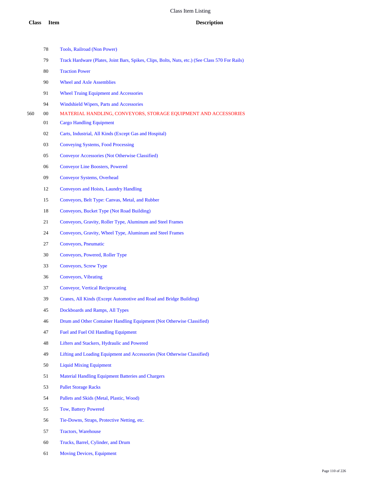|     | 78 | Tools, Railroad (Non Power)                                                                     |
|-----|----|-------------------------------------------------------------------------------------------------|
|     | 79 | Track Hardware (Plates, Joint Bars, Spikes, Clips, Bolts, Nuts, etc.) (See Class 570 For Rails) |
|     | 80 | <b>Traction Power</b>                                                                           |
|     | 90 | <b>Wheel and Axle Assemblies</b>                                                                |
|     | 91 | <b>Wheel Truing Equipment and Accessories</b>                                                   |
|     | 94 | Windshield Wipers, Parts and Accessories                                                        |
| 560 | 00 | MATERIAL HANDLING, CONVEYORS, STORAGE EQUIPMENT AND ACCESSORIES                                 |
|     | 01 | <b>Cargo Handling Equipment</b>                                                                 |
|     | 02 | Carts, Industrial, All Kinds (Except Gas and Hospital)                                          |
|     | 03 | Conveying Systems, Food Processing                                                              |
|     | 05 | Conveyor Accessories (Not Otherwise Classified)                                                 |
|     | 06 | <b>Conveyor Line Boosters, Powered</b>                                                          |
|     | 09 | <b>Conveyor Systems, Overhead</b>                                                               |
|     | 12 | <b>Conveyors and Hoists, Laundry Handling</b>                                                   |
|     | 15 | Conveyors, Belt Type: Canvas, Metal, and Rubber                                                 |
|     | 18 | Conveyors, Bucket Type (Not Road Building)                                                      |
|     | 21 | Conveyors, Gravity, Roller Type, Aluminum and Steel Frames                                      |
|     | 24 | Conveyors, Gravity, Wheel Type, Aluminum and Steel Frames                                       |
|     | 27 | Conveyors, Pneumatic                                                                            |
|     | 30 | Conveyors, Powered, Roller Type                                                                 |
|     | 33 | Conveyors, Screw Type                                                                           |
|     | 36 | Conveyors, Vibrating                                                                            |
|     | 37 | <b>Conveyor, Vertical Reciprocating</b>                                                         |
|     | 39 | Cranes, All Kinds (Except Automotive and Road and Bridge Building)                              |
|     | 45 | Dockboards and Ramps, All Types                                                                 |
|     | 46 | Drum and Other Container Handling Equipment (Not Otherwise Classified)                          |
|     | 47 | Fuel and Fuel Oil Handling Equipment                                                            |
|     | 48 | Lifters and Stackers, Hydraulic and Powered                                                     |
|     | 49 | Lifting and Loading Equipment and Accessories (Not Otherwise Classified)                        |
|     | 50 | <b>Liquid Mixing Equipment</b>                                                                  |
|     | 51 | <b>Material Handling Equipment Batteries and Chargers</b>                                       |
|     | 53 | <b>Pallet Storage Racks</b>                                                                     |
|     | 54 | Pallets and Skids (Metal, Plastic, Wood)                                                        |
|     | 55 | <b>Tow, Battery Powered</b>                                                                     |
|     | 56 | Tie-Downs, Straps, Protective Netting, etc.                                                     |
|     | 57 | <b>Tractors, Warehouse</b>                                                                      |
|     | 60 | Trucks, Barrel, Cylinder, and Drum                                                              |
|     | 61 | <b>Moving Devices, Equipment</b>                                                                |
|     |    |                                                                                                 |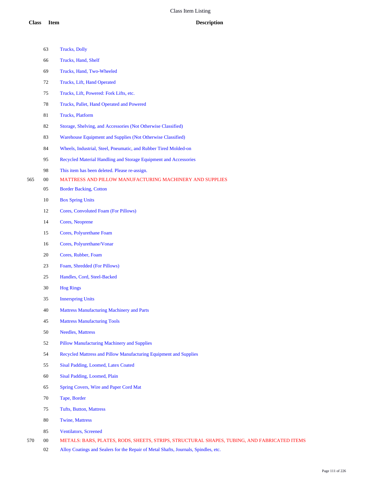|     | 63     | <b>Trucks</b> , Dolly                                                                       |
|-----|--------|---------------------------------------------------------------------------------------------|
|     | 66     | Trucks, Hand, Shelf                                                                         |
|     | 69     | Trucks, Hand, Two-Wheeled                                                                   |
|     | 72     | Trucks, Lift, Hand Operated                                                                 |
|     | 75     | Trucks, Lift, Powered: Fork Lifts, etc.                                                     |
|     | $78\,$ | Trucks, Pallet, Hand Operated and Powered                                                   |
|     | 81     | <b>Trucks</b> , Platform                                                                    |
|     | 82     | Storage, Shelving, and Accessories (Not Otherwise Classified)                               |
|     | 83     | Warehouse Equipment and Supplies (Not Otherwise Classified)                                 |
|     | 84     | Wheels, Industrial, Steel, Pneumatic, and Rubber Tired Molded-on                            |
|     | 95     | Recycled Material Handling and Storage Equipment and Accessories                            |
|     | 98     | This item has been deleted. Please re-assign.                                               |
| 565 | $00\,$ | <b>MATTRESS AND PILLOW MANUFACTURING MACHINERY AND SUPPLIES</b>                             |
|     | 05     | <b>Border Backing, Cotton</b>                                                               |
|     | 10     | <b>Box Spring Units</b>                                                                     |
|     | 12     | Cores, Convoluted Foam (For Pillows)                                                        |
|     | 14     | Cores, Neoprene                                                                             |
|     | 15     | Cores, Polyurethane Foam                                                                    |
|     | 16     | Cores, Polyurethane/Vonar                                                                   |
|     | 20     | Cores, Rubber, Foam                                                                         |
|     | 23     | Foam, Shredded (For Pillows)                                                                |
|     | 25     | Handles, Cord, Steel-Backed                                                                 |
|     | 30     | <b>Hog Rings</b>                                                                            |
|     | 35     | <b>Innerspring Units</b>                                                                    |
|     | 40     | <b>Mattress Manufacturing Machinery and Parts</b>                                           |
|     | 45     | <b>Mattress Manufacturing Tools</b>                                                         |
|     | 50     | <b>Needles, Mattress</b>                                                                    |
|     | 52     | <b>Pillow Manufacturing Machinery and Supplies</b>                                          |
|     | 54     | Recycled Mattress and Pillow Manufacturing Equipment and Supplies                           |
|     | 55     | Sisal Padding, Loomed, Latex Coated                                                         |
|     | 60     | Sisal Padding, Loomed, Plain                                                                |
|     | 65     | Spring Covers, Wire and Paper Cord Mat                                                      |
|     | 70     | Tape, Border                                                                                |
|     | 75     | Tufts, Button, Mattress                                                                     |
|     | 80     | <b>Twine, Mattress</b>                                                                      |
|     | 85     | Ventilators, Screened                                                                       |
| 570 | $00\,$ | METALS: BARS, PLATES, RODS, SHEETS, STRIPS, STRUCTURAL SHAPES, TUBING, AND FABRICATED ITEMS |

Alloy Coatings and Sealers for the Repair of Metal Shafts, Journals, Spindles, etc.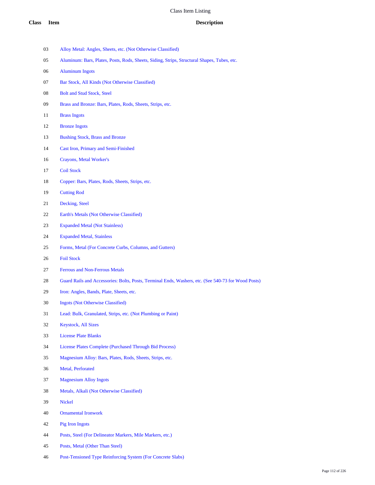- Alloy Metal: Angles, Sheets, etc. (Not Otherwise Classified)
- Aluminum: Bars, Plates, Posts, Rods, Sheets, Siding, Strips, Structural Shapes, Tubes, etc.
- Aluminum Ingots
- Bar Stock, All Kinds (Not Otherwise Classified)
- 08 Bolt and Stud Stock, Steel
- Brass and Bronze: Bars, Plates, Rods, Sheets, Strips, etc.
- Brass Ingots
- Bronze Ingots
- Bushing Stock, Brass and Bronze
- Cast Iron, Primary and Semi-Finished
- Crayons, Metal Worker's
- Coil Stock
- Copper: Bars, Plates, Rods, Sheets, Strips, etc.
- Cutting Rod
- Decking, Steel
- Earth's Metals (Not Otherwise Classified)
- Expanded Metal (Not Stainless)
- Expanded Metal, Stainless
- Forms, Metal (For Concrete Curbs, Columns, and Gutters)
- Foil Stock
- Ferrous and Non-Ferrous Metals
- Guard Rails and Accessories: Bolts, Posts, Terminal Ends, Washers, etc. (See 540-73 for Wood Posts)
- Iron: Angles, Bands, Plate, Sheets, etc.
- Ingots (Not Otherwise Classified)
- Lead: Bulk, Granulated, Strips, etc. (Not Plumbing or Paint)
- Keystock, All Sizes
- License Plate Blanks
- License Plates Complete (Purchased Through Bid Process)
- Magnesium Alloy: Bars, Plates, Rods, Sheets, Strips, etc.
- Metal, Perforated
- Magnesium Alloy Ingots
- Metals, Alkali (Not Otherwise Classified)
- Nickel
- Ornamental Ironwork
- Pig Iron Ingots
- Posts, Steel (For Delineator Markers, Mile Markers, etc.)
- Posts, Metal (Other Than Steel)
- Post-Tensioned Type Reinforcing System (For Concrete Slabs)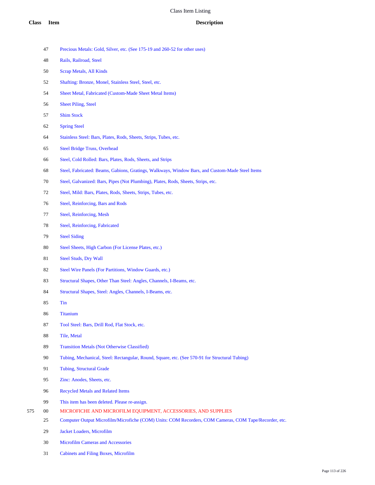- Precious Metals: Gold, Silver, etc. (See 175-19 and 260-52 for other uses)
- Rails, Railroad, Steel
- Scrap Metals, All Kinds
- Shafting: Bronze, Monel, Stainless Steel, Steel, etc.
- Sheet Metal, Fabricated (Custom-Made Sheet Metal Items)
- Sheet Piling, Steel
- Shim Stock
- Spring Steel
- Stainless Steel: Bars, Plates, Rods, Sheets, Strips, Tubes, etc.
- Steel Bridge Truss, Overhead
- Steel, Cold Rolled: Bars, Plates, Rods, Sheets, and Strips
- Steel, Fabricated: Beams, Gabions, Gratings, Walkways, Window Bars, and Custom-Made Steel Items
- Steel, Galvanized: Bars, Pipes (Not Plumbing), Plates, Rods, Sheets, Strips, etc.
- Steel, Mild: Bars, Plates, Rods, Sheets, Strips, Tubes, etc.
- Steel, Reinforcing, Bars and Rods
- Steel, Reinforcing, Mesh
- Steel, Reinforcing, Fabricated
- Steel Siding
- Steel Sheets, High Carbon (For License Plates, etc.)
- Steel Studs, Dry Wall
- Steel Wire Panels (For Partitions, Window Guards, etc.)
- Structural Shapes, Other Than Steel: Angles, Channels, I-Beams, etc.
- Structural Shapes, Steel: Angles, Channels, I-Beams, etc.
- Tin
- Titanium
- Tool Steel: Bars, Drill Rod, Flat Stock, etc.
- Tile, Metal
- Transition Metals (Not Otherwise Classified)
- Tubing, Mechanical, Steel: Rectangular, Round, Square, etc. (See 570-91 for Structural Tubing)
- Tubing, Structural Grade
- Zinc: Anodes, Sheets, etc.
- Recycled Metals and Related Items
- This item has been deleted. Please re-assign.
- 00 MICROFICHE AND MICROFILM EQUIPMENT, ACCESSORIES, AND SUPPLIES
	- Computer Output Microfilm/Microfiche (COM) Units: COM Recorders, COM Cameras, COM Tape/Recorder, etc.
	- Jacket Loaders, Microfilm
	- Microfilm Cameras and Accessories
	- Cabinets and Filing Boxes, Microfilm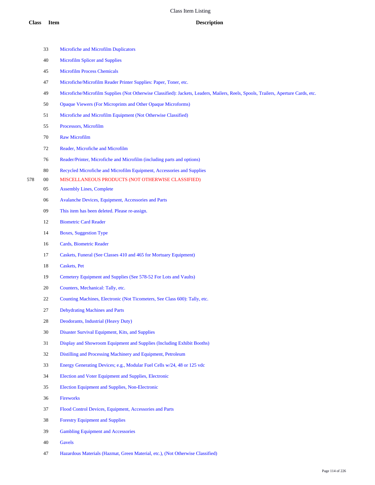Microfiche and Microfilm Duplicators Microfilm Splicer and Supplies Microfilm Process Chemicals Microfiche/Microfilm Reader Printer Supplies: Paper, Toner, etc. Microfiche/Microfilm Supplies (Not Otherwise Classified): Jackets, Leaders, Mailers, Reels, Spools, Trailers, Aperture Cards, etc. Opaque Viewers (For Microprints and Other Opaque Microforms) Microfiche and Microfilm Equipment (Not Otherwise Classified) Processors, Microfilm Raw Microfilm Reader, Microfiche and Microfilm Reader/Printer, Microfiche and Microfilm (including parts and options) Recycled Microfiche and Microfilm Equipment, Accessories and Supplies 00 MISCELLANEOUS PRODUCTS (NOT OTHERWISE CLASSIFIED) Assembly Lines, Complete Avalanche Devices, Equipment, Accessories and Parts This item has been deleted. Please re-assign. Biometric Card Reader Boxes, Suggestion Type Cards, Biometric Reader Caskets, Funeral (See Classes 410 and 465 for Mortuary Equipment) Caskets, Pet Cemetery Equipment and Supplies (See 578-52 For Lots and Vaults) Counters, Mechanical: Tally, etc. 22 Counting Machines, Electronic (Not Ticometers, See Class 600): Tally, etc. Dehydrating Machines and Parts Deodorants, Industrial (Heavy Duty) Disaster Survival Equipment, Kits, and Supplies Display and Showroom Equipment and Supplies (Including Exhibit Booths) Distilling and Processing Machinery and Equipment, Petroleum Energy Generating Devices; e.g., Modular Fuel Cells w/24, 48 or 125 vdc Election and Voter Equipment and Supplies, Electronic Election Equipment and Supplies, Non-Electronic Fireworks Flood Control Devices, Equipment, Accessories and Parts Forestry Equipment and Supplies Gambling Equipment and Accessories Gavels Hazardous Materials (Hazmat, Green Material, etc.), (Not Otherwise Classified)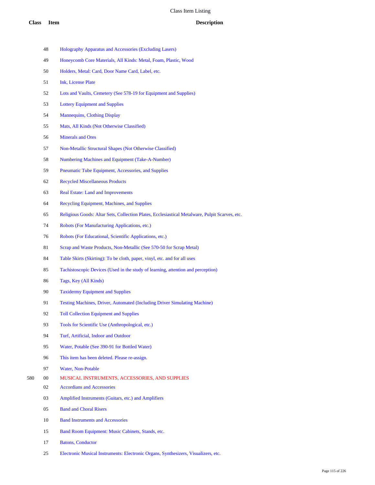- Holography Apparatus and Accessories (Excluding Lasers)
- Honeycomb Core Materials, All Kinds: Metal, Foam, Plastic, Wood
- Holders, Metal: Card, Door Name Card, Label, etc.
- Ink, License Plate
- Lots and Vaults, Cemetery (See 578-19 for Equipment and Supplies)
- Lottery Equipment and Supplies
- Mannequins, Clothing Display
- Mats, All Kinds (Not Otherwise Classified)
- Minerals and Ores
- Non-Metallic Structural Shapes (Not Otherwise Classified)
- Numbering Machines and Equipment (Take-A-Number)
- Pneumatic Tube Equipment, Accessories, and Supplies
- Recycled Miscellaneous Products
- Real Estate: Land and Improvements
- Recycling Equipment, Machines, and Supplies
- Religious Goods: Altar Sets, Collection Plates, Ecclesiastical Metalware, Pulpit Scarves, etc.
- Robots (For Manufacturing Applications, etc.)
- Robots (For Educational, Scientific Applications, etc.)
- 81 Scrap and Waste Products, Non-Metallic (See 570-50 for Scrap Metal)
- Table Skirts (Skirting): To be cloth, paper, vinyl, etc. and for all uses
- Tachistoscopic Devices (Used in the study of learning, attention and perception)
- Tags, Key (All Kinds)
- Taxidermy Equipment and Supplies
- Testing Machines, Driver, Automated (Including Driver Simulating Machine)
- Toll Collection Equipment and Supplies
- Tools for Scientific Use (Anthropological, etc.)
- Turf, Artificial, Indoor and Outdoor
- Water, Potable (See 390-91 for Bottled Water)
- This item has been deleted. Please re-assign.
- Water, Non-Potable
- 00 MUSICAL INSTRUMENTS, ACCESSORIES, AND SUPPLIES
	- Accordians and Accessories
	- Amplified Instruments (Guitars, etc.) and Amplifiers
	- Band and Choral Risers
	- Band Instruments and Accessories
	- Band Room Equipment: Music Cabinets, Stands, etc.
	- Batons, Conductor
	- Electronic Musical Instruments: Electronic Organs, Synthesizers, Visualizers, etc.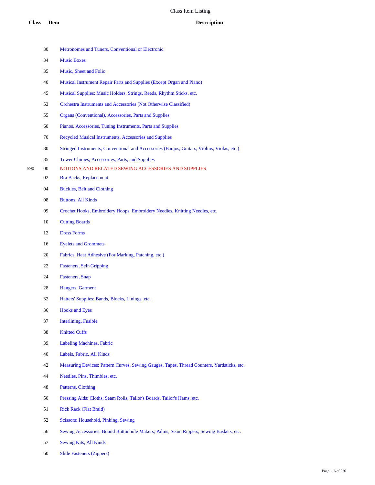Metronomes and Tuners, Conventional or Electronic Music Boxes Music, Sheet and Folio Musical Instrument Repair Parts and Supplies (Except Organ and Piano) Musical Supplies: Music Holders, Strings, Reeds, Rhythm Sticks, etc. Orchestra Instruments and Accessories (Not Otherwise Classified) Organs (Conventional), Accessories, Parts and Supplies Pianos, Accessories, Tuning Instruments, Parts and Supplies Recycled Musical Instruments, Accessories and Supplies Stringed Instruments, Conventional and Accessories (Banjos, Guitars, Violins, Violas, etc.) Tower Chimes, Accessories, Parts, and Supplies 00 NOTIONS AND RELATED SEWING ACCESSORIES AND SUPPLIES Bra Backs, Replacement Buckles, Belt and Clothing Buttons, All Kinds Crochet Hooks, Embroidery Hoops, Embroidery Needles, Knitting Needles, etc. Cutting Boards Dress Forms Eyelets and Grommets Fabrics, Heat Adhesive (For Marking, Patching, etc.) Fasteners, Self-Gripping Fasteners, Snap Hangers, Garment Hatters' Supplies: Bands, Blocks, Linings, etc. Hooks and Eyes Interlining, Fusible Knitted Cuffs Labeling Machines, Fabric Labels, Fabric, All Kinds Measuring Devices: Pattern Curves, Sewing Gauges, Tapes, Thread Counters, Yardsticks, etc. Needles, Pins, Thimbles, etc. Patterns, Clothing Pressing Aids: Cloths, Seam Rolls, Tailor's Boards, Tailor's Hams, etc. Rick Rack (Flat Braid) Scissors: Household, Pinking, Sewing Sewing Accessories: Bound Buttonhole Makers, Palms, Seam Rippers, Sewing Baskets, etc. Sewing Kits, All Kinds Slide Fasteners (Zippers)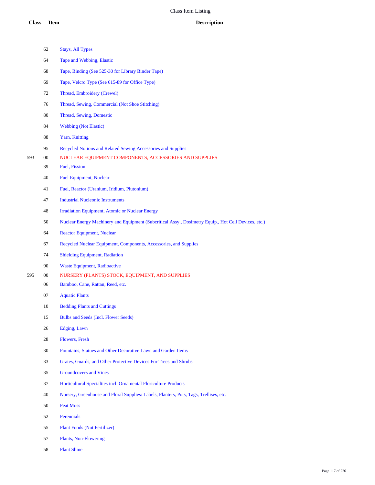|     | 62     | <b>Stays, All Types</b>                                                                              |
|-----|--------|------------------------------------------------------------------------------------------------------|
|     | 64     | Tape and Webbing, Elastic                                                                            |
|     | 68     | Tape, Binding (See 525-30 for Library Binder Tape)                                                   |
|     | 69     | Tape, Velcro Type (See 615-89 for Office Type)                                                       |
|     | 72     | Thread, Embroidery (Crewel)                                                                          |
|     | 76     | Thread, Sewing, Commercial (Not Shoe Stitching)                                                      |
|     | 80     | Thread, Sewing, Domestic                                                                             |
|     | 84     | <b>Webbing (Not Elastic)</b>                                                                         |
|     | 88     | Yarn, Knitting                                                                                       |
|     | 95     | Recycled Notions and Related Sewing Accessories and Supplies                                         |
| 593 | $00\,$ | NUCLEAR EQUIPMENT COMPONENTS, ACCESSORIES AND SUPPLIES                                               |
|     | 39     | Fuel, Fission                                                                                        |
|     | 40     | <b>Fuel Equipment, Nuclear</b>                                                                       |
|     | 41     | Fuel, Reactor (Uranium, Iridium, Plutonium)                                                          |
|     | 47     | <b>Industrial Nucleonic Instruments</b>                                                              |
|     | 48     | Irradiation Equipment, Atomic or Nuclear Energy                                                      |
|     | 50     | Nuclear Energy Machinery and Equipment (Subcritical Assy., Dosimetry Equip., Hot Cell Devices, etc.) |
|     | 64     | <b>Reactor Equipment, Nuclear</b>                                                                    |
|     | 67     | Recycled Nuclear Equipment, Components, Accessories, and Supplies                                    |
|     | 74     | <b>Shielding Equipment, Radiation</b>                                                                |
|     | 90     | <b>Waste Equipment, Radioactive</b>                                                                  |
| 595 | $00\,$ | NURSERY (PLANTS) STOCK, EQUIPMENT, AND SUPPLIES                                                      |
|     | 06     | Bamboo, Cane, Rattan, Reed, etc.                                                                     |
|     | 07     | <b>Aquatic Plants</b>                                                                                |
|     | 10     | <b>Bedding Plants and Cuttings</b>                                                                   |
|     | 15     | <b>Bulbs and Seeds (Incl. Flower Seeds)</b>                                                          |
|     | 26     | Edging, Lawn                                                                                         |
|     | 28     | Flowers, Fresh                                                                                       |
|     | 30     | Fountains, Statues and Other Decorative Lawn and Garden Items                                        |
|     | 33     | Grates, Guards, and Other Protective Devices For Trees and Shrubs                                    |
|     | 35     | <b>Groundcovers and Vines</b>                                                                        |
|     | 37     | Horticultural Specialties incl. Ornamental Floriculture Products                                     |
|     | 40     | Nursery, Greenhouse and Floral Supplies: Labels, Planters, Pots, Tags, Trellises, etc.               |
|     | 50     | <b>Peat Moss</b>                                                                                     |
|     | 52     | Perennials                                                                                           |
|     | 55     | <b>Plant Foods (Not Fertilizer)</b>                                                                  |
|     | 57     | Plants, Non-Flowering                                                                                |
|     |        |                                                                                                      |

Plant Shine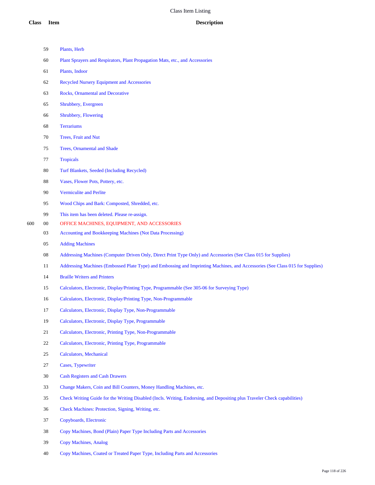|     | 59     | Plants, Herb                                                                                                                  |
|-----|--------|-------------------------------------------------------------------------------------------------------------------------------|
|     | 60     | Plant Sprayers and Respirators, Plant Propagation Mats, etc., and Accessories                                                 |
|     | 61     | Plants, Indoor                                                                                                                |
|     | 62     | <b>Recycled Nursery Equipment and Accessories</b>                                                                             |
|     | 63     | Rocks, Ornamental and Decorative                                                                                              |
|     | 65     | Shrubbery, Evergreen                                                                                                          |
|     | 66     | Shrubbery, Flowering                                                                                                          |
|     | 68     | <b>Terrariums</b>                                                                                                             |
|     | 70     | Trees, Fruit and Nut                                                                                                          |
|     | 75     | Trees, Ornamental and Shade                                                                                                   |
|     | 77     | <b>Tropicals</b>                                                                                                              |
|     | 80     | Turf Blankets, Seeded (Including Recycled)                                                                                    |
|     | 88     | Vases, Flower Pots, Pottery, etc.                                                                                             |
|     | 90     | <b>Vermiculite and Perlite</b>                                                                                                |
|     | 95     | Wood Chips and Bark: Composted, Shredded, etc.                                                                                |
|     | 99     | This item has been deleted. Please re-assign.                                                                                 |
| 600 | $00\,$ | OFFICE MACHINES, EQUIPMENT, AND ACCESSORIES                                                                                   |
|     | 03     | Accounting and Bookkeeping Machines (Not Data Processing)                                                                     |
|     | 05     | <b>Adding Machines</b>                                                                                                        |
|     | 08     | Addressing Machines (Computer Driven Only, Direct Print Type Only) and Accessories (See Class 015 for Supplies)               |
|     | 11     | Addressing Machines (Embossed Plate Type) and Embossing and Imprinting Machines, and Accessories (See Class 015 for Supplies) |
|     | 14     | <b>Braille Writers and Printers</b>                                                                                           |
|     | 15     | Calculators, Electronic, Display/Printing Type, Programmable (See 305-06 for Surveying Type)                                  |
|     | 16     | Calculators, Electronic, Display/Printing Type, Non-Programmable                                                              |
|     | 17     | Calculators, Electronic, Display Type, Non-Programmable                                                                       |
|     | 19     | Calculators, Electronic, Display Type, Programmable                                                                           |
|     | 21     | Calculators, Electronic, Printing Type, Non-Programmable                                                                      |
|     | 22     | Calculators, Electronic, Printing Type, Programmable                                                                          |
|     | 25     | <b>Calculators, Mechanical</b>                                                                                                |
|     | 27     | Cases, Typewriter                                                                                                             |
|     | 30     | <b>Cash Registers and Cash Drawers</b>                                                                                        |
|     | 33     | Change Makers, Coin and Bill Counters, Money Handling Machines, etc.                                                          |
|     | 35     | Check Writing Guide for the Writing Disabled (Incls. Writing, Endorsing, and Depositing plus Traveler Check capabilities)     |
|     | 36     | Check Machines: Protection, Signing, Writing, etc.                                                                            |
|     | 37     | Copyboards, Electronic                                                                                                        |
|     | 38     | Copy Machines, Bond (Plain) Paper Type Including Parts and Accessories                                                        |
|     | 39     | <b>Copy Machines, Analog</b>                                                                                                  |
|     |        |                                                                                                                               |

Copy Machines, Coated or Treated Paper Type, Including Parts and Accessories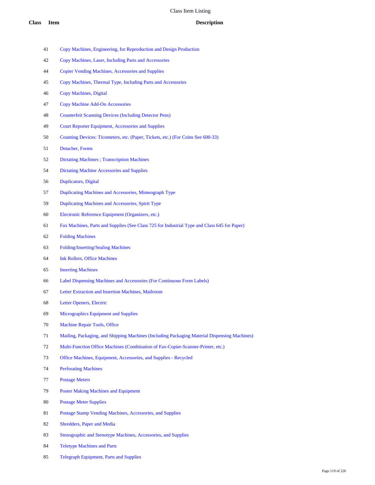- Copy Machines, Engineering, for Reproduction and Design Production
- Copy Machines, Laser, Including Parts and Accessories
- Copier Vending Machines, Accessories and Supplies
- Copy Machines, Thermal Type, Including Parts and Accessories
- Copy Machines, Digital
- Copy Machine Add-On Accessories
- Counterfeit Scanning Devices (Including Detector Pens)
- Court Reporter Equipment, Accessories and Supplies
- Counting Devices: Ticometers, etc. (Paper, Tickets, etc.) (For Coins See 600-33)
- Detacher, Forms
- Dictating Machines ; Transcription Machines
- Dictating Machine Accessories and Supplies
- Duplicators, Digital
- Duplicating Machines and Accessories, Mimeograph Type
- Duplicating Machines and Accessories, Spirit Type
- Electronic Reference Equipment (Organizers, etc.)
- Fax Machines, Parts and Supplies (See Class 725 for Industrial Type and Class 645 for Paper)
- Folding Machines
- Folding/Inserting/Sealing Machines
- Ink Rollers, Office Machines
- Inserting Machines
- Label Dispensing Machines and Accessories (For Continuous Form Labels)
- Letter Extraction and Insertion Machines, Mailroom
- Letter Openers, Electric
- Micrographics Equipment and Supplies
- Machine Repair Tools, Office
- Mailing, Packaging, and Shipping Machines (Including Packaging Material Dispensing Machines)
- Multi-Function Office Machines (Combination of Fax-Copier-Scanner-Printer, etc.)
- Office Machines, Equipment, Accessories, and Supplies Recycled
- Perforating Machines
- Postage Meters
- Poster Making Machines and Equipment
- Postage Meter Supplies
- Postage Stamp Vending Machines, Accessories, and Supplies
- Shredders, Paper and Media
- Stenographic and Stenotype Machines, Accessories, and Supplies
- Teletype Machines and Parts
- Telegraph Equipment, Parts and Supplies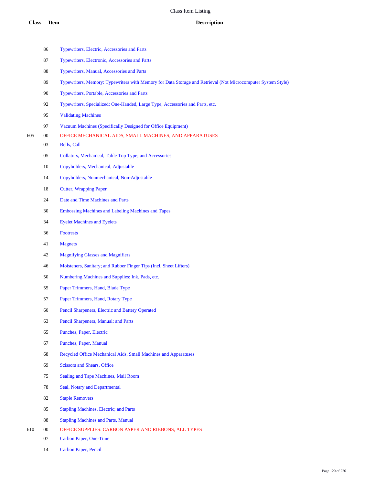|     | 86     | Typewriters, Electric, Accessories and Parts                                                                 |
|-----|--------|--------------------------------------------------------------------------------------------------------------|
|     | 87     | Typewriters, Electronic, Accessories and Parts                                                               |
|     | 88     | Typewriters, Manual, Accessories and Parts                                                                   |
|     | 89     | Typewriters, Memory: Typewriters with Memory for Data Storage and Retrieval (Not Microcomputer System Style) |
|     | 90     | Typewriters, Portable, Accessories and Parts                                                                 |
|     | 92     | Typewriters, Specialized: One-Handed, Large Type, Accessories and Parts, etc.                                |
|     | 95     | <b>Validating Machines</b>                                                                                   |
|     | 97     | Vacuum Machines (Specifically Designed for Office Equipment)                                                 |
| 605 | $00\,$ | OFFICE MECHANICAL AIDS, SMALL MACHINES, AND APPARATUSES                                                      |
|     | 03     | Bells, Call                                                                                                  |
|     | 05     | Collators, Mechanical, Table Top Type; and Accessories                                                       |
|     | 10     | Copyholders, Mechanical, Adjustable                                                                          |
|     | 14     | Copyholders, Nonmechanical, Non-Adjustable                                                                   |
|     | 18     | <b>Cutter, Wrapping Paper</b>                                                                                |
|     | 24     | Date and Time Machines and Parts                                                                             |
|     | 30     | <b>Embossing Machines and Labeling Machines and Tapes</b>                                                    |
|     | 34     | <b>Eyelet Machines and Eyelets</b>                                                                           |
|     | 36     | <b>Footrests</b>                                                                                             |
|     | 41     | <b>Magnets</b>                                                                                               |
|     | 42     | <b>Magnifying Glasses and Magnifiers</b>                                                                     |
|     | 46     | Moisteners, Sanitary; and Rubber Finger Tips (Incl. Sheet Lifters)                                           |
|     | 50     | Numbering Machines and Supplies: Ink, Pads, etc.                                                             |
|     | 55     | Paper Trimmers, Hand, Blade Type                                                                             |
|     | 57     | Paper Trimmers, Hand, Rotary Type                                                                            |
|     | 60     | Pencil Sharpeners, Electric and Battery Operated                                                             |
|     | 63     | Pencil Sharpeners, Manual; and Parts                                                                         |
|     | 65     | Punches, Paper, Electric                                                                                     |
|     | 67     | Punches, Paper, Manual                                                                                       |
|     | 68     | Recycled Office Mechanical Aids, Small Machines and Apparatuses                                              |
|     | 69     | <b>Scissors and Shears, Office</b>                                                                           |
|     | 75     | Sealing and Tape Machines, Mail Room                                                                         |
|     | 78     | Seal, Notary and Departmental                                                                                |
|     | 82     | <b>Staple Removers</b>                                                                                       |
|     | 85     | <b>Stapling Machines, Electric; and Parts</b>                                                                |
|     | 88     | <b>Stapling Machines and Parts, Manual</b>                                                                   |
| 610 | 00     | OFFICE SUPPLIES: CARBON PAPER AND RIBBONS, ALL TYPES                                                         |

- Carbon Paper, One-Time
- Carbon Paper, Pencil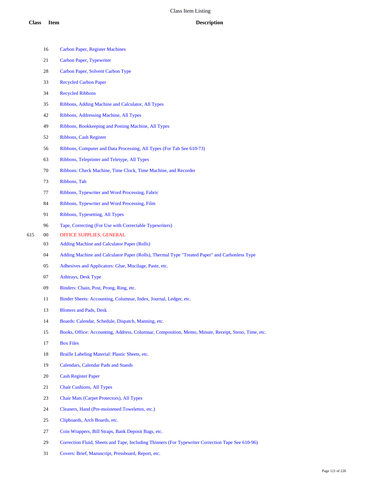|     | 16     | <b>Carbon Paper, Register Machines</b>                                                              |
|-----|--------|-----------------------------------------------------------------------------------------------------|
|     | 21     | Carbon Paper, Typewriter                                                                            |
|     | 28     | Carbon Paper, Solvent Carbon Type                                                                   |
|     | 33     | <b>Recycled Carbon Paper</b>                                                                        |
|     | 34     | <b>Recycled Ribbons</b>                                                                             |
|     | 35     | Ribbons, Adding Machine and Calculator, All Types                                                   |
|     | 42     | Ribbons, Addressing Machine, All Types                                                              |
|     | 49     | Ribbons, Bookkeeping and Posting Machine, All Types                                                 |
|     | 52     | Ribbons, Cash Register                                                                              |
|     | 56     | Ribbons, Computer and Data Processing, All Types (For Tab See 610-73)                               |
|     | 63     | Ribbons, Teleprinter and Teletype, All Types                                                        |
|     | 70     | Ribbons: Check Machine, Time Clock, Time Machine, and Recorder                                      |
|     | 73     | Ribbons, Tab                                                                                        |
|     | 77     | Ribbons, Typewriter and Word Processing, Fabric                                                     |
|     | 84     | Ribbons, Typewriter and Word Processing, Film                                                       |
|     | 91     | Ribbons, Typesetting, All Types                                                                     |
|     | 96     | Tape, Correcting (For Use with Correctable Typewriters)                                             |
| 615 | $00\,$ | OFFICE SUPPLIES, GENERAL                                                                            |
|     | 03     | <b>Adding Machine and Calculator Paper (Rolls)</b>                                                  |
|     | 04     | Adding Machine and Calculator Paper (Rolls), Thermal Type "Treated Paper" and Carbonless Type       |
|     | 05     | Adhesives and Applicators: Glue, Mucilage, Paste, etc.                                              |
|     | 07     | <b>Ashtrays, Desk Type</b>                                                                          |
|     | 09     | Binders: Chain, Post, Prong, Ring, etc.                                                             |
|     | 11     | Binder Sheets: Accounting, Columnar, Index, Journal, Ledger, etc.                                   |
|     | 13     | <b>Blotters and Pads, Desk</b>                                                                      |
|     | 14     | Boards: Calendar, Schedule, Dispatch, Manning, etc.                                                 |
|     | 15     | Books, Office: Accounting, Address, Columnar, Composition, Memo, Minute, Receipt, Steno, Time, etc. |
|     | 17     | <b>Box Files</b>                                                                                    |
|     | 18     | Braille Labeling Material: Plastic Sheets, etc.                                                     |
|     | 19     | <b>Calendars, Calendar Pads and Stands</b>                                                          |
|     | 20     | <b>Cash Register Paper</b>                                                                          |
|     | 21     | <b>Chair Cushions, All Types</b>                                                                    |
|     | 23     | Chair Mats (Carpet Protectors), All Types                                                           |
|     | 24     | Cleaners, Hand (Pre-moistened Towelettes, etc.)                                                     |
|     | 25     | Clipboards, Arch Boards, etc.                                                                       |
|     | 27     | Coin Wrappers, Bill Straps, Bank Deposit Bags, etc.                                                 |
|     | 29     | Correction Fluid, Sheets and Tape, Including Thinners (For Typewriter Correction Tape See 610-96)   |
|     | 31     | Covers: Brief, Manuscript, Pressboard, Report, etc.                                                 |
|     |        |                                                                                                     |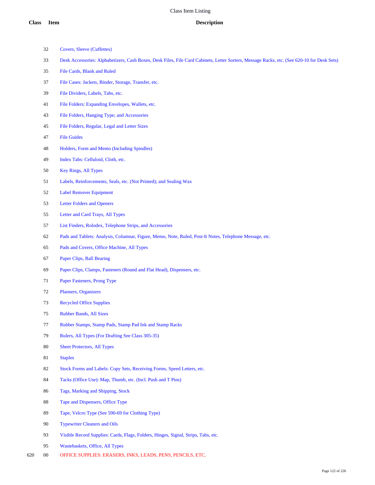- Covers, Sleeve (Cuffettes)
- Desk Accessories: Alphabetizers, Cash Boxes, Desk Files, File Card Cabinets, Letter Sorters, Message Racks, etc. (See 620-10 for Desk Sets)
- File Cards, Blank and Ruled
- File Cases: Jackets, Binder, Storage, Transfer, etc.
- File Dividers, Labels, Tabs, etc.
- File Folders: Expanding Envelopes, Wallets, etc.
- File Folders, Hanging Type; and Accessories
- File Folders, Regular, Legal and Letter Sizes
- File Guides
- Holders, Form and Memo (Including Spindles)
- Index Tabs: Celluloid, Cloth, etc.
- Key Rings, All Types
- Labels, Reinforcements, Seals, etc. (Not Printed); and Sealing Wax
- Label Remover Equipment
- Letter Folders and Openers
- Letter and Card Trays, All Types
- List Finders, Rolodex, Telephone Strips, and Accessories
- Pads and Tablets: Analysis, Columnar, Figure, Memo, Note, Ruled, Post-It Notes, Telephone Message, etc.
- Pads and Covers, Office Machine, All Types
- Paper Clips, Ball Bearing
- Paper Clips, Clamps, Fasteners (Round and Flat Head), Dispensers, etc.
- Paper Fasteners, Prong Type
- Planners, Organizers
- Recycled Office Supplies
- Rubber Bands, All Sizes
- Rubber Stamps, Stamp Pads, Stamp Pad Ink and Stamp Racks
- Rulers, All Types (For Drafting See Class 305-35)
- Sheet Protectors, All Types
- Staples
- 82 Stock Forms and Labels: Copy Sets, Receiving Forms, Speed Letters, etc.
- Tacks (Office Use): Map, Thumb, etc. (Incl. Push and T Pins)
- Tags, Marking and Shipping, Stock
- Tape and Dispensers, Office Type
- Tape, Velcro Type (See 590-69 for Clothing Type)
- Typewriter Cleaners and Oils
- Visible Record Supplies: Cards, Flags, Folders, Hinges, Signal, Strips, Tabs, etc.
- Wastebaskets, Office, All Types
- 00 OFFICE SUPPLIES: ERASERS, INKS, LEADS, PENS, PENCILS, ETC.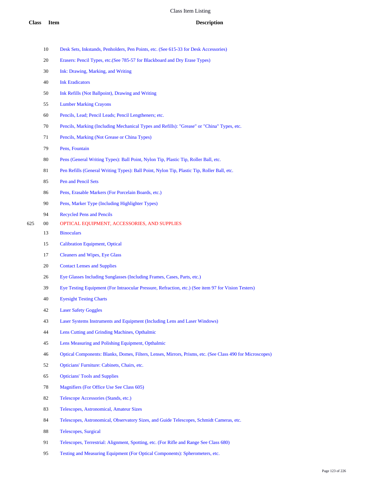- Desk Sets, Inkstands, Penholders, Pen Points, etc. (See 615-33 for Desk Accessories)
- Erasers: Pencil Types, etc.(See 785-57 for Blackboard and Dry Erase Types)
- Ink: Drawing, Marking, and Writing
- Ink Eradicators
- Ink Refills (Not Ballpoint), Drawing and Writing
- Lumber Marking Crayons
- Pencils, Lead; Pencil Leads; Pencil Lengtheners; etc.
- Pencils, Marking (Including Mechanical Types and Refills): "Grease" or "China" Types, etc.
- Pencils, Marking (Not Grease or China Types)
- Pens, Fountain
- Pens (General Writing Types): Ball Point, Nylon Tip, Plastic Tip, Roller Ball, etc.
- Pen Refills (General Writing Types): Ball Point, Nylon Tip, Plastic Tip, Roller Ball, etc.
- Pen and Pencil Sets
- Pens, Erasable Markers (For Porcelain Boards, etc.)
- Pens, Marker Type (Including Highlighter Types)
- Recycled Pens and Pencils
- 00 OPTICAL EQUIPMENT, ACCESSORIES, AND SUPPLIES
	- Binoculars
	- Calibration Equipment, Optical
	- Cleaners and Wipes, Eye Glass
	- Contact Lenses and Supplies
	- Eye Glasses Including Sunglasses (Including Frames, Cases, Parts, etc.)
	- Eye Testing Equipment (For Intraocular Pressure, Refraction, etc.) (See item 97 for Vision Testers)
	- Eyesight Testing Charts
	- Laser Safety Goggles
	- Laser Systems Instruments and Equipment (Including Lens and Laser Windows)
	- Lens Cutting and Grinding Machines, Opthalmic
	- Lens Measuring and Polishing Equipment, Opthalmic
	- Optical Components: Blanks, Domes, Filters, Lenses, Mirrors, Prisms, etc. (See Class 490 for Microscopes)
	- Opticians' Furniture: Cabinets, Chairs, etc.
	- Opticians' Tools and Supplies
	- Magnifiers (For Office Use See Class 605)
	- Telescope Accessories (Stands, etc.)
	- Telescopes, Astronomical, Amateur Sizes
	- Telescopes, Astronomical, Observatory Sizes, and Guide Telescopes, Schmidt Cameras, etc.
	- Telescopes, Surgical
	- Telescopes, Terrestrial: Alignment, Spotting, etc. (For Rifle and Range See Class 680)
	- Testing and Measuring Equipment (For Optical Components): Spherometers, etc.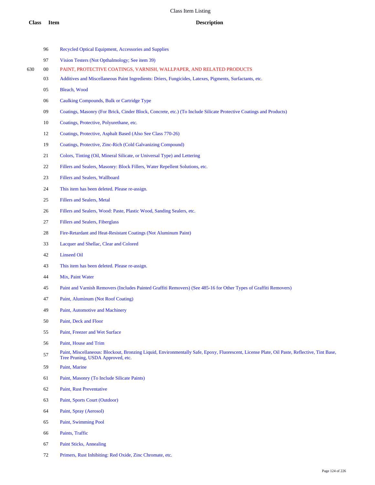|     | 96     | Recycled Optical Equipment, Accessories and Supplies                                                                                                                             |
|-----|--------|----------------------------------------------------------------------------------------------------------------------------------------------------------------------------------|
|     | 97     | Vision Testers (Not Opthalmology; See item 39)                                                                                                                                   |
| 630 | $00\,$ | PAINT, PROTECTIVE COATINGS, VARNISH, WALLPAPER, AND RELATED PRODUCTS                                                                                                             |
|     | 03     | Additives and Miscellaneous Paint Ingredients: Driers, Fungicides, Latexes, Pigments, Surfactants, etc.                                                                          |
|     | 05     | Bleach, Wood                                                                                                                                                                     |
|     | 06     | Caulking Compounds, Bulk or Cartridge Type                                                                                                                                       |
|     | 09     | Coatings, Masonry (For Brick, Cinder Block, Concrete, etc.) (To Include Silicate Protective Coatings and Products)                                                               |
|     | 10     | Coatings, Protective, Polyurethane, etc.                                                                                                                                         |
|     | 12     | Coatings, Protective, Asphalt Based (Also See Class 770-26)                                                                                                                      |
|     | 19     | Coatings, Protective, Zinc-Rich (Cold Galvanizing Compound)                                                                                                                      |
|     | 21     | Colors, Tinting (Oil, Mineral Silicate, or Universal Type) and Lettering                                                                                                         |
|     | 22     | Fillers and Sealers, Masonry: Block Fillers, Water Repellent Solutions, etc.                                                                                                     |
|     | 23     | Fillers and Sealers, Wallboard                                                                                                                                                   |
|     | 24     | This item has been deleted. Please re-assign.                                                                                                                                    |
|     | 25     | <b>Fillers and Sealers, Metal</b>                                                                                                                                                |
|     | 26     | Fillers and Sealers, Wood: Paste, Plastic Wood, Sanding Sealers, etc.                                                                                                            |
|     | 27     | <b>Fillers and Sealers, Fiberglass</b>                                                                                                                                           |
|     | 28     | Fire-Retardant and Heat-Resistant Coatings (Not Aluminum Paint)                                                                                                                  |
|     | 33     | Lacquer and Shellac, Clear and Colored                                                                                                                                           |
|     | 42     | <b>Linseed Oil</b>                                                                                                                                                               |
|     | 43     | This item has been deleted. Please re-assign.                                                                                                                                    |
|     | 44     | Mix, Paint Water                                                                                                                                                                 |
|     | 45     | Paint and Varnish Removers (Includes Painted Graffiti Removers) (See 485-16 for Other Types of Graffiti Removers)                                                                |
|     | 47     | Paint, Aluminum (Not Roof Coating)                                                                                                                                               |
|     | 49     | Paint, Automotive and Machinery                                                                                                                                                  |
|     | 50     | Paint, Deck and Floor                                                                                                                                                            |
|     | 55     | Paint, Freezer and Wet Surface                                                                                                                                                   |
|     | 56     | Paint, House and Trim                                                                                                                                                            |
|     | 57     | Paint, Miscellaneous: Blockout, Bronzing Liquid, Environmentally Safe, Epoxy, Fluorescent, License Plate, Oil Paste, Reflective, Tint Base,<br>Tree Pruning, USDA Approved, etc. |
|     | 59     | Paint, Marine                                                                                                                                                                    |
|     | 61     | Paint, Masonry (To Include Silicate Paints)                                                                                                                                      |
|     | 62     | Paint, Rust Preventative                                                                                                                                                         |
|     | 63     | Paint, Sports Court (Outdoor)                                                                                                                                                    |
|     | 64     | Paint, Spray (Aerosol)                                                                                                                                                           |
|     | 65     | Paint, Swimming Pool                                                                                                                                                             |

- Paints, Traffic
- Paint Sticks, Annealing
- Primers, Rust Inhibiting: Red Oxide, Zinc Chromate, etc.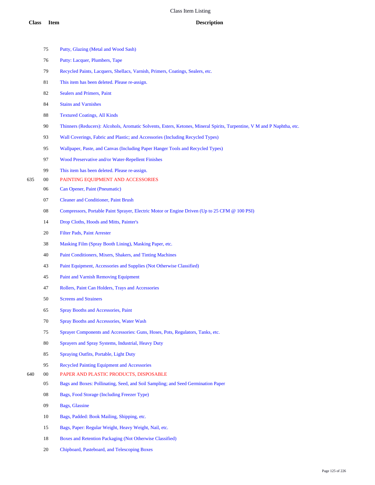- Putty, Glazing (Metal and Wood Sash)
- Putty: Lacquer, Plumbers, Tape
- Recycled Paints, Lacquers, Shellacs, Varnish, Primers, Coatings, Sealers, etc.
- This item has been deleted. Please re-assign.
- Sealers and Primers, Paint
- Stains and Varnishes
- Textured Coatings, All Kinds
- Thinners (Reducers): Alcohols, Aromatic Solvents, Esters, Ketones, Mineral Spirits, Turpentine, V M and P Naphtha, etc.
- Wall Coverings, Fabric and Plastic; and Accessories (Including Recycled Types)
- Wallpaper, Paste, and Canvas (Including Paper Hanger Tools and Recycled Types)
- Wood Preservative and/or Water-Repellent Finishes
- This item has been deleted. Please re-assign.
- 00 PAINTING EQUIPMENT AND ACCESSORIES
	- Can Opener, Paint (Pneumatic)
	- Cleaner and Conditioner, Paint Brush
	- Compressors, Portable Paint Sprayer, Electric Motor or Engine Driven (Up to 25 CFM @ 100 PSI)
	- Drop Cloths, Hoods and Mitts, Painter's
	- Filter Pads, Paint Arrester
	- Masking Film (Spray Booth Lining), Masking Paper, etc.
	- Paint Conditioners, Mixers, Shakers, and Tinting Machines
	- Paint Equipment, Accessories and Supplies (Not Otherwise Classified)
	- Paint and Varnish Removing Equipment
	- Rollers, Paint Can Holders, Trays and Accessories
	- Screens and Strainers
	- Spray Booths and Accessories, Paint
	- Spray Booths and Accessories, Water Wash
	- Sprayer Components and Accessories: Guns, Hoses, Pots, Regulators, Tanks, etc.
	- Sprayers and Spray Systems, Industrial, Heavy Duty
	- Spraying Outfits, Portable, Light Duty
	- Recycled Painting Equipment and Accessories
- 00 PAPER AND PLASTIC PRODUCTS, DISPOSABLE
	- Bags and Boxes: Pollinating, Seed, and Soil Sampling; and Seed Germination Paper
	- Bags, Food Storage (Including Freezer Type)
	- Bags, Glassine
	- Bags, Padded: Book Mailing, Shipping, etc.
	- Bags, Paper: Regular Weight, Heavy Weight, Nail, etc.
	- Boxes and Retention Packaging (Not Otherwise Classified)
	- Chipboard, Pasteboard, and Telescoping Boxes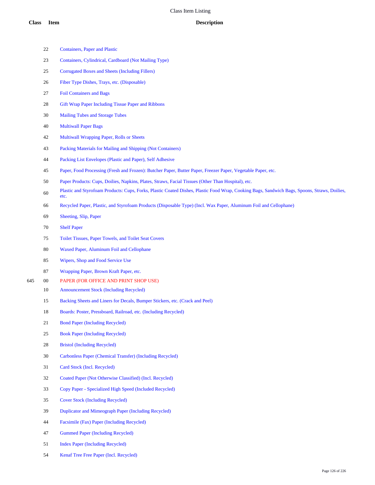Containers, Paper and Plastic

Containers, Cylindrical, Cardboard (Not Mailing Type)

|     | 25     | <b>Corrugated Boxes and Sheets (Including Fillers)</b>                                                                                               |
|-----|--------|------------------------------------------------------------------------------------------------------------------------------------------------------|
|     | 26     | Fiber Type Dishes, Trays, etc. (Disposable)                                                                                                          |
|     | 27     | <b>Foil Containers and Bags</b>                                                                                                                      |
|     | 28     | Gift Wrap Paper Including Tissue Paper and Ribbons                                                                                                   |
|     | 30     | <b>Mailing Tubes and Storage Tubes</b>                                                                                                               |
|     | 40     | <b>Multiwall Paper Bags</b>                                                                                                                          |
|     | 42     | Multiwall Wrapping Paper, Rolls or Sheets                                                                                                            |
|     | 43     | Packing Materials for Mailing and Shipping (Not Containers)                                                                                          |
|     | 44     | Packing List Envelopes (Plastic and Paper), Self Adhesive                                                                                            |
|     | 45     | Paper, Food Processing (Fresh and Frozen): Butcher Paper, Butter Paper, Freezer Paper, Vegetable Paper, etc.                                         |
|     | 50     | Paper Products: Cups, Doilies, Napkins, Plates, Straws, Facial Tissues (Other Than Hospital), etc.                                                   |
|     | 60     | Plastic and Styrofoam Products: Cups, Forks, Plastic Coated Dishes, Plastic Food Wrap, Cooking Bags, Sandwich Bags, Spoons, Straws, Doilies,<br>etc. |
|     | 66     | Recycled Paper, Plastic, and Styrofoam Products (Disposable Type) (Incl. Wax Paper, Aluminum Foil and Cellophane)                                    |
|     | 69     | Sheeting, Slip, Paper                                                                                                                                |
|     | 70     | <b>Shelf Paper</b>                                                                                                                                   |
|     | 75     | Toilet Tissues, Paper Towels, and Toilet Seat Covers                                                                                                 |
|     | 80     | Waxed Paper, Aluminum Foil and Cellophane                                                                                                            |
|     | 85     | Wipers, Shop and Food Service Use                                                                                                                    |
|     | 87     | Wrapping Paper, Brown Kraft Paper, etc.                                                                                                              |
| 645 | $00\,$ | PAPER (FOR OFFICE AND PRINT SHOP USE)                                                                                                                |
|     | 10     | <b>Announcement Stock (Including Recycled)</b>                                                                                                       |
|     | 15     | Backing Sheets and Liners for Decals, Bumper Stickers, etc. (Crack and Peel)                                                                         |
|     | 18     | Boards: Poster, Pressboard, Railroad, etc. (Including Recycled)                                                                                      |
|     | 21     | <b>Bond Paper (Including Recycled)</b>                                                                                                               |
|     | 25     | <b>Book Paper (Including Recycled)</b>                                                                                                               |
|     | 28     | <b>Bristol (Including Recycled)</b>                                                                                                                  |
|     | 30     | Carbonless Paper (Chemical Transfer) (Including Recycled)                                                                                            |
|     | 31     | Card Stock (Incl. Recycled)                                                                                                                          |
|     | 32     | Coated Paper (Not Otherwise Classified) (Incl. Recycled)                                                                                             |
|     | 33     | Copy Paper - Specialized High Speed (Included Recycled)                                                                                              |
|     | 35     | <b>Cover Stock (Including Recycled)</b>                                                                                                              |
|     | 39     | Duplicator and Mimeograph Paper (Including Recycled)                                                                                                 |
|     | 44     | Facsimile (Fax) Paper (Including Recycled)                                                                                                           |
|     | 47     | <b>Gummed Paper (Including Recycled)</b>                                                                                                             |
|     | 51     | <b>Index Paper (Including Recycled)</b>                                                                                                              |
|     | 54     | Kenaf Tree Free Paper (Incl. Recycled)                                                                                                               |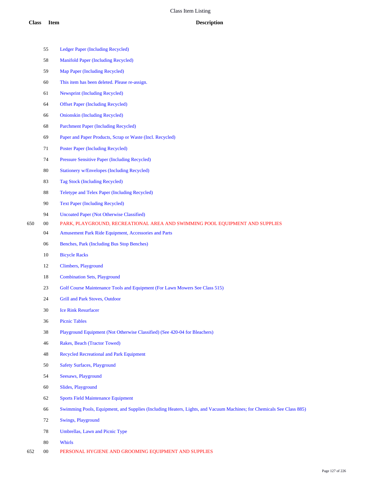|     | 55          | Ledger Paper (Including Recycled)                                                                                     |
|-----|-------------|-----------------------------------------------------------------------------------------------------------------------|
|     | 58          | <b>Manifold Paper (Including Recycled)</b>                                                                            |
|     | 59          | Map Paper (Including Recycled)                                                                                        |
|     | 60          | This item has been deleted. Please re-assign.                                                                         |
|     | 61          | <b>Newsprint (Including Recycled)</b>                                                                                 |
|     | 64          | <b>Offset Paper (Including Recycled)</b>                                                                              |
|     | 66          | <b>Onionskin (Including Recycled)</b>                                                                                 |
|     | 68          | <b>Parchment Paper (Including Recycled)</b>                                                                           |
|     | 69          | Paper and Paper Products, Scrap or Waste (Incl. Recycled)                                                             |
|     | 71          | <b>Poster Paper (Including Recycled)</b>                                                                              |
|     | 74          | <b>Pressure Sensitive Paper (Including Recycled)</b>                                                                  |
|     | 80          | <b>Stationery w/Envelopes (Including Recycled)</b>                                                                    |
|     | 83          | <b>Tag Stock (Including Recycled)</b>                                                                                 |
|     | $88\,$      | Teletype and Telex Paper (Including Recycled)                                                                         |
|     | 90          | <b>Text Paper (Including Recycled)</b>                                                                                |
|     | 94          | <b>Uncoated Paper (Not Otherwise Classified)</b>                                                                      |
| 650 | 00          | PARK, PLAYGROUND, RECREATIONAL AREA AND SWIMMING POOL EQUIPMENT AND SUPPLIES                                          |
|     | 04          | Amusement Park Ride Equipment, Accessories and Parts                                                                  |
|     | 06          | Benches, Park (Including Bus Stop Benches)                                                                            |
|     | 10          | <b>Bicycle Racks</b>                                                                                                  |
|     | 12          | Climbers, Playground                                                                                                  |
|     | 18          | <b>Combination Sets, Playground</b>                                                                                   |
|     | $23\,$      | Golf Course Maintenance Tools and Equipment (For Lawn Mowers See Class 515)                                           |
|     | 24          | <b>Grill and Park Stoves, Outdoor</b>                                                                                 |
|     | 30          | <b>Ice Rink Resurfacer</b>                                                                                            |
|     | 36          | <b>Picnic Tables</b>                                                                                                  |
|     | $38\,$      | Playground Equipment (Not Otherwise Classified) (See 420-04 for Bleachers)                                            |
|     | 46          | Rakes, Beach (Tractor Towed)                                                                                          |
|     | $\sqrt{48}$ | <b>Recycled Recreational and Park Equipment</b>                                                                       |
|     | 50          | <b>Safety Surfaces, Playground</b>                                                                                    |
|     | 54          | Seesaws, Playground                                                                                                   |
|     | 60          | Slides, Playground                                                                                                    |
|     | 62          | <b>Sports Field Maintenance Equipment</b>                                                                             |
|     | 66          | Swimming Pools, Equipment, and Supplies (Including Heaters, Lights, and Vacuum Machines; for Chemicals See Class 885) |
|     | 72          | Swings, Playground                                                                                                    |
|     | 78          | Umbrellas, Lawn and Picnic Type                                                                                       |
|     | $80\,$      | Whirls                                                                                                                |

00 PERSONAL HYGIENE AND GROOMING EQUIPMENT AND SUPPLIES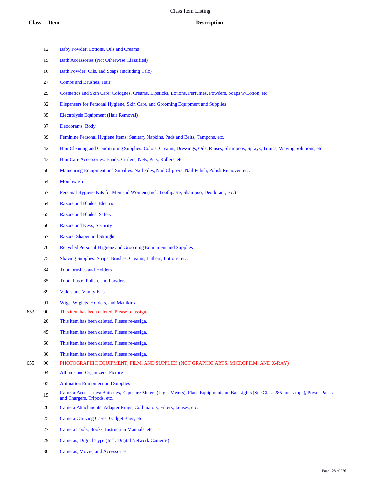Baby Powder, Lotions, Oils and Creams Bath Accessories (Not Otherwise Classified)

 Bath Powder, Oils, and Soaps (Including Talc) Combs and Brushes, Hair Cosmetics and Skin Care: Colognes, Creams, Lipsticks, Lotions, Perfumes, Powders, Soaps w/Lotion, etc. Dispensers for Personal Hygiene, Skin Care, and Grooming Equipment and Supplies Electrolysis Equipment (Hair Removal) Deodorants, Body Feminine Personal Hygiene Items: Sanitary Napkins, Pads and Belts, Tampons, etc. Hair Cleaning and Conditioning Supplies: Colors, Creams, Dressings, Oils, Rinses, Shampoos, Sprays, Tonics, Waving Solutions, etc. Hair Care Accessories: Bands, Curlers, Nets, Pins, Rollers, etc. Manicuring Equipment and Supplies: Nail Files, Nail Clippers, Nail Polish, Polish Remover, etc. Mouthwash Personal Hygiene Kits for Men and Women (Incl. Toothpaste, Shampoo, Deodorant, etc.) Razors and Blades, Electric Razors and Blades, Safety Razors and Keys, Security Razors, Shaper and Straight Recycled Personal Hygiene and Grooming Equipment and Supplies Shaving Supplies: Soaps, Brushes, Creams, Lathers, Lotions, etc. Toothbrushes and Holders Tooth Paste, Polish, and Powders Valets and Vanity Kits Wigs, Wiglets, Holders, and Manikins 00 This item has been deleted. Please re-assign. This item has been deleted. Please re-assign. This item has been deleted. Please re-assign. This item has been deleted. Please re-assign. This item has been deleted. Please re-assign. 00 PHOTOGRAPHIC EQUIPMENT, FILM, AND SUPPLIES (NOT GRAPHIC ARTS, MICROFILM, AND X-RAY) Albums and Organizers, Picture Animation Equipment and Supplies Camera Accessories: Batteries, Exposure Meters (Light Meters), Flash Equipment and Bar Lights (See Class 285 for Lamps), Power Packs and Chargers, Tripods, etc. Camera Attachments: Adapter Rings, Collimators, Filters, Lenses, etc. Camera Carrying Cases, Gadget Bags, etc. Camera Tools, Books, Instruction Manuals, etc. Cameras, Digital Type (Incl. Digital Network Cameras) Cameras, Movie; and Accessories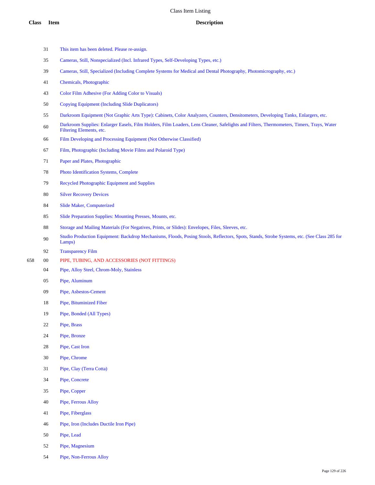|     | 31     | This item has been deleted. Please re-assign.                                                                                                                        |
|-----|--------|----------------------------------------------------------------------------------------------------------------------------------------------------------------------|
|     | 35     | Cameras, Still, Nonspecialized (Incl. Infrared Types, Self-Developing Types, etc.)                                                                                   |
|     | 39     | Cameras, Still, Specialized (Including Complete Systems for Medical and Dental Photography, Photomicrography, etc.)                                                  |
|     | 41     | Chemicals, Photographic                                                                                                                                              |
|     | 43     | Color Film Adhesive (For Adding Color to Visuals)                                                                                                                    |
|     | 50     | <b>Copying Equipment (Including Slide Duplicators)</b>                                                                                                               |
|     | 55     | Darkroom Equipment (Not Graphic Arts Type): Cabinets, Color Analyzers, Counters, Densitometers, Developing Tanks, Enlargers, etc.                                    |
|     | $60\,$ | Darkroom Supplies: Enlarger Easels, Film Holders, Film Loaders, Lens Cleaner, Safelights and Filters, Thermometers, Timers, Trays, Water<br>Filtering Elements, etc. |
|     | 66     | Film Developing and Processing Equipment (Not Otherwise Classified)                                                                                                  |
|     | 67     | Film, Photographic (Including Movie Films and Polaroid Type)                                                                                                         |
|     | 71     | Paper and Plates, Photographic                                                                                                                                       |
|     | 78     | Photo Identification Systems, Complete                                                                                                                               |
|     | 79     | Recycled Photographic Equipment and Supplies                                                                                                                         |
|     | 80     | <b>Silver Recovery Devices</b>                                                                                                                                       |
|     | 84     | Slide Maker, Computerized                                                                                                                                            |
|     | 85     | Slide Preparation Supplies: Mounting Presses, Mounts, etc.                                                                                                           |
|     | 88     | Storage and Mailing Materials (For Negatives, Prints, or Slides): Envelopes, Files, Sleeves, etc.                                                                    |
|     | 90     | Studio Production Equipment: Backdrop Mechanisms, Floods, Posing Stools, Reflectors, Spots, Stands, Strobe Systems, etc. (See Class 285 for<br>Lamps)                |
|     | 92     | <b>Transparency Film</b>                                                                                                                                             |
| 658 | $00\,$ | PIPE, TUBING, AND ACCESSORIES (NOT FITTINGS)                                                                                                                         |
|     | 04     | Pipe, Alloy Steel, Chrom-Moly, Stainless                                                                                                                             |
|     | 05     | Pipe, Aluminum                                                                                                                                                       |

- Pipe, Asbestos-Cement
- Pipe, Bituminized Fiber
- Pipe, Bonded (All Types)
- Pipe, Brass

- Pipe, Bronze
- Pipe, Cast Iron
- Pipe, Chrome
- Pipe, Clay (Terra Cotta)
- Pipe, Concrete
- Pipe, Copper
- Pipe, Ferrous Alloy
- Pipe, Fiberglass
- Pipe, Iron (Includes Ductile Iron Pipe)
- Pipe, Lead
- Pipe, Magnesium
- Pipe, Non-Ferrous Alloy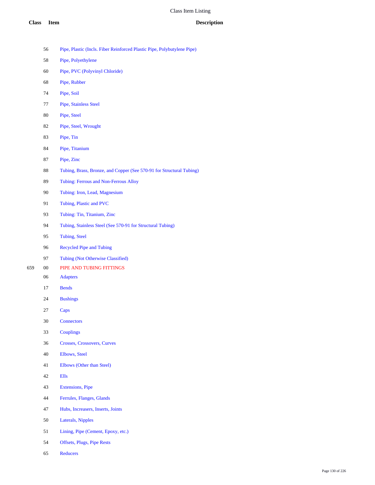- Pipe, Plastic (Incls. Fiber Reinforced Plastic Pipe, Polybutylene Pipe)
- Pipe, Polyethylene
- Pipe, PVC (Polyvinyl Chloride)
- Pipe, Rubber
- Pipe, Soil
- Pipe, Stainless Steel
- Pipe, Steel
- Pipe, Steel, Wrought
- Pipe, Tin
- Pipe, Titanium
- Pipe, Zinc
- Tubing, Brass, Bronze, and Copper (See 570-91 for Structural Tubing)
- Tubing: Ferrous and Non-Ferrous Alloy
- Tubing: Iron, Lead, Magnesium
- Tubing, Plastic and PVC
- Tubing: Tin, Titanium, Zinc
- Tubing, Stainless Steel (See 570-91 for Structural Tubing)
- Tubing, Steel
- Recycled Pipe and Tubing
- Tubing (Not Otherwise Classified)
- 00 PIPE AND TUBING FITTINGS
	- Adapters
	- Bends
	- Bushings
	- Caps
	- Connectors
	- Couplings
	- Crosses, Crossovers, Curves
	- Elbows, Steel
	- Elbows (Other than Steel)
	- Ells
	- Extensions, Pipe
	- Ferrules, Flanges, Glands
	- Hubs, Increasers, Inserts, Joints
	- Laterals, Nipples
	- Lining, Pipe (Cement, Epoxy, etc.)
	- Offsets, Plugs, Pipe Rests
	- Reducers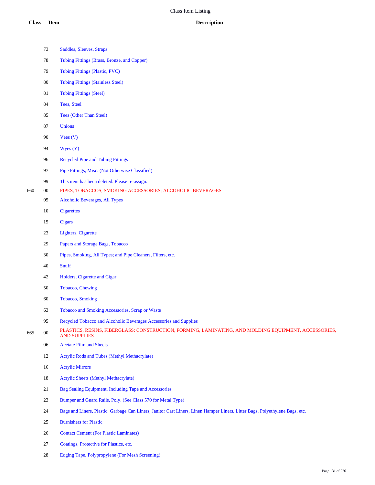|     | 73     | Saddles, Sleeves, Straps                                                                                                     |
|-----|--------|------------------------------------------------------------------------------------------------------------------------------|
|     | 78     | Tubing Fittings (Brass, Bronze, and Copper)                                                                                  |
|     | 79     | Tubing Fittings (Plastic, PVC)                                                                                               |
|     | 80     | <b>Tubing Fittings (Stainless Steel)</b>                                                                                     |
|     | 81     | <b>Tubing Fittings (Steel)</b>                                                                                               |
|     | 84     | Tees, Steel                                                                                                                  |
|     | 85     | <b>Tees (Other Than Steel)</b>                                                                                               |
|     | 87     | <b>Unions</b>                                                                                                                |
|     | 90     | Vees(V)                                                                                                                      |
|     | 94     | Wyes $(Y)$                                                                                                                   |
|     | 96     | <b>Recycled Pipe and Tubing Fittings</b>                                                                                     |
|     | 97     | Pipe Fittings, Misc. (Not Otherwise Classified)                                                                              |
|     | 99     | This item has been deleted. Please re-assign.                                                                                |
| 660 | 00     | PIPES, TOBACCOS, SMOKING ACCESSORIES; ALCOHOLIC BEVERAGES                                                                    |
|     | 05     | <b>Alcoholic Beverages, All Types</b>                                                                                        |
|     | 10     | <b>Cigarettes</b>                                                                                                            |
|     | 15     | <b>Cigars</b>                                                                                                                |
|     | 23     | Lighters, Cigarette                                                                                                          |
|     | 29     | Papers and Storage Bags, Tobacco                                                                                             |
|     | 30     | Pipes, Smoking, All Types; and Pipe Cleaners, Filters, etc.                                                                  |
|     | 40     | Snuff                                                                                                                        |
|     | 42     | Holders, Cigarette and Cigar                                                                                                 |
|     | 50     | Tobacco, Chewing                                                                                                             |
|     | 60     | <b>Tobacco</b> , Smoking                                                                                                     |
|     | 63     | Tobacco and Smoking Accessories, Scrap or Waste                                                                              |
|     | 95     | Recycled Tobacco and Alcoholic Beverages Accessories and Supplies                                                            |
| 665 | $00\,$ | PLASTICS, RESINS, FIBERGLASS: CONSTRUCTION, FORMING, LAMINATING, AND MOLDING EQUIPMENT, ACCESSORIES,<br><b>AND SUPPLIES</b>  |
|     | 06     | <b>Acetate Film and Sheets</b>                                                                                               |
|     | 12     | Acrylic Rods and Tubes (Methyl Methacrylate)                                                                                 |
|     | 16     | <b>Acrylic Mirrors</b>                                                                                                       |
|     | $18\,$ | <b>Acrylic Sheets (Methyl Methacrylate)</b>                                                                                  |
|     | 21     | Bag Sealing Equipment, Including Tape and Accessories                                                                        |
|     | 23     | Bumper and Guard Rails, Poly. (See Class 570 for Metal Type)                                                                 |
|     | 24     | Bags and Liners, Plastic: Garbage Can Liners, Janitor Cart Liners, Linen Hamper Liners, Litter Bags, Polyethylene Bags, etc. |
|     | 25     | <b>Burnishers for Plastic</b>                                                                                                |
|     | 26     | <b>Contact Cement (For Plastic Laminates)</b>                                                                                |
|     | 27     | Coatings, Protective for Plastics, etc.                                                                                      |
|     |        |                                                                                                                              |

Edging Tape, Polypropylene (For Mesh Screening)

Page 131 of 226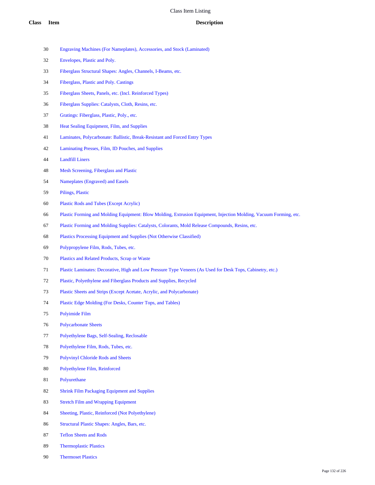- Engraving Machines (For Nameplates), Accessories, and Stock (Laminated)
- Envelopes, Plastic and Poly.
- Fiberglass Structural Shapes: Angles, Channels, I-Beams, etc.
- Fiberglass, Plastic and Poly. Castings
- Fiberglass Sheets, Panels, etc. (Incl. Reinforced Types)
- Fiberglass Supplies: Catalysts, Cloth, Resins, etc.
- Gratings: Fiberglass, Plastic, Poly., etc.
- Heat Sealing Equipment, Film, and Supplies
- Laminates, Polycarbonate: Ballistic, Break-Resistant and Forced Entry Types
- Laminating Presses, Film, ID Pouches, and Supplies
- Landfill Liners
- Mesh Screening, Fiberglass and Plastic
- Nameplates (Engraved) and Easels
- Pilings, Plastic
- Plastic Rods and Tubes (Except Acrylic)
- Plastic Forming and Molding Equipment: Blow Molding, Extrusion Equipment, Injection Molding, Vacuum Forming, etc.
- Plastic Forming and Molding Supplies: Catalysts, Colorants, Mold Release Compounds, Resins, etc.
- Plastics Processing Equipment and Supplies (Not Otherwise Classified)
- Polypropylene Film, Rods, Tubes, etc.
- Plastics and Related Products, Scrap or Waste
- Plastic Laminates: Decorative, High and Low Pressure Type Veneers (As Used for Desk Tops, Cabinetry, etc.)
- Plastic, Polyethylene and Fiberglass Products and Supplies, Recycled
- Plastic Sheets and Strips (Except Acetate, Acrylic, and Polycarbonate)
- Plastic Edge Molding (For Desks, Counter Tops, and Tables)
- Polyimide Film
- Polycarbonate Sheets
- Polyethylene Bags, Self-Sealing, Reclosable
- Polyethylene Film, Rods, Tubes, etc.
- Polyvinyl Chloride Rods and Sheets
- Polyethylene Film, Reinforced
- Polyurethane
- Shrink Film Packaging Equipment and Supplies
- Stretch Film and Wrapping Equipment
- Sheeting, Plastic, Reinforced (Not Polyethylene)
- Structural Plastic Shapes: Angles, Bars, etc.
- Teflon Sheets and Rods
- Thermoplastic Plastics
- Thermoset Plastics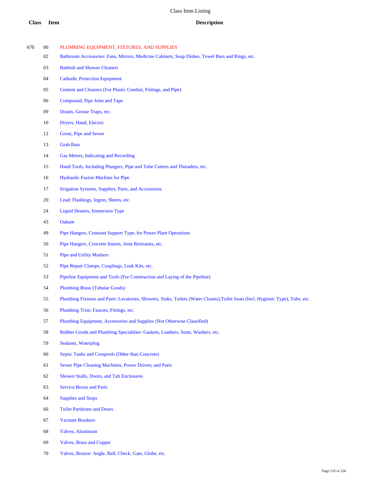- 00 PLUMBING EQUIPMENT, FIXTURES, AND SUPPLIES
	- Bathroom Accessories: Fans, Mirrors, Medicine Cabinets, Soap Dishes, Towel Bars and Rings, etc.
	- Bathtub and Shower Cleaners
	- Cathodic Protection Equipment
	- Cement and Cleaners (For Plastic Conduit, Fittings, and Pipe)
	- Compound, Pipe Joint and Tape
	- Drains, Grease Traps, etc.
	- Dryers, Hand, Electric
	- Grout, Pipe and Sewer
	- Grab Bars
	- Gas Meters, Indicating and Recording
	- Hand Tools, Including Plungers, Pipe and Tube Cutters and Threaders, etc.
	- Hydraulic Fusion Machine for Pipe
	- Irrigation Systems, Supplies, Parts, and Accessories
	- Lead: Flashings, Ingots, Sheets, etc.
	- Liquid Heaters, Immersion Type
	- Oakum
	- Pipe Hangers, Constant Support Type, for Power Plant Operations
	- Pipe Hangers, Concrete Inserts, Joint Restraints, etc.
	- Pipe and Utility Markers
	- Pipe Repair Clamps, Couplings, Leak Kits, etc.
	- Pipeline Equipment and Tools (For Construction and Laying of the Pipeline)
	- Plumbing Brass (Tubular Goods)
	- Plumbing Fixtures and Parts: Lavatories, Showers, Sinks, Toilets (Water Closets),Toilet Seats (Incl. Hygienic Type), Tubs, etc.
	- Plumbing Trim: Faucets, Fittings, etc.
	- Plumbing Equipment, Accessories and Supplies (Not Otherwise Classified)
	- Rubber Goods and Plumbing Specialities: Gaskets, Leathers, Seats, Washers, etc.
	- Sealants, Waterplug
	- Septic Tanks and Cesspools (Other than Concrete)
	- Sewer Pipe Cleaning Machines, Power Driven; and Parts
	- Shower Stalls, Doors, and Tub Enclosures
	- Service Boxes and Parts
	- Supplies and Stops
	- Toilet Partitions and Doors
	- Vacuum Breakers
	- Valves, Aluminum
	- Valves, Brass and Copper
	- Valves, Bronze: Angle, Ball, Check, Gate, Globe, etc.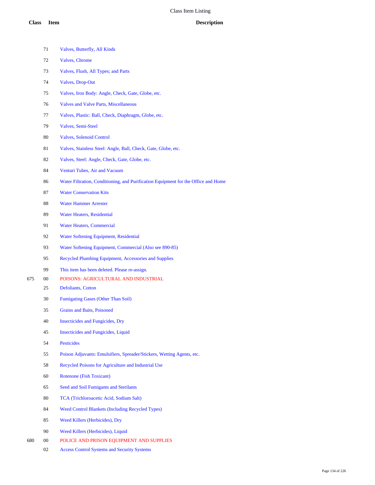|     | 71     | Valves, Butterfly, All Kinds                                                       |
|-----|--------|------------------------------------------------------------------------------------|
|     | 72     | Valves, Chrome                                                                     |
|     | 73     | Valves, Flush, All Types; and Parts                                                |
|     | 74     | <b>Valves, Drop-Out</b>                                                            |
|     | 75     | Valves, Iron Body: Angle, Check, Gate, Globe, etc.                                 |
|     | 76     | <b>Valves and Valve Parts, Miscellaneous</b>                                       |
|     | 77     | Valves, Plastic: Ball, Check, Diaphragm, Globe, etc.                               |
|     | 79     | Valves, Semi-Steel                                                                 |
|     | 80     | <b>Valves, Solenoid Control</b>                                                    |
|     | 81     | Valves, Stainless Steel: Angle, Ball, Check, Gate, Globe, etc.                     |
|     | 82     | Valves, Steel: Angle, Check, Gate, Globe, etc.                                     |
|     | 84     | Venturi Tubes, Air and Vacuum                                                      |
|     | 86     | Water Filtration, Conditioning, and Purification Equipment for the Office and Home |
|     | 87     | <b>Water Conservation Kits</b>                                                     |
|     | 88     | <b>Water Hammer Arrester</b>                                                       |
|     | 89     | <b>Water Heaters, Residential</b>                                                  |
|     | 91     | <b>Water Heaters, Commercial</b>                                                   |
|     | 92     | Water Softening Equipment, Residential                                             |
|     | 93     | Water Softening Equipment, Commercial (Also see 890-85)                            |
|     | 95     | Recycled Plumbing Equipment, Accessories and Supplies                              |
|     | 99     | This item has been deleted. Please re-assign.                                      |
| 675 | 00     | POISONS: AGRICULTURAL AND INDUSTRIAL                                               |
|     | 25     | Defoliants, Cotton                                                                 |
|     | 30     | Fumigating Gases (Other Than Soil)                                                 |
|     | 35     | <b>Grains and Baits, Poisoned</b>                                                  |
|     | 40     | <b>Insecticides and Fungicides, Dry</b>                                            |
|     | 45     | <b>Insecticides and Fungicides, Liquid</b>                                         |
|     | 54     | <b>Pesticides</b>                                                                  |
|     | 55     | Poison Adjuvants: Emulsifiers, Spreader/Stickers, Wetting Agents, etc.             |
|     | 58     | Recycled Poisons for Agriculture and Industrial Use                                |
|     | 60     | <b>Rotenone</b> (Fish Toxicant)                                                    |
|     | 65     | Seed and Soil Fumigants and Sterilants                                             |
|     | 80     | TCA (Trichloroacetic Acid, Sodium Salt)                                            |
|     | 84     | <b>Weed Control Blankets (Including Recycled Types)</b>                            |
|     | 85     | Weed Killers (Herbicides), Dry                                                     |
|     | 90     | Weed Killers (Herbicides), Liquid                                                  |
| 680 | $00\,$ | POLICE AND PRISON EQUIPMENT AND SUPPLIES                                           |

Access Control Systems and Security Systems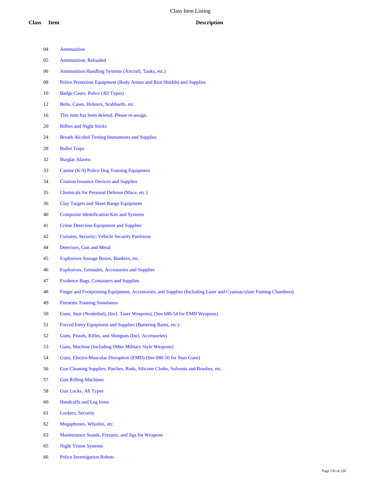| 04 | Ammunition                                                                                                       |
|----|------------------------------------------------------------------------------------------------------------------|
| 05 | <b>Ammunition, Reloaded</b>                                                                                      |
| 06 | Ammunition Handling Systems (Aircraft, Tanks, etc.)                                                              |
| 08 | Police Protection Equipment (Body Armor and Riot Shields) and Supplies                                           |
| 10 | Badge Cases, Police (All Types)                                                                                  |
| 12 | Belts, Cases, Holsters, Scabbards, etc.                                                                          |
| 16 | This item has been deleted. Please re-assign.                                                                    |
| 20 | <b>Billies and Night Sticks</b>                                                                                  |
| 24 | <b>Breath Alcohol Testing Instruments and Supplies</b>                                                           |
| 28 | <b>Bullet Traps</b>                                                                                              |
| 32 | <b>Burglar Alarms</b>                                                                                            |
| 33 | Canine (K-9) Police Dog Training Equipment                                                                       |
| 34 | <b>Citation Issuance Devices and Supplies</b>                                                                    |
| 35 | Chemicals for Personal Defense (Mace, etc.)                                                                      |
| 36 | <b>Clay Targets and Skeet Range Equipment</b>                                                                    |
| 40 | <b>Composite Identification Kits and Systems</b>                                                                 |
| 41 | <b>Crime Detection Equipment and Supplies</b>                                                                    |
| 42 | Curtains, Security; Vehicle Security Partitions                                                                  |
| 44 | Detectors, Gun and Metal                                                                                         |
| 45 | Explosives Storage Boxes, Bunkers, etc.                                                                          |
| 46 | Explosives, Grenades, Accessories and Supplies                                                                   |
| 47 | <b>Evidence Bags, Containers and Supplies</b>                                                                    |
| 48 | Finger and Footprinting Equipment, Accessories, and Supplies (Including Laser and Cyanoacrylate Fuming Chambers) |
| 49 | <b>Firearms Training Simulators</b>                                                                              |
| 50 | Guns, Stun (Nonlethal), (Incl. Taser Weapons), (See 680-54 for EMD Weapons)                                      |
| 51 | Forced Entry Equipment and Supplies (Battering Rams, etc.)                                                       |
| 52 | Guns, Pistols, Rifles, and Shotguns (Incl. Accessories)                                                          |
| 53 | Guns, Machine (Including Other Military Style Weapons)                                                           |
| 54 | Guns, Electro-Muscular Disruption (EMD) (See 680-50 for Stun Guns)                                               |
| 56 | Gun Cleaning Supplies: Patches, Rods, Silicone Cloths, Solvents and Brushes, etc.                                |
| 57 | <b>Gun Rifling Machines</b>                                                                                      |
| 58 | <b>Gun Locks, All Types</b>                                                                                      |
| 60 | Handcuffs and Leg Irons                                                                                          |
| 61 | Lockers, Security                                                                                                |
| 62 | Megaphones, Whistles, etc.                                                                                       |
| 63 | Maintenance Stands, Fixtures, and Jigs for Weapons                                                               |
| 65 | <b>Night Vision Systems</b>                                                                                      |

Police Investigation Robots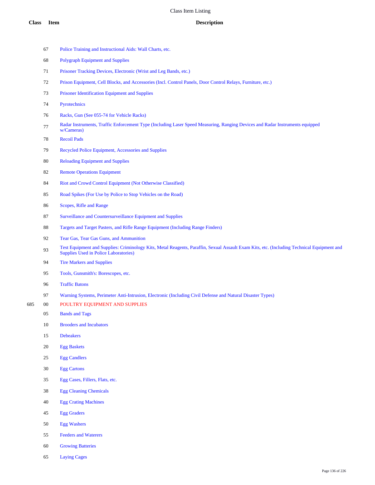|     | 67     | Police Training and Instructional Aids: Wall Charts, etc.                                                                                                                                  |
|-----|--------|--------------------------------------------------------------------------------------------------------------------------------------------------------------------------------------------|
|     | 68     | <b>Polygraph Equipment and Supplies</b>                                                                                                                                                    |
|     | 71     | Prisoner Tracking Devices, Electronic (Wrist and Leg Bands, etc.)                                                                                                                          |
|     | 72     | Prison Equipment, Cell Blocks, and Accessories (Incl. Control Panels, Door Control Relays, Furniture, etc.)                                                                                |
|     | 73     | Prisoner Identification Equipment and Supplies                                                                                                                                             |
|     | 74     | Pyrotechnics                                                                                                                                                                               |
|     | 76     | Racks, Gun (See 055-74 for Vehicle Racks)                                                                                                                                                  |
|     | $77\,$ | Radar Instruments, Traffic Enforcement Type (Including Laser Speed Measuring, Ranging Devices and Radar Instruments equipped<br>w/Cameras)                                                 |
|     | 78     | <b>Recoil Pads</b>                                                                                                                                                                         |
|     | 79     | Recycled Police Equipment, Accessories and Supplies                                                                                                                                        |
|     | 80     | <b>Reloading Equipment and Supplies</b>                                                                                                                                                    |
|     | 82     | <b>Remote Operations Equipment</b>                                                                                                                                                         |
|     | 84     | Riot and Crowd Control Equipment (Not Otherwise Classified)                                                                                                                                |
|     | 85     | Road Spikes (For Use by Police to Stop Vehicles on the Road)                                                                                                                               |
|     | 86     | Scopes, Rifle and Range                                                                                                                                                                    |
|     | 87     | Surveillance and Countersurveillance Equipment and Supplies                                                                                                                                |
|     | 88     | Targets and Target Pasters, and Rifle Range Equipment (Including Range Finders)                                                                                                            |
|     | 92     | Tear Gas, Tear Gas Guns, and Ammunition                                                                                                                                                    |
|     | 93     | Test Equipment and Supplies: Criminology Kits, Metal Reagents, Paraffin, Sexual Assault Exam Kits, etc. (Including Technical Equipment and<br><b>Supplies Used in Police Laboratories)</b> |
|     | 94     | <b>Tire Markers and Supplies</b>                                                                                                                                                           |
|     | 95     | Tools, Gunsmith's: Borescopes, etc.                                                                                                                                                        |
|     | 96     | <b>Traffic Batons</b>                                                                                                                                                                      |
|     | 97     | Warning Systems, Perimeter Anti-Intrusion, Electronic (Including Civil Defense and Natural Disaster Types)                                                                                 |
| 685 | $00\,$ | POULTRY EQUIPMENT AND SUPPLIES                                                                                                                                                             |
|     | 05     | <b>Bands and Tags</b>                                                                                                                                                                      |
|     | 10     | <b>Brooders and Incubators</b>                                                                                                                                                             |
|     | 15     | <b>Debeakers</b>                                                                                                                                                                           |
|     | 20     | <b>Egg Baskets</b>                                                                                                                                                                         |
|     | $25\,$ | <b>Egg Candlers</b>                                                                                                                                                                        |
|     | 30     | <b>Egg Cartons</b>                                                                                                                                                                         |
|     | 35     | Egg Cases, Fillers, Flats, etc.                                                                                                                                                            |
|     | $38\,$ | <b>Egg Cleaning Chemicals</b>                                                                                                                                                              |
|     | 40     | <b>Egg Crating Machines</b>                                                                                                                                                                |
|     | 45     | <b>Egg Graders</b>                                                                                                                                                                         |

- Egg Washers
- Feeders and Waterers
- Growing Batteries
- Laying Cages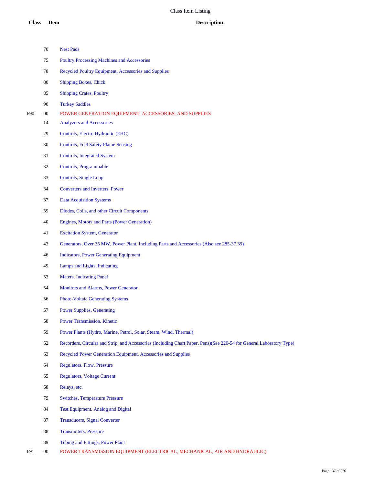|     | 70     | <b>Nest Pads</b>                                                                                                     |
|-----|--------|----------------------------------------------------------------------------------------------------------------------|
|     | 75     | <b>Poultry Processing Machines and Accessories</b>                                                                   |
|     | 78     | Recycled Poultry Equipment, Accessories and Supplies                                                                 |
|     | 80     | <b>Shipping Boxes, Chick</b>                                                                                         |
|     | 85     | <b>Shipping Crates, Poultry</b>                                                                                      |
|     | 90     | <b>Turkey Saddles</b>                                                                                                |
| 690 | $00\,$ | POWER GENERATION EQUIPMENT, ACCESSORIES, AND SUPPLIES                                                                |
|     | 14     | <b>Analyzers and Accessories</b>                                                                                     |
|     | 29     | Controls, Electro Hydraulic (EHC)                                                                                    |
|     | 30     | <b>Controls, Fuel Safety Flame Sensing</b>                                                                           |
|     | 31     | <b>Controls, Integrated System</b>                                                                                   |
|     | 32     | Controls, Programmable                                                                                               |
|     | 33     | <b>Controls, Single Loop</b>                                                                                         |
|     | 34     | Converters and Inverters, Power                                                                                      |
|     | 37     | <b>Data Acquisition Systems</b>                                                                                      |
|     | 39     | Diodes, Coils, and other Circuit Components                                                                          |
|     | 40     | Engines, Motors and Parts (Power Generation)                                                                         |
|     | 41     | <b>Excitation System, Generator</b>                                                                                  |
|     | 43     | Generators, Over 25 MW, Power Plant, Including Parts and Accessories (Also see 285-37,39)                            |
|     | 46     | <b>Indicators, Power Generating Equipment</b>                                                                        |
|     | 49     | Lamps and Lights, Indicating                                                                                         |
|     | 53     | <b>Meters, Indicating Panel</b>                                                                                      |
|     | 54     | Monitors and Alarms, Power Generator                                                                                 |
|     | 56     | <b>Photo-Voltaic Generating Systems</b>                                                                              |
|     | 57     | <b>Power Supplies, Generating</b>                                                                                    |
|     | 58     | <b>Power Transmission, Kinetic</b>                                                                                   |
|     | 59     | Power Plants (Hydro, Marine, Petrol, Solar, Steam, Wind, Thermal)                                                    |
|     | 62     | Recorders, Circular and Strip, and Accessories (Including Chart Paper, Pens)(See 220-54 for General Laboratory Type) |
|     | 63     | Recycled Power Generation Equipment, Accessories and Supplies                                                        |
|     | 64     | <b>Regulators, Flow, Pressure</b>                                                                                    |
|     | 65     | <b>Regulators, Voltage Current</b>                                                                                   |
|     | 68     | Relays, etc.                                                                                                         |
|     | 79     | <b>Switches, Temperature Pressure</b>                                                                                |
|     | 84     | <b>Test Equipment, Analog and Digital</b>                                                                            |
|     | 87     | <b>Transducers, Signal Converter</b>                                                                                 |
|     | 88     | <b>Transmitters, Pressure</b>                                                                                        |
|     | 89     | Tubing and Fittings, Power Plant                                                                                     |
|     |        |                                                                                                                      |

00 POWER TRANSMISSION EQUIPMENT (ELECTRICAL, MECHANICAL, AIR AND HYDRAULIC)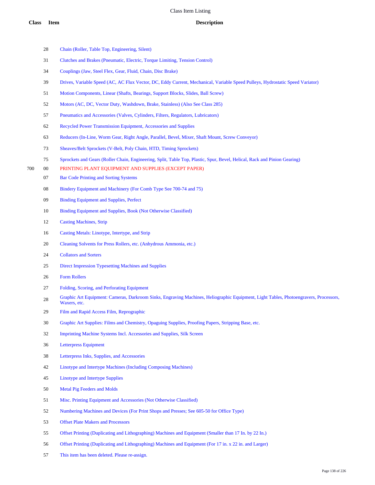- Chain (Roller, Table Top, Engineering, Silent)
- Clutches and Brakes (Pneumatic, Electric, Torque Limiting, Tension Control)
- Couplings (Jaw, Steel Flex, Gear, Fluid, Chain, Disc Brake)
- Drives, Variable Speed (AC, AC Flux Vector, DC, Eddy Current, Mechanical, Variable Speed Pulleys, Hydrostatic Speed Variator)
- Motion Components, Linear (Shafts, Bearings, Support Blocks, Slides, Ball Screw)
- Motors (AC, DC, Vector Duty, Washdown, Brake, Stainless) (Also See Class 285)
- Pneumatics and Accessories (Valves, Cylinders, Filters, Regulators, Lubricators)
- Recycled Power Transmission Equipment, Accessories and Supplies
- Reducers (In-Line, Worm Gear, Right Angle, Parallel, Bevel, Mixer, Shaft Mount, Screw Conveyor)
- Sheaves/Belt Sprockets (V-Belt, Poly Chain, HTD, Timing Sprockets)
- Sprockets and Gears (Roller Chain, Engineering, Split, Table Top, Plastic, Spur, Bevel, Helical, Rack and Pinion Gearing)
- 00 PRINTING PLANT EQUIPMENT AND SUPPLIES (EXCEPT PAPER)
	- Bar Code Printing and Sorting Systems
	- Bindery Equipment and Machinery (For Comb Type See 700-74 and 75)
	- Binding Equipment and Supplies, Perfect
	- Binding Equipment and Supplies, Book (Not Otherwise Classified)
	- Casting Machines, Strip
	- Casting Metals: Linotype, Intertype, and Strip
	- Cleaning Solvents for Press Rollers, etc. (Anhydrous Ammonia, etc.)
	- Collators and Sorters
	- Direct Impression Typesetting Machines and Supplies
	- Form Rollers
	- Folding, Scoring, and Perforating Equipment
	- Graphic Art Equipment: Cameras, Darkroom Sinks, Engraving Machines, Heliographic Equipment, Light Tables, Photoengravers, Processors, Waxers, etc.
	- Film and Rapid Access Film, Reprographic
	- Graphic Art Supplies: Films and Chemistry, Opaguing Supplies, Proofing Papers, Stripping Base, etc.
	- Imprinting Machine Systems Incl. Accessories and Supplies, Silk Screen
	- Letterpress Equipment
	- Letterpress Inks, Supplies, and Accessories
	- Linotype and Intertype Machines (Including Composing Machines)
	- Linotype and Intertype Supplies
	- Metal Pig Feeders and Molds
	- Misc. Printing Equipment and Accessories (Not Otherwise Classified)
	- Numbering Machines and Devices (For Print Shops and Presses; See 605-50 for Office Type)
	- Offset Plate Makers and Processors
	- Offset Printing (Duplicating and Lithographing) Machines and Equipment (Smaller than 17 In. by 22 In.)
	- Offset Printing (Duplicating and Lithographing) Machines and Equipment (For 17 in. x 22 in. and Larger)
	- This item has been deleted. Please re-assign.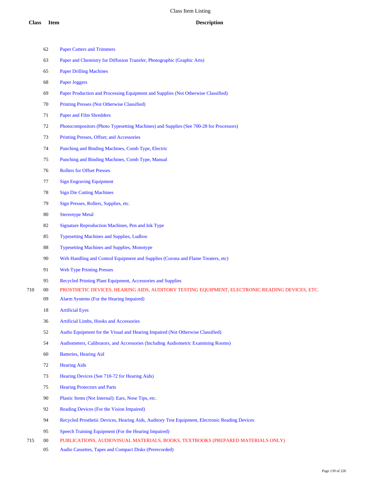| 63 | Paper and Chemistry for Diffusion Transfer, Photographic (Graphic Arts) |
|----|-------------------------------------------------------------------------|
|    |                                                                         |

Paper Cutters and Trimmers

- Paper Drilling Machines
- Paper Joggers
- Paper Production and Processing Equipment and Supplies (Not Otherwise Classified)
- Printing Presses (Not Otherwise Classified)
- Paper and Film Shredders
- Photocompositors (Photo Typesetting Machines) and Supplies (See 700-28 for Processors)
- Printing Presses, Offset; and Accessories
- Punching and Binding Machines, Comb Type, Electric
- Punching and Binding Machines, Comb Type, Manual
- Rollers for Offset Presses
- Sign Engraving Equipment
- Sign Die Cutting Machines
- Sign Presses, Rollers, Supplies, etc.
- Stereotype Metal
- Signature Reproduction Machines, Pen and Ink Type
- Typesetting Machines and Supplies, Ludlow
- Typesetting Machines and Supplies, Monotype
- Web Handling and Control Equipment and Supplies (Corona and Flame Treaters, etc)
- Web Type Printing Presses
- Recycled Printing Plant Equipment, Accessories and Supplies
- 00 PROSTHETIC DEVICES, HEARING AIDS, AUDITORY TESTING EQUIPMENT, ELECTRONIC READING DEVICES, ETC.
	- Alarm Systems (For the Hearing Impaired)
		- Artificial Eyes
		- Artificial Limbs, Hooks and Accessories
		- Audio Equipment for the Visual and Hearing Impaired (Not Otherwise Classified)
		- Audiometers, Calibrators, and Accessories (Including Audiometric Examining Rooms)
		- Batteries, Hearing Aid
		- Hearing Aids
		- Hearing Devices (See 710-72 for Hearing Aids)
		- Hearing Protectors and Parts
		- Plastic Items (Not Internal): Ears, Nose Tips, etc.
		- Reading Devices (For the Vision Impaired)
		- Recycled Prosthetic Devices, Hearing Aids, Auditory Test Equipment, Electronic Reading Devices
	- Speech Training Equipment (For the Hearing Impaired)
- 00 PUBLICATIONS, AUDIOVISUAL MATERIALS, BOOKS, TEXTBOOKS (PREPARED MATERIALS ONLY)
	- Audio Cassettes, Tapes and Compact Disks (Prerecorded)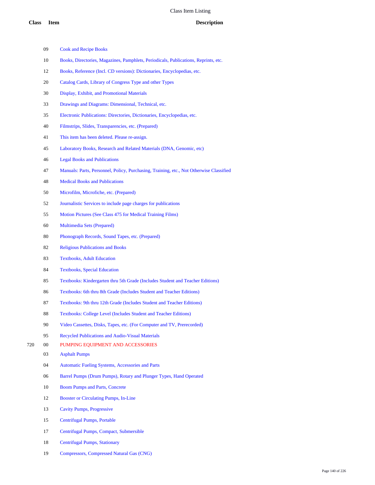- Cook and Recipe Books
- Books, Directories, Magazines, Pamphlets, Periodicals, Publications, Reprints, etc.
- Books, Reference (Incl. CD versions): Dictionaries, Encyclopedias, etc.
- Catalog Cards, Library of Congress Type and other Types
- Display, Exhibit, and Promotional Materials
- Drawings and Diagrams: Dimensional, Technical, etc.
- Electronic Publications: Directories, Dictionaries, Encyclopedias, etc.
- Filmstrips, Slides, Transparencies, etc. (Prepared)
- This item has been deleted. Please re-assign.
- Laboratory Books, Research and Related Materials (DNA, Genomic, etc)
- Legal Books and Publications
- Manuals: Parts, Personnel, Policy, Purchasing, Training, etc., Not Otherwise Classified
- Medical Books and Publications
- Microfilm, Microfiche, etc. (Prepared)
- Journalistic Services to include page charges for publications
- Motion Pictures (See Class 475 for Medical Training Films)
- Multimedia Sets (Prepared)
- Phonograph Records, Sound Tapes, etc. (Prepared)
- Religious Publications and Books
- Textbooks, Adult Education
- Textbooks, Special Education
- Textbooks: Kindergarten thru 5th Grade (Includes Student and Teacher Editions)
- Textbooks: 6th thru 8th Grade (Includes Student and Teacher Editions)
- Textbooks: 9th thru 12th Grade (Includes Student and Teacher Editions)
- Textbooks: College Level (Includes Student and Teacher Editions)
- Video Cassettes, Disks, Tapes, etc. (For Computer and TV, Prerecorded)
- Recycled Publications and Audio-Visual Materials
- 00 PUMPING EQUIPMENT AND ACCESSORIES
	- Asphalt Pumps
	- Automatic Fueling Systems, Accessories and Parts
	- Barrel Pumps (Drum Pumps), Rotary and Plunger Types, Hand Operated
	- Boom Pumps and Parts, Concrete
	- Booster or Circulating Pumps, In-Line
	- Cavity Pumps, Progressive
	- Centrifugal Pumps, Portable
	- Centrifugal Pumps, Compact, Submersible
	- Centrifugal Pumps, Stationary
	- Compressors, Compressed Natural Gas (CNG)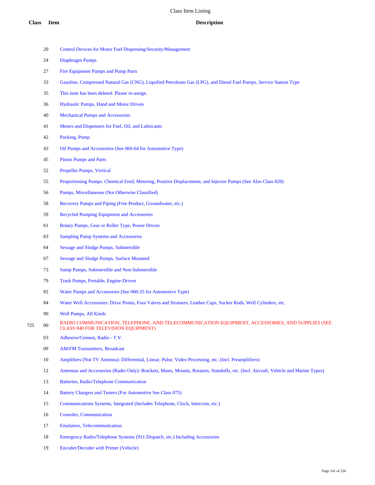- Control Devices for Motor Fuel Dispensing/Security/Management
- Diaphragm Pumps
- Fire Equipment Pumps and Pump Parts
- Gasoline, Compressed Natural Gas (CNG), Liquified Petroleum Gas (LPG), and Diesel Fuel Pumps, Service Station Type
- This item has been deleted. Please re-assign.
- Hydraulic Pumps, Hand and Motor Driven
- Mechanical Pumps and Accessories
- Meters and Dispensers for Fuel, Oil, and Lubricants
- Packing, Pump
- Oil Pumps and Accessories (See 060-64 for Automotive Type)
- Piston Pumps and Parts
- Propeller Pumps, Vertical
- Proportioning Pumps: Chemical Feed, Metering, Positive Displacement, and Injector Pumps (See Also Class 820)
- Pumps, Miscellaneous (Not Otherwise Classified)
- Recovery Pumps and Piping (Free Product, Groundwater, etc.)
- Recycled Pumping Equipment and Accessories
- Rotary Pumps, Gear or Roller Type, Power Driven
- Sampling Pump Systems and Accessories
- Sewage and Sludge Pumps, Submersible
- Sewage and Sludge Pumps, Surface Mounted
- Sump Pumps, Submersible and Non-Submersible
- Trash Pumps, Portable, Engine-Driven
- Water Pumps and Accessories (See 060-35 for Automotive Type)
- Water Well Accessories: Drive Points, Foot Valves and Strainers, Leather Cups, Sucker Rods, Well Cylinders, etc.
- Well Pumps, All Kinds
- 725 00 RADIO COMMUNICATION, TELEPHONE, AND TELECOMMUNICATION EQUIPMENT, ACCESSORIES, AND SUPPLIES (SEE CLASS 840 FOR TELEVISION EQUIPMENT)
	- Adhesive/Cement, Radio T.V.
	- AM/FM Transmitters, Broadcast
	- Amplifiers (Not TV Antenna): Differential, Linear, Pulse, Video Processing, etc. (Incl. Preamplifiers)
	- Antennas and Accessories (Radio Only): Brackets, Masts, Mounts, Rotators, Standoffs, etc. (Incl. Aircraft, Vehicle and Marine Types)
	- Batteries, Radio/Telephone Communication
	- Battery Chargers and Testers (For Automotive See Class 075)
	- Communications Systems, Integrated (Includes Telephone, Clock, Intercom, etc.)
	- Consoles, Communication
	- Emulators, Telecommunication
	- Emergency Radio/Telephone Systems (911 Dispatch, etc.) Including Accessories
	- Encoder/Decoder with Printer (Vehicle)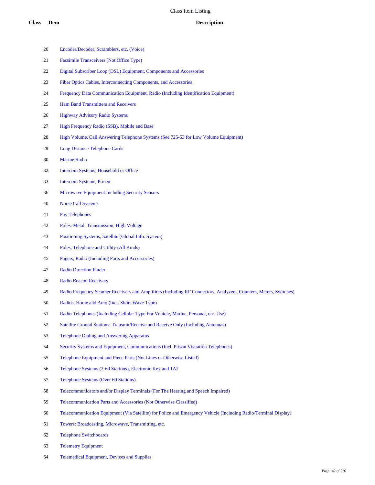- Encoder/Decoder, Scramblers, etc. (Voice) Facsimile Transceivers (Not Office Type) Digital Subscriber Loop (DSL) Equipment, Components and Accessories Fiber Optics Cables, Interconnecting Components, and Accessories Frequency Data Communication Equipment, Radio (Including Identification Equipment) Ham Band Transmitters and Receivers Highway Advisory Radio Systems High Frequency Radio (SSB), Mobile and Base High Volume, Call Answering Telephone Systems (See 725-53 for Low Volume Equipment) Long Distance Telephone Cards Marine Radio Intercom Systems, Household or Office Intercom Systems, Prison Microwave Equipment Including Security Sensors Nurse Call Systems Pay Telephones Poles, Metal, Transmission, High Voltage Positioning Systems, Satellite (Global Info. System) Poles, Telephone and Utility (All Kinds) Pagers, Radio (Including Parts and Accessories) Radio Direction Finder Radio Beacon Receivers Radio Frequency Scanner Receivers and Amplifiers (Including RF Connectors, Analyzers, Counters, Meters, Switches) Radios, Home and Auto (Incl. Short-Wave Type) Radio Telephones (Including Cellular Type For Vehicle, Marine, Personal, etc. Use) Satellite Ground Stations: Transmit/Receive and Receive Only (Including Antennas) Telephone Dialing and Answering Apparatus Security Systems and Equipment, Communications (Incl. Prison Visitation Telephones) Telephone Equipment and Piece Parts (Not Lines or Otherwise Listed) Telephone Systems (2-60 Stations), Electronic Key and 1A2 Telephone Systems (Over 60 Stations) Telecommunicators and/or Display Terminals (For The Hearing and Speech Impaired) Telecommunication Parts and Accessories (Not Otherwise Classified) Telecommunication Equipment (Via Satellite) for Police and Emergency Vehicle (Including Radio/Terminal Display) Towers: Broadcasting, Microwave, Transmitting, etc. Telephone Switchboards Telemetry Equipment
- Telemedical Equipment, Devices and Supplies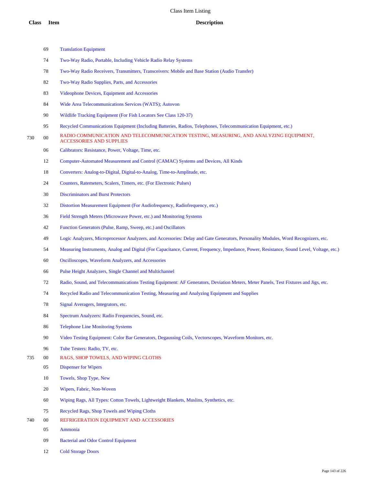Cold Storage Doors

|     | 69     | <b>Translation Equipment</b>                                                                                                              |
|-----|--------|-------------------------------------------------------------------------------------------------------------------------------------------|
|     | 74     | Two-Way Radio, Portable, Including Vehicle Radio Relay Systems                                                                            |
|     | 78     | Two-Way Radio Receivers, Transmitters, Transceivers: Mobile and Base Station (Audio Transfer)                                             |
|     | 82     | Two-Way Radio Supplies, Parts, and Accessories                                                                                            |
|     | 83     | Videophone Devices, Equipment and Accessories                                                                                             |
|     | 84     | Wide Area Telecommunications Services (WATS); Autovon                                                                                     |
|     | 90     | Wildlife Tracking Equipment (For Fish Locators See Class 120-37)                                                                          |
|     | 95     | Recycled Communications Equipment (Including Batteries, Radios, Telephones, Telecommunication Equipment, etc.)                            |
| 730 | $00\,$ | RADIO COMMUNICATION AND TELECOMMUNICATION TESTING, MEASURING, AND ANALYZING EQUIPMENT,<br><b>ACCESSORIES AND SUPPLIES</b>                 |
|     | 06     | Calibrators: Resistance, Power, Voltage, Time, etc.                                                                                       |
|     | 12     | Computer-Automated Measurement and Control (CAMAC) Systems and Devices, All Kinds                                                         |
|     | 18     | Converters: Analog-to-Digital, Digital-to-Analog, Time-to-Amplitude, etc.                                                                 |
|     | 24     | Counters, Ratemeters, Scalers, Timers, etc. (For Electronic Pulses)                                                                       |
|     | 30     | <b>Discriminators and Burst Protectors</b>                                                                                                |
|     | 32     | Distortion Measurement Equipment (For Audiofrequency, Radiofrequency, etc.)                                                               |
|     | 36     | Field Strength Meters (Microwave Power, etc.) and Monitoring Systems                                                                      |
|     | 42     | Function Generators (Pulse, Ramp, Sweep, etc.) and Oscillators                                                                            |
|     | 49     | Logic Analyzers, Microprocessor Analyzers, and Accessories: Delay and Gate Generators, Personality Modules, Word Recognizers, etc.        |
|     | 54     | Measuring Instruments, Analog and Digital (For Capacitance, Current, Frequency, Impedance, Power, Resistance, Sound Level, Voltage, etc.) |
|     | 60     | Oscilloscopes, Waveform Analyzers, and Accessories                                                                                        |
|     | 66     | Pulse Height Analyzers, Single Channel and Multichannel                                                                                   |
|     | 72     | Radio, Sound, and Telecommunications Testing Equipment: AF Generators, Deviation Meters, Meter Panels, Test Fixtures and Jigs, etc.       |
|     | 74     | Recycled Radio and Telecommunication Testing, Measuring and Analyzing Equipment and Supplies                                              |
|     | 78     | Signal Averagers, Integrators, etc.                                                                                                       |
|     | 84     | Spectrum Analyzers: Radio Frequencies, Sound, etc.                                                                                        |
|     | 86     | <b>Telephone Line Monitoring Systems</b>                                                                                                  |
|     | 90     | Video Testing Equipment: Color Bar Generators, Degaussing Coils, Vectorscopes, Waveform Monitors, etc.                                    |
|     | 96     | Tube Testers: Radio, TV, etc.                                                                                                             |
| 735 | $00\,$ | RAGS, SHOP TOWELS, AND WIPING CLOTHS                                                                                                      |
|     | 05     | <b>Dispenser for Wipers</b>                                                                                                               |
|     | 10     | Towels, Shop Type, New                                                                                                                    |
|     | 20     | Wipers, Fabric, Non-Woven                                                                                                                 |
|     | 60     | Wiping Rags, All Types: Cotton Towels, Lightweight Blankets, Muslins, Synthetics, etc.                                                    |
|     | 75     | Recycled Rags, Shop Towels and Wiping Cloths                                                                                              |
| 740 | $00\,$ | REFRIGERATION EQUIPMENT AND ACCESSORIES                                                                                                   |
|     | 05     | Ammonia                                                                                                                                   |
|     | 09     | <b>Bacterial and Odor Control Equipment</b>                                                                                               |

Page 143 of 226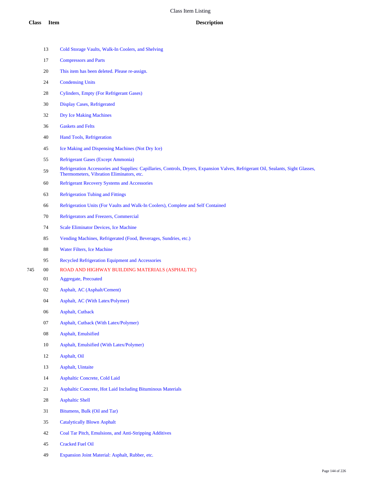- Cold Storage Vaults, Walk-In Coolers, and Shelving
- Compressors and Parts
- This item has been deleted. Please re-assign.
- Condensing Units
- Cylinders, Empty (For Refrigerant Gases)
- Display Cases, Refrigerated
- Dry Ice Making Machines
- Gaskets and Felts
- Hand Tools, Refrigeration
- Ice Making and Dispensing Machines (Not Dry Ice)
- Refrigerant Gases (Except Ammonia)
- 59 Refrigeration Accessories and Supplies: Capillaries, Controls, Dryers, Expansion Valves, Refrigerant Oil, Sealants, Sight Glasses, Thermometers, Vibration Eliminators, etc.
- Refrigerant Recovery Systems and Accessories
- Refrigeration Tubing and Fittings
- Refrigeration Units (For Vaults and Walk-In Coolers), Complete and Self Contained
- Refrigerators and Freezers, Commercial
- Scale Eliminator Devices, Ice Machine
- Vending Machines, Refrigerated (Food, Beverages, Sundries, etc.)
- Water Filters, Ice Machine
- Recycled Refrigeration Equipment and Accessories
- 00 ROAD AND HIGHWAY BUILDING MATERIALS (ASPHALTIC)
	- Aggregate, Precoated
	- Asphalt, AC (Asphalt/Cement)
	- Asphalt, AC (With Latex/Polymer)
	- Asphalt, Cutback
	- Asphalt, Cutback (With Latex/Polymer)
	- Asphalt, Emulsified
	- Asphalt, Emulsified (With Latex/Polymer)
	- Asphalt, Oil
	- Asphalt, Uintaite
	- Asphaltic Concrete, Cold Laid
	- Asphaltic Concrete, Hot Laid Including Bituminous Materials
	- Asphaltic Shell
	- Bitumens, Bulk (Oil and Tar)
	- Catalytically Blown Asphalt
	- Coal Tar Pitch, Emulsions, and Anti-Stripping Additives
	- Cracked Fuel Oil
	- Expansion Joint Material: Asphalt, Rubber, etc.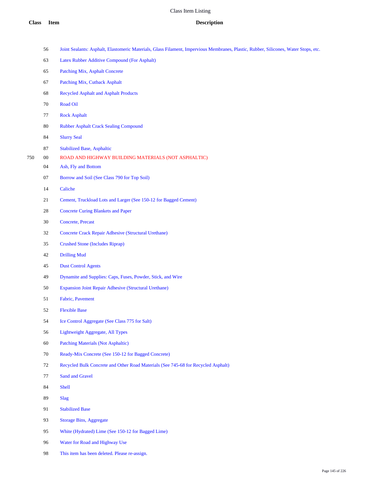|    | Joint Sealants: Asphalt, Elastomeric Materials, Glass Filament, Impervious Membranes, Plastic, Rubber, Silicones, Water Stops, etc. |
|----|-------------------------------------------------------------------------------------------------------------------------------------|
| 63 | Latex Rubber Additive Compound (For Asphalt)                                                                                        |

- Patching Mix, Asphalt Concrete
- Patching Mix, Cutback Asphalt
- Recycled Asphalt and Asphalt Products
- Road Oil
- Rock Asphalt
- Rubber Asphalt Crack Sealing Compound
- Slurry Seal
- Stabilized Base, Asphaltic
- 00 ROAD AND HIGHWAY BUILDING MATERIALS (NOT ASPHALTIC)
	- Ash, Fly and Bottom
	- Borrow and Soil (See Class 790 for Top Soil)
	- Caliche
	- Cement, Truckload Lots and Larger (See 150-12 for Bagged Cement)
	- Concrete Curing Blankets and Paper
	- Concrete, Precast
	- Concrete Crack Repair Adhesive (Structural Urethane)
	- Crushed Stone (Includes Riprap)
	- Drilling Mud
	- Dust Control Agents
	- Dynamite and Supplies: Caps, Fuses, Powder, Stick, and Wire
	- Expansion Joint Repair Adhesive (Structural Urethane)
	- Fabric, Pavement
	- Flexible Base
	- Ice Control Aggregate (See Class 775 for Salt)
	- Lightweight Aggregate, All Types
	- Patching Materials (Not Asphaltic)
	- Ready-Mix Concrete (See 150-12 for Bagged Concrete)
	- Recycled Bulk Concrete and Other Road Materials (See 745-68 for Recycled Asphalt)
	- Sand and Gravel
	- Shell
	- Slag
	- Stabilized Base
	- Storage Bins, Aggregate
	- White (Hydrated) Lime (See 150-12 for Bagged Lime)
	- Water for Road and Highway Use
	- This item has been deleted. Please re-assign.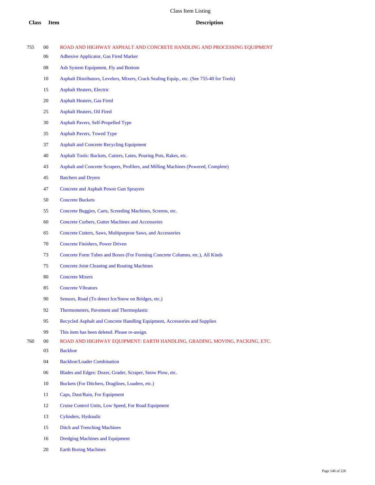| 755 | $00\,$ | ROAD AND HIGHWAY ASPHALT AND CONCRETE HANDLING AND PROCESSING EQUIPMENT                   |
|-----|--------|-------------------------------------------------------------------------------------------|
|     | 06     | <b>Adhesive Applicator, Gas Fired Marker</b>                                              |
|     | 08     | Ash System Equipment, Fly and Bottom                                                      |
|     | 10     | Asphalt Distributors, Levelers, Mixers, Crack Sealing Equip., etc. (See 755-40 for Tools) |
|     | 15     | <b>Asphalt Heaters, Electric</b>                                                          |
|     | 20     | <b>Asphalt Heaters, Gas Fired</b>                                                         |
|     | 25     | <b>Asphalt Heaters, Oil Fired</b>                                                         |
|     | 30     | <b>Asphalt Pavers, Self-Propelled Type</b>                                                |
|     | 35     | <b>Asphalt Pavers, Towed Type</b>                                                         |
|     | 37     | <b>Asphalt and Concrete Recycling Equipment</b>                                           |
|     | 40     | Asphalt Tools: Buckets, Cutters, Lutes, Pouring Pots, Rakes, etc.                         |
|     | 43     | Asphalt and Concrete Scrapers, Profilers, and Milling Machines (Powered, Complete)        |
|     | 45     | <b>Batchers and Dryers</b>                                                                |
|     | 47     | <b>Concrete and Asphalt Power Gun Sprayers</b>                                            |
|     | 50     | <b>Concrete Buckets</b>                                                                   |
|     | 55     | Concrete Buggies, Carts, Screeding Machines, Screens, etc.                                |
|     | 60     | <b>Concrete Curbers, Gutter Machines and Accessories</b>                                  |
|     | 65     | Concrete Cutters, Saws, Multipurpose Saws, and Accessories                                |
|     | 70     | <b>Concrete Finishers, Power Driven</b>                                                   |
|     | 73     | Concrete Form Tubes and Boxes (For Forming Concrete Columns, etc.), All Kinds             |
|     | 75     | <b>Concrete Joint Cleaning and Routing Machines</b>                                       |
|     | 80     | <b>Concrete Mixers</b>                                                                    |
|     | 85     | <b>Concrete Vibrators</b>                                                                 |
|     | 90     | Sensors, Road (To detect Ice/Snow on Bridges, etc.)                                       |
|     | 92     | Thermometers, Pavement and Thermoplastic                                                  |
|     | 95     | Recycled Asphalt and Concrete Handling Equipment, Accessories and Supplies                |
|     | 99     | This item has been deleted. Please re-assign.                                             |
| 760 | $00\,$ | ROAD AND HIGHWAY EQUIPMENT: EARTH HANDLING, GRADING, MOVING, PACKING, ETC.                |
|     | 03     | <b>Backhoe</b>                                                                            |
|     | 04     | <b>Backhoe/Loader Combination</b>                                                         |
|     | 06     | Blades and Edges: Dozer, Grader, Scraper, Snow Plow, etc.                                 |
|     | 10     | Buckets (For Ditchers, Draglines, Loaders, etc.)                                          |
|     | 11     | Caps, Dust/Rain, For Equipment                                                            |
|     | 12     | Cruise Control Units, Low Speed, For Road Equipment                                       |
|     | 13     | Cylinders, Hydraulic                                                                      |
|     | 15     | <b>Ditch and Trenching Machines</b>                                                       |

Dredging Machines and Equipment

Earth Boring Machines

Page 146 of 226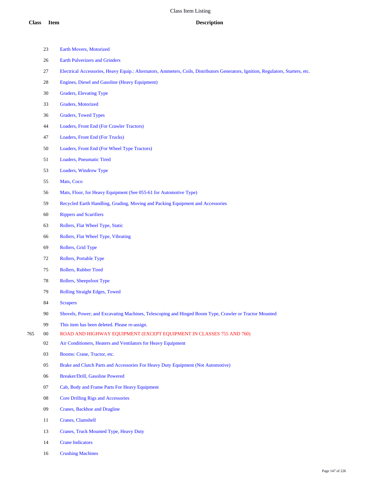- Earth Movers, Motorized Earth Pulverizers and Grinders Electrical Accessories, Heavy Equip.: Alternators, Ammeters, Coils, Distributors Generators, Ignition, Regulators, Starters, etc. Engines, Diesel and Gasoline (Heavy Equipment) Graders, Elevating Type Graders, Motorized Graders, Towed Types Loaders, Front End (For Crawler Tractors) Loaders, Front End (For Trucks) Loaders, Front End (For Wheel Type Tractors) Loaders, Pneumatic Tired Loaders, Windrow Type Mats, Coco Mats, Floor, for Heavy Equipment (See 055-61 for Automotive Type) Recycled Earth Handling, Grading, Moving and Packing Equipment and Accessories Rippers and Scarifiers Rollers, Flat Wheel Type, Static Rollers, Flat Wheel Type, Vibrating Rollers, Grid Type Rollers, Portable Type Rollers, Rubber Tired Rollers, Sheepsfoot Type Rolling Straight Edges, Towed
- Scrapers
- Shovels, Power; and Excavating Machines, Telescoping and Hinged Boom Type, Crawler or Tractor Mounted
- This item has been deleted. Please re-assign.
- 00 ROAD AND HIGHWAY EQUIPMENT (EXCEPT EQUIPMENT IN CLASSES 755 AND 760)
	- Air Conditioners, Heaters and Ventilators for Heavy Equipment
	- Booms: Crane, Tractor, etc.
	- Brake and Clutch Parts and Accessories For Heavy Duty Equipment (Not Automotive)
	- Breaker/Drill, Gasoline Powered
	- Cab, Body and Frame Parts For Heavy Equipment
	- Core Drilling Rigs and Accessories
	- Cranes, Backhoe and Dragline
	- Cranes, Clamshell
	- Cranes, Truck Mounted Type, Heavy Duty
	- Crane Indicators
	- Crushing Machines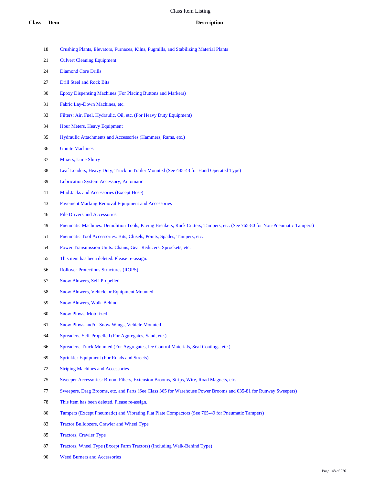- Crushing Plants, Elevators, Furnaces, Kilns, Pugmills, and Stabilizing Material Plants
- Culvert Cleaning Equipment
- Diamond Core Drills
- Drill Steel and Rock Bits
- Epoxy Dispensing Machines (For Placing Buttons and Markers)
- Fabric Lay-Down Machines, etc.
- Filters: Air, Fuel, Hydraulic, Oil, etc. (For Heavy Duty Equipment)
- Hour Meters, Heavy Equipment
- Hydraulic Attachments and Accessories (Hammers, Rams, etc.)
- Gunite Machines
- Mixers, Lime Slurry
- Leaf Loaders, Heavy Duty, Truck or Trailer Mounted (See 445-43 for Hand Operated Type)
- Lubrication System Accessory, Automatic
- Mud Jacks and Accessories (Except Hose)
- Pavement Marking Removal Equipment and Accessories
- Pile Drivers and Accessories
- Pneumatic Machines: Demolition Tools, Paving Breakers, Rock Cutters, Tampers, etc. (See 765-80 for Non-Pneumatic Tampers)
- Pneumatic Tool Accessories: Bits, Chisels, Points, Spades, Tampers, etc.
- Power Transmission Units: Chains, Gear Reducers, Sprockets, etc.
- This item has been deleted. Please re-assign.
- Rollover Protections Structures (ROPS)
- Snow Blowers, Self-Propelled
- Snow Blowers, Vehicle or Equipment Mounted
- Snow Blowers, Walk-Behind
- Snow Plows, Motorized
- Snow Plows and/or Snow Wings, Vehicle Mounted
- Spreaders, Self-Propelled (For Aggregates, Sand, etc.)
- Spreaders, Truck Mounted (For Aggregates, Ice Control Materials, Seal Coatings, etc.)
- Sprinkler Equipment (For Roads and Streets)
- Striping Machines and Accessories
- Sweeper Accessories: Broom Fibers, Extension Brooms, Strips, Wire, Road Magnets, etc.
- Sweepers, Drag Brooms, etc. and Parts (See Class 365 for Warehouse Power Brooms and 035-81 for Runway Sweepers)
- This item has been deleted. Please re-assign.
- Tampers (Except Pneumatic) and Vibrating Flat Plate Compactors (See 765-49 for Pneumatic Tampers)
- Tractor Bulldozers, Crawler and Wheel Type
- Tractors, Crawler Type
- Tractors, Wheel Type (Except Farm Tractors) (Including Walk-Behind Type)
- Weed Burners and Accessories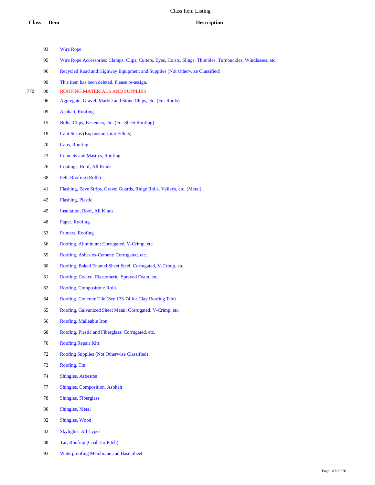|     | 93     | <b>Wire Rope</b>                                                                                             |
|-----|--------|--------------------------------------------------------------------------------------------------------------|
|     | 95     | Wire Rope Accessories: Clamps, Clips, Cutters, Eyes, Hoists, Slings, Thimbles, Turnbuckles, Windlasses, etc. |
|     | 96     | Recycled Road and Highway Equipment and Supplies (Not Otherwise Classified)                                  |
|     | 99     | This item has been deleted. Please re-assign.                                                                |
| 770 | $00\,$ | ROOFING MATERIALS AND SUPPLIES                                                                               |
|     | 06     | Aggregate, Gravel, Marble and Stone Chips, etc. (For Roofs)                                                  |
|     | 09     | <b>Asphalt, Roofing</b>                                                                                      |
|     | 15     | Bolts, Clips, Fasteners, etc. (For Sheet Roofing)                                                            |
|     | 18     | <b>Cant Strips (Expansion Joint Fillers)</b>                                                                 |
|     | 20     | Caps, Roofing                                                                                                |
|     | 23     | <b>Cements and Mastics, Roofing</b>                                                                          |
|     | 26     | Coatings, Roof, All Kinds                                                                                    |
|     | 38     | Felt, Roofing (Rolls)                                                                                        |
|     | 41     | Flashing, Eave Strips, Gravel Guards, Ridge Rolls, Valleys, etc. (Metal)                                     |
|     | 42     | <b>Flashing, Plastic</b>                                                                                     |
|     | 45     | <b>Insulation, Roof, All Kinds</b>                                                                           |
|     | 48     | Paper, Roofing                                                                                               |
|     | 53     | Primers, Roofing                                                                                             |
|     | 56     | Roofing, Aluminum: Corrugated, V-Crimp, etc.                                                                 |
|     | 59     | Roofing, Asbestos-Cement: Corrugated, etc.                                                                   |
|     | $60\,$ | Roofing, Baked Enamel Sheet Steel: Corrugated, V-Crimp, etc.                                                 |
|     | 61     | Roofing: Coated, Elastomeric, Sprayed Foam, etc.                                                             |
|     | 62     | Roofing, Composition: Rolls                                                                                  |
|     | 64     | Roofing, Concrete Tile (See 135-74 for Clay Roofing Tile)                                                    |
|     | 65     | Roofing, Galvanized Sheet Metal: Corrugated, V-Crimp, etc.                                                   |
|     | 66     | Roofing, Malleable Iron                                                                                      |
|     | 68     | Roofing, Plastic and Fiberglass: Corrugated, etc.                                                            |
|     | $70\,$ | <b>Roofing Repair Kits</b>                                                                                   |
|     | 72     | Roofing Supplies (Not Otherwise Classified)                                                                  |
|     | 73     | Roofing, Tin                                                                                                 |
|     | 74     | <b>Shingles, Asbestos</b>                                                                                    |
|     | 77     | Shingles, Composition, Asphalt                                                                               |
|     | 78     | <b>Shingles, Fiberglass</b>                                                                                  |
|     | $80\,$ | Shingles, Metal                                                                                              |
|     | 82     | Shingles, Wood                                                                                               |
|     | 83     | <b>Skylights, All Types</b>                                                                                  |
|     | $88\,$ | Tar, Roofing (Coal Tar Pitch)                                                                                |
|     |        |                                                                                                              |

Waterproofing Membrane and Base Sheet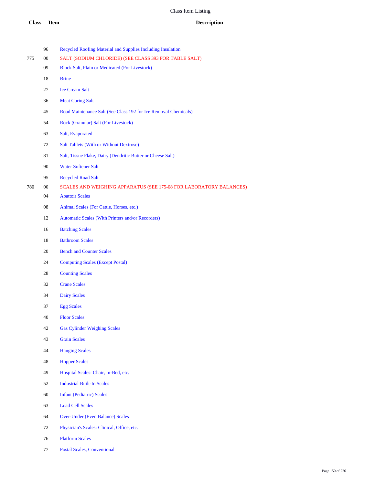|     | 96 | Recycled Roofing Material and Supplies Including Insulation        |
|-----|----|--------------------------------------------------------------------|
| 775 | 00 | SALT (SODIUM CHLORIDE) (SEE CLASS 393 FOR TABLE SALT)              |
|     | 09 | <b>Block Salt, Plain or Medicated (For Livestock)</b>              |
|     | 18 | <b>Brine</b>                                                       |
|     | 27 | <b>Ice Cream Salt</b>                                              |
|     | 36 | <b>Meat Curing Salt</b>                                            |
|     | 45 | Road Maintenance Salt (See Class 192 for Ice Removal Chemicals)    |
|     | 54 | Rock (Granular) Salt (For Livestock)                               |
|     | 63 | Salt, Evaporated                                                   |
|     | 72 | <b>Salt Tablets (With or Without Dextrose)</b>                     |
|     | 81 | Salt, Tissue Flake, Dairy (Dendritic Butter or Cheese Salt)        |
|     | 90 | <b>Water Softener Salt</b>                                         |
|     | 95 | <b>Recycled Road Salt</b>                                          |
| 780 | 00 | SCALES AND WEIGHING APPARATUS (SEE 175-08 FOR LABORATORY BALANCES) |
|     | 04 | <b>Abattoir Scales</b>                                             |
|     | 08 | Animal Scales (For Cattle, Horses, etc.)                           |
|     | 12 | Automatic Scales (With Printers and/or Recorders)                  |
|     | 16 | <b>Batching Scales</b>                                             |
|     | 18 | <b>Bathroom Scales</b>                                             |
|     | 20 | <b>Bench and Counter Scales</b>                                    |
|     | 24 | <b>Computing Scales (Except Postal)</b>                            |
|     | 28 | <b>Counting Scales</b>                                             |
|     | 32 | <b>Crane Scales</b>                                                |
|     | 34 | <b>Dairy Scales</b>                                                |
|     | 37 | <b>Egg Scales</b>                                                  |
|     | 40 | <b>Floor Scales</b>                                                |
|     | 42 | <b>Gas Cylinder Weighing Scales</b>                                |
|     | 43 | <b>Grain Scales</b>                                                |
|     | 44 | <b>Hanging Scales</b>                                              |
|     | 48 | <b>Hopper Scales</b>                                               |
|     | 49 | Hospital Scales: Chair, In-Bed, etc.                               |
|     | 52 | <b>Industrial Built-In Scales</b>                                  |
|     | 60 | <b>Infant (Pediatric) Scales</b>                                   |
|     | 63 | <b>Load Cell Scales</b>                                            |
|     | 64 | <b>Over-Under (Even Balance) Scales</b>                            |
|     | 72 | Physician's Scales: Clinical, Office, etc.                         |

- Platform Scales
- Postal Scales, Conventional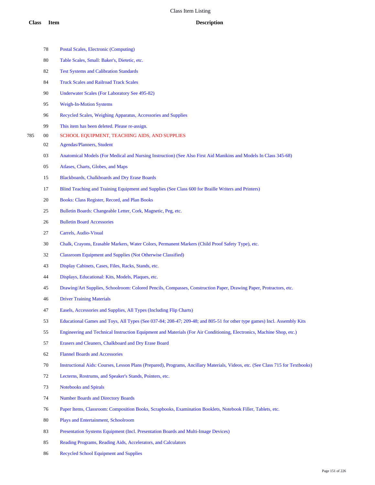|     | 78 | Postal Scales, Electronic (Computing)                                                                                           |
|-----|----|---------------------------------------------------------------------------------------------------------------------------------|
|     | 80 | Table Scales, Small: Baker's, Dietetic, etc.                                                                                    |
|     | 82 | <b>Test Systems and Calibration Standards</b>                                                                                   |
|     | 84 | <b>Truck Scales and Railroad Track Scales</b>                                                                                   |
|     | 90 | Underwater Scales (For Laboratory See 495-82)                                                                                   |
|     | 95 | <b>Weigh-In-Motion Systems</b>                                                                                                  |
|     | 96 | Recycled Scales, Weighing Apparatus, Accessories and Supplies                                                                   |
|     | 99 | This item has been deleted. Please re-assign.                                                                                   |
| 785 | 00 | SCHOOL EQUIPMENT, TEACHING AIDS, AND SUPPLIES                                                                                   |
|     | 02 | <b>Agendas/Planners, Student</b>                                                                                                |
|     | 03 | Anatomical Models (For Medical and Nursing Instruction) (See Also First Aid Manikins and Models In Class 345-68)                |
|     | 05 | Atlases, Charts, Globes, and Maps                                                                                               |
|     | 15 | Blackboards, Chalkboards and Dry Erase Boards                                                                                   |
|     | 17 | Blind Teaching and Training Equipment and Supplies (See Class 600 for Braille Writers and Printers)                             |
|     | 20 | Books: Class Register, Record, and Plan Books                                                                                   |
|     | 25 | Bulletin Boards: Changeable Letter, Cork, Magnetic, Peg, etc.                                                                   |
|     | 26 | <b>Bulletin Board Accessories</b>                                                                                               |
|     | 27 | Carrels, Audio-Visual                                                                                                           |
|     | 30 | Chalk, Crayons, Erasable Markers, Water Colors, Permanent Markers (Child Proof Safety Type), etc.                               |
|     | 32 | <b>Classroom Equipment and Supplies (Not Otherwise Classified)</b>                                                              |
|     | 43 | Display Cabinets, Cases, Files, Racks, Stands, etc.                                                                             |
|     | 44 | Displays, Educational: Kits, Models, Plaques, etc.                                                                              |
|     | 45 | Drawing/Art Supplies, Schoolroom: Colored Pencils, Compasses, Construction Paper, Drawing Paper, Protractors, etc.              |
|     | 46 | <b>Driver Training Materials</b>                                                                                                |
|     | 47 | Easels, Accessories and Supplies, All Types (Including Flip Charts)                                                             |
|     | 53 | Educational Games and Toys, All Types (See 037-84; 208-47; 209-48; and 805-51 for other type games) Incl. Assembly Kits         |
|     | 55 | Engineering and Technical Instruction Equipment and Materials (For Air Conditioning, Electronics, Machine Shop, etc.)           |
|     | 57 | Erasers and Cleaners, Chalkboard and Dry Erase Board                                                                            |
|     | 62 | <b>Flannel Boards and Accessories</b>                                                                                           |
|     | 70 | Instructional Aids: Courses, Lesson Plans (Prepared), Programs, Ancillary Materials, Videos, etc. (See Class 715 for Textbooks) |
|     | 72 | Lecterns, Rostrums, and Speaker's Stands, Pointers, etc.                                                                        |
|     | 73 | <b>Notebooks and Spirals</b>                                                                                                    |
|     | 74 | <b>Number Boards and Directory Boards</b>                                                                                       |
|     | 76 | Paper Items, Classroom: Composition Books, Scrapbooks, Examination Booklets, Notebook Filler, Tablets, etc.                     |
|     | 80 | Plays and Entertainment, Schoolroom                                                                                             |
|     | 83 | Presentation Systems Equipment (Incl. Presentation Boards and Multi-Image Devices)                                              |
|     | 85 | Reading Programs, Reading Aids, Accelerators, and Calculators                                                                   |
|     |    |                                                                                                                                 |

Recycled School Equipment and Supplies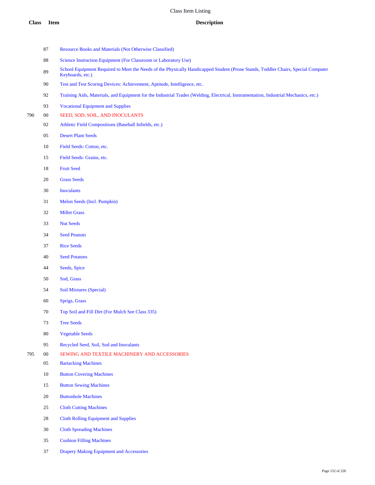- Resource Books and Materials (Not Otherwise Classified)
- 88 Science Instruction Equipment (For Classroom or Laboratory Use)
- 89 School Equipment Required to Meet the Needs of the Physically Handicapped Student (Prone Stands, Toddler Chairs, Special Computer Keyboards, etc.)
- Test and Test Scoring Devices: Achievement, Aptitude, Intelligence, etc.
- Training Aids, Materials, and Equipment for the Industrial Trades (Welding, Electrical, Instrumentation, Industrial Mechanics, etc.)
- Vocational Equipment and Supplies
- 00 SEED, SOD, SOIL, AND INOCULANTS
	- Athletic Field Compositions (Baseball Infields, etc.)
	- Desert Plant Seeds
	- Field Seeds: Cotton, etc.
	- Field Seeds: Grains, etc.
	- Fruit Seed
	- Grass Seeds
	- Inoculants
	- Melon Seeds (Incl. Pumpkin)
	- Millet Grass
	- Nut Seeds
	- Seed Peanuts
	- Rice Seeds
	- Seed Potatoes
	- Seeds, Spice
	- Sod, Grass
	- Soil Mixtures (Special)
	- Sprigs, Grass
	- Top Soil and Fill Dirt (For Mulch See Class 335)
	- Tree Seeds
	- Vegetable Seeds
	- Recycled Seed, Soil, Sod and Inoculants
- 00 SEWING AND TEXTILE MACHINERY AND ACCESSORIES
	- Bartacking Machines
	- Button Covering Machines
	- Button Sewing Machines
	- Buttonhole Machines
	- Cloth Cutting Machines
	- Cloth Rolling Equipment and Supplies
	- Cloth Spreading Machines
	- Cushion Filling Machines
	- Drapery Making Equipment and Accessories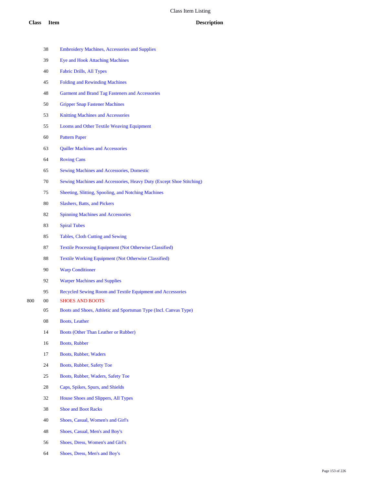|     | 38 | <b>Embroidery Machines, Accessories and Supplies</b>                |
|-----|----|---------------------------------------------------------------------|
|     | 39 | <b>Eye and Hook Attaching Machines</b>                              |
|     | 40 | <b>Fabric Drills, All Types</b>                                     |
|     | 45 | <b>Folding and Rewinding Machines</b>                               |
|     | 48 | Garment and Brand Tag Fasteners and Accessories                     |
|     | 50 | <b>Gripper Snap Fastener Machines</b>                               |
|     | 53 | <b>Knitting Machines and Accessories</b>                            |
|     | 55 | Looms and Other Textile Weaving Equipment                           |
|     | 60 | <b>Pattern Paper</b>                                                |
|     | 63 | <b>Quiller Machines and Accessories</b>                             |
|     | 64 | <b>Roving Cans</b>                                                  |
|     | 65 | <b>Sewing Machines and Accessories, Domestic</b>                    |
|     | 70 | Sewing Machines and Accessories, Heavy Duty (Except Shoe Stitching) |
|     | 75 | Sheeting, Slitting, Spooling, and Notching Machines                 |
|     | 80 | <b>Slashers, Batts, and Pickers</b>                                 |
|     | 82 | <b>Spinning Machines and Accessories</b>                            |
|     | 83 | <b>Spiral Tubes</b>                                                 |
|     | 85 | Tables, Cloth Cutting and Sewing                                    |
|     | 87 | <b>Textile Processing Equipment (Not Otherwise Classified)</b>      |
|     | 88 | <b>Textile Working Equipment (Not Otherwise Classified)</b>         |
|     | 90 | <b>Warp Conditioner</b>                                             |
|     | 92 | <b>Warper Machines and Supplies</b>                                 |
|     | 95 | Recycled Sewing Room and Textile Equipment and Accessories          |
| 800 | 00 | <b>SHOES AND BOOTS</b>                                              |
|     | 05 | Boots and Shoes, Athletic and Sportsman Type (Incl. Canvas Type)    |
|     | 08 | <b>Boots, Leather</b>                                               |
|     | 14 | <b>Boots (Other Than Leather or Rubber)</b>                         |
|     | 16 | <b>Boots, Rubber</b>                                                |
|     | 17 | Boots, Rubber, Waders                                               |
|     | 24 | Boots, Rubber, Safety Toe                                           |
|     | 25 | Boots, Rubber, Waders, Safety Toe                                   |
|     | 28 | Caps, Spikes, Spurs, and Shields                                    |
|     | 32 | House Shoes and Slippers, All Types                                 |
|     | 38 | <b>Shoe and Boot Racks</b>                                          |
|     | 40 | Shoes, Casual, Women's and Girl's                                   |
|     | 48 | Shoes, Casual, Men's and Boy's                                      |
|     | 56 | Shoes, Dress, Women's and Girl's                                    |

Shoes, Dress, Men's and Boy's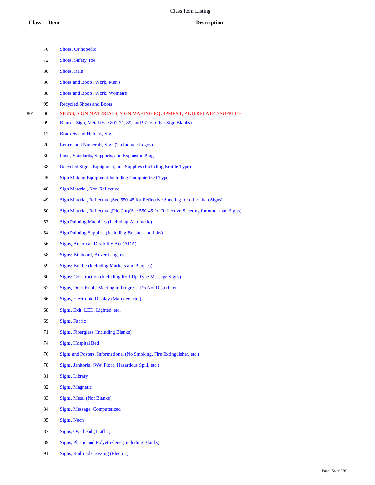- Shoes, Orthopedic
- Shoes, Safety Toe
- Shoes, Rain
- Shoes and Boots, Work, Men's
- Shoes and Boots, Work, Women's
- Recycled Shoes and Boots
- 00 SIGNS, SIGN MATERIALS, SIGN MAKING EQUIPMENT, AND RELATED SUPPLIES
	- Blanks, Sign, Metal (See 801-71, 89, and 97 for other Sign Blanks)
	- Brackets and Holders, Sign
	- Letters and Numerals, Sign (To Include Logos)
	- Posts, Standards, Supports, and Expansion Plugs
	- Recycled Signs, Equipment, and Supplies (Including Braille Type)
	- Sign Making Equipment Including Computerized Type
	- Sign Material, Non-Reflective
	- Sign Material, Reflective (See 550-45 for Reflective Sheeting for other than Signs)
	- Sign Material, Reflective (Die Cut)(See 550-45 for Reflective Sheeting for other than Signs)
	- Sign Painting Machines (Including Automatic)
	- Sign Painting Supplies (Including Brushes and Inks)
	- Signs, American Disability Act (ADA)
	- Signs: Billboard, Advertising, etc.
	- Signs: Braille (Including Markers and Plaques)
	- Signs: Construction (Including Roll-Up Type Message Signs)
	- Signs, Door Knob: Meeting in Progress, Do Not Disturb, etc.
	- Signs, Electronic Display (Marquee, etc.)
	- Signs, Exit: LED, Lighted, etc.
	- Signs, Fabric
	- Signs, Fiberglass (Including Blanks)
	- Signs, Hospital Bed
	- Signs and Posters, Informational (No Smoking, Fire Extinguisher, etc.)
	- Signs, Janitorial (Wet Floor, Hazardous Spill, etc.)
	- Signs, Library
	- Signs, Magnetic
	- Signs, Metal (Not Blanks)
	- Signs, Message, Computerized
	- Signs, Neon
	- Signs, Overhead (Traffic)
	- Signs, Plastic and Polyethylene (Including Blanks)
	- Signs, Railroad Crossing (Electric)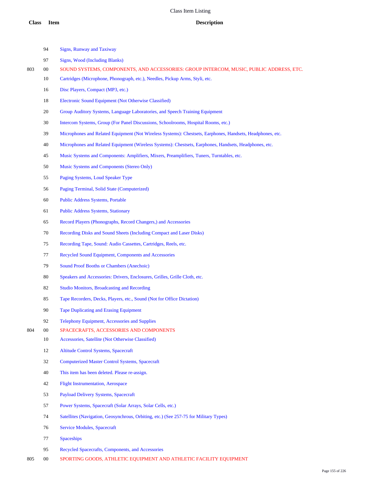### **Class Item Description**

- Signs, Runway and Taxiway
- Signs, Wood (Including Blanks)
- 00 SOUND SYSTEMS, COMPONENTS, AND ACCESSORIES: GROUP INTERCOM, MUSIC, PUBLIC ADDRESS, ETC.
	- Cartridges (Microphone, Phonograph, etc.), Needles, Pickup Arms, Styli, etc.
	- 16 Disc Players, Compact (MP3, etc.)
	- Electronic Sound Equipment (Not Otherwise Classified)
	- Group Auditory Systems, Language Laboratories, and Speech Training Equipment
	- Intercom Systems, Group (For Panel Discussions, Schoolrooms, Hospital Rooms, etc.)
	- Microphones and Related Equipment (Not Wireless Systems): Chestsets, Earphones, Handsets, Headphones, etc.
	- Microphones and Related Equipment (Wireless Systems): Chestsets, Earphones, Handsets, Headphones, etc.
	- Music Systems and Components: Amplifiers, Mixers, Preamplifiers, Tuners, Turntables, etc.
	- Music Systems and Components (Stereo Only)
	- Paging Systems, Loud Speaker Type
	- Paging Terminal, Solid State (Computerized)
	- Public Address Systems, Portable
	- Public Address Systems, Stationary
	- Record Players (Phonographs, Record Changers,) and Accessories
	- Recording Disks and Sound Sheets (Including Compact and Laser Disks)
	- Recording Tape, Sound: Audio Cassettes, Cartridges, Reels, etc.
	- Recycled Sound Equipment, Components and Accessories
	- Sound Proof Booths or Chambers (Anechoic)
	- 80 Speakers and Accessories: Drivers, Enclosures, Grilles, Grille Cloth, etc.
	- Studio Monitors, Broadcasting and Recording
	- Tape Recorders, Decks, Players, etc., Sound (Not for Office Dictation)
	- Tape Duplicating and Erasing Equipment
	- Telephony Equipment, Accessories and Supplies
- 00 SPACECRAFTS, ACCESSORIES AND COMPONENTS
	- Accessories, Satellite (Not Otherwise Classified)
	- Altitude Control Systems, Spacecraft
	- Computerized Master Control Systems, Spacecraft
	- This item has been deleted. Please re-assign.
	- Flight Instrumentation, Aerospace
	- Payload Delivery Systems, Spacecraft
	- Power Systems, Spacecraft (Solar Arrays, Solar Cells, etc.)
	- Satellites (Navigation, Geosynchrous, Orbiting, etc.) (See 257-75 for Military Types)
	- Service Modules, Spacecraft
	- Spaceships
	- Recycled Spacecrafts, Components, and Accessories
- 00 SPORTING GOODS, ATHLETIC EQUIPMENT AND ATHLETIC FACILITY EQUIPMENT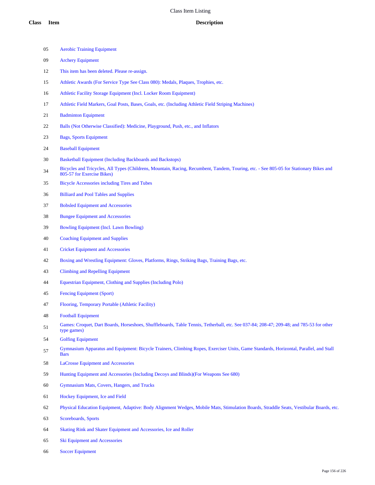- Aerobic Training Equipment
- Archery Equipment
- This item has been deleted. Please re-assign.
- Athletic Awards (For Service Type See Class 080): Medals, Plaques, Trophies, etc.
- Athletic Facility Storage Equipment (Incl. Locker Room Equipment)
- Athletic Field Markers, Goal Posts, Bases, Goals, etc. (Including Athletic Field Striping Machines)
- Badminton Equipment
- Balls (Not Otherwise Classified): Medicine, Playground, Push, etc., and Inflators
- Bags, Sports Equipment
- Baseball Equipment
- Basketball Equipment (Including Backboards and Backstops)
- Bicycles and Tricycles, All Types (Childrens, Mountain, Racing, Recumbent, Tandem, Touring, etc. See 805-05 for Stationary Bikes and 805-57 for Exercise Bikes)
- Bicycle Accessories including Tires and Tubes
- Billiard and Pool Tables and Supplies
- Bobsled Equipment and Accessories
- Bungee Equipment and Accessories
- Bowling Equipment (Incl. Lawn Bowling)
- Coaching Equipment and Supplies
- Cricket Equipment and Accessories
- Boxing and Wrestling Equipment: Gloves, Platforms, Rings, Striking Bags, Training Bags, etc.
- Climbing and Repelling Equipment
- Equestrian Equipment, Clothing and Supplies (Including Polo)
- Fencing Equipment (Sport)
- Flooring, Temporary Portable (Athletic Facility)
- Football Equipment
- Games: Croquet, Dart Boards, Horseshoes, Shuffleboards, Table Tennis, Tetherball, etc. See 037-84; 208-47; 209-48; and 785-53 for other type games)
- Golfing Equipment
- Gymnasium Apparatus and Equipment: Bicycle Trainers, Climbing Ropes, Exerciser Units, Game Standards, Horizontal, Parallel, and Stall Bars
- LaCrosse Equipment and Accessories
- Hunting Equipment and Accessories (Including Decoys and Blinds)(For Weapons See 680)
- Gymnasium Mats, Covers, Hangers, and Trucks
- Hockey Equipment, Ice and Field
- Physical Education Equipment, Adaptive: Body Alignment Wedges, Mobile Mats, Stimulation Boards, Straddle Seats, Vestibular Boards, etc.
- Scoreboards, Sports
- Skating Rink and Skater Equipment and Accessories, Ice and Roller
- Ski Equipment and Accessories
- Soccer Equipment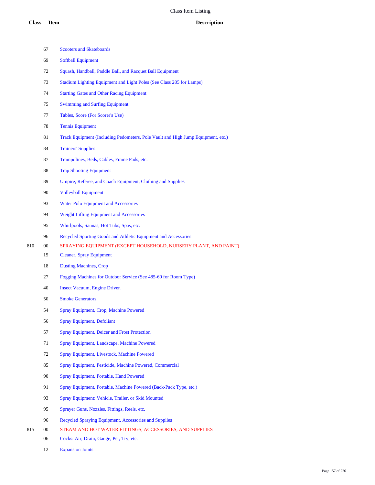|     | 67 | <b>Scooters and Skateboards</b>                                                  |
|-----|----|----------------------------------------------------------------------------------|
|     | 69 | <b>Softball Equipment</b>                                                        |
|     | 72 | Squash, Handball, Paddle Ball, and Racquet Ball Equipment                        |
|     | 73 | Stadium Lighting Equipment and Light Poles (See Class 285 for Lamps)             |
|     | 74 | <b>Starting Gates and Other Racing Equipment</b>                                 |
|     | 75 | <b>Swimming and Surfing Equipment</b>                                            |
|     | 77 | Tables, Score (For Scorer's Use)                                                 |
|     | 78 | <b>Tennis Equipment</b>                                                          |
|     | 81 | Track Equipment (Including Pedometers, Pole Vault and High Jump Equipment, etc.) |
|     | 84 | <b>Trainers' Supplies</b>                                                        |
|     | 87 | Trampolines, Beds, Cables, Frame Pads, etc.                                      |
|     | 88 | <b>Trap Shooting Equipment</b>                                                   |
|     | 89 | Umpire, Referee, and Coach Equipment, Clothing and Supplies                      |
|     | 90 | <b>Volleyball Equipment</b>                                                      |
|     | 93 | <b>Water Polo Equipment and Accessories</b>                                      |
|     | 94 | Weight Lifting Equipment and Accessories                                         |
|     | 95 | Whirlpools, Saunas, Hot Tubs, Spas, etc.                                         |
|     | 96 | Recycled Sporting Goods and Athletic Equipment and Accessories                   |
| 810 | 00 | SPRAYING EQUIPMENT (EXCEPT HOUSEHOLD, NURSERY PLANT, AND PAINT)                  |
|     | 15 | <b>Cleaner, Spray Equipment</b>                                                  |
|     | 18 | <b>Dusting Machines, Crop</b>                                                    |
|     | 27 | Fogging Machines for Outdoor Service (See 485-60 for Room Type)                  |
|     | 40 | <b>Insect Vacuum, Engine Driven</b>                                              |
|     | 50 | <b>Smoke Generators</b>                                                          |
|     | 54 | Spray Equipment, Crop, Machine Powered                                           |
|     | 56 | <b>Spray Equipment, Defoliant</b>                                                |
|     | 57 | <b>Spray Equipment, Deicer and Frost Protection</b>                              |
|     | 71 | Spray Equipment, Landscape, Machine Powered                                      |
|     | 72 | Spray Equipment, Livestock, Machine Powered                                      |
|     | 85 | Spray Equipment, Pesticide, Machine Powered, Commercial                          |
|     | 90 | Spray Equipment, Portable, Hand Powered                                          |
|     | 91 | Spray Equipment, Portable, Machine Powered (Back-Pack Type, etc.)                |
|     | 93 | Spray Equipment: Vehicle, Trailer, or Skid Mounted                               |
|     | 95 | Sprayer Guns, Nozzles, Fittings, Reels, etc.                                     |
|     | 96 | Recycled Spraying Equipment, Accessories and Supplies                            |
| 815 | 00 | STEAM AND HOT WATER FITTINGS, ACCESSORIES, AND SUPPLIES                          |
|     | 06 | Cocks: Air, Drain, Gauge, Pet, Try, etc.                                         |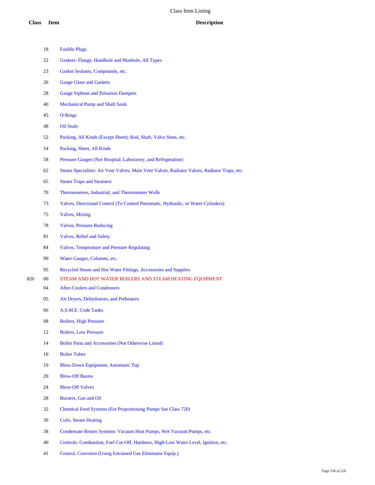|     | 18     | <b>Fusible Plugs</b>                                                                        |
|-----|--------|---------------------------------------------------------------------------------------------|
|     | 22     | Gaskets: Flange, Handhole and Manhole, All Types                                            |
|     | 23     | Gasket Sealants, Compounds, etc.                                                            |
|     | 26     | <b>Gauge Glass and Gaskets</b>                                                              |
|     | 28     | <b>Gauge Siphons and Pulsation Dampers</b>                                                  |
|     | 40     | <b>Mechanical Pump and Shaft Seals</b>                                                      |
|     | 45     | O-Rings                                                                                     |
|     | 48     | <b>Oil Seals</b>                                                                            |
|     | 52     | Packing, All Kinds (Except Sheet): Rod, Shaft, Valve Stem, etc.                             |
|     | 54     | Packing, Sheet, All Kinds                                                                   |
|     | 58     | Pressure Gauges (Not Hospital, Laboratory, and Refrigeration)                               |
|     | 62     | Steam Specialties: Air Vent Valves, Main Vent Valves, Radiator Valves, Radiator Traps, etc. |
|     | 65     | <b>Steam Traps and Strainers</b>                                                            |
|     | 70     | Thermometers, Industrial; and Thermometer Wells                                             |
|     | 73     | Valves, Directional Control (To Control Pneumatic, Hydraulic, or Water Cylinders)           |
|     | 75     | <b>Valves, Mixing</b>                                                                       |
|     | 78     | <b>Valves, Pressure Reducing</b>                                                            |
|     | 81     | <b>Valves, Relief and Safety</b>                                                            |
|     | 84     | <b>Valves, Temperature and Pressure Regulating</b>                                          |
|     | 90     | Water Gauges, Columns, etc.                                                                 |
|     | 95     | Recycled Steam and Hot Water Fittings, Accessories and Supplies                             |
| 820 | $00\,$ | STEAM AND HOT WATER BOILERS AND STEAM HEATING EQUIPMENT                                     |
|     | 04     | <b>After-Coolers and Condensers</b>                                                         |
|     | 05     | Air Dryers, Dehydrators, and Preheaters                                                     |
|     | 06     | A.S.M.E. Code Tanks                                                                         |
|     | 08     | <b>Boilers, High Pressure</b>                                                               |
|     | 12     | <b>Boilers, Low Pressure</b>                                                                |
|     | 14     | Boiler Parts and Accessories (Not Otherwise Listed)                                         |
|     | 16     | <b>Boiler Tubes</b>                                                                         |
|     | 19     | Blow-Down Equipment, Automatic Top                                                          |
|     | 20     | <b>Blow-Off Basins</b>                                                                      |
|     | 24     | <b>Blow-Off Valves</b>                                                                      |
|     | 28     | Burners, Gas and Oil                                                                        |
|     | 32     | <b>Chemical Feed Systems (For Proportioning Pumps See Class 720)</b>                        |
|     | 36     | Coils, Steam Heating                                                                        |
|     | 38     | Condensate Return Systems: Vacuum Heat Pumps, Wet Vacuum Pumps, etc.                        |
|     | 40     | Controls: Combustion, Fuel Cut-Off, Hardness, High-Low Water Level, Ignition, etc.          |
|     |        |                                                                                             |

Control, Corrosion (Using Entrained Gas Eliminator Equip.)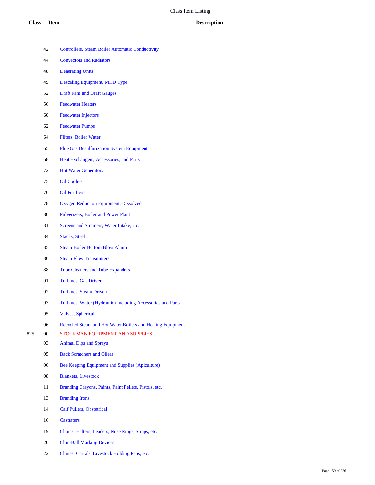- Controllers, Steam Boiler Automatic Conductivity
- Convectors and Radiators
- Deaerating Units
- Descaling Equipment, MHD Type
- Draft Fans and Draft Gauges
- Feedwater Heaters
- Feedwater Injectors
- Feedwater Pumps
- Filters, Boiler Water
- Flue Gas Desulfurization System Equipment
- Heat Exchangers, Accessories, and Parts
- Hot Water Generators
- Oil Coolers
- Oil Purifiers
- Oxygen Reduction Equipment, Dissolved
- Pulverizers, Boiler and Power Plant
- 81 Screens and Strainers, Water Intake, etc.
- Stacks, Steel
- Steam Boiler Bottom Blow Alarm
- Steam Flow Transmitters
- Tube Cleaners and Tube Expanders
- Turbines, Gas Driven
- Turbines, Steam Driven
- Turbines, Water (Hydraulic) Including Accessories and Parts
- Valves, Spherical
- Recycled Steam and Hot Water Boilers and Heating Equipment
- 00 STOCKMAN EQUIPMENT AND SUPPLIES
	- Animal Dips and Sprays
	- Back Scratchers and Oilers
	- Bee Keeping Equipment and Supplies (Apiculture)
	- Blankets, Livestock
	- 11 Branding Crayons, Paints, Paint Pellets, Pistols, etc.
	- Branding Irons
	- Calf Pullers, Obstetrical
	- Castraters
	- Chains, Halters, Leaders, Nose Rings, Straps, etc.
	- Chin-Ball Marking Devices
	- Chutes, Corrals, Livestock Holding Pens, etc.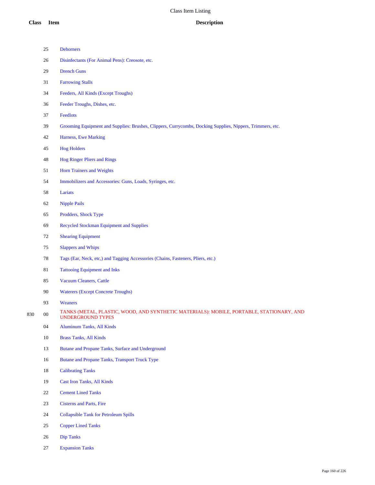|     | 25     | <b>Dehorners</b>                                                                                              |
|-----|--------|---------------------------------------------------------------------------------------------------------------|
|     | 26     | Disinfectants (For Animal Pens): Creosote, etc.                                                               |
|     | 29     | <b>Drench Guns</b>                                                                                            |
|     | 31     | <b>Farrowing Stalls</b>                                                                                       |
|     | 34     | Feeders, All Kinds (Except Troughs)                                                                           |
|     | 36     | Feeder Troughs, Dishes, etc.                                                                                  |
|     | 37     | Feedlots                                                                                                      |
|     | 39     | Grooming Equipment and Supplies: Brushes, Clippers, Currycombs, Docking Supplies, Nippers, Trimmers, etc.     |
|     | 42     | Harness, Ewe Marking                                                                                          |
|     | 45     | <b>Hog Holders</b>                                                                                            |
|     | 48     | <b>Hog Ringer Pliers and Rings</b>                                                                            |
|     | 51     | <b>Horn Trainers and Weights</b>                                                                              |
|     | 54     | Immobilizers and Accessories: Guns, Loads, Syringes, etc.                                                     |
|     | 58     | Lariats                                                                                                       |
|     | 62     | <b>Nipple Pails</b>                                                                                           |
|     | 65     | Prodders, Shock Type                                                                                          |
|     | 69     | <b>Recycled Stockman Equipment and Supplies</b>                                                               |
|     | 72     | <b>Shearing Equipment</b>                                                                                     |
|     | $75\,$ | <b>Slappers and Whips</b>                                                                                     |
|     | 78     | Tags (Ear, Neck, etc,) and Tagging Accessories (Chains, Fasteners, Pliers, etc.)                              |
|     | $81\,$ | <b>Tattooing Equipment and Inks</b>                                                                           |
|     | 85     | <b>Vacuum Cleaners, Cattle</b>                                                                                |
|     | 90     | <b>Waterers (Except Concrete Troughs)</b>                                                                     |
|     | 93     | Weaners                                                                                                       |
| 830 | $00\,$ | TANKS (METAL, PLASTIC, WOOD, AND SYNTHETIC MATERIALS): MOBILE, PORTABLE, STATIONARY, AND<br>UNDERGROUND TYPES |
|     | 04     | <b>Aluminum Tanks, All Kinds</b>                                                                              |
|     | 10     | <b>Brass Tanks, All Kinds</b>                                                                                 |
|     | 13     | Butane and Propane Tanks, Surface and Underground                                                             |
|     | 16     | Butane and Propane Tanks, Transport Truck Type                                                                |
|     | $18\,$ | <b>Calibrating Tanks</b>                                                                                      |
|     | 19     | <b>Cast Iron Tanks, All Kinds</b>                                                                             |
|     | $22\,$ | <b>Cement Lined Tanks</b>                                                                                     |
|     | 23     | <b>Cisterns and Parts, Fire</b>                                                                               |
|     | 24     | <b>Collapsible Tank for Petroleum Spills</b>                                                                  |
|     | 25     | <b>Copper Lined Tanks</b>                                                                                     |
|     |        |                                                                                                               |

- Dip Tanks
- Expansion Tanks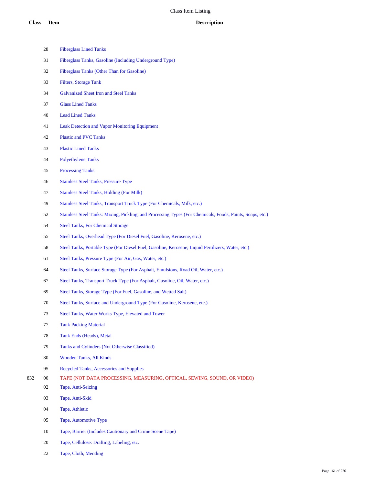| <b>Class</b> | <b>Item</b> | <b>Description</b>                                                                                        |
|--------------|-------------|-----------------------------------------------------------------------------------------------------------|
|              | 28          | <b>Fiberglass Lined Tanks</b>                                                                             |
|              | 31          | Fiberglass Tanks, Gasoline (Including Underground Type)                                                   |
|              | 32          | Fiberglass Tanks (Other Than for Gasoline)                                                                |
|              | 33          | <b>Filters, Storage Tank</b>                                                                              |
|              | 34          | <b>Galvanized Sheet Iron and Steel Tanks</b>                                                              |
|              | 37          | <b>Glass Lined Tanks</b>                                                                                  |
|              | 40          | <b>Lead Lined Tanks</b>                                                                                   |
|              | 41          | <b>Leak Detection and Vapor Monitoring Equipment</b>                                                      |
|              | 42          | <b>Plastic and PVC Tanks</b>                                                                              |
|              | 43          | <b>Plastic Lined Tanks</b>                                                                                |
|              | 44          | <b>Polyethylene Tanks</b>                                                                                 |
|              | 45          | <b>Processing Tanks</b>                                                                                   |
|              | 46          | <b>Stainless Steel Tanks, Pressure Type</b>                                                               |
|              | 47          | <b>Stainless Steel Tanks, Holding (For Milk)</b>                                                          |
|              | 49          | Stainless Steel Tanks, Transport Truck Type (For Chemicals, Milk, etc.)                                   |
|              | 52          | Stainless Steel Tanks: Mixing, Pickling, and Processing Types (For Chemicals, Foods, Paints, Soaps, etc.) |
|              | 54          | <b>Steel Tanks, For Chemical Storage</b>                                                                  |
|              | 55          | Steel Tanks, Overhead Type (For Diesel Fuel, Gasoline, Kerosene, etc.)                                    |
|              | 58          | Steel Tanks, Portable Type (For Diesel Fuel, Gasoline, Kerosene, Liquid Fertilizers, Water, etc.)         |
|              | 61          | Steel Tanks, Pressure Type (For Air, Gas, Water, etc.)                                                    |
|              | 64          | Steel Tanks, Surface Storage Type (For Asphalt, Emulsions, Road Oil, Water, etc.)                         |
|              | 67          | Steel Tanks, Transport Truck Type (For Asphalt, Gasoline, Oil, Water, etc.)                               |
|              | 69          | Steel Tanks, Storage Type (For Fuel, Gasoline, and Wetted Salt)                                           |
|              | 70          | Steel Tanks, Surface and Underground Type (For Gasoline, Kerosene, etc.)                                  |
|              | 73          | Steel Tanks, Water Works Type, Elevated and Tower                                                         |
|              | 77          | <b>Tank Packing Material</b>                                                                              |
|              | 78          | Tank Ends (Heads), Metal                                                                                  |
|              | 79          | Tanks and Cylinders (Not Otherwise Classified)                                                            |
|              | 80          | Wooden Tanks, All Kinds                                                                                   |
|              | 95          | Recycled Tanks, Accessories and Supplies                                                                  |
| 832          | $00\,$      | TAPE (NOT DATA PROCESSING, MEASURING, OPTICAL, SEWING, SOUND, OR VIDEO)                                   |
|              | 02          | Tape, Anti-Seizing                                                                                        |
|              | 03          | Tape, Anti-Skid                                                                                           |
|              | 04          | Tape, Athletic                                                                                            |
|              | 05          | Tape, Automotive Type                                                                                     |
|              | 10          | Tape, Barrier (Includes Cautionary and Crime Scene Tape)                                                  |
|              |             |                                                                                                           |

Tape, Cloth, Mending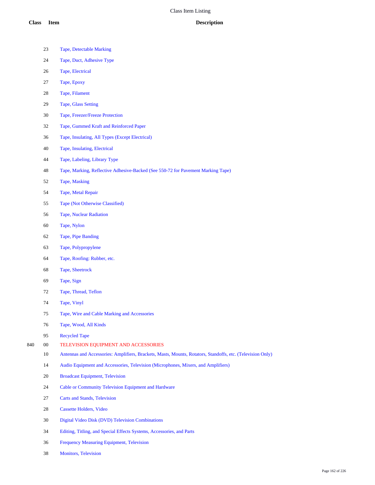- Tape, Detectable Marking
- Tape, Duct, Adhesive Type
- Tape, Electrical
- Tape, Epoxy
- Tape, Filament
- Tape, Glass Setting
- Tape, Freezer/Freeze Protection
- Tape, Gummed Kraft and Reinforced Paper
- Tape, Insulating, All Types (Except Electrical)
- Tape, Insulating, Electrical
- Tape, Labeling, Library Type
- Tape, Marking, Reflective Adhesive-Backed (See 550-72 for Pavement Marking Tape)
- Tape, Masking
- Tape, Metal Repair
- Tape (Not Otherwise Classified)
- Tape, Nuclear Radiation
- Tape, Nylon
- Tape, Pipe Banding
- Tape, Polypropylene
- Tape, Roofing: Rubber, etc.
- Tape, Sheetrock
- Tape, Sign
- Tape, Thread, Teflon
- Tape, Vinyl
- Tape, Wire and Cable Marking and Accessories
- Tape, Wood, All Kinds
- Recycled Tape
- 00 TELEVISION EQUIPMENT AND ACCESSORIES
	- Antennas and Accessories: Amplifiers, Brackets, Masts, Mounts, Rotators, Standoffs, etc. (Television Only)
	- Audio Equipment and Accessories, Television (Microphones, Mixers, and Amplifiers)
	- Broadcast Equipment, Television
	- Cable or Community Television Equipment and Hardware
	- Carts and Stands, Television
	- Cassette Holders, Video
	- Digital Video Disk (DVD) Television Combinations
	- Editing, Titling, and Special Effects Systems, Accessories, and Parts
	- Frequency Measuring Equipment, Television
	- Monitors, Television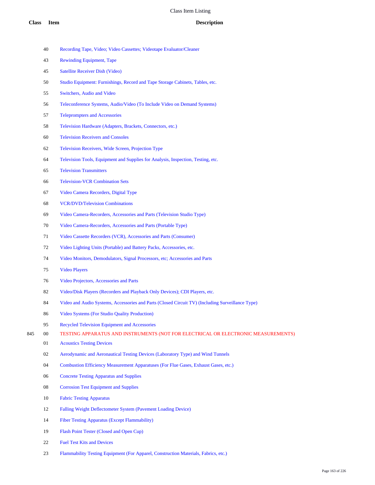- Recording Tape, Video; Video Cassettes; Videotape Evaluator/Cleaner
- Rewinding Equipment, Tape
- Satellite Receiver Dish (Video)
- Studio Equipment: Furnishings, Record and Tape Storage Cabinets, Tables, etc.
- Switchers, Audio and Video
- Teleconference Systems, Audio/Video (To Include Video on Demand Systems)
- Teleprompters and Accessories
- Television Hardware (Adapters, Brackets, Connectors, etc.)
- Television Receivers and Consoles
- Television Receivers, Wide Screen, Projection Type
- Television Tools, Equipment and Supplies for Analysis, Inspection, Testing, etc.
- Television Transmitters
- Television-VCR Combination Sets
- Video Camera Recorders, Digital Type
- VCR/DVD/Television Combinations
- Video Camera-Recorders, Accessories and Parts (Television Studio Type)
- Video Camera-Recorders, Accessories and Parts (Portable Type)
- Video Cassette Recorders (VCR), Accessories and Parts (Consumer)
- Video Lighting Units (Portable) and Battery Packs, Accessories, etc.
- Video Monitors, Demodulators, Signal Processors, etc; Accessories and Parts
- Video Players
- Video Projectors, Accessories and Parts
- Video/Disk Players (Recorders and Playback Only Devices); CDI Players, etc.
- Video and Audio Systems, Accessories and Parts (Closed Circuit TV) (Including Surveillance Type)
- Video Systems (For Studio Quality Production)
- Recycled Television Equipment and Accessories
- 00 TESTING APPARATUS AND INSTRUMENTS (NOT FOR ELECTRICAL OR ELECTRONIC MEASUREMENTS)
	- Acoustics Testing Devices
	- Aerodynamic and Aeronautical Testing Devices (Laboratory Type) and Wind Tunnels
	- Combustion Efficiency Measurement Apparatuses (For Flue Gases, Exhaust Gases, etc.)
	- Concrete Testing Apparatus and Supplies
	- Corrosion Test Equipment and Supplies
	- Fabric Testing Apparatus
	- Falling Weight Deflectometer System (Pavement Loading Device)
	- Fiber Testing Apparatus (Except Flammability)
	- Flash Point Tester (Closed and Open Cup)
	- Fuel Test Kits and Devices
	- Flammability Testing Equipment (For Apparel, Construction Materials, Fabrics, etc.)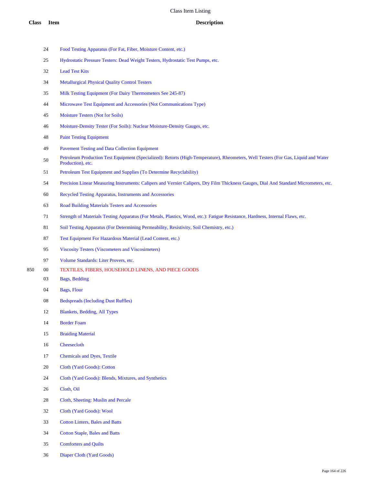- Food Testing Apparatus (For Fat, Fiber, Moisture Content, etc.)
- Hydrostatic Pressure Testers: Dead Weight Testers, Hydrostatic Test Pumps, etc.
- Lead Test Kits
- Metallurgical Physical Quality Control Testers
- Milk Testing Equipment (For Dairy Thermometers See 245-87)
- Microwave Test Equipment and Accessories (Not Communications Type)
- Moisture Testers (Not for Soils)
- Moisture-Density Tester (For Soils): Nuclear Moisture-Density Gauges, etc.
- Paint Testing Equipment
- Pavement Testing and Data Collection Equipment
- Petroleum Production Test Equipment (Specialized): Retorts (High-Temperature), Rheometers, Well Testers (For Gas, Liquid and Water Production), etc.
- Petroleum Test Equipment and Supplies (To Determine Recyclability)
- Precision Linear Measuring Instruments: Calipers and Vernier Calipers, Dry Film Thickness Gauges, Dial And Standard Micrometers, etc.
- Recycled Testing Apparatus, Instruments and Accessories
- Road Building Materials Testers and Accessories
- Strength of Materials Testing Apparatus (For Metals, Plastics, Wood, etc.): Fatigue Resistance, Hardness, Internal Flaws, etc.
- 81 Soil Testing Apparatus (For Determining Permeability, Resistivity, Soil Chemistry, etc.)
- Test Equipment For Hazardous Material (Lead Content, etc.)
- Viscosity Testers (Viscometers and Viscosimeters)
- Volume Standards: Liter Provers, etc.
- 00 TEXTILES, FIBERS, HOUSEHOLD LINENS, AND PIECE GOODS
	- Bags, Bedding
	- Bags, Flour
	- Bedspreads (Including Dust Ruffles)
	- Blankets, Bedding, All Types
	- Border Foam
	- Braiding Material
	- Cheesecloth
	- Chemicals and Dyes, Textile
	- Cloth (Yard Goods): Cotton
	- Cloth (Yard Goods): Blends, Mixtures, and Synthetics
	- Cloth, Oil
	- Cloth, Sheeting: Muslin and Percale
	- Cloth (Yard Goods): Wool
	- Cotton Linters, Bales and Batts
	- Cotton Staple, Bales and Batts
	- Comforters and Quilts
	- Diaper Cloth (Yard Goods)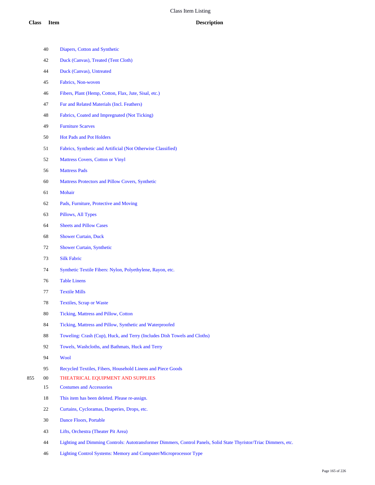|     | 40     | Diapers, Cotton and Synthetic                                                                                     |
|-----|--------|-------------------------------------------------------------------------------------------------------------------|
|     | 42     | Duck (Canvas), Treated (Tent Cloth)                                                                               |
|     | 44     | Duck (Canvas), Untreated                                                                                          |
|     | 45     | Fabrics, Non-woven                                                                                                |
|     | 46     | Fibers, Plant (Hemp, Cotton, Flax, Jute, Sisal, etc.)                                                             |
|     | 47     | Fur and Related Materials (Incl. Feathers)                                                                        |
|     | 48     | Fabrics, Coated and Impregnated (Not Ticking)                                                                     |
|     | 49     | <b>Furniture Scarves</b>                                                                                          |
|     | 50     | Hot Pads and Pot Holders                                                                                          |
|     | 51     | Fabrics, Synthetic and Artificial (Not Otherwise Classified)                                                      |
|     | 52     | Mattress Covers, Cotton or Vinyl                                                                                  |
|     | 56     | <b>Mattress Pads</b>                                                                                              |
|     | 60     | Mattress Protectors and Pillow Covers, Synthetic                                                                  |
|     | 61     | Mohair                                                                                                            |
|     | 62     | Pads, Furniture, Protective and Moving                                                                            |
|     | 63     | Pillows, All Types                                                                                                |
|     | 64     | <b>Sheets and Pillow Cases</b>                                                                                    |
|     | 68     | <b>Shower Curtain, Duck</b>                                                                                       |
|     | 72     | Shower Curtain, Synthetic                                                                                         |
|     | 73     | <b>Silk Fabric</b>                                                                                                |
|     | 74     | Synthetic Textile Fibers: Nylon, Polyethylene, Rayon, etc.                                                        |
|     | 76     | <b>Table Linens</b>                                                                                               |
|     | 77     | <b>Textile Mills</b>                                                                                              |
|     | 78     | <b>Textiles, Scrap or Waste</b>                                                                                   |
|     | 80     | Ticking, Mattress and Pillow, Cotton                                                                              |
|     | 84     | Ticking, Mattress and Pillow, Synthetic and Waterproofed                                                          |
|     | 88     | Toweling: Crash (Cup), Huck, and Terry (Includes Dish Towels and Cloths)                                          |
|     | 92     | Towels, Washcloths, and Bathmats, Huck and Terry                                                                  |
|     | 94     | Wool                                                                                                              |
|     | 95     | Recycled Textiles, Fibers, Household Linens and Piece Goods                                                       |
| 855 | $00\,$ | THEATRICAL EQUIPMENT AND SUPPLIES                                                                                 |
|     | 15     | <b>Costumes and Accessories</b>                                                                                   |
|     | 18     | This item has been deleted. Please re-assign.                                                                     |
|     | 22     | Curtains, Cycloramas, Draperies, Drops, etc.                                                                      |
|     | 30     | Dance Floors, Portable                                                                                            |
|     | 43     | Lifts, Orchestra (Theater Pit Area)                                                                               |
|     | 44     | Lighting and Dimming Controls: Autotransformer Dimmers, Control Panels, Solid State Thyristor/Triac Dimmers, etc. |
|     | 46     | Lighting Control Systems: Memory and Computer/Microprocessor Type                                                 |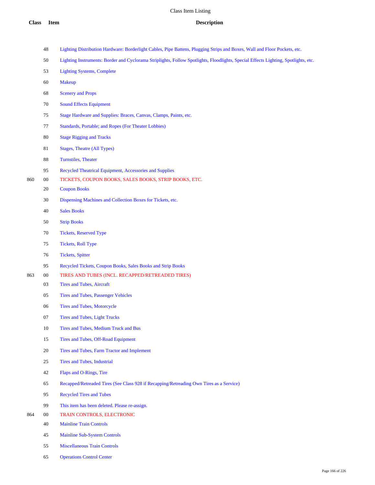|  | 48 Lighting Distribution Hardware: Borderlight Cables, Pipe Battens, Plugging Strips and Boxes, Wall and Floor Pockets, etc. |  |  |  |  |
|--|------------------------------------------------------------------------------------------------------------------------------|--|--|--|--|
|--|------------------------------------------------------------------------------------------------------------------------------|--|--|--|--|

- Lighting Instruments: Border and Cyclorama Striplights, Follow Spotlights, Floodlights, Special Effects Lighting, Spotlights, etc.
- Lighting Systems, Complete
- Makeup
- Scenery and Props
- Sound Effects Equipment
- Stage Hardware and Supplies: Braces, Canvas, Clamps, Paints, etc.
- Standards, Portable; and Ropes (For Theater Lobbies)
- Stage Rigging and Tracks
- Stages, Theatre (All Types)
- Turnstiles, Theater
- Recycled Theatrical Equipment, Accessories and Supplies
- 00 TICKETS, COUPON BOOKS, SALES BOOKS, STRIP BOOKS, ETC.
	- Coupon Books
	- Dispensing Machines and Collection Boxes for Tickets, etc.
	- Sales Books
	- Strip Books
	- Tickets, Reserved Type
	- Tickets, Roll Type
	- Tickets, Spitter
	- Recycled Tickets, Coupon Books, Sales Books and Strip Books
- 00 TIRES AND TUBES (INCL. RECAPPED/RETREADED TIRES)
	- Tires and Tubes, Aircraft
	- Tires and Tubes, Passenger Vehicles
	- Tires and Tubes, Motorcycle
	- Tires and Tubes, Light Trucks
	- Tires and Tubes, Medium Truck and Bus
	- Tires and Tubes, Off-Road Equipment
	- Tires and Tubes, Farm Tractor and Implement
	- Tires and Tubes, Industrial
	- Flaps and O-Rings, Tire
	- Recapped/Retreaded Tires (See Class 928 if Recapping/Retreading Own Tires as a Service)
	- Recycled Tires and Tubes
	- This item has been deleted. Please re-assign.
- 00 TRAIN CONTROLS, ELECTRONIC
	- Mainline Train Controls
	- Mainline Sub-System Controls
	- Miscellaneous Train Controls
	- Operations Control Center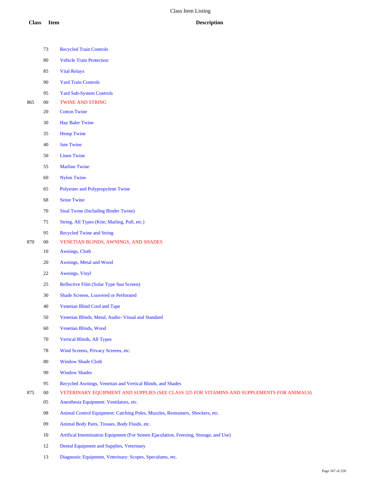- Recycled Train Controls
- Vehicle Train Protection
- Vital Relays
- Yard Train Controls
- Yard Sub-System Controls
- 00 TWINE AND STRING
	- Cotton Twine
	- Hay Baler Twine
	- Hemp Twine
	- Jute Twine
	- Linen Twine
	- Marline Twine
	- Nylon Twine
	- Polyester and Polypropylene Twine
	- Seine Twine
	- Sisal Twine (Including Binder Twine)
	- String, All Types (Kite, Mailing, Pull, etc.)
	- Recycled Twine and String
- 00 VENETIAN BLINDS, AWNINGS, AND SHADES
	- Awnings, Cloth
	- Awnings, Metal and Wood
	- Awnings, Vinyl
	- Reflective Film (Solar Type Sun Screen)
	- Shade Screens, Louvered or Perforated
	- Venetian Blind Cord and Tape
	- Venetian Blinds, Metal, Audio- Visual and Standard
	- Venetian Blinds, Wood
	- Vertical Blinds, All Types
	- Wind Screens, Privacy Screens, etc.
	- Window Shade Cloth
	- Window Shades
	- Recycled Awnings, Venetian and Vertical Blinds, and Shades
- 00 VETERINARY EQUIPMENT AND SUPPLIES (SEE CLASS 325 FOR VITAMINS AND SUPPLEMENTS FOR ANIMALS)
	- Anesthesia Equipment: Ventilators, etc.
	- Animal Control Equipment: Catching Poles, Muzzles, Restrainers, Shockers, etc.
	- Animal Body Parts, Tissues, Body Fluids, etc.
	- Artifical Insemination Equipment (For Semen Ejaculation, Freezing, Storage, and Use)
	- 12 Dental Equipment and Supplies, Veterinary
	- Diagnostic Equipment, Veterinary: Scopes, Speculums, etc.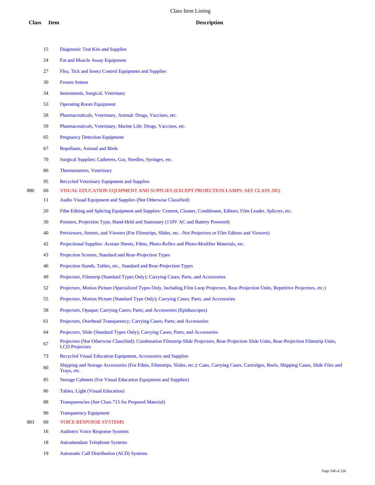|     | 15     | <b>Diagnostic Test Kits and Supplies</b>                                                                                                                              |
|-----|--------|-----------------------------------------------------------------------------------------------------------------------------------------------------------------------|
|     | 24     | <b>Fat and Muscle Assay Equipment</b>                                                                                                                                 |
|     | 27     | Flea, Tick and Insect Control Equipment and Supplies                                                                                                                  |
|     | 30     | <b>Frozen Semen</b>                                                                                                                                                   |
|     | 34     | Instruments, Surgical, Veterinary                                                                                                                                     |
|     | 53     | <b>Operating Room Equipment</b>                                                                                                                                       |
|     | 58     | Pharmaceuticals, Veterinary, Animal: Drugs, Vaccines, etc.                                                                                                            |
|     | 59     | Pharmaceuticals, Veterinary, Marine Life: Drugs, Vaccines, etc.                                                                                                       |
|     | 65     | <b>Pregnancy Detection Equipment</b>                                                                                                                                  |
|     | 67     | <b>Repellants, Animal and Birds</b>                                                                                                                                   |
|     | 70     | Surgical Supplies: Catheters, Gut, Needles, Syringes, etc.                                                                                                            |
|     | 80     | Thermometers, Veterinary                                                                                                                                              |
|     | 95     | Recycled Veterinary Equipment and Supplies                                                                                                                            |
| 880 | $00\,$ | VISUAL EDUCATION EQUIPMENT AND SUPPLIES (EXCEPT PROJECTION LAMPS -SEE CLASS 285)                                                                                      |
|     | 11     | Audio Visual Equipment and Supplies (Not Otherwise Classified)                                                                                                        |
|     | 20     | Film Editing and Splicing Equipment and Supplies: Cement, Cleaner, Conditioner, Editors, Film Leader, Splicers, etc.                                                  |
|     | 30     | Pointers, Projection Type, Hand-Held and Stationary (110V AC and Battery Powered)                                                                                     |
|     | 40     | Previewers, Sorters, and Viewers (For Filmstrips, Slides, etc. - Not Projectors or Film Editors and Viewers)                                                          |
|     | 42     | Projectional Supplies: Acetate Sheets, Films, Photo-Reflex and Photo-Modifier Materials, etc.                                                                         |
|     | 43     | Projection Screens, Standard and Rear-Projection Types                                                                                                                |
|     | 46     | Projection Stands, Tables, etc., Standard and Rear-Projection Types                                                                                                   |
|     | 49     | Projectors, Filmstrip (Standard Types Only); Carrying Cases; Parts, and Accessories                                                                                   |
|     | 52     | Projectors, Motion Picture (Specialized Types Only, Including Film Loop Projectors, Rear-Projection Units, Repetitive Projectors, etc.)                               |
|     | 55     | Projectors, Motion Picture (Standard Type Only); Carrying Cases; Parts, and Accessories                                                                               |
|     | 58     | Projectors, Opaque; Carrying Cases; Parts; and Accessories (Epidiascopes)                                                                                             |
|     | 61     | Projectors, Overhead Transparency; Carrying Cases; Parts; and Accessories                                                                                             |
|     | 64     | Projectors, Slide (Standard Types Only); Carrying Cases; Parts; and Accessories                                                                                       |
|     | 67     | Projectors (Not Otherwise Classified): Combination Filmstrip-Slide Projectors, Rear-Projection Slide Units, Rear-Projection Filmstrip Units,<br><b>LCD</b> Projectors |
|     | 73     | Recycled Visual Education Equipment, Accessories and Supplies                                                                                                         |
|     | 80     | Shipping and Storage Accessories (For Films, Filmstrips, Slides, etc.): Cans, Carrying Cases, Cartridges, Reels, Shipping Cases, Slide Files and<br>Trays, etc.       |
|     | 85     | <b>Storage Cabinets (For Visual Education Equipment and Supplies)</b>                                                                                                 |
|     | 86     | Tables, Light (Visual Education)                                                                                                                                      |
|     | 88     | Transparencies (See Class 715 for Prepared Material)                                                                                                                  |
|     | 90     | <b>Transparency Equipment</b>                                                                                                                                         |
| 883 | $00\,$ | <b>VOICE RESPONSE SYSTEMS</b>                                                                                                                                         |
|     | 16     | <b>Audiotex Voice Response Systems</b>                                                                                                                                |

Autoattendant Telephone Systems

Automatic Call Distribution (ACD) Systems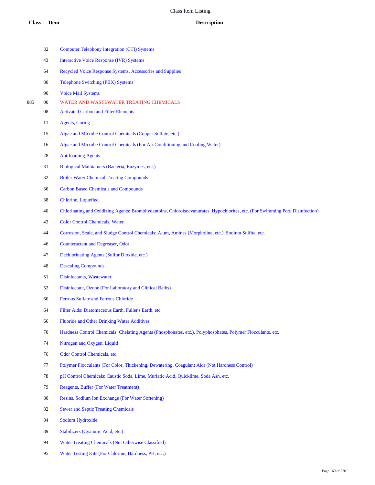|     | 32 | <b>Computer Telephony Integration (CTI) Systems</b>                                                                           |
|-----|----|-------------------------------------------------------------------------------------------------------------------------------|
|     | 43 | <b>Interactive Voice Response (IVR) Systems</b>                                                                               |
|     | 64 | Recycled Voice Response Systems, Accessories and Supplies                                                                     |
|     | 80 | Telephone Switching (PBX) Systems                                                                                             |
|     | 90 | <b>Voice Mail Systems</b>                                                                                                     |
| 885 | 00 | WATER AND WASTEWATER TREATING CHEMICALS                                                                                       |
|     | 08 | <b>Activated Carbon and Filter Elements</b>                                                                                   |
|     | 11 | <b>Agents</b> , Curing                                                                                                        |
|     | 15 | Algae and Microbe Control Chemicals (Copper Sulfate, etc.)                                                                    |
|     | 16 | Algae and Microbe Control Chemicals (For Air Conditioning and Cooling Water)                                                  |
|     | 28 | <b>Antifoaming Agents</b>                                                                                                     |
|     | 31 | Biological Maintainers (Bacteria, Enzymes, etc.)                                                                              |
|     | 32 | <b>Boiler Water Chemical Treating Compounds</b>                                                                               |
|     | 36 | <b>Carbon Based Chemicals and Compounds</b>                                                                                   |
|     | 38 | Chlorine, Liquefied                                                                                                           |
|     | 40 | Chlorinating and Oxidizing Agents: Bromohydantoins, Chloroisocyanurates, Hypochlorites, etc. (For Swimming Pool Disinfection) |
|     | 43 | <b>Color Control Chemicals, Water</b>                                                                                         |
|     | 44 | Corrosion, Scale, and Sludge Control Chemicals: Alum, Amines (Morpholine, etc.), Sodium Sulfite, etc.                         |
|     | 46 | Counteractant and Degreaser, Odor                                                                                             |
|     | 47 | Dechlorinating Agents (Sulfur Dioxide, etc.)                                                                                  |
|     | 48 | <b>Descaling Compounds</b>                                                                                                    |
|     | 51 | Disinfectants, Wastewater                                                                                                     |
|     | 52 | Disinfectant, Ozone (For Laboratory and Clinical Baths)                                                                       |
|     | 60 | Ferrous Sulfate and Ferrous Chloride                                                                                          |
|     | 64 | Filter Aids: Diatomaceous Earth, Fuller's Earth, etc.                                                                         |
|     | 66 | <b>Fluoride and Other Drinking Water Additives</b>                                                                            |
|     | 70 | Hardness Control Chemicals: Chelating Agents (Phosphonates, etc.), Polyphosphates, Polymer Flocculants, etc.                  |
|     | 74 | Nitrogen and Oxygen, Liquid                                                                                                   |
|     | 76 | Odor Control Chemicals, etc.                                                                                                  |
|     | 77 | Polymer Flocculants (For Color, Thickening, Dewatering, Coagulant Aid) (Not Hardness Control)                                 |
|     | 78 | pH Control Chemicals: Caustic Soda, Lime, Muriatic Acid, Quicklime, Soda Ash, etc.                                            |
|     | 79 | <b>Reagents, Buffer (For Water Treatment)</b>                                                                                 |
|     | 80 | Resins, Sodium Ion Exchange (For Water Softening)                                                                             |
|     | 82 | <b>Sewer and Septic Treating Chemicals</b>                                                                                    |
|     | 84 | Sodium Hydroxide                                                                                                              |
|     | 89 | Stabilizers (Cyanuric Acid, etc.)                                                                                             |
|     | 94 | Water Treating Chemicals (Not Otherwise Classified)                                                                           |

Water Testing Kits (For Chlorine, Hardness, PH, etc.)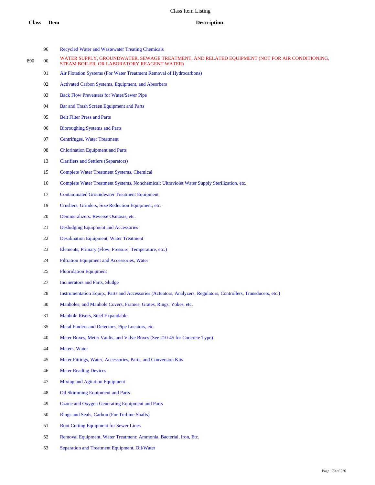- Recycled Water and Wastewater Treating Chemicals
- 890 00 WATER SUPPLY, GROUNDWATER, SEWAGE TREATMENT, AND RELATED EQUIPMENT (NOT FOR AIR CONDITIONING, STEAM BOILER, OR LABORATORY REAGENT WATER)
	- Air Flotation Systems (For Water Treatment Removal of Hydrocarbons)
	- Activated Carbon Systems, Equipment, and Absorbers
	- Back Flow Preventers for Water/Sewer Pipe
	- Bar and Trash Screen Equipment and Parts
	- Belt Filter Press and Parts
	- Bioroughing Systems and Parts
	- Centrifuges, Water Treatment
	- Chlorination Equipment and Parts
	- Clarifiers and Settlers (Separators)
	- Complete Water Treatment Systems, Chemical
	- Complete Water Treatment Systems, Nonchemical: Ultraviolet Water Supply Sterilization, etc.
	- Contaminated Groundwater Treatment Equipment
	- Crushers, Grinders, Size Reduction Equipment, etc.
	- Demineralizers: Reverse Osmosis, etc.
	- Desludging Equipment and Accessories
	- Desalination Equipment, Water Treatment
	- Elements, Primary (Flow, Pressure, Temperature, etc.)
	- Filtration Equipment and Accessories, Water
	- Fluoridation Equipment
	- Incinerators and Parts, Sludge
	- Instrumentation Equip., Parts and Accessories (Actuators, Analyzers, Regulators, Controllers, Transducers, etc.)
	- Manholes, and Manhole Covers, Frames, Grates, Rings, Yokes, etc.
	- Manhole Risers, Steel Expandable
	- Metal Finders and Detectors, Pipe Locators, etc.
	- Meter Boxes, Meter Vaults, and Valve Boxes (See 210-45 for Concrete Type)
	- Meters, Water
	- Meter Fittings, Water, Accessories, Parts, and Conversion Kits
	- Meter Reading Devices
	- Mixing and Agitation Equipment
	- Oil Skimming Equipment and Parts
	- Ozone and Oxygen Generating Equipment and Parts
	- Rings and Seals, Carbon (For Turbine Shafts)
	- Root Cutting Equipment for Sewer Lines
	- Removal Equipment, Water Treatment: Ammonia, Bacterial, Iron, Etc.
	- Separation and Treatment Equipment, Oil/Water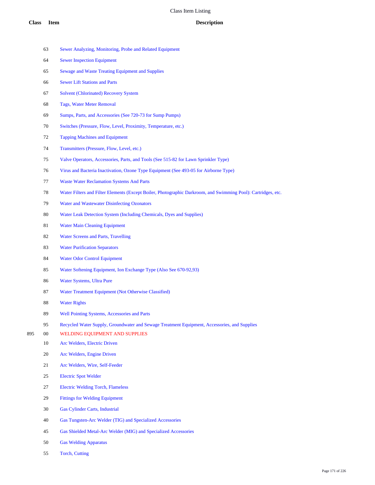- Sewer Analyzing, Monitoring, Probe and Related Equipment
- Sewer Inspection Equipment
- Sewage and Waste Treating Equipment and Supplies
- Sewer Lift Stations and Parts
- Solvent (Chlorinated) Recovery System
- Tags, Water Meter Removal
- Sumps, Parts, and Accessories (See 720-73 for Sump Pumps)
- Switches (Pressure, Flow, Level, Proximity, Temperature, etc.)
- Tapping Machines and Equipment
- Transmitters (Pressure, Flow, Level, etc.)
- Valve Operators, Accessories, Parts, and Tools (See 515-82 for Lawn Sprinkler Type)
- Virus and Bacteria Inactivation, Ozone Type Equipment (See 493-05 for Airborne Type)
- Waste Water Reclamation Systems And Parts
- Water Filters and Filter Elements (Except Boiler, Photographic Darkroom, and Swimming Pool): Cartridges, etc.
- Water and Wastewater Disinfecting Ozonators
- Water Leak Detection System (Including Chemicals, Dyes and Supplies)
- Water Main Cleaning Equipment
- Water Screens and Parts, Travelling
- Water Purification Separators
- Water Odor Control Equipment
- Water Softening Equipment, Ion Exchange Type (Also See 670-92,93)
- Water Systems, Ultra Pure
- Water Treatment Equipment (Not Otherwise Classified)
- Water Rights
- Well Pointing Systems, Accessories and Parts
- Recycled Water Supply, Groundwater and Sewage Treatment Equipment, Accessories, and Supplies
- 00 WELDING EQUIPMENT AND SUPPLIES
	- Arc Welders, Electric Driven
	- Arc Welders, Engine Driven
	- Arc Welders, Wire, Self-Feeder
	- Electric Spot Welder
	- Electric Welding Torch, Flameless
	- Fittings for Welding Equipment
	- Gas Cylinder Carts, Industrial
	- Gas Tungsten-Arc Welder (TIG) and Specialized Accessories
	- Gas Shielded Metal-Arc Welder (MIG) and Specialized Accessories
	- Gas Welding Apparatus
	- Torch, Cutting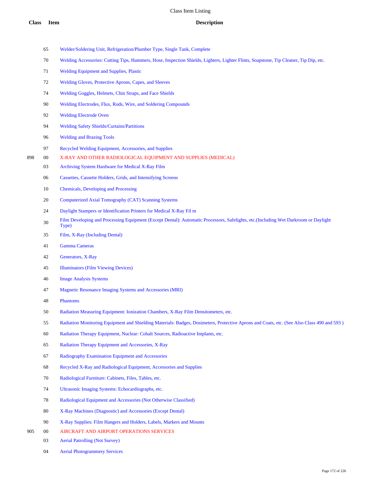- Welder/Soldering Unit, Refrigeration/Plumber Type, Single Tank, Complete
- 70 Welding Accessories: Cutting Tips, Hammers, Hose, Inspection Shields, Lighters, Lighter Flints, Soapstone, Tip Cleaner, Tip Dip, etc.
- Welding Equipment and Supplies, Plastic
- Welding Gloves, Protective Aprons, Capes, and Sleeves
- Welding Goggles, Helmets, Chin Straps, and Face Shields
- Welding Electrodes, Flux, Rods, Wire, and Soldering Compounds
- Welding Electrode Oven
- Welding Safety Shields/Curtains/Partitions
- Welding and Brazing Tools
- Recycled Welding Equipment, Accessories, and Supplies
- 00 X-RAY AND OTHER RADIOLOGICAL EQUIPMENT AND SUPPLIES (MEDICAL)
	- Archiving System Hardware for Medical X-Ray Film
	- Cassettes, Cassette Holders, Grids, and Intensifying Screens
	- Chemicals, Developing and Processing
	- Computerized Axial Tomography (CAT) Scanning Systems
	- Daylight Stampers or Identification Printers for Medical X-Ray Fil m
	- 30 Film Developing and Processing Equipment (Except Dental): Automatic Processors, Safelights, etc.(Including Wet Darkroom or Daylight Type)
	- Film, X-Ray (Including Dental)
	- Gamma Cameras
	- Generators, X-Ray
	- Illuminators (Film Viewing Devices)
	- Image Analysis Systems
	- Magnetic Resonance Imaging Systems and Accessories (MRI)
	- Phantoms
	- Radiation Measuring Equipment: Ionization Chambers, X-Ray Film Densitometers, etc.
	- Radiation Monitoring Equipment and Shielding Materials: Badges, Dosimeters, Protective Aprons and Coats, etc. (See Also Class 490 and 593 )
	- Radiation Therapy Equipment, Nuclear: Cobalt Sources, Radioactive Implants, etc.
	- Radiation Therapy Equipment and Accessories, X-Ray
	- Radiography Examination Equipment and Accessories
	- Recycled X-Ray and Radiological Equipment, Accessories and Supplies
	- Radiological Furniture: Cabinets, Files, Tables, etc.
	- Ultrasonic Imaging Systems: Echocardiographs, etc.
	- Radiological Equipment and Accessories (Not Otherwise Classified)
	- X-Ray Machines (Diagnostic) and Accessories (Except Dental)
	- X-Ray Supplies: Film Hangers and Holders, Labels, Markers and Mounts
- 00 AIRCRAFT AND AIRPORT OPERATIONS SERVICES
	- Aerial Patrolling (Not Survey)
	- Aerial Photogrammery Services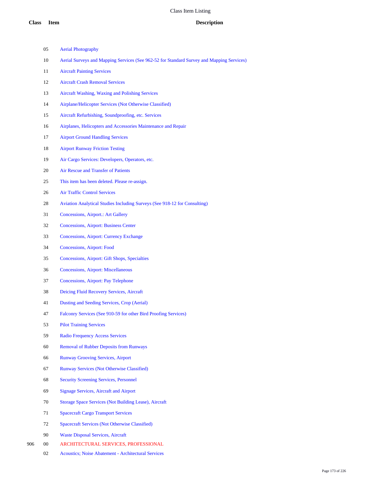- Aerial Photography
- Aerial Surveys and Mapping Services (See 962-52 for Standard Survey and Mapping Services)
- Aircraft Painting Services
- Aircraft Crash Removal Services
- Aircraft Washing, Waxing and Polishing Services
- Airplane/Helicopter Services (Not Otherwise Classified)
- Aircraft Refurbishing, Soundproofing, etc. Services
- Airplanes, Helicopters and Accessories Maintenance and Repair
- Airport Ground Handling Services
- Airport Runway Friction Testing
- Air Cargo Services: Developers, Operators, etc.
- Air Rescue and Transfer of Patients
- This item has been deleted. Please re-assign.
- Air Traffic Control Services
- Aviation Analytical Studies Including Surveys (See 918-12 for Consulting)
- Concessions, Airport.: Art Gallery
- Concessions, Airport: Business Center
- Concessions, Airport: Currency Exchange
- Concessions, Airport: Food
- Concessions, Airport: Gift Shops, Specialties
- Concessions, Airport: Miscellaneous
- Concessions, Airport: Pay Telephone
- Deicing Fluid Recovery Services, Aircraft
- Dusting and Seeding Services, Crop (Aerial)
- Falconry Services (See 910-59 for other Bird Proofing Services)
- Pilot Training Services
- Radio Frequency Access Services
- Removal of Rubber Deposits from Runways
- Runway Grooving Services, Airport
- Runway Services (Not Otherwise Classified)
- Security Screening Services, Personnel
- Signage Services, Aircraft and Airport
- Storage Space Services (Not Building Lease), Aircraft
- Spacecraft Cargo Transport Services
- Spacecraft Services (Not Otherwise Classified)
- Waste Disposal Services, Aircraft
- 00 ARCHITECTURAL SERVICES, PROFESSIONAL
	- Acoustics; Noise Abatement Architectural Services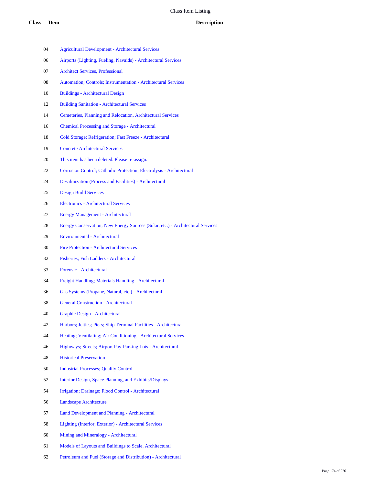- Agricultural Development Architectural Services
- Airports (Lighting, Fueling, Navaids) Architectural Services
- Architect Services, Professional
- Automation; Controls; Instrumentation Architectural Services
- Buildings Architectural Design
- Building Sanitation Architectural Services
- Cemeteries, Planning and Relocation, Architectural Services
- Chemical Processing and Storage Architectural
- Cold Storage; Refrigeration; Fast Freeze Architectural
- Concrete Architectural Services
- This item has been deleted. Please re-assign.
- Corrosion Control; Cathodic Protection; Electrolysis Architectural
- Desalinization (Process and Facilities) Architectural
- Design Build Services
- Electronics Architectural Services
- Energy Management Architectural
- Energy Conservation; New Energy Sources (Solar, etc.) Architectural Services
- Environmental Architectural
- Fire Protection Architectural Services
- Fisheries; Fish Ladders Architectural
- Forensic Architectural
- Freight Handling; Materials Handling Architectural
- Gas Systems (Propane, Natural, etc.) Architectural
- General Construction Architectural
- Graphic Design Architectural
- Harbors; Jetties; Piers; Ship Terminal Facilities Architectural
- Heating; Ventilating; Air Conditioning Architectural Services
- Highways; Streets; Airport Pay-Parking Lots Architectural
- Historical Preservation
- Industrial Processes; Quality Control
- Interior Design, Space Planning, and Exhibits/Displays
- Irrigation; Drainage; Flood Control Architectural
- Landscape Architecture
- Land Development and Planning Architectural
- Lighting (Interior, Exterior) Architectural Services
- Mining and Mineralogy Architectural
- Models of Layouts and Buildings to Scale, Architectural
- Petroleum and Fuel (Storage and Distribution) Architectural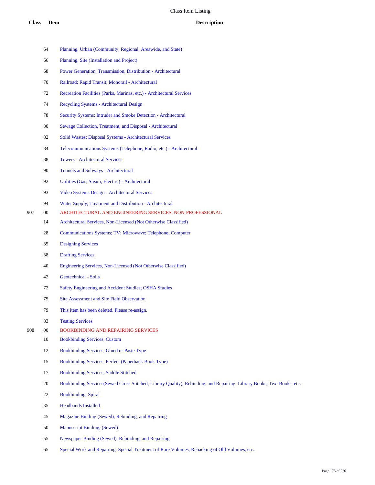|     | 64     | Planning, Urban (Community, Regional, Areawide, and State)                                                              |
|-----|--------|-------------------------------------------------------------------------------------------------------------------------|
|     | 66     | Planning, Site (Installation and Project)                                                                               |
|     | 68     | Power Generation, Transmission, Distribution - Architectural                                                            |
|     | 70     | Railroad; Rapid Transit; Monorail - Architectural                                                                       |
|     | 72     | Recreation Facilities (Parks, Marinas, etc.) - Architectural Services                                                   |
|     | 74     | Recycling Systems - Architectural Design                                                                                |
|     | 78     | Security Systems; Intruder and Smoke Detection - Architectural                                                          |
|     | 80     | Sewage Collection, Treatment, and Disposal - Architectural                                                              |
|     | 82     | Solid Wastes; Disposal Systems - Architectural Services                                                                 |
|     | 84     | Telecommunications Systems (Telephone, Radio, etc.) - Architectural                                                     |
|     | 88     | <b>Towers - Architectural Services</b>                                                                                  |
|     | 90     | Tunnels and Subways - Architectural                                                                                     |
|     | 92     | Utilities (Gas, Steam, Electric) - Architectural                                                                        |
|     | 93     | Video Systems Design - Architectural Services                                                                           |
|     | 94     | Water Supply, Treatment and Distribution - Architectural                                                                |
| 907 | $00\,$ | ARCHITECTURAL AND ENGINEERING SERVICES, NON-PROFESSIONAL                                                                |
|     | 14     | Architectural Services, Non-Licensed (Not Otherwise Classified)                                                         |
|     | 28     | Communications Systems; TV; Microwave; Telephone; Computer                                                              |
|     | 35     | <b>Designing Services</b>                                                                                               |
|     | 38     | <b>Drafting Services</b>                                                                                                |
|     | 40     | Engineering Services, Non-Licensed (Not Otherwise Classified)                                                           |
|     | 42     | Geotechnical - Soils                                                                                                    |
|     | 72     | Safety Engineering and Accident Studies; OSHA Studies                                                                   |
|     | 75     | <b>Site Assessment and Site Field Observation</b>                                                                       |
|     | 79     | This item has been deleted. Please re-assign.                                                                           |
|     | 83     | <b>Testing Services</b>                                                                                                 |
| 908 | 00     | <b>BOOKBINDING AND REPAIRING SERVICES</b>                                                                               |
|     | $10\,$ | <b>Bookbinding Services, Custom</b>                                                                                     |
|     | 12     | Bookbinding Services, Glued or Paste Type                                                                               |
|     | 15     | Bookbinding Services, Perfect (Paperback Book Type)                                                                     |
|     | 17     | <b>Bookbinding Services, Saddle Stitched</b>                                                                            |
|     | 20     | Bookbinding Services (Sewed Cross Stitched, Library Quality), Rebinding, and Repairing: Library Books, Text Books, etc. |
|     | 22     | <b>Bookbinding</b> , Spiral                                                                                             |
|     | 35     | <b>Headbands Installed</b>                                                                                              |
|     | 45     | Magazine Binding (Sewed), Rebinding, and Repairing                                                                      |
|     | 50     | <b>Manuscript Binding, (Sewed)</b>                                                                                      |
|     | 55     | Newspaper Binding (Sewed), Rebinding, and Repairing                                                                     |
|     |        |                                                                                                                         |

Special Work and Repairing: Special Treatment of Rare Volumes, Rebacking of Old Volumes, etc.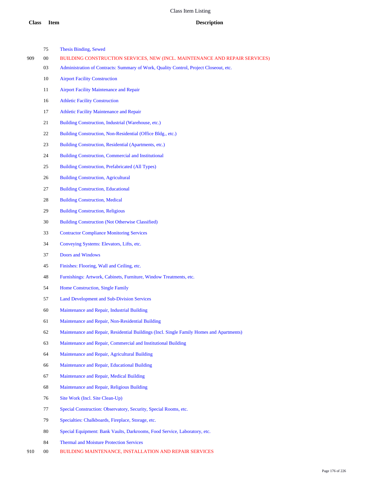|     | 75 | <b>Thesis Binding, Sewed</b>                                                             |
|-----|----|------------------------------------------------------------------------------------------|
| 909 | 00 | BUILDING CONSTRUCTION SERVICES, NEW (INCL. MAINTENANCE AND REPAIR SERVICES)              |
|     | 03 | Administration of Contracts: Summary of Work, Quality Control, Project Closeout, etc.    |
|     | 10 | <b>Airport Facility Construction</b>                                                     |
|     | 11 | <b>Airport Facility Maintenance and Repair</b>                                           |
|     | 16 | <b>Athletic Facility Construction</b>                                                    |
|     | 17 | <b>Athletic Facility Maintenance and Repair</b>                                          |
|     | 21 | Building Construction, Industrial (Warehouse, etc.)                                      |
|     | 22 | Building Construction, Non-Residential (Office Bldg., etc.)                              |
|     | 23 | Building Construction, Residential (Apartments, etc.)                                    |
|     | 24 | <b>Building Construction, Commercial and Institutional</b>                               |
|     | 25 | Building Construction, Prefabricated (All Types)                                         |
|     | 26 | <b>Building Construction, Agricultural</b>                                               |
|     | 27 | <b>Building Construction, Educational</b>                                                |
|     | 28 | <b>Building Construction, Medical</b>                                                    |
|     | 29 | <b>Building Construction, Religious</b>                                                  |
|     | 30 | <b>Building Construction (Not Otherwise Classified)</b>                                  |
|     | 33 | <b>Contractor Compliance Monitoring Services</b>                                         |
|     | 34 | Conveying Systems: Elevators, Lifts, etc.                                                |
|     | 37 | Doors and Windows                                                                        |
|     | 45 | Finishes: Flooring, Wall and Ceiling, etc.                                               |
|     | 48 | Furnishings: Artwork, Cabinets, Furniture, Window Treatments, etc.                       |
|     | 54 | Home Construction, Single Family                                                         |
|     | 57 | <b>Land Development and Sub-Division Services</b>                                        |
|     | 60 | Maintenance and Repair, Industrial Building                                              |
|     | 61 | Maintenance and Repair, Non-Residential Building                                         |
|     | 62 | Maintenance and Repair, Residential Buildings (Incl. Single Family Homes and Apartments) |
|     | 63 | Maintenance and Repair, Commercial and Institutional Building                            |
|     | 64 | Maintenance and Repair, Agricultural Building                                            |
|     | 66 | Maintenance and Repair, Educational Building                                             |
|     | 67 | Maintenance and Repair, Medical Building                                                 |
|     | 68 | Maintenance and Repair, Religious Building                                               |
|     | 76 | Site Work (Incl. Site Clean-Up)                                                          |
|     | 77 | Special Construction: Observatory, Security, Special Rooms, etc.                         |
|     | 79 | Specialties: Chalkboards, Fireplace, Storage, etc.                                       |
|     |    |                                                                                          |

- Special Equipment: Bank Vaults, Darkrooms, Food Service, Laboratory, etc.
- Thermal and Moisture Protection Services
- 00 BUILDING MAINTENANCE, INSTALLATION AND REPAIR SERVICES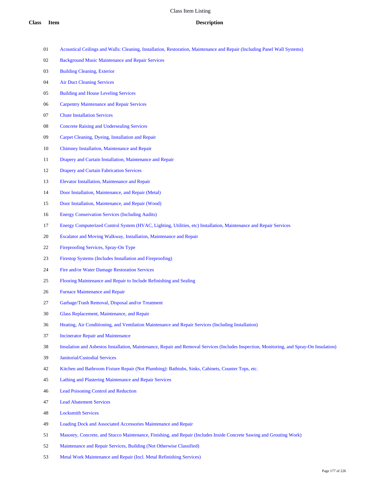- Acoustical Ceilings and Walls: Cleaning, Installation, Restoration, Maintenance and Repair (Including Panel Wall Systems)
- Background Music Maintenance and Repair Services
- Building Cleaning, Exterior
- Air Duct Cleaning Services
- Building and House Leveling Services
- Carpentry Maintenance and Repair Services
- Chute Installation Services
- Concrete Raising and Undersealing Services
- Carpet Cleaning, Dyeing, Installation and Repair
- Chimney Installation, Maintenance and Repair
- Drapery and Curtain Installation, Maintenance and Repair
- Drapery and Curtain Fabrication Services
- Elevator Installation, Maintenance and Repair
- Door Installation, Maintenance, and Repair (Metal)
- Door Installation, Maintenance, and Repair (Wood)
- Energy Conservation Services (Including Audits)
- Energy Computerized Control System (HVAC, Lighting, Utilities, etc) Installation, Maintenance and Repair Services
- Escalator and Moving Walkway, Installation, Maintenance and Repair
- Fireproofing Services, Spray-On Type
- Firestop Systems (Includes Installation and Fireproofing)
- Fire and/or Water Damage Restoration Services
- Flooring Maintenance and Repair to Include Refinishing and Sealing
- Furnace Maintenance and Repair
- Garbage/Trash Removal, Disposal and/or Treatment
- Glass Replacement, Maintenance, and Repair
- Heating, Air Conditioning, and Ventilation Maintenance and Repair Services (Including Installation)
- Incinerator Repair and Maintenance
- Insulation and Asbestos Installation, Maintenance, Repair and Removal Services (Includes Inspection, Monitoring, and Spray-On Insulation)
- Janitorial/Custodial Services
- Kitchen and Bathroom Fixture Repair (Not Plumbing): Bathtubs, Sinks, Cabinets, Counter Tops, etc.
- Lathing and Plastering Maintenance and Repair Services
- Lead Poisoning Control and Reduction
- Lead Abatement Services
- Locksmith Services
- Loading Dock and Associated Accessories Maintenance and Repair
- Masonry, Concrete, and Stucco Maintenance, Finishing, and Repair (Includes Inside Concrete Sawing and Grouting Work)
- Maintenance and Repair Services, Building (Not Otherwise Classified)
- Metal Work Maintenance and Repair (Incl. Metal Refinishing Services)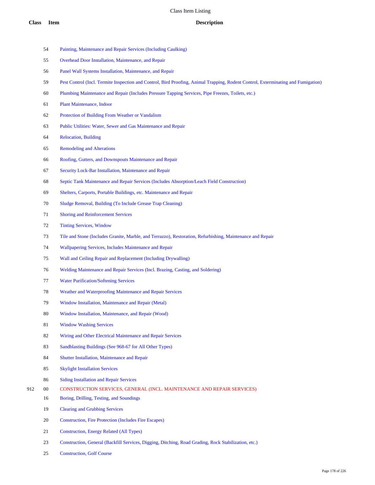- Painting, Maintenance and Repair Services (Including Caulking)
- Overhead Door Installation, Maintenance, and Repair
- Panel Wall Systems Installation, Maintenance, and Repair
- Pest Control (Incl. Termite Inspection and Control, Bird Proofing, Animal Trapping, Rodent Control, Exterminating and Fumigation)
- Plumbing Maintenance and Repair (Includes Pressure Tapping Services, Pipe Freezes, Toilets, etc.)
- Plant Maintenance, Indoor
- Protection of Building From Weather or Vandalism
- Public Utilities: Water, Sewer and Gas Maintenance and Repair
- Relocation, Building
- Remodeling and Alterations
- Roofing, Gutters, and Downspouts Maintenance and Repair
- Security Lock-Bar Installation, Maintenance and Repair
- Septic Tank Maintenance and Repair Services (Includes Absorption/Leach Field Construction)
- Shelters, Carports, Portable Buildings, etc. Maintenance and Repair
- Sludge Removal, Building (To Include Grease Trap Cleaning)
- Shoring and Reinforcement Services
- Tinting Services, Window
- Tile and Stone (Includes Granite, Marble, and Terrazzo), Restoration, Refurbishing, Maintenance and Repair
- Wallpapering Services, Includes Maintenance and Repair
- Wall and Ceiling Repair and Replacement (Including Drywalling)
- Welding Maintenance and Repair Services (Incl. Brazing, Casting, and Soldering)
- Water Purification/Softening Services
- Weather and Waterproofing Maintenance and Repair Services
- Window Installation, Maintenance and Repair (Metal)
- Window Installation, Maintenance, and Repair (Wood)
- Window Washing Services
- Wiring and Other Electrical Maintenance and Repair Services
- Sandblasting Buildings (See 968-67 for All Other Types)
- Shutter Installation, Maintenance and Repair
- Skylight Installation Services
- Siding Installation and Repair Services
- 00 CONSTRUCTION SERVICES, GENERAL (INCL. MAINTENANCE AND REPAIR SERVICES)
	- Boring, Drilling, Testing, and Soundings
	- Clearing and Grubbing Services
	- Construction, Fire Protection (Includes Fire Escapes)
	- Construction, Energy Related (All Types)
	- Construction, General (Backfill Services, Digging, Ditching, Road Grading, Rock Stabilization, etc.)
	- Construction, Golf Course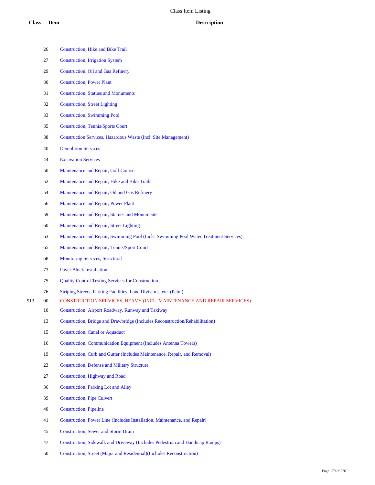|     | 26 | <b>Construction, Hike and Bike Trail</b>                                              |
|-----|----|---------------------------------------------------------------------------------------|
|     | 27 | <b>Construction, Irrigation System</b>                                                |
|     | 29 | <b>Construction, Oil and Gas Refinery</b>                                             |
|     | 30 | <b>Construction, Power Plant</b>                                                      |
|     | 31 | <b>Construction, Statues and Monuments</b>                                            |
|     | 32 | <b>Construction, Street Lighting</b>                                                  |
|     | 33 | <b>Construction, Swimming Pool</b>                                                    |
|     | 35 | <b>Construction, Tennis/Sports Court</b>                                              |
|     | 38 | <b>Construction Services, Hazardous Waste (Incl. Site Management)</b>                 |
|     | 40 | <b>Demolition Services</b>                                                            |
|     | 44 | <b>Excavation Services</b>                                                            |
|     | 50 | Maintenance and Repair, Golf Course                                                   |
|     | 52 | Maintenance and Repair, Hike and Bike Trails                                          |
|     | 54 | Maintenance and Repair, Oil and Gas Refinery                                          |
|     | 56 | Maintenance and Repair, Power Plant                                                   |
|     | 59 | Maintenance and Repair, Statues and Monuments                                         |
|     | 60 | Maintenance and Repair, Street Lighting                                               |
|     | 63 | Maintenance and Repair, Swimming Pool (Incls. Swimming Pool Water Treatment Services) |
|     | 65 | Maintenance and Repair, Tennis/Sport Court                                            |
|     | 68 | <b>Monitoring Services, Structural</b>                                                |
|     | 73 | <b>Paver Block Installation</b>                                                       |
|     | 75 | <b>Quality Control Testing Services for Construction</b>                              |
|     | 76 | Striping Streets, Parking Facilities, Lane Divisions, etc. (Paint)                    |
| 913 | 00 | CONSTRUCTION SERVICES, HEAVY (INCL. MAINTENANCE AND REPAIR SERVICES)                  |
|     | 10 | <b>Construction: Airport Roadway, Runway and Taxiway</b>                              |
|     | 13 | Construction, Bridge and Drawbridge (Includes Reconstruction/Rehabilitation)          |
|     | 15 | <b>Construction, Canal or Aquaduct</b>                                                |
|     | 16 | <b>Construction, Communication Equipment (Includes Antenna Towers)</b>                |
|     | 19 | Construction, Curb and Gutter (Includes Maintenance, Repair, and Removal)             |
|     | 23 | <b>Construction, Defense and Military Structure</b>                                   |
|     | 27 | <b>Construction, Highway and Road</b>                                                 |
|     | 36 | <b>Construction, Parking Lot and Alley</b>                                            |
|     | 39 | <b>Construction, Pipe Culvert</b>                                                     |
|     | 40 | <b>Construction</b> , Pipeline                                                        |
|     | 41 | Construction, Power Line (Includes Installation, Maintenance, and Repair)             |
|     | 45 | <b>Construction, Sewer and Storm Drain</b>                                            |
|     | 47 | Construction, Sidewalk and Driveway (Includes Pedestrian and Handicap Ramps)          |
|     | 50 | Construction, Street (Major and Residential)(Includes Reconstruction)                 |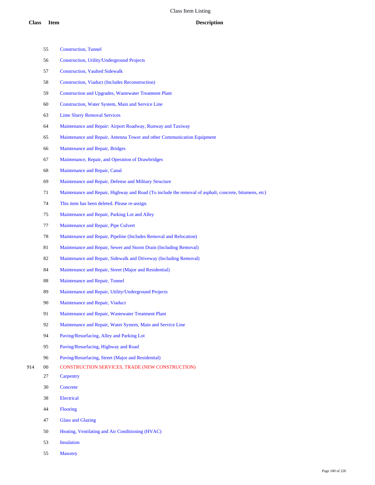- Construction, Tunnel
- Construction, Utility/Underground Projects
- Construction, Vaulted Sidewalk
- Construction, Viaduct (Includes Reconstruction)
- Construction and Upgrades, Wastewater Treatment Plant
- Construction, Water System, Main and Service Line
- Lime Slurry Removal Services
- Maintenance and Repair: Airport Roadway, Runway and Taxiway
- Maintenance and Repair, Antenna Tower and other Communication Equipment
- Maintenance and Repair, Bridges
- Maintenance, Repair, and Operation of Drawbridges
- Maintenance and Repair, Canal
- Maintenance and Repair, Defense and Military Structure
- Maintenance and Repair, Highway and Road (To include the removal of asphalt, concrete, bitumens, etc)
- This item has been deleted. Please re-assign.
- Maintenance and Repair, Parking Lot and Alley
- Maintenance and Repair, Pipe Culvert
- Maintenance and Repair, Pipeline (Includes Removal and Relocation)
- Maintenance and Repair, Sewer and Storm Drain (Including Removal)
- Maintenance and Repair, Sidewalk and Driveway (Including Removal)
- Maintenance and Repair, Street (Major and Residential)
- Maintenance and Repair, Tunnel
- Maintenance and Repair, Utility/Underground Projects
- Maintenance and Repair, Viaduct
- Maintenance and Repair, Wastewater Treatment Plant
- Maintenance and Repair, Water System, Main and Service Line
- Paving/Resurfacing, Alley and Parking Lot
- Paving/Resurfacing, Highway and Road
- Paving/Resurfacing, Street (Major and Residential)
- 00 CONSTRUCTION SERVICES, TRADE (NEW CONSTRUCTION)
	- Carpentry
	- Concrete
	- Electrical
	- Flooring
	- Glass and Glazing
	- Heating, Ventilating and Air Conditioning (HVAC)
	- Insulation
	- Masonry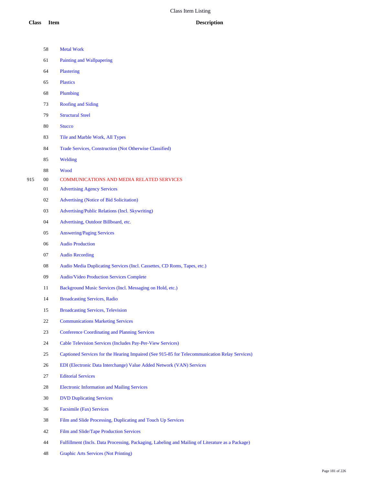| <b>Class</b> | <b>Item</b> | <b>Description</b>                                                                            |
|--------------|-------------|-----------------------------------------------------------------------------------------------|
|              | 58          | <b>Metal Work</b>                                                                             |
|              | 61          | Painting and Wallpapering                                                                     |
|              | 64          | Plastering                                                                                    |
|              | 65          | <b>Plastics</b>                                                                               |
|              | 68          | Plumbing                                                                                      |
|              | 73          | <b>Roofing and Siding</b>                                                                     |
|              | 79          | <b>Structural Steel</b>                                                                       |
|              | 80          | <b>Stucco</b>                                                                                 |
|              | 83          | Tile and Marble Work, All Types                                                               |
|              | 84          | Trade Services, Construction (Not Otherwise Classified)                                       |
|              | 85          | Welding                                                                                       |
|              | 88          | Wood                                                                                          |
| 915          | 00          | <b>COMMUNICATIONS AND MEDIA RELATED SERVICES</b>                                              |
|              | 01          | <b>Advertising Agency Services</b>                                                            |
|              | 02          | <b>Advertising (Notice of Bid Solicitation)</b>                                               |
|              | 03          | Advertising/Public Relations (Incl. Skywriting)                                               |
|              | 04          | Advertising, Outdoor Billboard, etc.                                                          |
|              | 05          | <b>Answering/Paging Services</b>                                                              |
|              | 06          | <b>Audio Production</b>                                                                       |
|              | 07          | <b>Audio Recording</b>                                                                        |
|              | 08          | Audio Media Duplicating Services (Incl. Cassettes, CD Roms, Tapes, etc.)                      |
|              | 09          | <b>Audio/Video Production Services Complete</b>                                               |
|              | 11          | Background Music Services (Incl. Messaging on Hold, etc.)                                     |
|              | 14          | <b>Broadcasting Services, Radio</b>                                                           |
|              | 15          | <b>Broadcasting Services, Television</b>                                                      |
|              | 22          | <b>Communications Marketing Services</b>                                                      |
|              | 23          | <b>Conference Coordinating and Planning Services</b>                                          |
|              | 24          | Cable Television Services (Includes Pay-Per-View Services)                                    |
|              | 25          | Captioned Services for the Hearing Impaired (See 915-85 for Telecommunication Relay Services) |
|              | 26          | EDI (Electronic Data Interchange) Value Added Network (VAN) Services                          |
|              | 27          | <b>Editorial Services</b>                                                                     |
|              | 28          | <b>Electronic Information and Mailing Services</b>                                            |
|              | 30          | <b>DVD Duplicating Services</b>                                                               |
|              | 36          | <b>Facsimile (Fax) Services</b>                                                               |
|              | 38          | Film and Slide Processing, Duplicating and Touch Up Services                                  |
|              | 42          | Film and Slide/Tape Production Services                                                       |
|              |             |                                                                                               |

Fulfillment (Incls. Data Processing, Packaging, Labeling and Mailing of Literature as a Package)

Graphic Arts Services (Not Printing)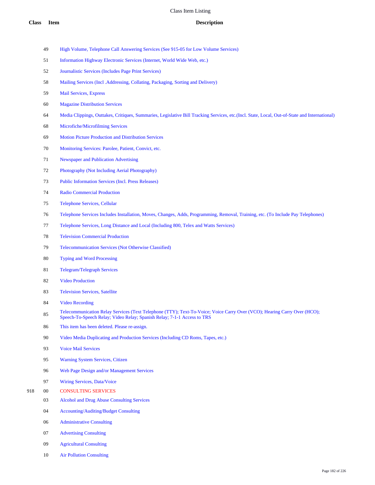- High Volume, Telephone Call Answering Services (See 915-05 for Low Volume Services)
- Information Highway Electronic Services (Internet, World Wide Web, etc.)
- Journalistic Services (Includes Page Print Services)
- Mailing Services (Incl .Addressing, Collating, Packaging, Sorting and Delivery)
- Mail Services, Express
- Magazine Distribution Services
- Media Clippings, Outtakes, Critiques, Summaries, Legislative Bill Tracking Services, etc.(Incl. State, Local, Out-of-State and International)
- Microfiche/Microfilming Services
- Motion Picture Production and Distribution Services
- Monitoring Services: Parolee, Patient, Convict, etc.
- Newspaper and Publication Advertising
- Photography (Not Including Aerial Photography)
- Public Information Services (Incl. Press Releases)
- Radio Commercial Production
- Telephone Services, Cellular
- Telephone Services Includes Installation, Moves, Changes, Adds, Programming, Removal, Training, etc. (To Include Pay Telephones)
- Telephone Services, Long Distance and Local (Including 800, Telex and Watts Services)
- Television Commercial Production
- Telecommunication Services (Not Otherwise Classified)
- Typing and Word Processing
- Telegram/Telegraph Services
- Video Production
- Television Services, Satellite
- Video Recording
- Telecommunication Relay Services (Text Telephone (TTY); Text-To-Voice; Voice Carry Over (VCO); Hearing Carry Over (HCO); Speech-To-Speech Relay; Video Relay; Spanish Relay; 7-1-1 Access to TRS
- This item has been deleted. Please re-assign.
- Video Media Duplicating and Production Services (Including CD Roms, Tapes, etc.)
- Voice Mail Services
- Warning System Services, Citizen
- Web Page Design and/or Management Services
- Wiring Services, Data/Voice
- 00 CONSULTING SERVICES
	- Alcohol and Drug Abuse Consulting Services
	- Accounting/Auditing/Budget Consulting
	- Administrative Consulting
	- Advertising Consulting
	- Agricultural Consulting
	- Air Pollution Consulting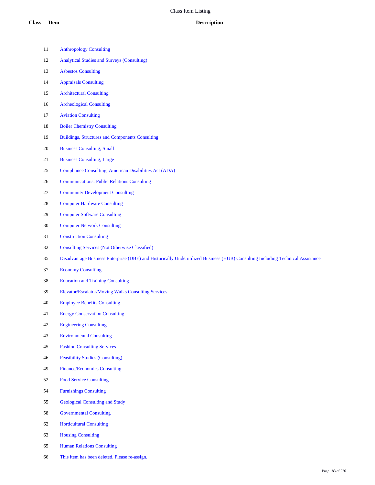- Anthropology Consulting
- Analytical Studies and Surveys (Consulting)
- Asbestos Consulting
- Appraisals Consulting
- Architectural Consulting
- Archeological Consulting
- Aviation Consulting
- Boiler Chemistry Consulting
- Buildings, Structures and Components Consulting
- Business Consulting, Small
- Business Consulting, Large
- Compliance Consulting, American Disabilities Act (ADA)
- Communications: Public Relations Consulting
- Community Development Consulting
- Computer Hardware Consulting
- Computer Software Consulting
- Computer Network Consulting
- Construction Consulting
- Consulting Services (Not Otherwise Classified)
- Disadvantage Business Enterprise (DBE) and Historically Underutilized Business (HUB) Consulting Including Technical Assistance
- Economy Consulting
- Education and Training Consulting
- Elevator/Escalator/Moving Walks Consulting Services
- Employee Benefits Consulting
- Energy Conservation Consulting
- Engineering Consulting
- Environmental Consulting
- Fashion Consulting Services
- Feasibility Studies (Consulting)
- Finance/Economics Consulting
- Food Service Consulting
- Furnishings Consulting
- Geological Consulting and Study
- Governmental Consulting
- Horticultural Consulting
- Housing Consulting
- Human Relations Consulting
- This item has been deleted. Please re-assign.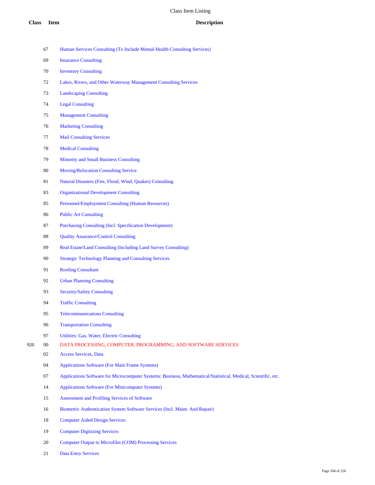- Human Services Consulting (To Include Mental Health Consulting Services)
- Insurance Consulting
- Inventory Consulting
- Lakes, Rivers, and Other Waterway Management Consulting Services
- Landscaping Consulting
- Legal Consulting
- Management Consulting
- Marketing Consulting
- Mail Consulting Services
- Medical Consulting
- Minority and Small Business Consulting
- Moving/Relocation Consulting Service
- Natural Disasters (Fire, Flood, Wind, Quakes) Consulting
- Organizational Development Consulting
- Personnel/Employment Consulting (Human Resources)
- Public Art Consulting
- Purchasing Consulting (Incl. Specification Development)
- Quality Assurance/Control Consulting
- Real Estate/Land Consulting (Including Land Survey Consulting)
- Strategic Technology Planning and Consulting Services
- Roofing Consultant
- Urban Planning Consulting
- Security/Safety Consulting
- Traffic Consulting
- Telecommunications Consulting
- Transportation Consulting
- Utilities: Gas, Water, Electric Consulting
- 00 DATA PROCESSING, COMPUTER, PROGRAMMING, AND SOFTWARE SERVICES
	- Access Services, Data
	- Applications Software (For Main Frame Systems)
	- Applications Software for Microcomputer Systems: Business, Mathematical/Statistical, Medical, Scientific, etc.
	- Applications Software (For Minicomputer Systems)
	- Assessment and Profiling Services of Software
	- Biometric Authentication System Software Services (Incl. Maint. And Repair)
	- Computer Aided Design Services
	- Computer Digitizing Services
	- 20 Computer Output to Microfilm (COM) Processing Services
	- Data Entry Services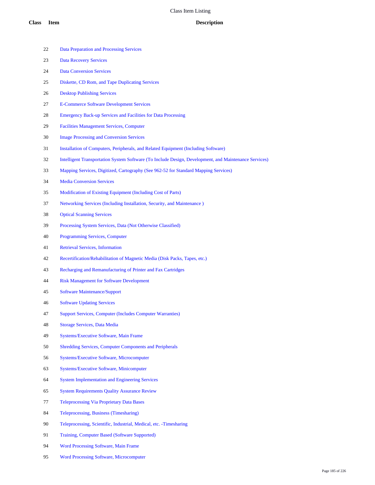- Data Preparation and Processing Services Data Recovery Services Data Conversion Services Diskette, CD Rom, and Tape Duplicating Services Desktop Publishing Services E-Commerce Software Development Services Emergency Back-up Services and Facilities for Data Processing Facilities Management Services, Computer Image Processing and Conversion Services Installation of Computers, Peripherals, and Related Equipment (Including Software) Intelligent Transportation System Software (To Include Design, Development, and Maintenance Services) Mapping Services, Digitized, Cartography (See 962-52 for Standard Mapping Services) Media Conversion Services Modification of Existing Equipment (Including Cost of Parts) Networking Services (Including Installation, Security, and Maintenance ) Optical Scanning Services Processing System Services, Data (Not Otherwise Classified) Programming Services, Computer Retrieval Services, Information Recertification/Rehabilitation of Magnetic Media (Disk Packs, Tapes, etc.) Recharging and Remanufacturing of Printer and Fax Cartridges Risk Management for Software Development Software Maintenance/Support Software Updating Services Support Services, Computer (Includes Computer Warranties)
- Storage Services, Data Media
- Systems/Executive Software, Main Frame
- Shredding Services, Computer Components and Peripherals
- Systems/Executive Software, Microcomputer
- Systems/Executive Software, Minicomputer
- System Implementation and Engineering Services
- System Requirements Quality Assurance Review
- Teleprocessing Via Proprietary Data Bases
- Teleprocessing, Business (Timesharing)
- Teleprocessing, Scientific, Industrial, Medical, etc. -Timesharing
- Training, Computer Based (Software Supported)
- Word Processing Software, Main Frame
- Word Processing Software, Microcomputer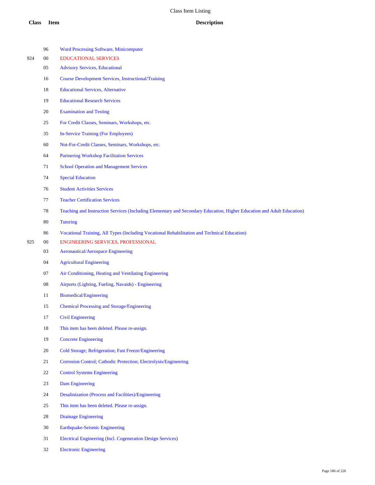|     | 96     | <b>Word Processing Software, Minicomputer</b>                                                                          |
|-----|--------|------------------------------------------------------------------------------------------------------------------------|
| 924 | $00\,$ | <b>EDUCATIONAL SERVICES</b>                                                                                            |
|     | 05     | <b>Advisory Services, Educational</b>                                                                                  |
|     | 16     | <b>Course Development Services, Instructional/Training</b>                                                             |
|     | 18     | <b>Educational Services, Alternative</b>                                                                               |
|     | 19     | <b>Educational Research Services</b>                                                                                   |
|     | 20     | <b>Examination and Testing</b>                                                                                         |
|     | 25     | For Credit Classes, Seminars, Workshops, etc.                                                                          |
|     | 35     | <b>In-Service Training (For Employees)</b>                                                                             |
|     | 60     | Not-For-Credit Classes, Seminars, Workshops, etc.                                                                      |
|     | 64     | <b>Partnering Workshop Facilitation Services</b>                                                                       |
|     | 71     | <b>School Operation and Management Services</b>                                                                        |
|     | 74     | <b>Special Education</b>                                                                                               |
|     | 76     | <b>Student Activities Services</b>                                                                                     |
|     | 77     | <b>Teacher Certification Services</b>                                                                                  |
|     | 78     | Teaching and Instruction Services (Including Elementary and Secondary Education, Higher Education and Adult Education) |
|     | 80     | <b>Tutoring</b>                                                                                                        |
|     | 86     | Vocational Training, All Types (Including Vocational Rehabilitation and Technical Education)                           |
| 925 | $00\,$ | ENGINEERING SERVICES, PROFESSIONAL                                                                                     |
|     | 03     | <b>Aeronautical/Aerospace Engineering</b>                                                                              |
|     | 04     | <b>Agricultural Engineering</b>                                                                                        |
|     | 07     | Air Conditioning, Heating and Ventilating Engineering                                                                  |
|     | 08     | Airports (Lighting, Fueling, Navaids) - Engineering                                                                    |
|     | 11     | Biomedical/Engineering                                                                                                 |
|     | 15     | <b>Chemical Processing and Storage/Engineering</b>                                                                     |
|     | 17     | <b>Civil Engineering</b>                                                                                               |
|     | 18     | This item has been deleted. Please re-assign.                                                                          |
|     | 19     | <b>Concrete Engineering</b>                                                                                            |
|     | 20     | Cold Storage; Refrigeration; Fast Freeze/Engineering                                                                   |
|     | 21     | Corrosion Control; Cathodic Protection; Electrolysis/Engineering                                                       |
|     | 22     | <b>Control Systems Engineering</b>                                                                                     |
|     | 23     | Dam Engineering                                                                                                        |
|     | 24     | Desalinization (Process and Facilities)/Engineering                                                                    |
|     | 25     | This item has been deleted. Please re-assign.                                                                          |
|     | 28     | <b>Drainage Engineering</b>                                                                                            |
|     | 30     | Earthquake-Seismic Engineering                                                                                         |
|     | 31     | <b>Electrical Engineering (Incl. Cogeneration Design Services)</b>                                                     |
|     | 32     | <b>Electronic Engineering</b>                                                                                          |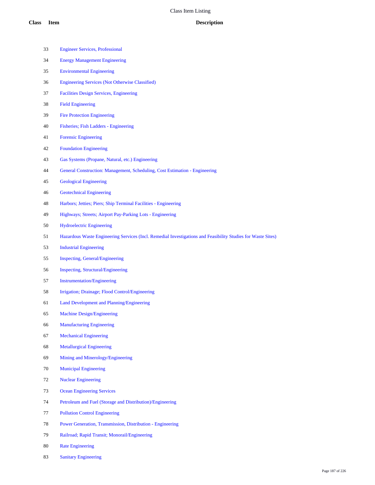- Engineer Services, Professional
- Energy Management Engineering
- Environmental Engineering
- Engineering Services (Not Otherwise Classified)
- Facilities Design Services, Engineering
- Field Engineering
- Fire Protection Engineering
- Fisheries; Fish Ladders Engineering
- Forensic Engineering
- Foundation Engineering
- Gas Systems (Propane, Natural, etc.) Engineering
- General Construction: Management, Scheduling, Cost Estimation Engineering
- Geological Engineering
- Geotechnical Engineering
- Harbors; Jetties; Piers; Ship Terminal Facilities Engineering
- Highways; Streets; Airport Pay-Parking Lots Engineering
- Hydroelectric Engineering
- Hazardous Waste Engineering Services (Incl. Remedial Investigations and Feasibility Studies for Waste Sites)
- Industrial Engineering
- Inspecting, General/Engineering
- Inspecting, Structural/Engineering
- Instrumentation/Engineering
- Irrigation; Drainage; Flood Control/Engineering
- Land Development and Planning/Engineering
- Machine Design/Engineering
- Manufacturing Engineering
- Mechanical Engineering
- Metallurgical Engineering
- Mining and Minerology/Engineering
- Municipal Engineering
- Nuclear Engineering
- Ocean Engineering Services
- Petroleum and Fuel (Storage and Distribution)/Engineering
- Pollution Control Engineering
- Power Generation, Transmission, Distribution Engineering
- Railroad; Rapid Transit; Monorail/Engineering
- Rate Engineering
- Sanitary Engineering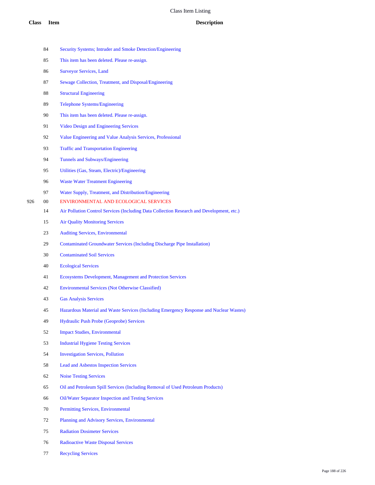## **Class Item Description**

|     | 84 | Security Systems; Intruder and Smoke Detection/Engineering                                |
|-----|----|-------------------------------------------------------------------------------------------|
|     | 85 | This item has been deleted. Please re-assign.                                             |
|     | 86 | <b>Surveyor Services, Land</b>                                                            |
|     | 87 | Sewage Collection, Treatment, and Disposal/Engineering                                    |
|     | 88 | <b>Structural Engineering</b>                                                             |
|     | 89 | <b>Telephone Systems/Engineering</b>                                                      |
|     | 90 | This item has been deleted. Please re-assign.                                             |
|     | 91 | <b>Video Design and Engineering Services</b>                                              |
|     | 92 | Value Engineering and Value Analysis Services, Professional                               |
|     | 93 | <b>Traffic and Transportation Engineering</b>                                             |
|     | 94 | Tunnels and Subways/Engineering                                                           |
|     | 95 | Utilities (Gas, Steam, Electric)/Engineering                                              |
|     | 96 | <b>Waste Water Treatment Engineering</b>                                                  |
|     | 97 | Water Supply, Treatment, and Distribution/Engineering                                     |
| 926 | 00 | ENVIRONMENTAL AND ECOLOGICAL SERVICES                                                     |
|     | 14 | Air Pollution Control Services (Including Data Collection Research and Development, etc.) |
|     | 15 | <b>Air Quality Monitoring Services</b>                                                    |
|     | 23 | <b>Auditing Services, Environmental</b>                                                   |
|     | 29 | <b>Contaminated Groundwater Services (Including Discharge Pipe Installation)</b>          |
|     | 30 | <b>Contaminated Soil Services</b>                                                         |
|     | 40 | <b>Ecological Services</b>                                                                |
|     | 41 | Ecosystems Development, Management and Protection Services                                |
|     | 42 | <b>Environmental Services (Not Otherwise Classified)</b>                                  |
|     | 43 | <b>Gas Analysis Services</b>                                                              |
|     | 45 | Hazardous Material and Waste Services (Including Emergency Response and Nuclear Wastes)   |
|     | 49 | Hydraulic Push Probe (Geoprobe) Services                                                  |
|     | 52 | <b>Impact Studies, Environmental</b>                                                      |
|     | 53 | <b>Industrial Hygiene Testing Services</b>                                                |
|     | 54 | <b>Investigation Services, Pollution</b>                                                  |
|     | 58 | <b>Lead and Asbestos Inspection Services</b>                                              |
|     | 62 | <b>Noise Testing Services</b>                                                             |
|     | 65 | Oil and Petroleum Spill Services (Including Removal of Used Petroleum Products)           |
|     | 66 | Oil/Water Separator Inspection and Testing Services                                       |
|     | 70 | Permitting Services, Environmental                                                        |
|     | 72 | Planning and Advisory Services, Environmental                                             |
|     | 75 | <b>Radiation Dosimeter Services</b>                                                       |
|     | 76 | <b>Radioactive Waste Disposal Services</b>                                                |
|     | 77 | <b>Recycling Services</b>                                                                 |
|     |    |                                                                                           |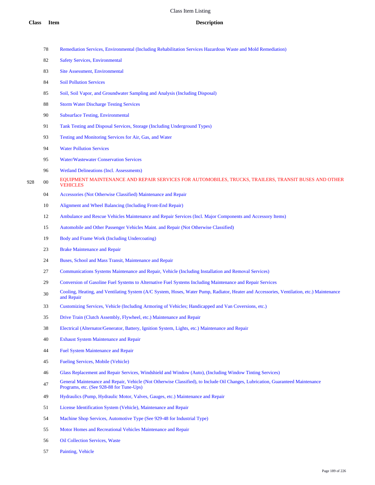| Remediation Services, Environmental (Including Rehabilitation Services Hazardous Waste and Mold Remediation) |  |  |  |  |
|--------------------------------------------------------------------------------------------------------------|--|--|--|--|
|                                                                                                              |  |  |  |  |

- Safety Services, Environmental
- Site Assessment, Environmental
- Soil Pollution Services
- Soil, Soil Vapor, and Groundwater Sampling and Analysis (Including Disposal)
- Storm Water Discharge Testing Services
- Subsurface Testing, Environmental
- Tank Testing and Disposal Services, Storage (Including Underground Types)
- Testing and Monitoring Services for Air, Gas, and Water
- Water Pollution Services
- Water/Wastewater Conservation Services
- Wetland Delineations (Incl. Assessments)
- 928 00 EQUIPMENT MAINTENANCE AND REPAIR SERVICES FOR AUTOMOBILES, TRUCKS, TRAILERS, TRANSIT BUSES AND OTHER VEHICLES
	- Accessories (Not Otherwise Classified) Maintenance and Repair
	- Alignment and Wheel Balancing (Including Front-End Repair)
	- Ambulance and Rescue Vehicles Maintenance and Repair Services (Incl. Major Components and Accessory Items)
	- Automobile and Other Passenger Vehicles Maint. and Repair (Not Otherwise Classified)
	- Body and Frame Work (Including Undercoating)
	- Brake Maintenance and Repair
	- Buses, School and Mass Transit, Maintenance and Repair
	- Communications Systems Maintenance and Repair, Vehicle (Including Installation and Removal Services)
	- Conversion of Gasoline Fuel Systems to Alternative Fuel Systems Including Maintenance and Repair Services
	- Cooling, Heating, and Ventilating System (A/C System, Hoses, Water Pump, Radiator, Heater and Accessories, Ventilation, etc.) Maintenance and Repair
	- Customizing Services, Vehicle (Including Armoring of Vehicles; Handicapped and Van Coversions, etc.)
	- Drive Train (Clutch Assembly, Flywheel, etc.) Maintenance and Repair
	- Electrical (Alternator/Generator, Battery, Ignition System, Lights, etc.) Maintenance and Repair
	- Exhaust System Maintenance and Repair
	- Fuel System Maintenance and Repair
	- Fueling Services, Mobile (Vehicle)
	- Glass Replacement and Repair Services, Windshield and Window (Auto), (Including Window Tinting Services)
	- General Maintenance and Repair, Vehicle (Not Otherwise Classified), to Include Oil Changes, Lubrication, Guaranteed Maintenance Programs, etc. (See 928-88 for Tune-Ups)
	- Hydraulics (Pump, Hydraulic Motor, Valves, Gauges, etc.) Maintenance and Repair
	- License Identification System (Vehicle), Maintenance and Repair
	- Machine Shop Services, Automotive Type (See 929-48 for Industrial Type)
	- Motor Homes and Recreational Vehicles Maintenance and Repair
	- Oil Collection Services, Waste
	- Painting, Vehicle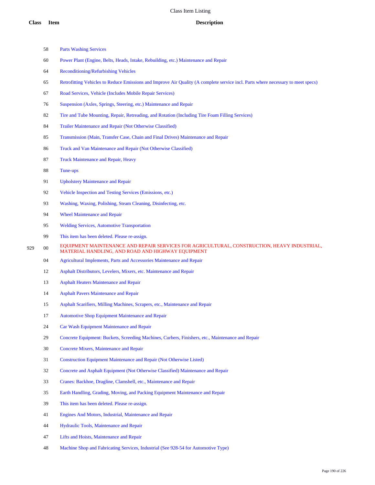- Parts Washing Services
- Power Plant (Engine, Belts, Heads, Intake, Rebuilding, etc.) Maintenance and Repair
- Reconditioning/Refurbishing Vehicles
- Retrofitting Vehicles to Reduce Emissions and Improve Air Quality (A complete service incl. Parts where necessary to meet specs)
- Road Services, Vehicle (Includes Mobile Repair Services)
- Suspension (Axles, Springs, Steering, etc.) Maintenance and Repair
- Tire and Tube Mounting, Repair, Retreading, and Rotation (Including Tire Foam Filling Services)
- Trailer Maintenance and Repair (Not Otherwise Classified)
- Transmission (Main, Transfer Case, Chain and Final Drives) Maintenance and Repair
- Truck and Van Maintenance and Repair (Not Otherwise Classified)

Truck Maintenance and Repair, Heavy

- Tune-ups
- Upholstery Maintenance and Repair
- Vehicle Inspection and Testing Services (Emissions, etc.)
- Washing, Waxing, Polishing, Steam Cleaning, Disinfecting, etc.
- Wheel Maintenance and Repair
- Welding Services, Automotive Transportation
- This item has been deleted. Please re-assign.
- 929 00 EQUIPMENT MAINTENANCE AND REPAIR SERVICES FOR AGRICULTURAL, CONSTRUCTION, HEAVY INDUSTRIAL, MATERIAL HANDLING, AND ROAD AND HIGHWAY EQUIPMENT
	- Agricultural Implements, Parts and Accessories Maintenance and Repair
	- Asphalt Distributors, Levelers, Mixers, etc. Maintenance and Repair
	- Asphalt Heaters Maintenance and Repair
	- Asphalt Pavers Maintenance and Repair
	- Asphalt Scarifiers, Milling Machines, Scrapers, etc., Maintenance and Repair
	- Automotive Shop Equipment Maintenance and Repair
	- Car Wash Equipment Maintenance and Repair
	- Concrete Equipment: Buckets, Screeding Machines, Curbers, Finishers, etc., Maintenance and Repair
	- Concrete Mixers, Maintenance and Repair
	- Construction Equipment Maintenance and Repair (Not Otherwise Listed)
	- Concrete and Asphalt Equipment (Not Otherwise Classified) Maintenance and Repair
	- Cranes: Backhoe, Dragline, Clamshell, etc., Maintenance and Repair
	- Earth Handling, Grading, Moving, and Packing Equipment Maintenance and Repair
	- This item has been deleted. Please re-assign.
	- Engines And Motors, Industrial, Maintenance and Repair
	- Hydraulic Tools, Maintenance and Repair
	- Lifts and Hoists, Maintenance and Repair
	- Machine Shop and Fabricating Services, Industrial (See 928-54 for Automotive Type)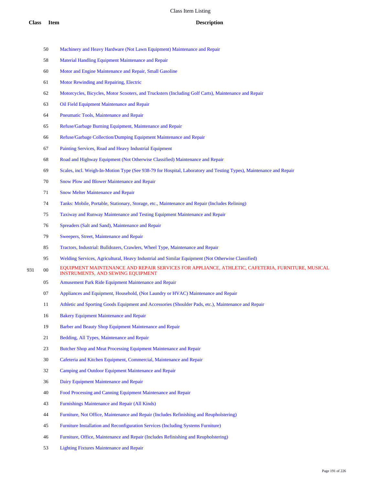- Machinery and Heavy Hardware (Not Lawn Equipment) Maintenance and Repair
- Material Handling Equipment Maintenance and Repair
- Motor and Engine Maintenance and Repair, Small Gasoline
- Motor Rewinding and Repairing, Electric
- Motorcycles, Bicycles, Motor Scooters, and Trucksters (Including Golf Carts), Maintenance and Repair
- Oil Field Equipment Maintenance and Repair
- Pneumatic Tools, Maintenance and Repair
- Refuse/Garbage Burning Equipment, Maintenance and Repair
- Refuse/Garbage Collection/Dumping Equipment Maintenance and Repair
- Painting Services, Road and Heavy Industrial Equipment
- Road and Highway Equipment (Not Otherwise Classified) Maintenance and Repair
- Scales, incl. Weigh-In-Motion Type (See 938-79 for Hospital, Laboratory and Testing Types), Maintenance and Repair
- Snow Plow and Blower Maintenance and Repair
- Snow Melter Maintenance and Repair
- Tanks: Mobile, Portable, Stationary, Storage, etc., Maintenance and Repair (Includes Relining)
- Taxiway and Runway Maintenance and Testing Equipment Maintenance and Repair
- Spreaders (Salt and Sand), Maintenance and Repair
- Sweepers, Street, Maintenance and Repair
- Tractors, Industrial: Bulldozers, Crawlers, Wheel Type, Maintenance and Repair
- Welding Services, Agricultural, Heavy Industrial and Similar Equipment (Not Otherwise Classified)
- 931 00 EQUIPMENT MAINTENANCE AND REPAIR SERVICES FOR APPLIANCE, ATHLETIC, CAFETERIA, FURNITURE, MUSICAL INSTRUMENTS, AND SEWING EQUIPMENT
	- Amusement Park Ride Equipment Maintenance and Repair
	- Appliances and Equipment, Household, (Not Laundry or HVAC) Maintenance and Repair
	- Athletic and Sporting Goods Equipment and Accessories (Shoulder Pads, etc.), Maintenance and Repair
	- Bakery Equipment Maintenance and Repair
	- Barber and Beauty Shop Equipment Maintenance and Repair
	- Bedding, All Types, Maintenance and Repair
	- Butcher Shop and Meat Processing Equipment Maintenance and Repair
	- Cafeteria and Kitchen Equipment, Commercial, Maintenance and Repair
	- Camping and Outdoor Equipment Maintenance and Repair
	- Dairy Equipment Maintenance and Repair
	- Food Processing and Canning Equipment Maintenance and Repair
	- Furnishings Maintenance and Repair (All Kinds)
	- Furniture, Not Office, Maintenance and Repair (Includes Refinishing and Reupholstering)
	- Furniture Installation and Reconfiguration Services (Including Systems Furniture)
	- Furniture, Office, Maintenance and Repair (Includes Refinishing and Reupholstering)
	- Lighting Fixtures Maintenance and Repair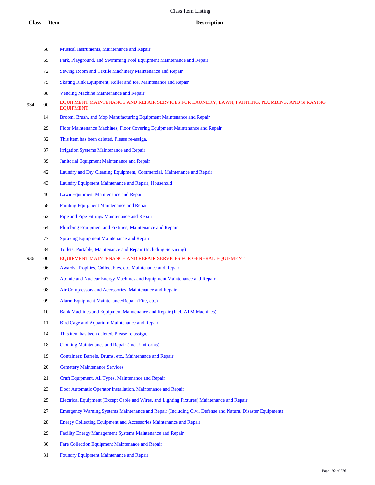- Musical Instruments, Maintenance and Repair
- Park, Playground, and Swimming Pool Equipment Maintenance and Repair
- Sewing Room and Textile Machinery Maintenance and Repair
- Skating Rink Equipment, Roller and Ice, Maintenance and Repair
- Vending Machine Maintenance and Repair
- 934 00 EQUIPMENT MAINTENANCE AND REPAIR SERVICES FOR LAUNDRY, LAWN, PAINTING, PLUMBING, AND SPRAYING EQUIPMENT
	- Broom, Brush, and Mop Manufacturing Equipment Maintenance and Repair
	- Floor Maintenance Machines, Floor Covering Equipment Maintenance and Repair
	- This item has been deleted. Please re-assign.
	- Irrigation Systems Maintenance and Repair
	- Janitorial Equipment Maintenance and Repair
	- Laundry and Dry Cleaning Equipment, Commercial, Maintenance and Repair
	- Laundry Equipment Maintenance and Repair, Household
	- Lawn Equipment Maintenance and Repair
	- Painting Equipment Maintenance and Repair
	- Pipe and Pipe Fittings Maintenance and Repair
	- Plumbing Equipment and Fixtures, Maintenance and Repair
	- Spraying Equipment Maintenance and Repair
	- Toilets, Portable, Maintenance and Repair (Including Servicing)
- 00 EQUIPMENT MAINTENANCE AND REPAIR SERVICES FOR GENERAL EQUIPMENT
	- Awards, Trophies, Collectibles, etc. Maintenance and Repair
	- Atomic and Nuclear Energy Machines and Equipment Maintenance and Repair
	- Air Compressors and Accessories, Maintenance and Repair
	- Alarm Equipment Maintenance/Repair (Fire, etc.)
	- 10 Bank Machines and Equipment Maintenance and Repair (Incl. ATM Machines)
	- 11 Bird Cage and Aquarium Maintenance and Repair
	- This item has been deleted. Please re-assign.
	- Clothing Maintenance and Repair (Incl. Uniforms)
	- Containers: Barrels, Drums, etc., Maintenance and Repair
	- Cemetery Maintenance Services
	- Craft Equipment, All Types, Maintenance and Repair
	- Door Automatic Operator Installation, Maintenance and Repair
	- Electrical Equipment (Except Cable and Wires, and Lighting Fixtures) Maintenance and Repair
	- Emergency Warning Systems Maintenance and Repair (Including Civil Defense and Natural Disaster Equipment)
	- Energy Collecting Equipment and Accessories Maintenance and Repair
	- Facility Energy Management Systems Maintenance and Repair
	- Fare Collection Equipment Maintenance and Repair
	- Foundry Equipment Maintenance and Repair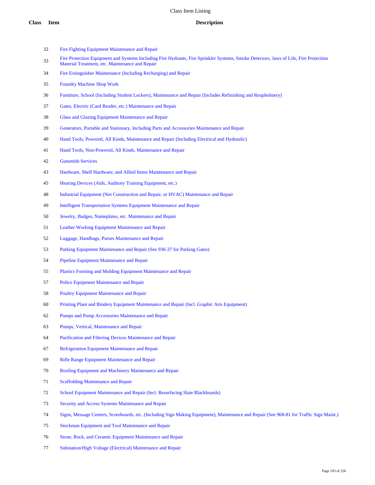- Fire Fighting Equipment Maintenance and Repair
- Fire Protection Equipment and Systems Including Fire Hydrants, Fire Sprinkler Systems, Smoke Detectors, Jaws of Life, Fire Protection Material Treatment, etc. Maintenance and Repair
- Fire Extinguisher Maintenance (Including Recharging) and Repair
- Foundry Machine Shop Work
- Furniture, School (Including Student Lockers), Maintenance and Repair (Includes Refinishing and Reupholstery)
- Gates, Electric (Card Reader, etc.) Maintenance and Repair
- Glass and Glazing Equipment Maintenance and Repair
- Generators, Portable and Stationary, Including Parts and Accessories Maintenance and Repair
- Hand Tools, Powered, All Kinds, Maintenance and Repair (Including Electrical and Hydraulic)
- Hand Tools, Non-Powered, All Kinds, Maintenance and Repair
- Gunsmith Services
- Hardware, Shelf Hardware, and Allied Items Maintenance and Repair
- Hearing Devices (Aids, Auditory Training Equipment, etc.)
- Industrial Equipment (Not Construction and Repair, or HVAC) Maintenance and Repair
- Intelligent Transportation Systems Equipment Maintenance and Repair
- Jewelry, Badges, Nameplates, etc. Maintenance and Repair
- Leather Working Equipment Maintenance and Repair
- Luggage, Handbags, Purses Maintenance and Repair
- Parking Equipment Maintenance and Repair (See 936-37 for Parking Gates)
- Pipeline Equipment Maintenance and Repair
- Plastics Forming and Molding Equipment Maintenance and Repair
- Police Equipment Maintenance and Repair
- Poultry Equipment Maintenance and Repair
- Printing Plant and Bindery Equipment Maintenance and Repair (Incl. Graphic Arts Equipment)
- Pumps and Pump Accessories Maintenance and Repair
- Pumps, Vertical, Maintenance and Repair
- Purification and Filtering Devices Maintenance and Repair
- Refrigeration Equipment Maintenance and Repair
- Rifle Range Equipment Maintenance and Repair
- Roofing Equipment and Machinery Maintenance and Repair
- Scaffolding Maintenance and Repair
- School Equipment Maintenance and Repair (Incl. Resurfacing Slate Blackboards)
- Security and Access Systems Maintenance and Repair
- Signs, Message Centers, Scoreboards, etc. (Including Sign Making Equipment), Maintenance and Repair (See 968-81 for Traffic Sign Maint.)
- Stockman Equipment and Tool Maintenance and Repair
- Stone, Rock, and Ceramic Equipment Maintenance and Repair
- Substation/High Voltage (Electrical) Maintenance and Repair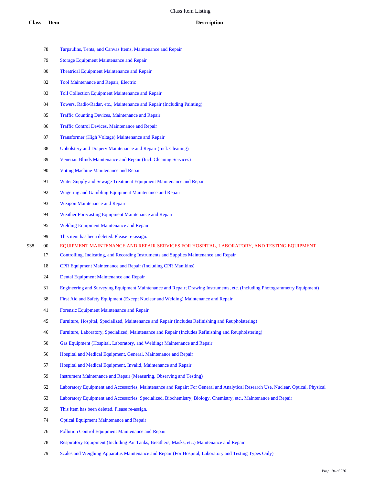- Tarpaulins, Tents, and Canvas Items, Maintenance and Repair
- Storage Equipment Maintenance and Repair
- Theatrical Equipment Maintenance and Repair
- Tool Maintenance and Repair, Electric
- Toll Collection Equipment Maintenance and Repair
- Towers, Radio/Radar, etc., Maintenance and Repair (Including Painting)
- Traffic Counting Devices, Maintenance and Repair
- Traffic Control Devices, Maintenance and Repair
- Transformer (High Voltage) Maintenance and Repair
- Upholstery and Drapery Maintenance and Repair (Incl. Cleaning)
- Venetian Blinds Maintenance and Repair (Incl. Cleaning Services)
- Voting Machine Maintenance and Repair
- Water Supply and Sewage Treatment Equipment Maintenance and Repair
- Wagering and Gambling Equipment Maintenance and Repair
- Weapon Maintenance and Repair
- Weather Forecasting Equipment Maintenance and Repair
- Welding Equipment Maintenance and Repair
- This item has been deleted. Please re-assign.
- 00 EQUIPMENT MAINTENANCE AND REPAIR SERVICES FOR HOSPITAL, LABORATORY, AND TESTING EQUIPMENT
	- Controlling, Indicating, and Recording Instruments and Supplies Maintenance and Repair
	- CPR Equipment Maintenance and Repair (Including CPR Manikins)
	- Dental Equipment Maintenance and Repair
	- Engineering and Surveying Equipment Maintenance and Repair; Drawing Instruments, etc. (Including Photogrammetry Equipment)
	- First Aid and Safety Equipment (Except Nuclear and Welding) Maintenance and Repair
	- Forensic Equipment Maintenance and Repair
	- Furniture, Hospital, Specialized, Maintenance and Repair (Includes Refinishing and Reupholstering)
	- Furniture, Laboratory, Specialized, Maintenance and Repair (Includes Refinishing and Reupholstering)
	- Gas Equipment (Hospital, Laboratory, and Welding) Maintenance and Repair
	- Hospital and Medical Equipment, General, Maintenance and Repair
	- Hospital and Medical Equipment, Invalid, Maintenance and Repair
	- Instrument Maintenance and Repair (Measuring, Observing and Testing)
	- Laboratory Equipment and Accessories, Maintenance and Repair: For General and Analytical Research Use, Nuclear, Optical, Physical
	- Laboratory Equipment and Accessories: Specialized, Biochemistry, Biology, Chemistry, etc., Maintenance and Repair
	- This item has been deleted. Please re-assign.
	- Optical Equipment Maintenance and Repair
	- Pollution Control Equipment Maintenance and Repair
	- Respiratory Equipment (Including Air Tanks, Breathers, Masks, etc.) Maintenance and Repair
	- Scales and Weighing Apparatus Maintenance and Repair (For Hospital, Laboratory and Testing Types Only)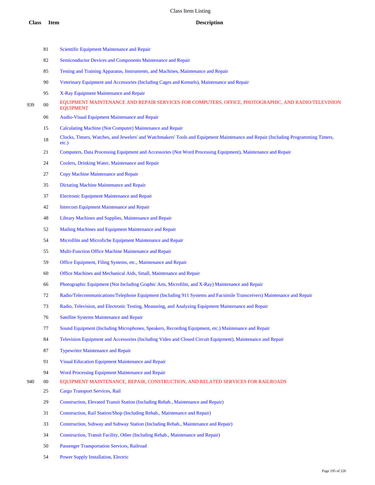- 81 Scientific Equipment Maintenance and Repair
- Semiconductor Devices and Components Maintenance and Repair
- Testing and Training Apparatus, Instruments, and Machines, Maintenance and Repair
- Veterinary Equipment and Accessories (Including Cages and Kennels), Maintenance and Repair
- X-Ray Equipment Maintenance and Repair
- 939 00 EQUIPMENT MAINTENANCE AND REPAIR SERVICES FOR COMPUTERS, OFFICE, PHOTOGRAPHIC, AND RADIO/TELEVISION EQUIPMENT
	- Audio-Visual Equipment Maintenance and Repair
	- Calculating Machine (Not Computer) Maintenance and Repair
	- Clocks, Timers, Watches, and Jewelers' and Watchmakers' Tools and Equipment Maintenance and Repair (Including Programming Timers, etc.)
	- Computers, Data Processing Equipment and Accessories (Not Word Processing Equipment), Maintenance and Repair
	- Coolers, Drinking Water, Maintenance and Repair
	- Copy Machine Maintenance and Repair
	- Dictating Machine Maintenance and Repair
	- Electronic Equipment Maintenance and Repair
	- Intercom Equipment Maintenance and Repair
	- Library Machines and Supplies, Maintenance and Repair
	- Mailing Machines and Equipment Maintenance and Repair
	- Microfilm and Microfiche Equipment Maintenance and Repair
	- Multi-Function Office Machine Maintenance and Repair
	- Office Equipment, Filing Systems, etc., Maintenance and Repair
	- Office Machines and Mechanical Aids, Small, Maintenance and Repair
	- Photographic Equipment (Not Including Graphic Arts, Microfilm, and X-Ray) Maintenance and Repair
	- Radio/Telecommunications/Telephone Equipment (Including 911 Systems and Facsimile Transceivers) Maintenance and Repair
	- Radio, Television, and Electronic Testing, Measuring, and Analyzing Equipment Maintenance and Repair
	- Satellite Systems Maintenance and Repair
	- Sound Equipment (Including Microphones, Speakers, Recording Equipment, etc.) Maintenance and Repair
	- Television Equipment and Accessories (Including Video and Closed Circuit Equipment), Maintenance and Repair
	- Typewriter Maintenance and Repair
	- Visual Education Equipment Maintenance and Repair
	- Word Processing Equipment Maintenance and Repair
- 00 EQUIPMENT MAINTENANCE, REPAIR, CONSTRUCTION, AND RELATED SERVICES FOR RAILROADS
	- Cargo Transport Services, Rail
	- Construction, Elevated Transit Station (Including Rehab., Maintenance and Repair)
	- Construction, Rail Station/Shop (Including Rehab., Maintenance and Repair)
	- Construction, Subway and Subway Station (Including Rehab., Maintenance and Repair)
	- Construction, Transit Facility, Other (Including Rehab., Maintenance and Repair)
	- Passenger Transportation Services, Railroad
	- Power Supply Installation, Electric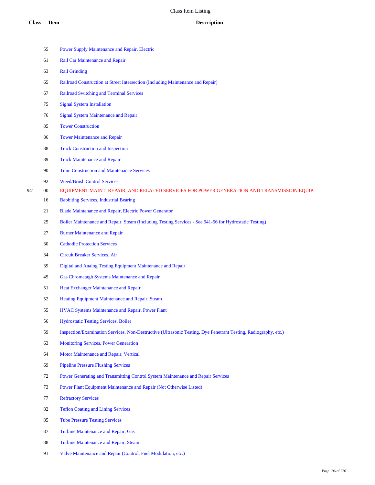- Power Supply Maintenance and Repair, Electric Rail Car Maintenance and Repair Rail Grinding Railroad Construction at Street Intersection (Including Maintenance and Repair) Railroad Switching and Terminal Services Signal System Installation Signal System Maintenance and Repair Tower Construction Tower Maintenance and Repair Track Construction and Inspection Track Maintenance and Repair Tram Construction and Maintenance Services Weed/Brush Control Services 00 EQUIPMENT MAINT, REPAIR, AND RELATED SERVICES FOR POWER GENERATION AND TRANSMISSION EQUIP. Babbiting Services, Industrial Bearing Blade Maintenance and Repair, Electric Power Generator Boiler Maintenance and Repair, Steam (Including Testing Services - See 941-56 for Hydrostatic Testing) Burner Maintenance and Repair Cathodic Protection Services Circuit Breaker Services, Air Digital and Analog Testing Equipment Maintenance and Repair Gas Chromatagh Systems Maintenance and Repair Heat Exchanger Maintenance and Repair Heating Equipment Maintenance and Repair, Steam HVAC Systems Maintenance and Repair, Power Plant Hydrostatic Testing Services, Boiler Inspection/Examination Services, Non-Destructive (Ultrasonic Testing, Dye Penetrant Testing, Radiography, etc.) Monitoring Services, Power Generation Motor Maintenance and Repair, Vertical Pipeline Pressure Flushing Services Power Generating and Transmitting Control System Maintenance and Repair Services Power Plant Equipment Maintenance and Repair (Not Otherwise Listed) Refractory Services Teflon Coating and Lining Services Tube Pressure Testing Services Turbine Maintenance and Repair, Gas
	- Turbine Maintenance and Repair, Steam
	- Valve Maintenance and Repair (Control, Fuel Modulation, etc.)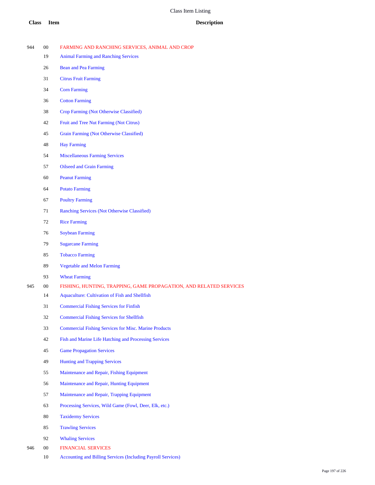- 00 FARMING AND RANCHING SERVICES, ANIMAL AND CROP Animal Farming and Ranching Services Bean and Pea Farming Citrus Fruit Farming Corn Farming Cotton Farming Crop Farming (Not Otherwise Classified) Fruit and Tree Nut Farming (Not Citrus) Grain Farming (Not Otherwise Classified) Hay Farming Miscellaneous Farming Services Oilseed and Grain Farming Peanut Farming Potato Farming Poultry Farming Ranching Services (Not Otherwise Classified) Rice Farming Soybean Farming Sugarcane Farming Tobacco Farming Vegetable and Melon Farming Wheat Farming 00 FISHING, HUNTING, TRAPPING, GAME PROPAGATION, AND RELATED SERVICES Aquaculture: Cultivation of Fish and Shellfish Commercial Fishing Services for Finfish Commercial Fishing Services for Shellfish Commercial Fishing Services for Misc. Marine Products Fish and Marine Life Hatching and Processing Services Game Propagation Services Hunting and Trapping Services Maintenance and Repair, Fishing Equipment **Class Item Description**
	- Maintenance and Repair, Hunting Equipment
	- Maintenance and Repair, Trapping Equipment
	- Processing Services, Wild Game (Fowl, Deer, Elk, etc.)
	- Taxidermy Services
	- Trawling Services
	- Whaling Services
- 00 FINANCIAL SERVICES
	- Accounting and Billing Services (Including Payroll Services)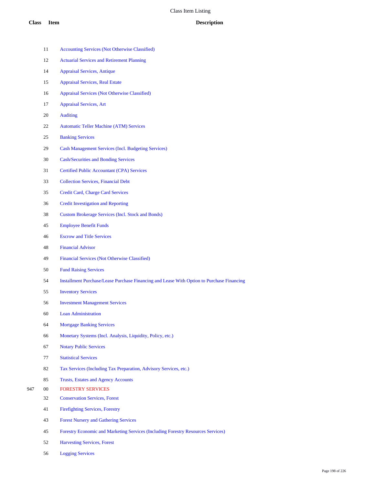- Accounting Services (Not Otherwise Classified) Actuarial Services and Retirement Planning Appraisal Services, Antique Appraisal Services, Real Estate Appraisal Services (Not Otherwise Classified) Appraisal Services, Art Auditing Automatic Teller Machine (ATM) Services Banking Services Cash Management Services (Incl. Budgeting Services) Cash/Securities and Bonding Services Certified Public Accountant (CPA) Services Collection Services, Financial Debt Credit Card, Charge Card Services Credit Investigation and Reporting Custom Brokerage Services (Incl. Stock and Bonds) Employee Benefit Funds Escrow and Title Services Financial Advisor Financial Services (Not Otherwise Classified) Fund Raising Services Installment Purchase/Lease Purchase Financing and Lease With Option to Purchase Financing Inventory Services Investment Management Services Loan Administration Mortgage Banking Services Monetary Systems (Incl. Analysis, Liquidity, Policy, etc.) Notary Public Services Statistical Services Tax Services (Including Tax Preparation, Advisory Services, etc.) Trusts, Estates and Agency Accounts 00 FORESTRY SERVICES Conservation Services, Forest Firefighting Services, Forestry Forest Nursery and Gathering Services Forestry Economic and Marketing Services (Including Forestry Resources Services)
	- Harvesting Services, Forest
	- Logging Services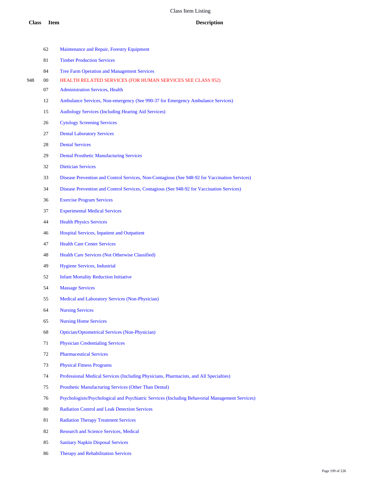|     | 62 | Maintenance and Repair, Forestry Equipment                                                      |
|-----|----|-------------------------------------------------------------------------------------------------|
|     | 81 | <b>Timber Production Services</b>                                                               |
|     | 84 | <b>Tree Farm Operation and Management Services</b>                                              |
| 948 | 00 | <b>HEALTH RELATED SERVICES (FOR HUMAN SERVICES SEE CLASS 952)</b>                               |
|     | 07 | <b>Administration Services, Health</b>                                                          |
|     | 12 | Ambulance Services, Non-emergency (See 990-37 for Emergency Ambulance Services)                 |
|     | 15 | <b>Audiology Services (Including Hearing Aid Services)</b>                                      |
|     | 26 | <b>Cytology Screening Services</b>                                                              |
|     | 27 | <b>Dental Laboratory Services</b>                                                               |
|     | 28 | <b>Dental Services</b>                                                                          |
|     | 29 | <b>Dental Prosthetic Manufacturing Services</b>                                                 |
|     | 32 | <b>Dietician Services</b>                                                                       |
|     | 33 | Disease Prevention and Control Services, Non-Contagious (See 948-92 for Vaccination Services)   |
|     | 34 | Disease Prevention and Control Services, Contagious (See 948-92 for Vaccination Services)       |
|     | 36 | <b>Exercise Program Services</b>                                                                |
|     | 37 | <b>Experimental Medical Services</b>                                                            |
|     | 44 | <b>Health Physics Services</b>                                                                  |
|     | 46 | Hospital Services, Inpatient and Outpatient                                                     |
|     | 47 | <b>Health Care Center Services</b>                                                              |
|     | 48 | <b>Health Care Services (Not Otherwise Classified)</b>                                          |
|     | 49 | <b>Hygiene Services, Industrial</b>                                                             |
|     | 52 | <b>Infant Mortality Reduction Initiative</b>                                                    |
|     | 54 | <b>Massage Services</b>                                                                         |
|     | 55 | Medical and Laboratory Services (Non-Physician)                                                 |
|     | 64 | <b>Nursing Services</b>                                                                         |
|     | 65 | <b>Nursing Home Services</b>                                                                    |
|     | 68 | <b>Optician/Optometrical Services (Non-Physician)</b>                                           |
|     | 71 | <b>Physician Credentialing Services</b>                                                         |
|     | 72 | <b>Pharmaceutical Services</b>                                                                  |
|     | 73 | <b>Physical Fitness Programs</b>                                                                |
|     | 74 | Professional Medical Services (Including Physicians, Pharmacists, and All Specialties)          |
|     | 75 | Prosthetic Manufacturing Services (Other Than Dental)                                           |
|     | 76 | Psychologists/Psychological and Psychiatric Services (Including Behavorial Management Services) |
|     | 80 | <b>Radiation Control and Leak Detection Services</b>                                            |
|     | 81 | <b>Radiation Therapy Treatment Services</b>                                                     |
|     | 82 | <b>Research and Science Services, Medical</b>                                                   |
|     |    |                                                                                                 |

- Sanitary Napkin Disposal Services
- Therapy and Rehabilitation Services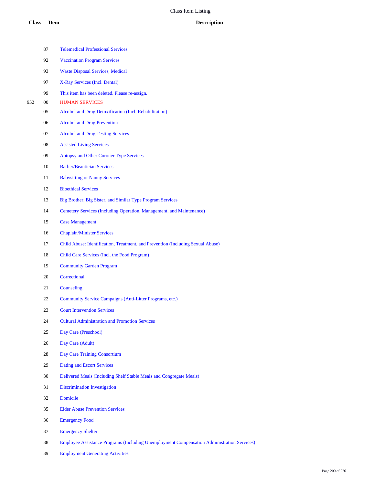| 87     | <b>Telemedical Professional Services</b>                                        |
|--------|---------------------------------------------------------------------------------|
| 92     | <b>Vaccination Program Services</b>                                             |
| 93     | <b>Waste Disposal Services, Medical</b>                                         |
| 97     | X-Ray Services (Incl. Dental)                                                   |
| 99     | This item has been deleted. Please re-assign.                                   |
| $00\,$ | <b>HUMAN SERVICES</b>                                                           |
| 05     | Alcohol and Drug Detoxification (Incl. Rehabilitation)                          |
| 06     | <b>Alcohol and Drug Prevention</b>                                              |
| 07     | <b>Alcohol and Drug Testing Services</b>                                        |
| 08     | <b>Assisted Living Services</b>                                                 |
| 09     | <b>Autopsy and Other Coroner Type Services</b>                                  |
| 10     | <b>Barber/Beautician Services</b>                                               |
| 11     | <b>Babysitting or Nanny Services</b>                                            |
| 12     | <b>Bioethical Services</b>                                                      |
| 13     | Big Brother, Big Sister, and Similar Type Program Services                      |
| 14     | Cemetery Services (Including Operation, Management, and Maintenance)            |
| 15     | <b>Case Management</b>                                                          |
| 16     | <b>Chaplain/Minister Services</b>                                               |
| 17     | Child Abuse: Identification, Treatment, and Prevention (Including Sexual Abuse) |
| 18     | Child Care Services (Incl. the Food Program)                                    |
| 19     | <b>Community Garden Program</b>                                                 |
| 20     | Correctional                                                                    |
| 21     | Counseling                                                                      |
| 22     | Community Service Campaigns (Anti-Litter Programs, etc.)                        |
| 23     | <b>Court Intervention Services</b>                                              |
| 24     | <b>Cultural Administration and Promotion Services</b>                           |
| 25     | Day Care (Preschool)                                                            |
| 26     | Day Care (Adult)                                                                |
| 28     | Day Care Training Consortium                                                    |
| 29     | Dating and Escort Services                                                      |
| 30     | Delivered Meals (Including Shelf Stable Meals and Congregate Meals)             |
| 31     | <b>Discrimination Investigation</b>                                             |
| 32     | Domicile                                                                        |
| 35     | <b>Elder Abuse Prevention Services</b>                                          |
| 36     | <b>Emergency Food</b>                                                           |
| 37     | <b>Emergency Shelter</b>                                                        |
| 20     |                                                                                 |

Employee Assistance Programs (Including Unemployment Compensation Administration Services)

Employment Generating Activities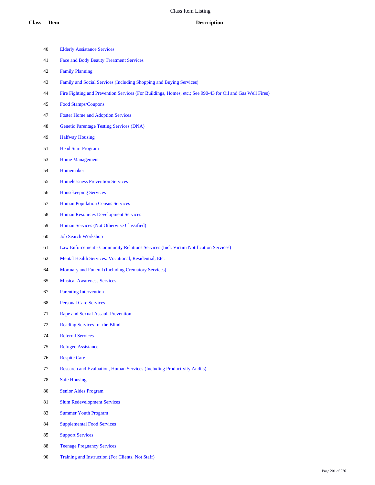| 40 | <b>Elderly Assistance Services</b>                                                                        |
|----|-----------------------------------------------------------------------------------------------------------|
| 41 | <b>Face and Body Beauty Treatment Services</b>                                                            |
| 42 | <b>Family Planning</b>                                                                                    |
| 43 | Family and Social Services (Including Shopping and Buying Services)                                       |
| 44 | Fire Fighting and Prevention Services (For Buildings, Homes, etc.; See 990-43 for Oil and Gas Well Fires) |
| 45 | Food Stamps/Coupons                                                                                       |
| 47 | <b>Foster Home and Adoption Services</b>                                                                  |
| 48 | <b>Genetic Parentage Testing Services (DNA)</b>                                                           |
| 49 | <b>Halfway Housing</b>                                                                                    |
| 51 | <b>Head Start Program</b>                                                                                 |
| 53 | <b>Home Management</b>                                                                                    |
| 54 | Homemaker                                                                                                 |
| 55 | <b>Homelessness Prevention Services</b>                                                                   |
| 56 | <b>Housekeeping Services</b>                                                                              |
| 57 | <b>Human Population Census Services</b>                                                                   |
| 58 | <b>Human Resources Development Services</b>                                                               |
| 59 | Human Services (Not Otherwise Classified)                                                                 |
| 60 | <b>Job Search Workshop</b>                                                                                |
| 61 | Law Enforcement - Community Relations Services (Incl. Victim Notification Services)                       |
| 62 | Mental Health Services: Vocational, Residential, Etc.                                                     |
| 64 | Mortuary and Funeral (Including Crematory Services)                                                       |
| 65 | <b>Musical Awareness Services</b>                                                                         |
| 67 | <b>Parenting Intervention</b>                                                                             |
| 68 | <b>Personal Care Services</b>                                                                             |
| 71 | <b>Rape and Sexual Assault Prevention</b>                                                                 |
| 72 | Reading Services for the Blind                                                                            |
| 74 | <b>Referral Services</b>                                                                                  |
| 75 | <b>Refugee Assistance</b>                                                                                 |
| 76 | <b>Respite Care</b>                                                                                       |
| 77 | Research and Evaluation, Human Services (Including Productivity Audits)                                   |
| 78 | <b>Safe Housing</b>                                                                                       |
| 80 | <b>Senior Aides Program</b>                                                                               |
| 81 | <b>Slum Redevelopment Services</b>                                                                        |
| 83 | <b>Summer Youth Program</b>                                                                               |
| 84 | <b>Supplemental Food Services</b>                                                                         |
| 85 | <b>Support Services</b>                                                                                   |
| 88 | <b>Teenage Pregnancy Services</b>                                                                         |
| 90 | Training and Instruction (For Clients, Not Staff)                                                         |
|    |                                                                                                           |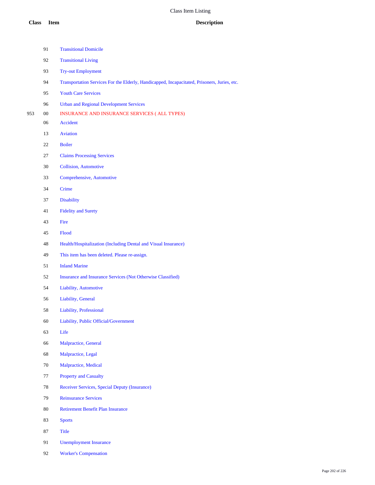- Transitional Domicile
- Transitional Living
- Try-out Employment
- Transportation Services For the Elderly, Handicapped, Incapacitated, Prisoners, Juries, etc.
- Youth Care Services
- Urban and Regional Development Services
- 00 INSURANCE AND INSURANCE SERVICES ( ALL TYPES)
	- Accident
	- Aviation
	- Boiler
	- Claims Processing Services
	- Collision, Automotive
	- Comprehensive, Automotive
	- Crime
	- Disability
	- Fidelity and Surety
	- Fire
	- Flood
	- Health/Hospitalization (Including Dental and Visual Insurance)
	- This item has been deleted. Please re-assign.
	- Inland Marine
	- Insurance and Insurance Services (Not Otherwise Classified)
	- Liability, Automotive
	- Liability, General
	- Liability, Professional
	- Liability, Public Official/Government
	- Life
	- Malpractice, General
	- Malpractice, Legal
	- Malpractice, Medical
	- Property and Casualty
	- Receiver Services, Special Deputy (Insurance)
	- Reinsurance Services
	- Retirement Benefit Plan Insurance
	- Sports
	- Title
	- Unemployment Insurance
	- Worker's Compensation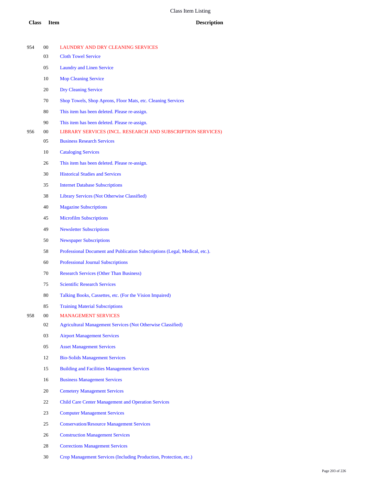| 954 | 00 | LAUNDRY AND DRY CLEANING SERVICES                                           |
|-----|----|-----------------------------------------------------------------------------|
|     | 03 | <b>Cloth Towel Service</b>                                                  |
|     | 05 | <b>Laundry and Linen Service</b>                                            |
|     | 10 | <b>Mop Cleaning Service</b>                                                 |
|     | 20 | <b>Dry Cleaning Service</b>                                                 |
|     | 70 | Shop Towels, Shop Aprons, Floor Mats, etc. Cleaning Services                |
|     | 80 | This item has been deleted. Please re-assign.                               |
|     | 90 | This item has been deleted. Please re-assign.                               |
| 956 | 00 | LIBRARY SERVICES (INCL. RESEARCH AND SUBSCRIPTION SERVICES)                 |
|     | 05 | <b>Business Research Services</b>                                           |
|     | 10 | <b>Cataloging Services</b>                                                  |
|     | 26 | This item has been deleted. Please re-assign.                               |
|     | 30 | <b>Historical Studies and Services</b>                                      |
|     | 35 | <b>Internet Database Subscriptions</b>                                      |
|     | 38 | <b>Library Services (Not Otherwise Classified)</b>                          |
|     | 40 | <b>Magazine Subscriptions</b>                                               |
|     | 45 | <b>Microfilm Subscriptions</b>                                              |
|     | 49 | <b>Newsletter Subscriptions</b>                                             |
|     | 50 | <b>Newspaper Subscriptions</b>                                              |
|     | 58 | Professional Document and Publication Subscriptions (Legal, Medical, etc.). |
|     | 60 | <b>Professional Journal Subscriptions</b>                                   |
|     | 70 | <b>Research Services (Other Than Business)</b>                              |
|     | 75 | <b>Scientific Research Services</b>                                         |
|     | 80 | Talking Books, Cassettes, etc. (For the Vision Impaired)                    |
|     | 85 | <b>Training Material Subscriptions</b>                                      |
| 958 | 00 | <b>MANAGEMENT SERVICES</b>                                                  |
|     | 02 | <b>Agricultural Management Services (Not Otherwise Classified)</b>          |
|     | 03 | <b>Airport Management Services</b>                                          |
|     | 05 | <b>Asset Management Services</b>                                            |
|     | 12 | <b>Bio-Solids Management Services</b>                                       |
|     | 15 | <b>Building and Facilities Management Services</b>                          |
|     | 16 | <b>Business Management Services</b>                                         |
|     | 20 | <b>Cemetery Management Services</b>                                         |
|     | 22 | <b>Child Care Center Management and Operation Services</b>                  |
|     | 23 | <b>Computer Management Services</b>                                         |
|     | 25 | <b>Conservation/Resource Management Services</b>                            |
|     | 26 | <b>Construction Management Services</b>                                     |
|     | 28 | <b>Corrections Management Services</b>                                      |
|     |    |                                                                             |

Crop Management Services (Including Production, Protection, etc.)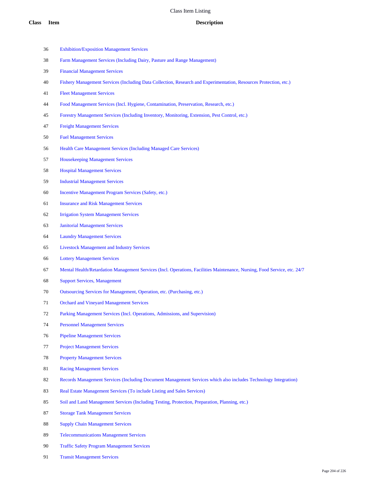- Exhibition/Exposition Management Services
- Farm Management Services (Including Dairy, Pasture and Range Management)
- Financial Management Services
- Fishery Management Services (Including Data Collection, Research and Experimentation, Resources Protection, etc.)
- Fleet Management Services
- Food Management Services (Incl. Hygiene, Contamination, Preservation, Research, etc.)
- Forestry Management Services (Including Inventory, Monitoring, Extension, Pest Control, etc.)
- Freight Management Services
- Fuel Management Services
- Health Care Management Services (Including Managed Care Services)
- Housekeeping Management Services
- Hospital Management Services
- Industrial Management Services
- Incentive Management Program Services (Safety, etc.)
- Insurance and Risk Management Services
- Irrigation System Management Services
- Janitorial Management Services
- Laundry Management Services
- Livestock Management and Industry Services
- Lottery Management Services
- Mental Health/Retardation Management Services (Incl. Operations, Facilities Maintenance, Nursing, Food Service, etc. 24/7
- Support Services, Management
- Outsourcing Services for Management, Operation, etc. (Purchasing, etc.)
- Orchard and Vineyard Management Services
- Parking Management Services (Incl. Operations, Admissions, and Supervision)
- Personnel Management Services
- Pipeline Management Services
- Project Management Services
- Property Management Services
- Racing Management Services
- Records Management Services (Including Document Management Services which also includes Technology Integration)
- Real Estate Management Services (To include Listing and Sales Services)
- Soil and Land Management Services (Including Testing, Protection, Preparation, Planning, etc.)
- Storage Tank Management Services
- Supply Chain Management Services
- Telecommunications Management Services
- Traffic Safety Program Management Services
- Transit Management Services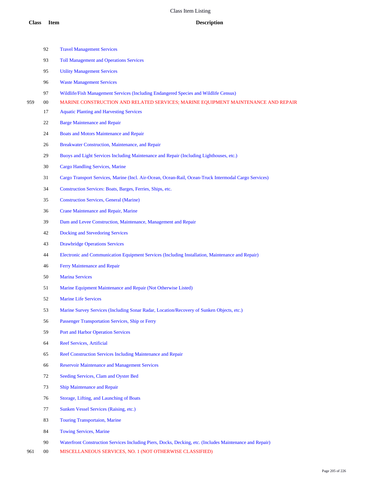|     | 92     | <b>Travel Management Services</b>                                                                     |
|-----|--------|-------------------------------------------------------------------------------------------------------|
|     | 93     | <b>Toll Management and Operations Services</b>                                                        |
|     | 95     | <b>Utility Management Services</b>                                                                    |
|     | 96     | <b>Waste Management Services</b>                                                                      |
|     | 97     | Wildlife/Fish Management Services (Including Endangered Species and Wildlife Census)                  |
| 959 | $00\,$ | MARINE CONSTRUCTION AND RELATED SERVICES; MARINE EQUIPMENT MAINTENANCE AND REPAIR                     |
|     | 17     | <b>Aquatic Planting and Harvesting Services</b>                                                       |
|     | 22     | <b>Barge Maintenance and Repair</b>                                                                   |
|     | 24     | <b>Boats and Motors Maintenance and Repair</b>                                                        |
|     | 26     | Breakwater Construction, Maintenance, and Repair                                                      |
|     | 29     | Buoys and Light Services Including Maintenance and Repair (Including Lighthouses, etc.)               |
|     | 30     | <b>Cargo Handling Services, Marine</b>                                                                |
|     | 31     | Cargo Transport Services, Marine (Incl. Air-Ocean, Ocean-Rail, Ocean-Truck Intermodal Cargo Services) |
|     | 34     | Construction Services: Boats, Barges, Ferries, Ships, etc.                                            |
|     | 35     | <b>Construction Services, General (Marine)</b>                                                        |
|     | 36     | <b>Crane Maintenance and Repair, Marine</b>                                                           |
|     | 39     | Dam and Levee Construction, Maintenance, Management and Repair                                        |
|     | 42     | Docking and Stevedoring Services                                                                      |
|     | 43     | <b>Drawbridge Operations Services</b>                                                                 |
|     | 44     | Electronic and Communication Equipment Services (Including Installation, Maintenance and Repair)      |
|     | 46     | Ferry Maintenance and Repair                                                                          |
|     | 50     | <b>Marina Services</b>                                                                                |
|     | 51     | Marine Equipment Maintenance and Repair (Not Otherwise Listed)                                        |
|     | 52     | <b>Marine Life Services</b>                                                                           |
|     | 53     | Marine Survey Services (Including Sonar Radar, Location/Recovery of Sunken Objects, etc.)             |
|     | 56     | Passenger Transportation Services, Ship or Ferry                                                      |
|     | 59     | <b>Port and Harbor Operation Services</b>                                                             |
|     | 64     | <b>Reef Services, Artificial</b>                                                                      |
|     | 65     | Reef Construction Services Including Maintenance and Repair                                           |
|     | 66     | <b>Reservoir Maintenance and Management Services</b>                                                  |
|     | 72     | Seeding Services, Clam and Oyster Bed                                                                 |
|     | 73     | <b>Ship Maintenance and Repair</b>                                                                    |
|     | 76     | Storage, Lifting, and Launching of Boats                                                              |
|     | 77     | Sunken Vessel Services (Raising, etc.)                                                                |
|     | 83     | <b>Touring Transportaion, Marine</b>                                                                  |
|     | 84     | <b>Towing Services, Marine</b>                                                                        |
|     |        |                                                                                                       |

Waterfront Construction Services Including Piers, Docks, Decking, etc. (Includes Maintenance and Repair)

00 MISCELLANEOUS SERVICES, NO. 1 (NOT OTHERWISE CLASSIFIED)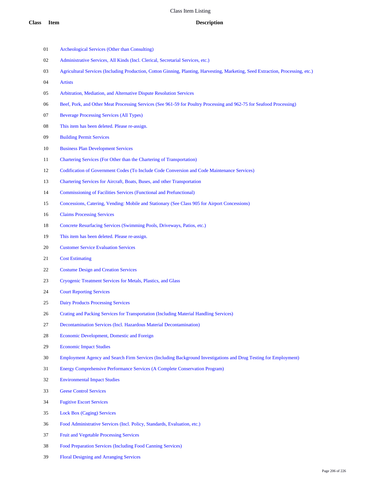- Archeological Services (Other than Consulting)
- Administrative Services, All Kinds (Incl. Clerical, Secretarial Services, etc.)
- Agricultural Services (Including Production, Cotton Ginning, Planting, Harvesting, Marketing, Seed Extraction, Processing, etc.)
- Artists
- Arbitration, Mediation, and Alternative Dispute Resolution Services
- 06 Beef, Pork, and Other Meat Processing Services (See 961-59 for Poultry Processing and 962-75 for Seafood Processing)
- Beverage Processing Services (All Types)
- This item has been deleted. Please re-assign.
- Building Permit Services
- Business Plan Development Services
- Chartering Services (For Other than the Chartering of Transportation)
- Codification of Government Codes (To Include Code Conversion and Code Maintenance Services)
- Chartering Services for Aircraft, Boats, Buses, and other Transportation
- Commissioning of Facilities Services (Functional and Prefunctional)
- Concessions, Catering, Vending: Mobile and Stationary (See Class 905 for Airport Concessions)
- Claims Processing Services
- Concrete Resurfacing Services (Swimming Pools, Driveways, Patios, etc.)
- This item has been deleted. Please re-assign.
- Customer Service Evaluation Services
- Cost Estimating
- Costume Design and Creation Services
- Cryogenic Treatment Services for Metals, Plastics, and Glass
- Court Reporting Services
- Dairy Products Processing Services
- Crating and Packing Services for Transportation (Including Material Handling Services)
- Decontamination Services (Incl. Hazardous Material Decontamination)
- Economic Development, Domestic and Foreign
- Economic Impact Studies
- Employment Agency and Search Firm Services (Including Background Investigations and Drug Testing for Employment)
- Energy Comprehensive Performance Services (A Complete Conservation Program)
- Environmental Impact Studies
- Geese Control Services
- Fugitive Escort Services
- Lock Box (Caging) Services
- Food Administrative Services (Incl. Policy, Standards, Evaluation, etc.)
- Fruit and Vegetable Processing Services
- Food Preparation Services (Including Food Canning Services)
- Floral Designing and Arranging Services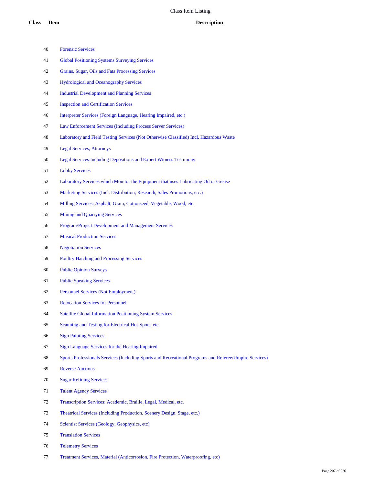| 40 | <b>Forensic Services</b>                                                                               |
|----|--------------------------------------------------------------------------------------------------------|
| 41 | <b>Global Positioning Systems Surveying Services</b>                                                   |
| 42 | Grains, Sugar, Oils and Fats Processing Services                                                       |
| 43 | <b>Hydrological and Oceanography Services</b>                                                          |
| 44 | <b>Industrial Development and Planning Services</b>                                                    |
| 45 | <b>Inspection and Certification Services</b>                                                           |
| 46 | Interpreter Services (Foreign Language, Hearing Impaired, etc.)                                        |
| 47 | Law Enforcement Services (Including Process Server Services)                                           |
| 48 | Laboratory and Field Testing Services (Not Otherwise Classified) Incl. Hazardous Waste                 |
| 49 | <b>Legal Services, Attorneys</b>                                                                       |
| 50 | <b>Legal Services Including Depositions and Expert Witness Testimony</b>                               |
| 51 | <b>Lobby Services</b>                                                                                  |
| 52 | Laboratory Services which Monitor the Equipment that uses Lubricating Oil or Grease                    |
| 53 | Marketing Services (Incl. Distribution, Research, Sales Promotions, etc.)                              |
| 54 | Milling Services: Asphalt, Grain, Cottonseed, Vegetable, Wood, etc.                                    |
| 55 | <b>Mining and Quarrying Services</b>                                                                   |
| 56 | Program/Project Development and Management Services                                                    |
| 57 | <b>Musical Production Services</b>                                                                     |
| 58 | <b>Negotiation Services</b>                                                                            |
| 59 | <b>Poultry Hatching and Processing Services</b>                                                        |
| 60 | <b>Public Opinion Surveys</b>                                                                          |
| 61 | <b>Public Speaking Services</b>                                                                        |
| 62 | <b>Personnel Services (Not Employment)</b>                                                             |
| 63 | <b>Relocation Services for Personnel</b>                                                               |
| 64 | <b>Satellite Global Information Positioning System Services</b>                                        |
| 65 | Scanning and Testing for Electrical Hot-Spots, etc.                                                    |
| 66 | <b>Sign Painting Services</b>                                                                          |
| 67 | Sign Language Services for the Hearing Impaired                                                        |
| 68 | Sports Professionals Services (Including Sports and Recreational Programs and Referee/Umpire Services) |
| 69 | <b>Reverse Auctions</b>                                                                                |
| 70 | <b>Sugar Refining Services</b>                                                                         |
| 71 | <b>Talent Agency Services</b>                                                                          |
| 72 | Transcription Services: Academic, Braille, Legal, Medical, etc.                                        |
| 73 | Theatrical Services (Including Production, Scenery Design, Stage, etc.)                                |
| 74 | Scientist Services (Geology, Geophysics, etc)                                                          |

- Translation Services
- Telemetry Services
- Treatment Services, Material (Anticorrosion, Fire Protection, Waterproofing, etc)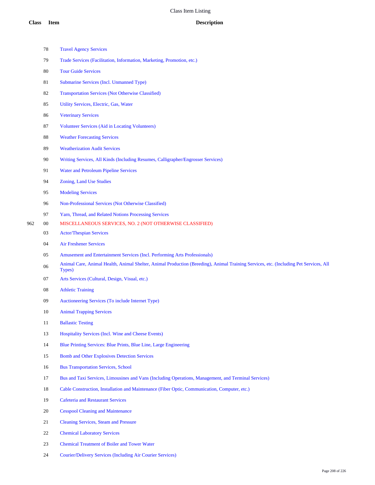|     | 78     | <b>Travel Agency Services</b>                                                                                                                   |
|-----|--------|-------------------------------------------------------------------------------------------------------------------------------------------------|
|     | 79     | Trade Services (Facilitation, Information, Marketing, Promotion, etc.)                                                                          |
|     | 80     | <b>Tour Guide Services</b>                                                                                                                      |
|     | 81     | Submarine Services (Incl. Unmanned Type)                                                                                                        |
|     | 82     | <b>Transportation Services (Not Otherwise Classified)</b>                                                                                       |
|     | 85     | Utility Services, Electric, Gas, Water                                                                                                          |
|     | 86     | <b>Veterinary Services</b>                                                                                                                      |
|     | 87     | <b>Volunteer Services (Aid in Locating Volunteers)</b>                                                                                          |
|     | 88     | <b>Weather Forecasting Services</b>                                                                                                             |
|     | 89     | <b>Weatherization Audit Services</b>                                                                                                            |
|     | 90     | Writing Services, All Kinds (Including Resumes, Calligrapher/Engrosser Services)                                                                |
|     | 91     | <b>Water and Petroleum Pipeline Services</b>                                                                                                    |
|     | 94     | <b>Zoning, Land Use Studies</b>                                                                                                                 |
|     | 95     | <b>Modeling Services</b>                                                                                                                        |
|     | 96     | Non-Professional Services (Not Otherwise Classified)                                                                                            |
|     | 97     | Yarn, Thread, and Related Notions Processing Services                                                                                           |
| 962 | $00\,$ | MISCELLANEOUS SERVICES, NO. 2 (NOT OTHERWISE CLASSIFIED)                                                                                        |
|     | 03     | <b>Actor/Thespian Services</b>                                                                                                                  |
|     | 04     | <b>Air Freshener Services</b>                                                                                                                   |
|     | 05     | Amusement and Entertainment Services (Incl. Performing Arts Professionals)                                                                      |
|     | 06     | Animal Care, Animal Health, Animal Shelter, Animal Production (Breeding), Animal Training Services, etc. (Including Pet Services, All<br>Types) |
|     | 07     | Arts Services (Cultural, Design, Visual, etc.)                                                                                                  |
|     | 08     | <b>Athletic Training</b>                                                                                                                        |
|     | 09     | Auctioneering Services (To include Internet Type)                                                                                               |
|     | 10     | <b>Animal Trapping Services</b>                                                                                                                 |
|     | 11     | <b>Ballastic Testing</b>                                                                                                                        |
|     | 13     | Hospitality Services (Incl. Wine and Cheese Events)                                                                                             |
|     | 14     | Blue Printing Services: Blue Prints, Blue Line, Large Engineering                                                                               |
|     | 15     | <b>Bomb and Other Explosives Detection Services</b>                                                                                             |
|     | 16     | <b>Bus Transportation Services, School</b>                                                                                                      |
|     | 17     | Bus and Taxi Services, Limousines and Vans (Including Operations, Management, and Terminal Services)                                            |
|     | 18     | Cable Construction, Installation and Maintenance (Fiber Optic, Communication, Computer, etc.)                                                   |
|     | 19     | <b>Cafeteria and Restaurant Services</b>                                                                                                        |
|     | 20     | <b>Cesspool Cleaning and Maintenance</b>                                                                                                        |
|     | 21     | <b>Cleaning Services, Steam and Pressure</b>                                                                                                    |
|     | $22\,$ | <b>Chemical Laboratory Services</b>                                                                                                             |
|     |        |                                                                                                                                                 |

- Chemical Treatment of Boiler and Tower Water
- Courier/Delivery Services (Including Air Courier Services)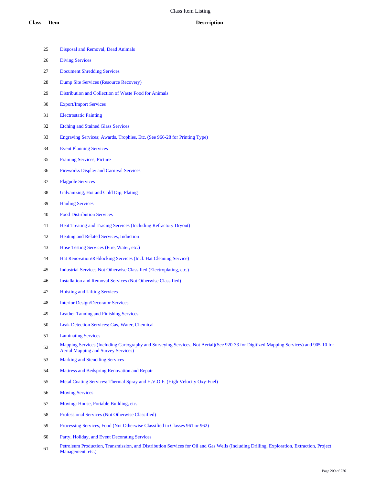| 25 | Disposal and Removal, Dead Animals                                                                                                                                                  |
|----|-------------------------------------------------------------------------------------------------------------------------------------------------------------------------------------|
| 26 | <b>Diving Services</b>                                                                                                                                                              |
| 27 | <b>Document Shredding Services</b>                                                                                                                                                  |
| 28 | <b>Dump Site Services (Resource Recovery)</b>                                                                                                                                       |
| 29 | Distribution and Collection of Waste Food for Animals                                                                                                                               |
| 30 | <b>Export/Import Services</b>                                                                                                                                                       |
| 31 | <b>Electrostatic Painting</b>                                                                                                                                                       |
| 32 | <b>Etching and Stained Glass Services</b>                                                                                                                                           |
| 33 | Engraving Services; Awards, Trophies, Etc. (See 966-28 for Printing Type)                                                                                                           |
| 34 | <b>Event Planning Services</b>                                                                                                                                                      |
| 35 | Framing Services, Picture                                                                                                                                                           |
| 36 | <b>Fireworks Display and Carnival Services</b>                                                                                                                                      |
| 37 | <b>Flagpole Services</b>                                                                                                                                                            |
| 38 | Galvanizing, Hot and Cold Dip; Plating                                                                                                                                              |
| 39 | <b>Hauling Services</b>                                                                                                                                                             |
| 40 | <b>Food Distribution Services</b>                                                                                                                                                   |
| 41 | Heat Treating and Tracing Services (Including Refractory Dryout)                                                                                                                    |
| 42 | Heating and Related Services, Induction                                                                                                                                             |
| 43 | Hose Testing Services (Fire, Water, etc.)                                                                                                                                           |
| 44 | Hat Renovation/Reblocking Services (Incl. Hat Cleaning Service)                                                                                                                     |
| 45 | Industrial Services Not Otherwise Classified (Electroplating, etc.)                                                                                                                 |
| 46 | <b>Installation and Removal Services (Not Otherwise Classified)</b>                                                                                                                 |
| 47 | <b>Hoisting and Lifting Services</b>                                                                                                                                                |
| 48 | <b>Interior Design/Decorator Services</b>                                                                                                                                           |
| 49 | <b>Leather Tanning and Finishing Services</b>                                                                                                                                       |
| 50 | Leak Detection Services: Gas, Water, Chemical                                                                                                                                       |
| 51 | <b>Laminating Services</b>                                                                                                                                                          |
| 52 | Mapping Services (Including Cartography and Surveying Services, Not Aerial)(See 920-33 for Digitized Mapping Services) and 905-10 for<br><b>Aerial Mapping and Survey Services)</b> |
| 53 | <b>Marking and Stenciling Services</b>                                                                                                                                              |
| 54 | Mattress and Bedspring Renovation and Repair                                                                                                                                        |
| 55 | Metal Coating Services: Thermal Spray and H.V.O.F. (High Velocity Oxy-Fuel)                                                                                                         |
| 56 | <b>Moving Services</b>                                                                                                                                                              |
| 57 | Moving: House, Portable Building, etc.                                                                                                                                              |
| 58 | Professional Services (Not Otherwise Classified)                                                                                                                                    |
| 59 | Processing Services, Food (Not Otherwise Classified in Classes 961 or 962)                                                                                                          |

- Party, Holiday, and Event Decorating Services
- Petroleum Production, Transmission, and Distribution Services for Oil and Gas Wells (Including Drilling, Exploration, Extraction, Project Management, etc.)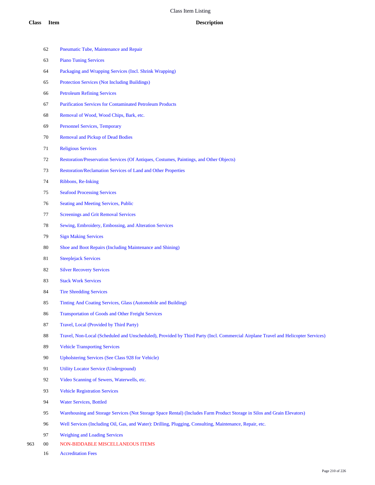| 62 | Pneumatic Tube, Maintenance and Repair                                                                                            |
|----|-----------------------------------------------------------------------------------------------------------------------------------|
| 63 | <b>Piano Tuning Services</b>                                                                                                      |
| 64 | Packaging and Wrapping Services (Incl. Shrink Wrapping)                                                                           |
| 65 | <b>Protection Services (Not Including Buildings)</b>                                                                              |
| 66 | <b>Petroleum Refining Services</b>                                                                                                |
| 67 | <b>Purification Services for Contaminated Petroleum Products</b>                                                                  |
| 68 | Removal of Wood, Wood Chips, Bark, etc.                                                                                           |
| 69 | <b>Personnel Services, Temporary</b>                                                                                              |
| 70 | <b>Removal and Pickup of Dead Bodies</b>                                                                                          |
| 71 | <b>Religious Services</b>                                                                                                         |
| 72 | Restoration/Preservation Services (Of Antiques, Costumes, Paintings, and Other Objects)                                           |
| 73 | Restoration/Reclamation Services of Land and Other Properties                                                                     |
| 74 | Ribbons, Re-Inking                                                                                                                |
| 75 | <b>Seafood Processing Services</b>                                                                                                |
| 76 | Seating and Meeting Services, Public                                                                                              |
| 77 | <b>Screenings and Grit Removal Services</b>                                                                                       |
| 78 | Sewing, Embroidery, Embossing, and Alteration Services                                                                            |
| 79 | <b>Sign Making Services</b>                                                                                                       |
| 80 | Shoe and Boot Repairs (Including Maintenance and Shining)                                                                         |
| 81 | <b>Steeplejack Services</b>                                                                                                       |
| 82 | <b>Silver Recovery Services</b>                                                                                                   |
| 83 | <b>Stack Work Services</b>                                                                                                        |
| 84 | <b>Tire Shredding Services</b>                                                                                                    |
| 85 | Tinting And Coating Services, Glass (Automobile and Building)                                                                     |
| 86 | <b>Transportation of Goods and Other Freight Services</b>                                                                         |
| 87 | Travel, Local (Provided by Third Party)                                                                                           |
| 88 | Travel, Non-Local (Scheduled and Unscheduled), Provided by Third Party (Incl. Commercial Airplane Travel and Helicopter Services) |
| 89 | <b>Vehicle Transporting Services</b>                                                                                              |
| 90 | <b>Upholstering Services (See Class 928 for Vehicle)</b>                                                                          |
| 91 | <b>Utility Locator Service (Underground)</b>                                                                                      |
| 92 | Video Scanning of Sewers, Waterwells, etc.                                                                                        |
| 93 | <b>Vehicle Registration Services</b>                                                                                              |
| 94 | <b>Water Services, Bottled</b>                                                                                                    |
| 95 | Warehousing and Storage Services (Not Storage Space Rental) (Includes Farm Product Storage in Silos and Grain Elevators)          |

- Well Services (Including Oil, Gas, and Water): Drilling, Plugging, Consulting, Maintenance, Repair, etc.
- Weighing and Loading Services
- 00 NON-BIDDABLE MISCELLANEOUS ITEMS
	- Accreditation Fees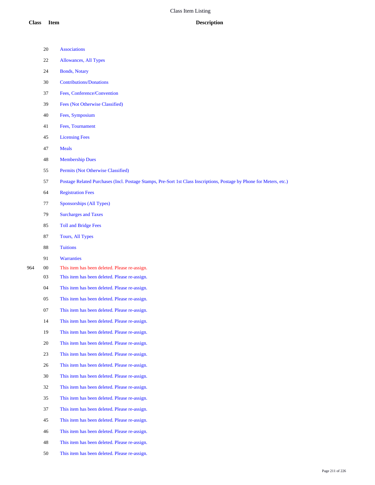- Associations
- Allowances, All Types
- Bonds, Notary
- Contributions/Donations
- Fees, Conference/Convention
- Fees (Not Otherwise Classified)
- Fees, Symposium
- Fees, Tournament
- Licensing Fees
- Meals
- Membership Dues
- Permits (Not Otherwise Classified)
- Postage Related Purchases (Incl. Postage Stamps, Pre-Sort 1st Class Inscriptions, Postage by Phone for Meters, etc.)
- Registration Fees
- Sponsorships (All Types)
- Surcharges and Taxes
- Toll and Bridge Fees
- Tours, All Types
- Tuitions
- Warranties
- 00 This item has been deleted. Please re-assign.
	- This item has been deleted. Please re-assign.
	- This item has been deleted. Please re-assign.
	- This item has been deleted. Please re-assign.
	- This item has been deleted. Please re-assign.
	- This item has been deleted. Please re-assign.
	- This item has been deleted. Please re-assign.
	- This item has been deleted. Please re-assign.
	- This item has been deleted. Please re-assign.
	- This item has been deleted. Please re-assign.
	- This item has been deleted. Please re-assign.
	- This item has been deleted. Please re-assign.
	- This item has been deleted. Please re-assign.
	- This item has been deleted. Please re-assign.
	- This item has been deleted. Please re-assign.
	- This item has been deleted. Please re-assign.
	- This item has been deleted. Please re-assign.
	- This item has been deleted. Please re-assign.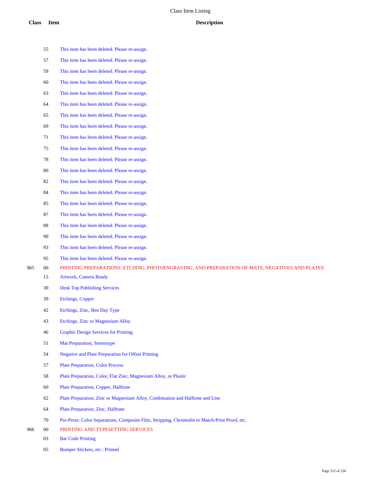This item has been deleted. Please re-assign. This item has been deleted. Please re-assign. This item has been deleted. Please re-assign. This item has been deleted. Please re-assign.

This item has been deleted. Please re-assign.

- This item has been deleted. Please re-assign.
- This item has been deleted. Please re-assign.
- This item has been deleted. Please re-assign.
- This item has been deleted. Please re-assign.
- This item has been deleted. Please re-assign.
- This item has been deleted. Please re-assign.
- This item has been deleted. Please re-assign.
- This item has been deleted. Please re-assign.
- This item has been deleted. Please re-assign.
- This item has been deleted. Please re-assign.
- This item has been deleted. Please re-assign.
- This item has been deleted. Please re-assign.
- This item has been deleted. Please re-assign.
- This item has been deleted. Please re-assign.
- This item has been deleted. Please re-assign.
- 00 PRINTING PREPARATIONS: ETCHING, PHOTOENGRAVING, AND PREPARATION OF MATS, NEGATIVES AND PLATES
	- Artwork, Camera Ready
	- Desk Top Publishing Services
	- Etchings, Copper
	- Etchings, Zinc, Ben Day Type
	- Etchings, Zinc or Magnesium Alloy
	- Graphic Design Services for Printing
	- Mat Preparation, Stereotype
	- Negative and Plate Preparation for Offset Printing
	- Plate Preparation, Color Process
	- Plate Preparation, Color, Flat Zinc, Magnesium Alloy, or Plastic
	- Plate Preparation, Copper, Halftone
	- Plate Preparation, Zinc or Magnesium Alloy, Combination and Halftone and Line
	- Plate Preparation, Zinc, Halftone
	- Pre-Press: Color Separations, Composite Film, Stripping, Chromolin or Match-Print Proof, etc.
- 00 PRINTING AND TYPESETTING SERVICES
	- Bar Code Printing
	- Bumper Stickers, etc.: Printed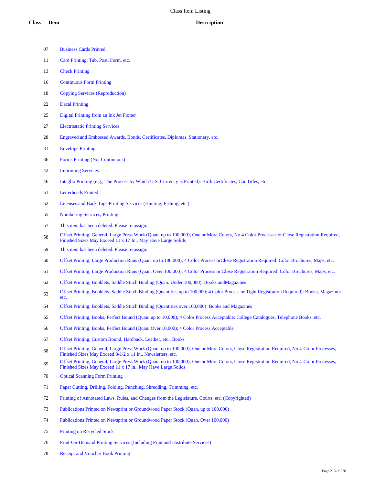| <b>Business Cards Printed</b> |  |
|-------------------------------|--|
|                               |  |

- Card Printing: Tab, Post, Form, etc.
- Check Printing
- Continuous Form Printing
- Copying Services (Reproduction)
- Decal Printing
- Digital Printing from an Ink Jet Plotter
- Electrostatic Printing Services
- Engraved and Embossed Awards, Bonds, Certificates, Diplomas, Stationery, etc.
- Envelope Printing
- Forms Printing (Not Continuous)
- Imprinting Services
- Intaglio Printing (e.g., The Process by Which U.S. Currency is Printed): Birth Certificates, Car Titles, etc.
- Letterheads Printed
- Licenses and Back Tags Printing Services (Hunting, Fishing, etc.)
- Numbering Services, Printing
- This item has been deleted. Please re-assign.
- 58 Offset Printing, General, Large Press Work (Quan. up to 100,000); One or More Colors, No 4 Color Processes or Close Registration Required, Finished Sizes May Exceed 11 x 17 In., May Have Large Solids
- This item has been deleted. Please re-assign.
- Offset Printing, Large Production Runs (Quan. up to 100,000); 4 Color Process orClose Registration Required: Color Brochures, Maps, etc.
- Offset Printing, Large Production Runs (Quan. Over 100,000); 4 Color Process or Close Registration Required: Color Brochures, Maps, etc.
- Offset Printing, Booklets, Saddle Stitch Binding (Quan. Under 100,000): Books andMagazines
- Offset Printing, Booklets, Saddle Stitch Binding (Quantities up to 100,000; 4 Color Process or Tight Registration Required): Books, Magazines, etc.
- Offset Printing, Booklets, Saddle Stitch Binding (Quantities over 100,000): Books and Magazines
- Offset Printing, Books, Perfect Bound (Quan. up to 10,000); 4 Color Process Acceptable: College Catalogues, Telephone Books, etc.
- Offset Printing, Books, Perfect Bound (Quan. Over 10,000); 4 Color Process Acceptable
- Offset Printing, Custom Bound, Hardback, Leather, etc.: Books
- Offset Printing, General, Large Press Work (Quan. up to 100,000); One or More Colors, Close Registration Required, No 4-Color Processes, Finished Sizes May Exceed 8-1/2 x 11 in., Newsletters, etc.
- Offset Printing, General, Large Press Work (Quan. up to 100,000); One or More Colors, Close Registration Required, No 4-Color Processes, Finished Sizes May Exceed 11 x 17 in., May Have Large Solids
- Optical Scanning Form Printing
- Paper Cutting, Drilling, Folding, Punching, Shredding, Trimming, etc.
- Printing of Annotated Laws, Rules, and Changes from the Legislature, Courts, etc. (Copyrighted)
- Publications Printed on Newsprint or Groundwood Paper Stock (Quan. up to 100,000)
- Publications Printed on Newsprint or Groundwood Paper Stock (Quan. Over 100,000)
- Printing on Recycled Stock
- Print-On-Demand Printing Services (Including Print and Distribute Services)
- Receipt and Voucher Book Printing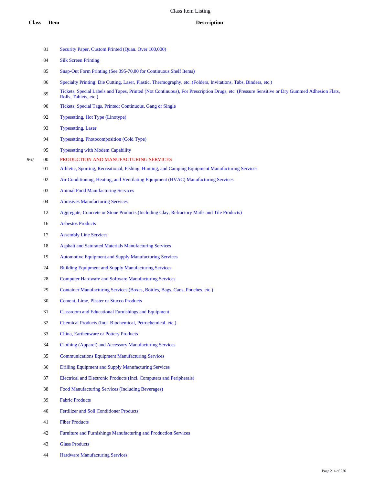- Security Paper, Custom Printed (Quan. Over 100,000)
- Silk Screen Printing
- Snap-Out Form Printing (See 395-70,80 for Continuous Shelf Items)
- Specialty Printing: Die Cutting, Laser, Plastic, Thermography, etc. (Folders, Invitations, Tabs, Binders, etc.)
- 89 Tickets, Special Labels and Tapes, Printed (Not Continuous), For Prescription Drugs, etc. (Pressure Sensitive or Dry Gummed Adhesion Flats, Rolls, Tablets, etc.)
- Tickets, Special Tags, Printed: Continuous, Gang or Single
- Typesetting, Hot Type (Linotype)
- Typesetting, Laser
- Typesetting, Photocomposition (Cold Type)
- Typesetting with Modem Capability
- 00 PRODUCTION AND MANUFACTURING SERVICES
	- Athletic, Sporting, Recreational, Fishing, Hunting, and Camping Equipment Manufacturing Services
	- Air Conditioning, Heating, and Ventilating Equipment (HVAC) Manufacturing Services
	- Animal Food Manufacturing Services
	- Abrasives Manufacturing Services
	- Aggregate, Concrete or Stone Products (Including Clay, Refractory Matls and Tile Products)
	- Asbestos Products
	- Assembly Line Services
	- Asphalt and Saturated Materials Manufacturing Services
	- Automotive Equipment and Supply Manufacturing Services
	- Building Equipment and Supply Manufacturing Services
	- Computer Hardware and Software Manufacturing Services
	- Container Manufacturing Services (Boxes, Bottles, Bags, Cans, Pouches, etc.)
	- Cement, Lime, Plaster or Stucco Products
	- Classroom and Educational Furnishings and Equipment
	- Chemical Products (Incl. Biochemical, Petrochemical, etc.)
	- China, Earthenware or Pottery Products
	- Clothing (Apparel) and Accessory Manufacturing Services
	- Communications Equipment Manufacturing Services
	- Drilling Equipment and Supply Manufacturing Services
	- Electrical and Electronic Products (Incl. Computers and Peripherals)
	- Food Manufacturing Services (Including Beverages)
	- Fabric Products
	- Fertilizer and Soil Conditioner Products
	- Fiber Products
	- Furniture and Furnishings Manufacturing and Production Services
	- Glass Products
	- Hardware Manufacturing Services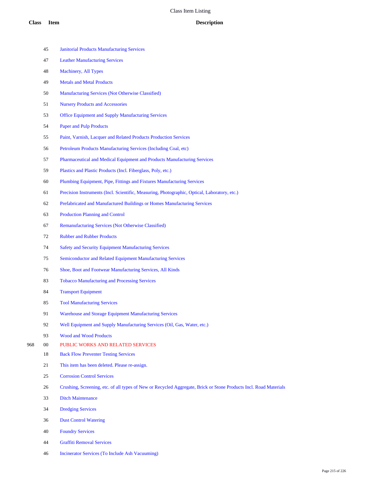- Janitorial Products Manufacturing Services
- Leather Manufacturing Services
- Machinery, All Types
- Metals and Metal Products
- Manufacturing Services (Not Otherwise Classified)
- Nursery Products and Accessories
- Office Equipment and Supply Manufacturing Services
- Paper and Pulp Products
- Paint, Varnish, Lacquer and Related Products Production Services
- Petroleum Products Manufacturing Services (Including Coal, etc)
- Pharmaceutical and Medical Equipment and Products Manufacturing Services
- Plastics and Plastic Products (Incl. Fiberglass, Poly, etc.)
- Plumbing Equipment, Pipe, Fittings and Fixtures Manufacturing Services
- Precision Instruments (Incl. Scientific, Measuring, Photographic, Optical, Laboratory, etc.)
- Prefabricated and Manufactured Buildings or Homes Manufacturing Services
- Production Planning and Control
- Remanufacturing Services (Not Otherwise Classified)
- Rubber and Rubber Products
- Safety and Security Equipment Manufacturing Services
- Semiconductor and Related Equipment Manufacturing Services
- Shoe, Boot and Footwear Manufacturing Services, All Kinds
- Tobacco Manufacturing and Processing Services
- Transport Equipment
- Tool Manufacturing Services
- Warehouse and Storage Equipment Manufacturing Services
- 92 Well Equipment and Supply Manufacturing Services (Oil, Gas, Water, etc.)
- Wood and Wood Products
- 00 PUBLIC WORKS AND RELATED SERVICES
	- Back Flow Preventer Testing Services
	- This item has been deleted. Please re-assign.
	- Corrosion Control Services
	- Crushing, Screening, etc. of all types of New or Recycled Aggregate, Brick or Stone Products Incl. Road Materials
	- Ditch Maintenance
	- Dredging Services
	- Dust Control Watering
	- Foundry Services
	- Graffiti Removal Services
	- Incinerator Services (To Include Ash Vacuuming)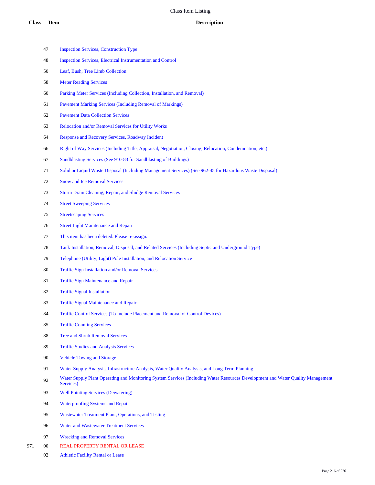- Inspection Services, Construction Type
- Inspection Services, Electrical Instrumentation and Control
- Leaf, Bush, Tree Limb Collection
- Meter Reading Services
- Parking Meter Services (Including Collection, Installation, and Removal)
- Pavement Marking Services (Including Removal of Markings)
- Pavement Data Collection Services
- Relocation and/or Removal Services for Utility Works
- Response and Recovery Services, Roadway Incident
- Right of Way Services (Including Title, Appraisal, Negotiation, Closing, Relocation, Condemnation, etc.)
- Sandblasting Services (See 910-83 for Sandblasting of Buildings)
- Solid or Liquid Waste Disposal (Including Management Services) (See 962-45 for Hazardous Waste Disposal)
- Snow and Ice Removal Services
- Storm Drain Cleaning, Repair, and Sludge Removal Services
- Street Sweeping Services
- Streetscaping Services
- Street Light Maintenance and Repair
- This item has been deleted. Please re-assign.
- Tank Installation, Removal, Disposal, and Related Services (Including Septic and Underground Type)
- Telephone (Utility, Light) Pole Installation, and Relocation Service
- Traffic Sign Installation and/or Removal Services
- Traffic Sign Maintenance and Repair
- Traffic Signal Installation
- Traffic Signal Maintenance and Repair
- Traffic Control Services (To Include Placement and Removal of Control Devices)
- Traffic Counting Services
- Tree and Shrub Removal Services
- Traffic Studies and Analysis Services
- Vehicle Towing and Storage
- Water Supply Analysis, Infrastructure Analysis, Water Quality Analysis, and Long Term Planning
- Water Supply Plant Operating and Monitoring System Services (Including Water Resources Development and Water Quality Management Services)
- Well Pointing Services (Dewatering)
- Waterproofing Systems and Repair
- Wastewater Treatment Plant, Operations, and Testing
- Water and Wastewater Treatment Services
- Wrecking and Removal Services
- 00 REAL PROPERTY RENTAL OR LEASE
	- Athletic Facility Rental or Lease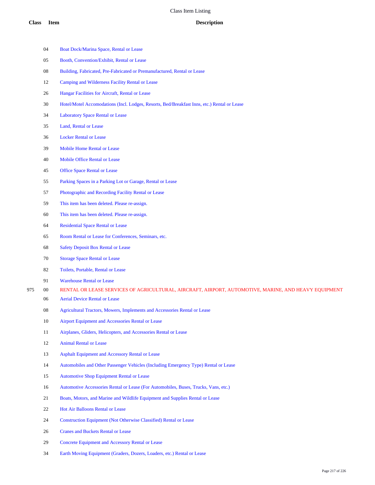- Boat Dock/Marina Space, Rental or Lease
- Booth, Convention/Exhibit, Rental or Lease
- Building, Fabricated, Pre-Fabricated or Premanufactured, Rental or Lease
- Camping and Wilderness Facility Rental or Lease
- Hangar Facilities for Aircraft, Rental or Lease
- Hotel/Motel Accomodations (Incl. Lodges, Resorts, Bed/Breakfast Inns, etc.) Rental or Lease
- Laboratory Space Rental or Lease
- Land, Rental or Lease
- Locker Rental or Lease
- Mobile Home Rental or Lease
- Mobile Office Rental or Lease
- Office Space Rental or Lease
- Parking Spaces in a Parking Lot or Garage, Rental or Lease
- Photographic and Recording Facility Rental or Lease
- This item has been deleted. Please re-assign.
- This item has been deleted. Please re-assign.
- Residential Space Rental or Lease
- Room Rental or Lease for Conferences, Seminars, etc.
- Safety Deposit Box Rental or Lease
- Storage Space Rental or Lease
- Toilets, Portable, Rental or Lease
- Warehouse Rental or Lease
- 00 RENTAL OR LEASE SERVICES OF AGRICULTURAL, AIRCRAFT, AIRPORT, AUTOMOTIVE, MARINE, AND HEAVY EQUIPMENT
	- Aerial Device Rental or Lease
	- Agricultural Tractors, Mowers, Implements and Accessories Rental or Lease
	- Airport Equipment and Accessories Rental or Lease
	- Airplanes, Gliders, Helicopters, and Accessories Rental or Lease
	- Animal Rental or Lease
	- Asphalt Equipment and Accessory Rental or Lease
	- Automobiles and Other Passenger Vehicles (Including Emergency Type) Rental or Lease
	- Automotive Shop Equipment Rental or Lease
	- Automotive Accessories Rental or Lease (For Automobiles, Buses, Trucks, Vans, etc.)
	- Boats, Motors, and Marine and Wildlife Equipment and Supplies Rental or Lease
	- Hot Air Balloons Rental or Lease
	- Construction Equipment (Not Otherwise Classified) Rental or Lease
	- Cranes and Buckets Rental or Lease
	- Concrete Equipment and Accessory Rental or Lease
	- Earth Moving Equipment (Graders, Dozers, Loaders, etc.) Rental or Lease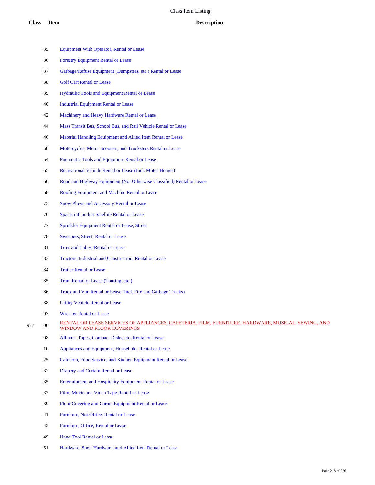- Equipment With Operator, Rental or Lease Forestry Equipment Rental or Lease Garbage/Refuse Equipment (Dumpsters, etc.) Rental or Lease Golf Cart Rental or Lease Hydraulic Tools and Equipment Rental or Lease Industrial Equipment Rental or Lease Machinery and Heavy Hardware Rental or Lease Mass Transit Bus, School Bus, and Rail Vehicle Rental or Lease Material Handling Equipment and Allied Item Rental or Lease Motorcycles, Motor Scooters, and Trucksters Rental or Lease Pneumatic Tools and Equipment Rental or Lease Recreational Vehicle Rental or Lease (Incl. Motor Homes) Road and Highway Equipment (Not Otherwise Classified) Rental or Lease Roofing Equipment and Machine Rental or Lease Snow Plows and Accessory Rental or Lease Spacecraft and/or Satellite Rental or Lease Sprinkler Equipment Rental or Lease, Street Sweepers, Street, Rental or Lease 81 Tires and Tubes, Rental or Lease Tractors, Industrial and Construction, Rental or Lease Trailer Rental or Lease Tram Rental or Lease (Touring, etc.) Truck and Van Rental or Lease (Incl. Fire and Garbage Trucks) Utility Vehicle Rental or Lease Wrecker Rental or Lease 977 00 RENTAL OR LEASE SERVICES OF APPLIANCES, CAFETERIA, FILM, FURNITURE, HARDWARE, MUSICAL, SEWING, AND WINDOW AND FLOOR COVERINGS Albums, Tapes, Compact Disks, etc. Rental or Lease Appliances and Equipment, Household, Rental or Lease Cafeteria, Food Service, and Kitchen Equipment Rental or Lease Drapery and Curtain Rental or Lease Entertainment and Hospitality Equipment Rental or Lease Film, Movie and Video Tape Rental or Lease Floor Covering and Carpet Equipment Rental or Lease
	- Furniture, Not Office, Rental or Lease
	- Furniture, Office, Rental or Lease
	- Hand Tool Rental or Lease
	- Hardware, Shelf Hardware, and Allied Item Rental or Lease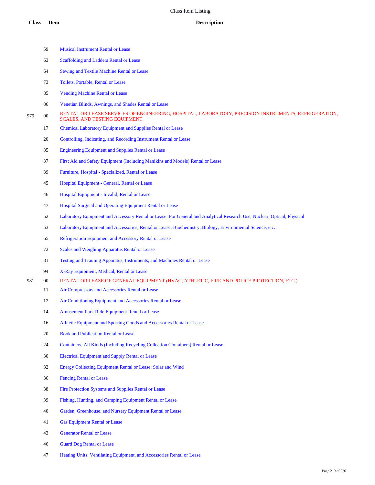Musical Instrument Rental or Lease Scaffolding and Ladders Rental or Lease

|     | 64     | Sewing and Textile Machine Rental or Lease                                                                                                   |
|-----|--------|----------------------------------------------------------------------------------------------------------------------------------------------|
|     | 73     | Toilets, Portable, Rental or Lease                                                                                                           |
|     | 85     | <b>Vending Machine Rental or Lease</b>                                                                                                       |
|     | 86     | Venetian Blinds, Awnings, and Shades Rental or Lease                                                                                         |
| 979 | $00\,$ | RENTAL OR LEASE SERVICES OF ENGINEERING, HOSPITAL, LABORATORY, PRECISION INSTRUMENTS, REFRIGERATION,<br><b>SCALES, AND TESTING EQUIPMENT</b> |
|     | 17     | Chemical Laboratory Equipment and Supplies Rental or Lease                                                                                   |
|     | 20     | Controlling, Indicating, and Recording Instrument Rental or Lease                                                                            |
|     | 35     | <b>Engineering Equipment and Supplies Rental or Lease</b>                                                                                    |
|     | 37     | First Aid and Safety Equipment (Including Manikins and Models) Rental or Lease                                                               |
|     | 39     | Furniture, Hospital - Specialized, Rental or Lease                                                                                           |
|     | 45     | Hospital Equipment - General, Rental or Lease                                                                                                |
|     | 46     | Hospital Equipment - Invalid, Rental or Lease                                                                                                |
|     | 47     | Hospital Surgical and Operating Equipment Rental or Lease                                                                                    |
|     | 52     | Laboratory Equipment and Accessory Rental or Lease: For General and Analytical Research Use, Nuclear, Optical, Physical                      |
|     | 53     | Laboratory Equipment and Accessories, Rental or Lease: Biochemistry, Biology, Environmental Science, etc.                                    |
|     | 65     | Refrigeration Equipment and Accessory Rental or Lease                                                                                        |
|     | 72     | Scales and Weighing Apparatus Rental or Lease                                                                                                |
|     | 81     | Testing and Training Apparatus, Instruments, and Machines Rental or Lease                                                                    |
|     | 94     | X-Ray Equipment, Medical, Rental or Lease                                                                                                    |
| 981 | 00     | RENTAL OR LEASE OF GENERAL EQUIPMENT (HVAC, ATHLETIC, FIRE AND POLICE PROTECTION, ETC.)                                                      |
|     | 11     | Air Compressors and Accessories Rental or Lease                                                                                              |
|     | 12     | Air Conditioning Equipment and Accessories Rental or Lease                                                                                   |
|     | 14     | Amusement Park Ride Equipment Rental or Lease                                                                                                |
|     | 16     | Athletic Equipment and Sporting Goods and Accessories Rental or Lease                                                                        |
|     | 20     | <b>Book and Publication Rental or Lease</b>                                                                                                  |
|     | 24     | Containers, All Kinds (Including Recycling Collection Containers) Rental or Lease                                                            |
|     | 30     | <b>Electrical Equipment and Supply Rental or Lease</b>                                                                                       |
|     | 32     | Energy Collecting Equipment Rental or Lease: Solar and Wind                                                                                  |
|     | 36     | <b>Fencing Rental or Lease</b>                                                                                                               |
|     | 38     | Fire Protection Systems and Supplies Rental or Lease                                                                                         |
|     | 39     | Fishing, Hunting, and Camping Equipment Rental or Lease                                                                                      |
|     | 40     | Garden, Greenhouse, and Nursery Equipment Rental or Lease                                                                                    |
|     | 41     | <b>Gas Equipment Rental or Lease</b>                                                                                                         |
|     | 43     | <b>Generator Rental or Lease</b>                                                                                                             |
|     | 46     | <b>Guard Dog Rental or Lease</b>                                                                                                             |
|     | 47     | Heating Units, Ventilating Equipment, and Accessories Rental or Lease                                                                        |
|     |        |                                                                                                                                              |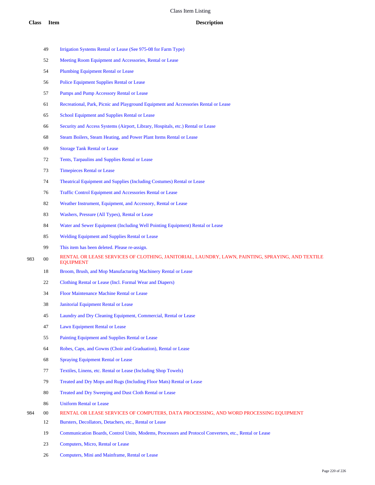- Irrigation Systems Rental or Lease (See 975-08 for Farm Type)
- Meeting Room Equipment and Accessories, Rental or Lease
- Plumbing Equipment Rental or Lease
- Police Equipment Supplies Rental or Lease
- Pumps and Pump Accessory Rental or Lease
- Recreational, Park, Picnic and Playground Equipment and Accessories Rental or Lease
- School Equipment and Supplies Rental or Lease
- Security and Access Systems (Airport, Library, Hospitals, etc.) Rental or Lease
- Steam Boilers, Steam Heating, and Power Plant Items Rental or Lease
- Storage Tank Rental or Lease
- Tents, Tarpaulins and Supplies Rental or Lease
- Timepieces Rental or Lease
- Theatrical Equipment and Supplies (Including Costumes) Rental or Lease
- Traffic Control Equipment and Accessories Rental or Lease
- Weather Instrument, Equipment, and Accessory, Rental or Lease
- Washers, Pressure (All Types), Rental or Lease
- Water and Sewer Equipment (Including Well Pointing Equipment) Rental or Lease
- Welding Equipment and Supplies Rental or Lease
- This item has been deleted. Please re-assign.
- 983 00 RENTAL OR LEASE SERVICES OF CLOTHING, JANITORIAL, LAUNDRY, LAWN, PAINTING, SPRAYING, AND TEXTILE EQUIPMENT
	- 18 Broom, Brush, and Mop Manufacturing Machinery Rental or Lease
	- Clothing Rental or Lease (Incl. Formal Wear and Diapers)
	- Floor Maintenance Machine Rental or Lease
	- Janitorial Equipment Rental or Lease
	- Laundry and Dry Cleaning Equipment, Commercial, Rental or Lease
	- Lawn Equipment Rental or Lease
	- Painting Equipment and Supplies Rental or Lease
	- Robes, Caps, and Gowns (Choir and Graduation), Rental or Lease
	- Spraying Equipment Rental or Lease
	- Textiles, Linens, etc. Rental or Lease (Including Shop Towels)
	- Treated and Dry Mops and Rugs (Including Floor Mats) Rental or Lease
	- Treated and Dry Sweeping and Dust Cloth Rental or Lease
	- Uniform Rental or Lease
- 00 RENTAL OR LEASE SERVICES OF COMPUTERS, DATA PROCESSING, AND WORD PROCESSING EQUIPMENT
	- Bursters, Decollators, Detachers, etc., Rental or Lease
	- Communication Boards, Control Units, Modems, Processors and Protocol Converters, etc., Rental or Lease
	- Computers, Micro, Rental or Lease
	- Computers, Mini and Mainframe, Rental or Lease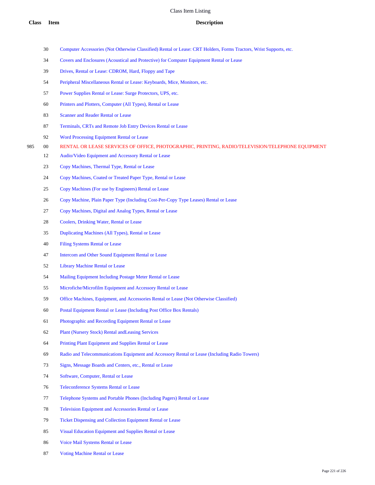- Computer Accessories (Not Otherwise Classified) Rental or Lease: CRT Holders, Forms Tractors, Wrist Supports, etc.
- Covers and Enclosures (Acoustical and Protective) for Computer Equipment Rental or Lease
- Drives, Rental or Lease: CDROM, Hard, Floppy and Tape
- Peripheral Miscellaneous Rental or Lease: Keyboards, Mice, Monitors, etc.
- Power Supplies Rental or Lease: Surge Protectors, UPS, etc.
- Printers and Plotters, Computer (All Types), Rental or Lease
- Scanner and Reader Rental or Lease
- Terminals, CRTs and Remote Job Entry Devices Rental or Lease
- Word Processing Equipment Rental or Lease
- 00 RENTAL OR LEASE SERVICES OF OFFICE, PHOTOGRAPHIC, PRINTING, RADIO/TELEVISION/TELEPHONE EQUIPMENT
	- Audio/Video Equipment and Accessory Rental or Lease
	- Copy Machines, Thermal Type, Rental or Lease
	- Copy Machines, Coated or Treated Paper Type, Rental or Lease
	- Copy Machines (For use by Engineers) Rental or Lease
	- Copy Machine, Plain Paper Type (Including Cost-Per-Copy Type Leases) Rental or Lease
	- Copy Machines, Digital and Analog Types, Rental or Lease
	- Coolers, Drinking Water, Rental or Lease
	- Duplicating Machines (All Types), Rental or Lease
	- Filing Systems Rental or Lease
	- Intercom and Other Sound Equipment Rental or Lease
	- Library Machine Rental or Lease
	- Mailing Equipment Including Postage Meter Rental or Lease
	- Microfiche/Microfilm Equipment and Accessory Rental or Lease
	- Office Machines, Equipment, and Accessories Rental or Lease (Not Otherwise Classified)
	- Postal Equipment Rental or Lease (Including Post Office Box Rentals)
	- Photographic and Recording Equipment Rental or Lease
	- Plant (Nursery Stock) Rental andLeasing Services
	- Printing Plant Equipment and Supplies Rental or Lease
	- Radio and Telecommunications Equipment and Accessory Rental or Lease (Including Radio Towers)
	- Signs, Message Boards and Centers, etc., Rental or Lease
	- Software, Computer, Rental or Lease
	- Teleconference Systems Rental or Lease
	- Telephone Systems and Portable Phones (Including Pagers) Rental or Lease
	- Television Equipment and Accessories Rental or Lease
	- Ticket Dispensing and Collection Equipment Rental or Lease
	- Visual Education Equipment and Supplies Rental or Lease
	- Voice Mail Systems Rental or Lease
	- Voting Machine Rental or Lease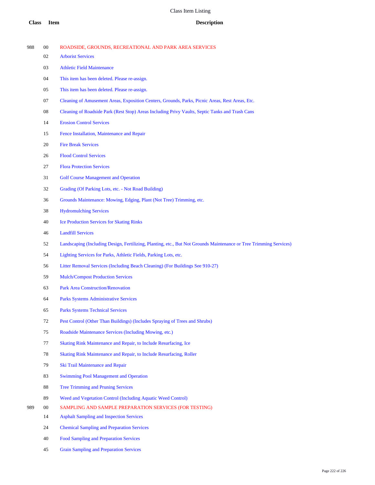| <b>Class</b> | <b>Item</b> | <b>Description</b>                                                                                                 |
|--------------|-------------|--------------------------------------------------------------------------------------------------------------------|
| 988          | $00\,$      | ROADSIDE, GROUNDS, RECREATIONAL AND PARK AREA SERVICES                                                             |
|              | 02          | <b>Arborist Services</b>                                                                                           |
|              | 03          | <b>Athletic Field Maintenance</b>                                                                                  |
|              | 04          | This item has been deleted. Please re-assign.                                                                      |
|              | 05          | This item has been deleted. Please re-assign.                                                                      |
|              | 07          | Cleaning of Amusement Areas, Exposition Centers, Grounds, Parks, Picnic Areas, Rest Areas, Etc.                    |
|              | 08          | Cleaning of Roadside Park (Rest Stop) Areas Including Privy Vaults, Septic Tanks and Trash Cans                    |
|              | 14          | <b>Erosion Control Services</b>                                                                                    |
|              | 15          | Fence Installation, Maintenance and Repair                                                                         |
|              | 20          | <b>Fire Break Services</b>                                                                                         |
|              | 26          | <b>Flood Control Services</b>                                                                                      |
|              | 27          | <b>Flora Protection Services</b>                                                                                   |
|              | 31          | <b>Golf Course Management and Operation</b>                                                                        |
|              | 32          | Grading (Of Parking Lots, etc. - Not Road Building)                                                                |
|              | 36          | Grounds Maintenance: Mowing, Edging, Plant (Not Tree) Trimming, etc.                                               |
|              | 38          | <b>Hydromulching Services</b>                                                                                      |
|              | 40          | <b>Ice Production Services for Skating Rinks</b>                                                                   |
|              | 46          | <b>Landfill Services</b>                                                                                           |
|              | 52          | Landscaping (Including Design, Fertilizing, Planting, etc., But Not Grounds Maintenance or Tree Trimming Services) |
|              | 54          | Lighting Services for Parks, Athletic Fields, Parking Lots, etc.                                                   |
|              | 56          | Litter Removal Services (Including Beach Cleaning) (For Buildings See 910-27)                                      |
|              | 59          | <b>Mulch/Compost Production Services</b>                                                                           |
|              | 63          | <b>Park Area Construction/Renovation</b>                                                                           |
|              | 64          | <b>Parks Systems Administrative Services</b>                                                                       |
|              | 65          | <b>Parks Systems Technical Services</b>                                                                            |
|              | 72          | Pest Control (Other Than Buildings) (Includes Spraying of Trees and Shrubs)                                        |
|              | 75          | Roadside Maintenance Services (Including Mowing, etc.)                                                             |
|              | 77          | Skating Rink Maintenance and Repair, to Include Resurfacing, Ice                                                   |
|              | 78          | Skating Rink Maintenance and Repair, to Include Resurfacing, Roller                                                |
|              | 79          | Ski Trail Maintenance and Repair                                                                                   |
|              | 83          | <b>Swimming Pool Management and Operation</b>                                                                      |
|              | 88          | <b>Tree Trimming and Pruning Services</b>                                                                          |
|              | 89          | Weed and Vegetation Control (Including Aquatic Weed Control)                                                       |
| 989          | $00\,$      | SAMPLING AND SAMPLE PREPARATION SERVICES (FOR TESTING)                                                             |
|              | 14          | <b>Asphalt Sampling and Inspection Services</b>                                                                    |
|              | 24          | <b>Chemical Sampling and Preparation Services</b>                                                                  |
|              | 40          | <b>Food Sampling and Preparation Services</b>                                                                      |

Grain Sampling and Preparation Services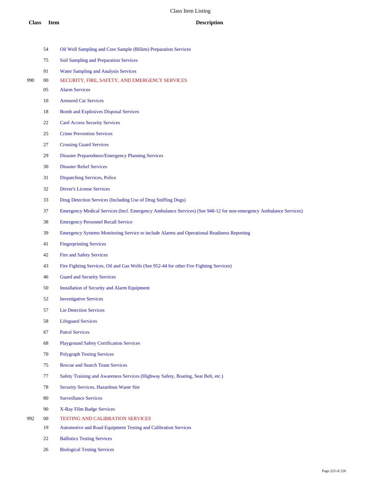|     | 54     | Oil Well Sampling and Core Sample (Billets) Preparation Services                                                  |
|-----|--------|-------------------------------------------------------------------------------------------------------------------|
|     | 75     | <b>Soil Sampling and Preparation Services</b>                                                                     |
|     | 91     | <b>Water Sampling and Analysis Services</b>                                                                       |
| 990 | $00\,$ | SECURITY, FIRE, SAFETY, AND EMERGENCY SERVICES                                                                    |
|     | 05     | <b>Alarm Services</b>                                                                                             |
|     | 10     | <b>Armored Car Services</b>                                                                                       |
|     | 18     | <b>Bomb and Explosives Disposal Services</b>                                                                      |
|     | 22     | <b>Card Access Security Services</b>                                                                              |
|     | 25     | <b>Crime Prevention Services</b>                                                                                  |
|     | 27     | <b>Crossing Guard Services</b>                                                                                    |
|     | 29     | <b>Disaster Preparedness/Emergency Planning Services</b>                                                          |
|     | 30     | <b>Disaster Relief Services</b>                                                                                   |
|     | 31     | <b>Dispatching Services, Police</b>                                                                               |
|     | 32     | <b>Driver's License Services</b>                                                                                  |
|     | 33     | Drug Detection Services (Including Use of Drug Sniffing Dogs)                                                     |
|     | 37     | Emergency Medical Services (Incl. Emergency Ambulance Services) (See 948-12 for non-emergency Ambulance Services) |
|     | 38     | <b>Emergency Personnel Recall Service</b>                                                                         |
|     | 39     | Emergency Systems Monitoring Service to include Alarms and Operational Readiness Reporting                        |
|     | 41     | <b>Fingerprinting Services</b>                                                                                    |
|     | 42     | <b>Fire and Safety Services</b>                                                                                   |
|     | 43     | Fire Fighting Services, Oil and Gas Wells (See 952-44 for other Fire Fighting Services)                           |
|     | 46     | <b>Guard and Security Services</b>                                                                                |
|     | 50     | <b>Installation of Security and Alarm Equipment</b>                                                               |
|     | 52     | <b>Investigative Services</b>                                                                                     |
|     | 57     | <b>Lie Detection Services</b>                                                                                     |
|     | 58     | <b>Lifeguard Services</b>                                                                                         |
|     | 67     | <b>Patrol Services</b>                                                                                            |
|     | 68     | <b>Playground Safety Certification Services</b>                                                                   |
|     | 70     | <b>Polygraph Testing Services</b>                                                                                 |
|     | 75     | <b>Rescue and Search Team Services</b>                                                                            |
|     | 77     | Safety Training and Awareness Services (Highway Safety, Boating, Seat Belt, etc.)                                 |
|     | 78     | <b>Security Services, Hazardous Waste Site</b>                                                                    |
|     | 80     | <b>Surveillance Services</b>                                                                                      |
|     | 90     | X-Ray Film Badge Services                                                                                         |
| 992 | $00\,$ | <b>TESTING AND CALIBRATION SERVICES</b>                                                                           |
|     | 19     | Automotive and Road Equipment Testing and Calibration Services                                                    |
|     |        |                                                                                                                   |

- Ballistics Testing Services
- Biological Testing Services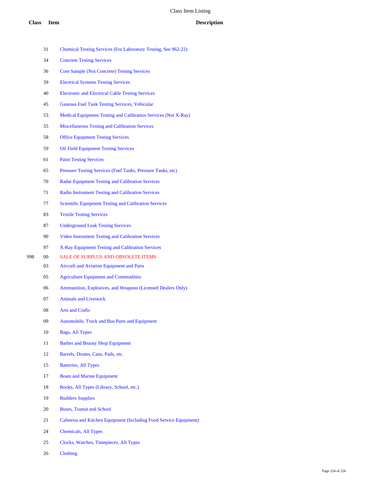# **Class Item Description**

|     | 34     | <b>Concrete Testing Services</b>                                   |
|-----|--------|--------------------------------------------------------------------|
|     | 36     | <b>Core Sample (Not Concrete) Testing Services</b>                 |
|     | 39     | <b>Electrical Systems Testing Services</b>                         |
|     | 40     | <b>Electronic and Electrical Cable Testing Services</b>            |
|     | 45     | <b>Gaseous Fuel Tank Testing Services, Vehicular</b>               |
|     | 53     | Medical Equipment Testing and Calibration Services (Not X-Ray)     |
|     | 55     | <b>Miscellaneous Testing and Calibration Services</b>              |
|     | 58     | <b>Office Equipment Testing Services</b>                           |
|     | 59     | <b>Oil Field Equipment Testing Services</b>                        |
|     | 61     | <b>Paint Testing Services</b>                                      |
|     | 65     | Pressure Testing Services (Fuel Tanks, Pressure Tanks, etc)        |
|     | 70     | <b>Radar Equipment Testing and Calibration Services</b>            |
|     | 71     | <b>Radio Instrument Testing and Calibration Services</b>           |
|     | 77     | <b>Scientific Equipment Testing and Calibration Services</b>       |
|     | 83     | <b>Textile Testing Services</b>                                    |
|     | 87     | <b>Underground Leak Testing Services</b>                           |
|     | 90     | Video Instrument Testing and Calibration Services                  |
|     | 97     | X-Ray Equipment Testing and Calibration Services                   |
| 998 | $00\,$ | SALE OF SURPLUS AND OBSOLETE ITEMS                                 |
|     | 03     | <b>Aircraft and Aviation Equipment and Parts</b>                   |
|     | 05     | <b>Agriculture Equipment and Commodities</b>                       |
|     | 06     | Ammunition, Explosives, and Weapons (Licensed Dealers Only)        |
|     | 07     | <b>Animals and Livestock</b>                                       |
|     | 08     | <b>Arts and Crafts</b>                                             |
|     | 09     | Automobile, Truck and Bus Parts and Equipment                      |
|     | 10     | Bags, All Types                                                    |
|     | 11     | <b>Barber and Beauty Shop Equipment</b>                            |
|     | 12     | Barrels, Drums, Cans, Pails, etc.                                  |
|     | 15     | <b>Batteries, All Types</b>                                        |
|     | 17     | <b>Boats and Marine Equipment</b>                                  |
|     | 18     | Books, All Types (Library, School, etc.)                           |
|     | 19     | <b>Builders Supplies</b>                                           |
|     | 20     | <b>Buses, Transit and School</b>                                   |
|     | 21     | Cafeteria and Kitchen Equipment (Including Food Service Equipment) |
|     | 24     | <b>Chemicals, All Types</b>                                        |
|     | 25     | Clocks, Watches, Timepieces, All Types                             |
|     | 26     | Clothing                                                           |

Chemical Testing Services (For Laboratory Testing, See 962-22)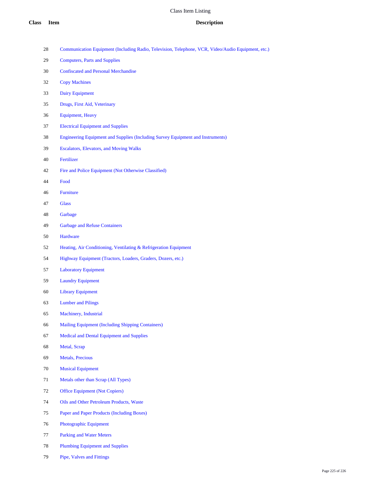- Communication Equipment (Including Radio, Television, Telephone, VCR, Video/Audio Equipment, etc.)
- Computers, Parts and Supplies
- Confiscated and Personal Merchandise
- Copy Machines
- Dairy Equipment
- Drugs, First Aid, Veterinary
- Equipment, Heavy
- Electrical Equipment and Supplies
- Engineering Equipment and Supplies (Including Survey Equipment and Instruments)
- Escalators, Elevators, and Moving Walks
- Fertilizer
- Fire and Police Equipment (Not Otherwise Classified)
- Food
- Furniture
- Glass
- Garbage
- Garbage and Refuse Containers
- Hardware
- Heating, Air Conditioning, Ventilating & Refrigeration Equipment
- Highway Equipment (Tractors, Loaders, Graders, Dozers, etc.)
- Laboratory Equipment
- Laundry Equipment
- Library Equipment
- Lumber and Pilings
- Machinery, Industrial
- Mailing Equipment (Including Shipping Containers)
- Medical and Dental Equipment and Supplies
- Metal, Scrap
- Metals, Precious
- Musical Equipment
- Metals other than Scrap (All Types)
- Office Equipment (Not Copiers)
- Oils and Other Petroleum Products, Waste
- Paper and Paper Products (Including Boxes)
- Photographic Equipment
- Parking and Water Meters
- Plumbing Equipment and Supplies
- Pipe, Valves and Fittings